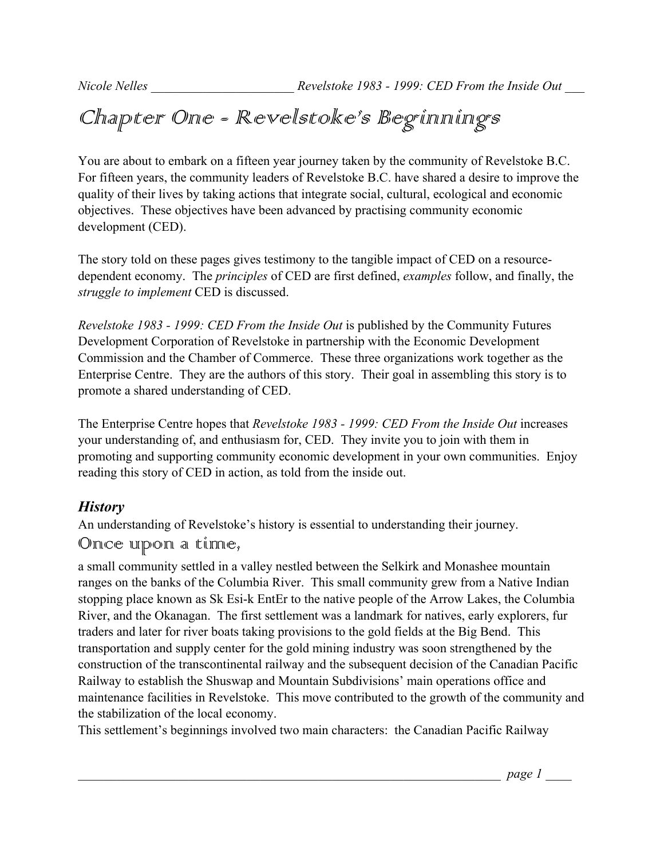# Chapter One - Revelstoke's Beginnings

You are about to embark on a fifteen year journey taken by the community of Revelstoke B.C. For fifteen years, the community leaders of Revelstoke B.C. have shared a desire to improve the quality of their lives by taking actions that integrate social, cultural, ecological and economic objectives. These objectives have been advanced by practising community economic development (CED).

The story told on these pages gives testimony to the tangible impact of CED on a resourcedependent economy. The *principles* of CED are first defined, *examples* follow, and finally, the *struggle to implement* CED is discussed.

*Revelstoke 1983 - 1999: CED From the Inside Out* is published by the Community Futures Development Corporation of Revelstoke in partnership with the Economic Development Commission and the Chamber of Commerce.These three organizations work together as the Enterprise Centre. They are the authors of this story. Their goal in assembling this story is to promote a shared understanding of CED.

The Enterprise Centre hopes that *Revelstoke 1983 - 1999: CED From the Inside Out* increases your understanding of, and enthusiasm for, CED. They invite you to join with them in promoting and supporting community economic development in your own communities. Enjoy reading this story of CED in action, as told from the inside out.

## *History*

An understanding of Revelstoke's history is essential to understanding their journey.

## Once upon a time,

a small community settled in a valley nestled between the Selkirk and Monashee mountain ranges on the banks of the Columbia River. This small community grew from a Native Indian stopping place known as Sk Esi-k EntEr to the native people of the Arrow Lakes, the Columbia River, and the Okanagan. The first settlement was a landmark for natives, early explorers, fur traders and later for river boats taking provisions to the gold fields at the Big Bend. This transportation and supply center for the gold mining industry was soon strengthened by the construction of the transcontinental railway and the subsequent decision of the Canadian Pacific Railway to establish the Shuswap and Mountain Subdivisions' main operations office and maintenance facilities in Revelstoke. This move contributed to the growth of the community and the stabilization of the local economy.

This settlement's beginnings involved two main characters: the Canadian Pacific Railway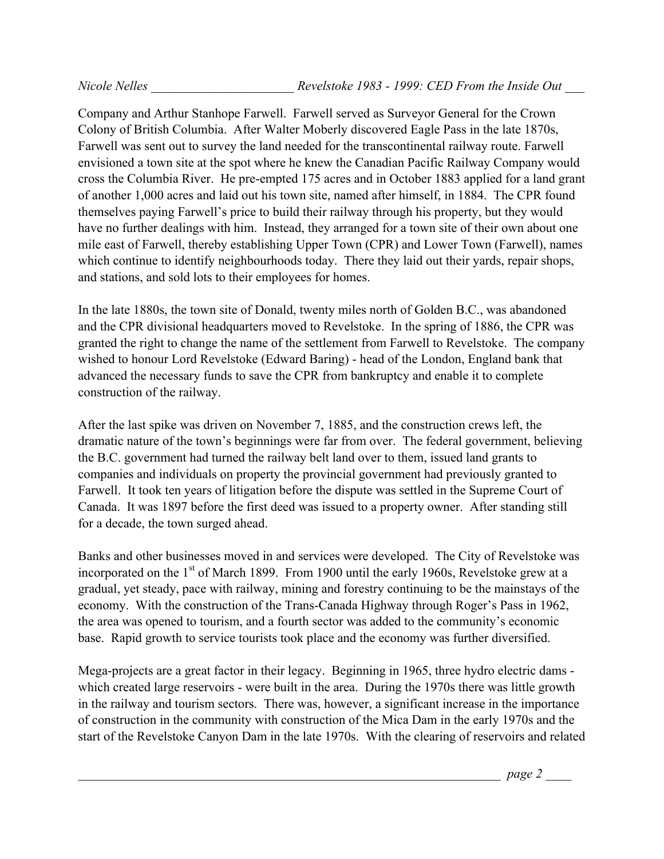Company and Arthur Stanhope Farwell. Farwell served as Surveyor General for the Crown Colony of British Columbia. After Walter Moberly discovered Eagle Pass in the late 1870s, Farwell was sent out to survey the land needed for the transcontinental railway route. Farwell envisioned a town site at the spot where he knew the Canadian Pacific Railway Company would cross the Columbia River. He pre-empted 175 acres and in October 1883 applied for a land grant of another 1,000 acres and laid out his town site, named after himself, in 1884. The CPR found themselves paying Farwell's price to build their railway through his property, but they would have no further dealings with him. Instead, they arranged for a town site of their own about one mile east of Farwell, thereby establishing Upper Town (CPR) and Lower Town (Farwell), names which continue to identify neighbourhoods today. There they laid out their yards, repair shops, and stations, and sold lots to their employees for homes.

In the late 1880s, the town site of Donald, twenty miles north of Golden B.C., was abandoned and the CPR divisional headquarters moved to Revelstoke. In the spring of 1886, the CPR was granted the right to change the name of the settlement from Farwell to Revelstoke. The company wished to honour Lord Revelstoke (Edward Baring) - head of the London, England bank that advanced the necessary funds to save the CPR from bankruptcy and enable it to complete construction of the railway.

After the last spike was driven on November 7, 1885, and the construction crews left, the dramatic nature of the town's beginnings were far from over. The federal government, believing the B.C. government had turned the railway belt land over to them, issued land grants to companies and individuals on property the provincial government had previously granted to Farwell. It took ten years of litigation before the dispute was settled in the Supreme Court of Canada. It was 1897 before the first deed was issued to a property owner. After standing still for a decade, the town surged ahead.

Banks and other businesses moved in and services were developed. The City of Revelstoke was incorporated on the  $1<sup>st</sup>$  of March 1899. From 1900 until the early 1960s, Revelstoke grew at a gradual, yet steady, pace with railway, mining and forestry continuing to be the mainstays of the economy. With the construction of the Trans-Canada Highway through Roger's Pass in 1962, the area was opened to tourism, and a fourth sector was added to the community's economic base. Rapid growth to service tourists took place and the economy was further diversified.

Mega-projects are a great factor in their legacy. Beginning in 1965, three hydro electric dams which created large reservoirs - were built in the area. During the 1970s there was little growth in the railway and tourism sectors. There was, however, a significant increase in the importance of construction in the community with construction of the Mica Dam in the early 1970s and the start of the Revelstoke Canyon Dam in the late 1970s. With the clearing of reservoirs and related

\_\_\_\_\_\_\_\_\_\_\_\_\_\_\_\_\_\_\_\_\_\_\_\_\_\_\_\_\_\_\_\_\_\_\_\_\_\_\_\_\_\_\_\_\_\_\_\_\_\_\_\_\_\_\_\_\_\_\_\_\_\_\_\_\_ *page 2* \_\_\_\_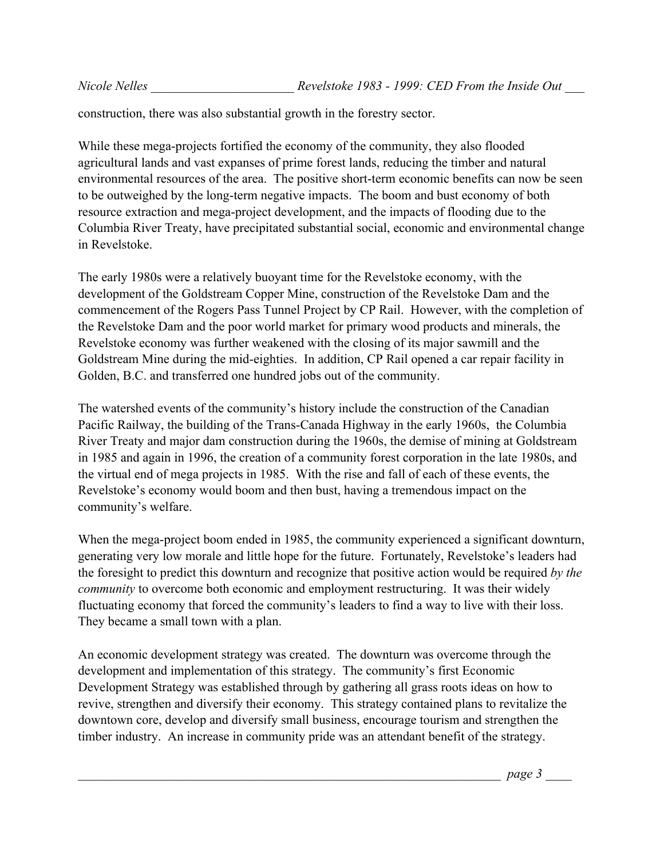construction, there was also substantial growth in the forestry sector.

While these mega-projects fortified the economy of the community, they also flooded agricultural lands and vast expanses of prime forest lands, reducing the timber and natural environmental resources of the area. The positive short-term economic benefits can now be seen to be outweighed by the long-term negative impacts. The boom and bust economy of both resource extraction and mega-project development, and the impacts of flooding due to the Columbia River Treaty, have precipitated substantial social, economic and environmental change in Revelstoke.

The early 1980s were a relatively buoyant time for the Revelstoke economy, with the development of the Goldstream Copper Mine, construction of the Revelstoke Dam and the commencement of the Rogers Pass Tunnel Project by CP Rail. However, with the completion of the Revelstoke Dam and the poor world market for primary wood products and minerals, the Revelstoke economy was further weakened with the closing of its major sawmill and the Goldstream Mine during the mid-eighties. In addition, CP Rail opened a car repair facility in Golden, B.C. and transferred one hundred jobs out of the community.

The watershed events of the community's history include the construction of the Canadian Pacific Railway, the building of the Trans-Canada Highway in the early 1960s, the Columbia River Treaty and major dam construction during the 1960s, the demise of mining at Goldstream in 1985 and again in 1996, the creation of a community forest corporation in the late 1980s, and the virtual end of mega projects in 1985. With the rise and fall of each of these events, the Revelstoke's economy would boom and then bust, having a tremendous impact on the community's welfare.

When the mega-project boom ended in 1985, the community experienced a significant downturn, generating very low morale and little hope for the future. Fortunately, Revelstoke's leaders had the foresight to predict this downturn and recognize that positive action would be required *by the community* to overcome both economic and employment restructuring. It was their widely fluctuating economy that forced the community's leaders to find a way to live with their loss. They became a small town with a plan.

An economic development strategy was created. The downturn was overcome through the development and implementation of this strategy. The community's first Economic Development Strategy was established through by gathering all grass roots ideas on how to revive, strengthen and diversify their economy. This strategy contained plans to revitalize the downtown core, develop and diversify small business, encourage tourism and strengthen the timber industry. An increase in community pride was an attendant benefit of the strategy.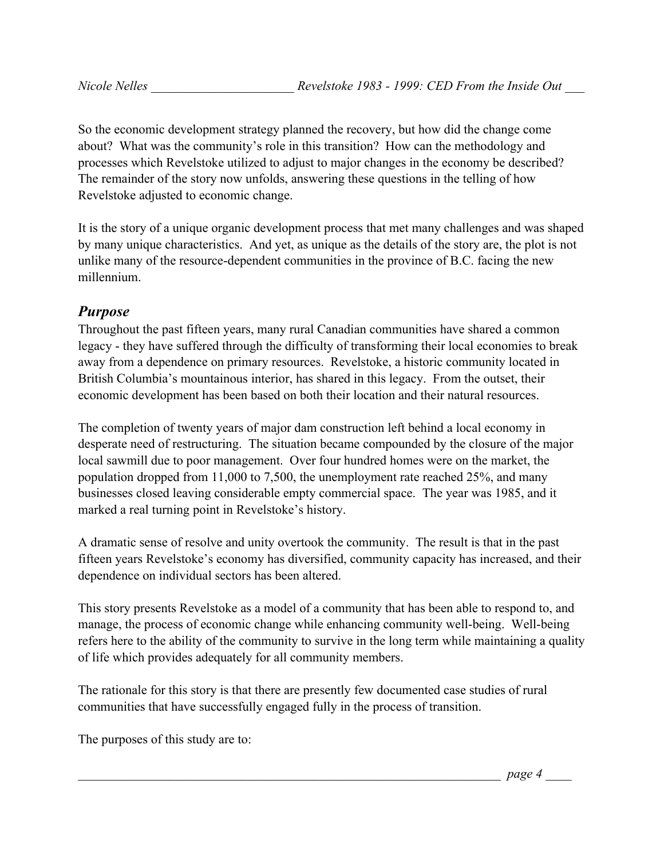So the economic development strategy planned the recovery, but how did the change come about? What was the community's role in this transition? How can the methodology and processes which Revelstoke utilized to adjust to major changes in the economy be described? The remainder of the story now unfolds, answering these questions in the telling of how Revelstoke adjusted to economic change.

It is the story of a unique organic development process that met many challenges and was shaped by many unique characteristics. And yet, as unique as the details of the story are, the plot is not unlike many of the resource-dependent communities in the province of B.C. facing the new millennium.

## *Purpose*

Throughout the past fifteen years, many rural Canadian communities have shared a common legacy - they have suffered through the difficulty of transforming their local economies to break away from a dependence on primary resources. Revelstoke, a historic community located in British Columbia's mountainous interior, has shared in this legacy. From the outset, their economic development has been based on both their location and their natural resources.

The completion of twenty years of major dam construction left behind a local economy in desperate need of restructuring. The situation became compounded by the closure of the major local sawmill due to poor management. Over four hundred homes were on the market, the population dropped from 11,000 to 7,500, the unemployment rate reached 25%, and many businesses closed leaving considerable empty commercial space. The year was 1985, and it marked a real turning point in Revelstoke's history.

A dramatic sense of resolve and unity overtook the community. The result is that in the past fifteen years Revelstoke's economy has diversified, community capacity has increased, and their dependence on individual sectors has been altered.

This story presents Revelstoke as a model of a community that has been able to respond to, and manage, the process of economic change while enhancing community well-being. Well-being refers here to the ability of the community to survive in the long term while maintaining a quality of life which provides adequately for all community members.

The rationale for this story is that there are presently few documented case studies of rural communities that have successfully engaged fully in the process of transition.

The purposes of this study are to: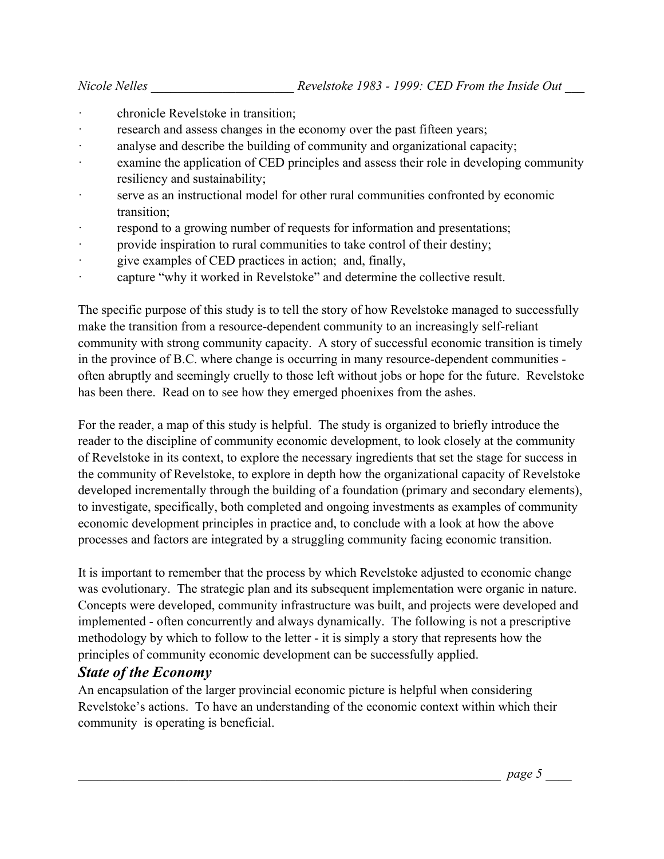- chronicle Revelstoke in transition;
- research and assess changes in the economy over the past fifteen years;
- · analyse and describe the building of community and organizational capacity;
- · examine the application of CED principles and assess their role in developing community resiliency and sustainability;
- · serve as an instructional model for other rural communities confronted by economic transition;
- respond to a growing number of requests for information and presentations;
- provide inspiration to rural communities to take control of their destiny;
- · give examples of CED practices in action; and, finally,
- · capture "why it worked in Revelstoke" and determine the collective result.

The specific purpose of this study is to tell the story of how Revelstoke managed to successfully make the transition from a resource-dependent community to an increasingly self-reliant community with strong community capacity. A story of successful economic transition is timely in the province of B.C. where change is occurring in many resource-dependent communities often abruptly and seemingly cruelly to those left without jobs or hope for the future. Revelstoke has been there. Read on to see how they emerged phoenixes from the ashes.

For the reader, a map of this study is helpful. The study is organized to briefly introduce the reader to the discipline of community economic development, to look closely at the community of Revelstoke in its context, to explore the necessary ingredients that set the stage for success in the community of Revelstoke, to explore in depth how the organizational capacity of Revelstoke developed incrementally through the building of a foundation (primary and secondary elements), to investigate, specifically, both completed and ongoing investments as examples of community economic development principles in practice and, to conclude with a look at how the above processes and factors are integrated by a struggling community facing economic transition.

It is important to remember that the process by which Revelstoke adjusted to economic change was evolutionary. The strategic plan and its subsequent implementation were organic in nature. Concepts were developed, community infrastructure was built, and projects were developed and implemented - often concurrently and always dynamically. The following is not a prescriptive methodology by which to follow to the letter - it is simply a story that represents how the principles of community economic development can be successfully applied.

#### *State of the Economy*

An encapsulation of the larger provincial economic picture is helpful when considering Revelstoke's actions. To have an understanding of the economic context within which their community is operating is beneficial.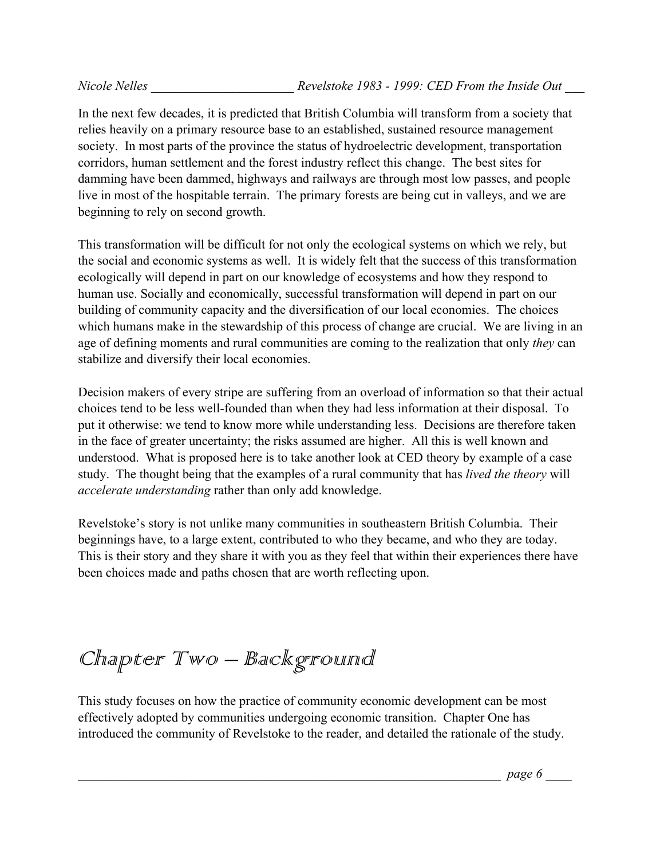In the next few decades, it is predicted that British Columbia will transform from a society that relies heavily on a primary resource base to an established, sustained resource management society. In most parts of the province the status of hydroelectric development, transportation corridors, human settlement and the forest industry reflect this change. The best sites for damming have been dammed, highways and railways are through most low passes, and people live in most of the hospitable terrain. The primary forests are being cut in valleys, and we are beginning to rely on second growth.

This transformation will be difficult for not only the ecological systems on which we rely, but the social and economic systems as well. It is widely felt that the success of this transformation ecologically will depend in part on our knowledge of ecosystems and how they respond to human use. Socially and economically, successful transformation will depend in part on our building of community capacity and the diversification of our local economies. The choices which humans make in the stewardship of this process of change are crucial. We are living in an age of defining moments and rural communities are coming to the realization that only *they* can stabilize and diversify their local economies.

Decision makers of every stripe are suffering from an overload of information so that their actual choices tend to be less well-founded than when they had less information at their disposal. To put it otherwise: we tend to know more while understanding less. Decisions are therefore taken in the face of greater uncertainty; the risks assumed are higher. All this is well known and understood. What is proposed here is to take another look at CED theory by example of a case study. The thought being that the examples of a rural community that has *lived the theory* will *accelerate understanding* rather than only add knowledge.

Revelstoke's story is not unlike many communities in southeastern British Columbia. Their beginnings have, to a large extent, contributed to who they became, and who they are today. This is their story and they share it with you as they feel that within their experiences there have been choices made and paths chosen that are worth reflecting upon.

# Chapter Two - Background

This study focuses on how the practice of community economic development can be most effectively adopted by communities undergoing economic transition. Chapter One has introduced the community of Revelstoke to the reader, and detailed the rationale of the study.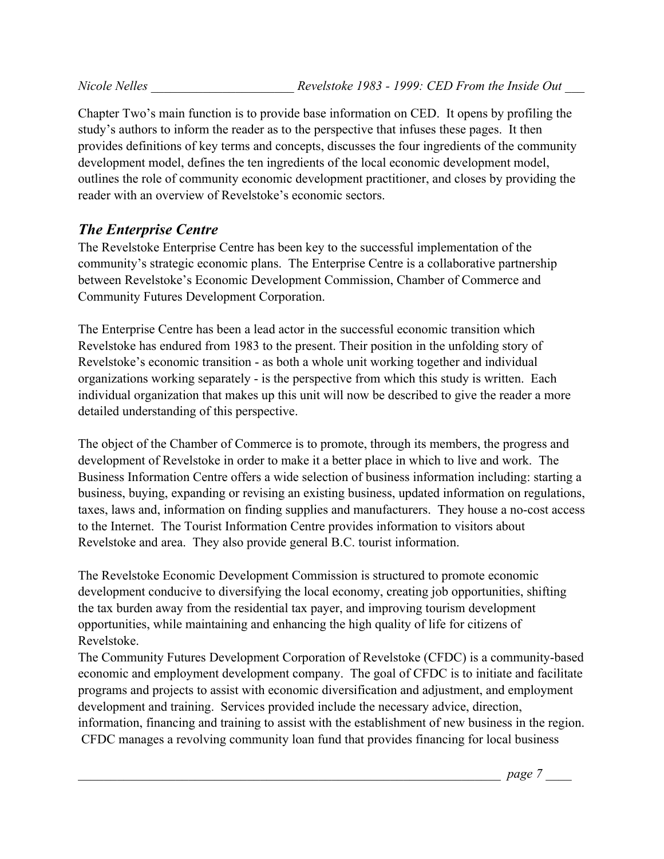Chapter Two's main function is to provide base information on CED. It opens by profiling the study's authors to inform the reader as to the perspective that infuses these pages. It then provides definitions of key terms and concepts, discusses the four ingredients of the community development model, defines the ten ingredients of the local economic development model, outlines the role of community economic development practitioner, and closes by providing the reader with an overview of Revelstoke's economic sectors.

## *The Enterprise Centre*

The Revelstoke Enterprise Centre has been key to the successful implementation of the community's strategic economic plans. The Enterprise Centre is a collaborative partnership between Revelstoke's Economic Development Commission, Chamber of Commerce and Community Futures Development Corporation.

The Enterprise Centre has been a lead actor in the successful economic transition which Revelstoke has endured from 1983 to the present. Their position in the unfolding story of Revelstoke's economic transition - as both a whole unit working together and individual organizations working separately - is the perspective from which this study is written. Each individual organization that makes up this unit will now be described to give the reader a more detailed understanding of this perspective.

The object of the Chamber of Commerce is to promote, through its members, the progress and development of Revelstoke in order to make it a better place in which to live and work. The Business Information Centre offers a wide selection of business information including: starting a business, buying, expanding or revising an existing business, updated information on regulations, taxes, laws and, information on finding supplies and manufacturers. They house a no-cost access to the Internet. The Tourist Information Centre provides information to visitors about Revelstoke and area. They also provide general B.C. tourist information.

The Revelstoke Economic Development Commission is structured to promote economic development conducive to diversifying the local economy, creating job opportunities, shifting the tax burden away from the residential tax payer, and improving tourism development opportunities, while maintaining and enhancing the high quality of life for citizens of Revelstoke.

The Community Futures Development Corporation of Revelstoke (CFDC) is a community-based economic and employment development company. The goal of CFDC is to initiate and facilitate programs and projects to assist with economic diversification and adjustment, and employment development and training. Services provided include the necessary advice, direction, information, financing and training to assist with the establishment of new business in the region. CFDC manages a revolving community loan fund that provides financing for local business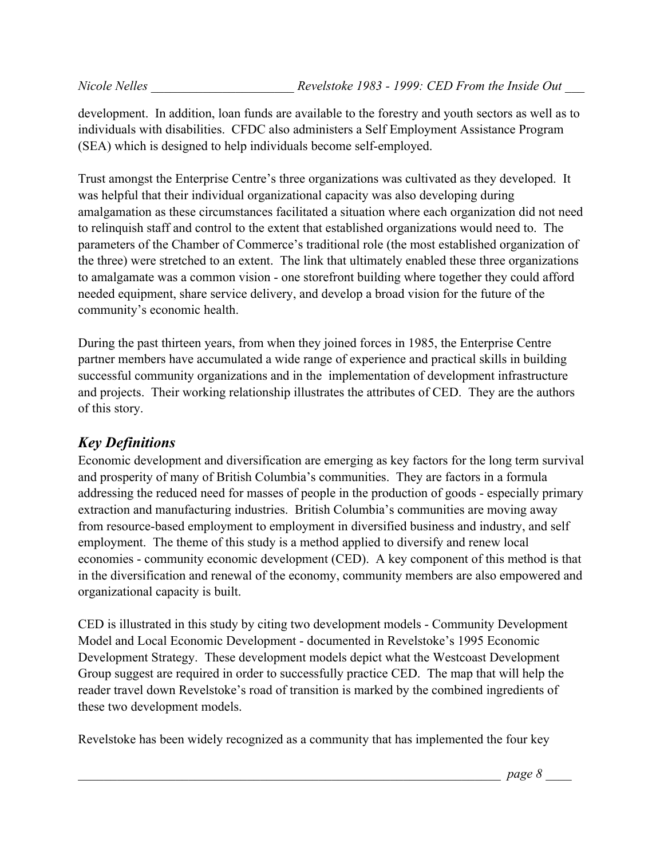development. In addition, loan funds are available to the forestry and youth sectors as well as to individuals with disabilities. CFDC also administers a Self Employment Assistance Program (SEA) which is designed to help individuals become self-employed.

Trust amongst the Enterprise Centre's three organizations was cultivated as they developed. It was helpful that their individual organizational capacity was also developing during amalgamation as these circumstances facilitated a situation where each organization did not need to relinquish staff and control to the extent that established organizations would need to. The parameters of the Chamber of Commerce's traditional role (the most established organization of the three) were stretched to an extent. The link that ultimately enabled these three organizations to amalgamate was a common vision - one storefront building where together they could afford needed equipment, share service delivery, and develop a broad vision for the future of the community's economic health.

During the past thirteen years, from when they joined forces in 1985, the Enterprise Centre partner members have accumulated a wide range of experience and practical skills in building successful community organizations and in the implementation of development infrastructure and projects. Their working relationship illustrates the attributes of CED. They are the authors of this story.

## *Key Definitions*

Economic development and diversification are emerging as key factors for the long term survival and prosperity of many of British Columbia's communities. They are factors in a formula addressing the reduced need for masses of people in the production of goods - especially primary extraction and manufacturing industries. British Columbia's communities are moving away from resource-based employment to employment in diversified business and industry, and self employment. The theme of this study is a method applied to diversify and renew local economies - community economic development (CED). A key component of this method is that in the diversification and renewal of the economy, community members are also empowered and organizational capacity is built.

CED is illustrated in this study by citing two development models - Community Development Model and Local Economic Development - documented in Revelstoke's 1995 Economic Development Strategy. These development models depict what the Westcoast Development Group suggest are required in order to successfully practice CED. The map that will help the reader travel down Revelstoke's road of transition is marked by the combined ingredients of these two development models.

Revelstoke has been widely recognized as a community that has implemented the four key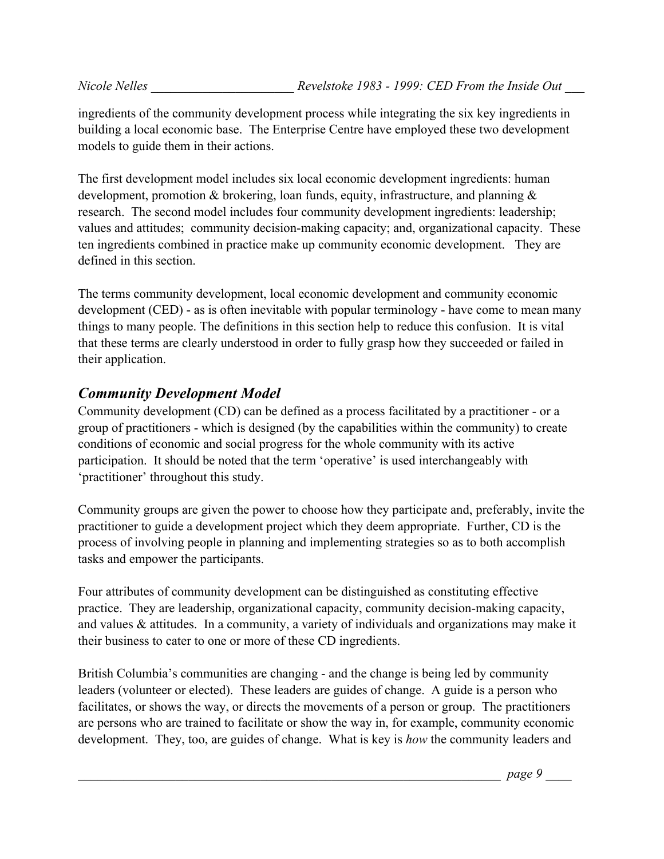ingredients of the community development process while integrating the six key ingredients in building a local economic base. The Enterprise Centre have employed these two development models to guide them in their actions.

The first development model includes six local economic development ingredients: human development, promotion & brokering, loan funds, equity, infrastructure, and planning & research. The second model includes four community development ingredients: leadership; values and attitudes; community decision-making capacity; and, organizational capacity. These ten ingredients combined in practice make up community economic development. They are defined in this section.

The terms community development, local economic development and community economic development (CED) - as is often inevitable with popular terminology - have come to mean many things to many people. The definitions in this section help to reduce this confusion. It is vital that these terms are clearly understood in order to fully grasp how they succeeded or failed in their application.

## *Community Development Model*

Community development (CD) can be defined as a process facilitated by a practitioner - or a group of practitioners - which is designed (by the capabilities within the community) to create conditions of economic and social progress for the whole community with its active participation. It should be noted that the term 'operative' is used interchangeably with 'practitioner' throughout this study.

Community groups are given the power to choose how they participate and, preferably, invite the practitioner to guide a development project which they deem appropriate. Further, CD is the process of involving people in planning and implementing strategies so as to both accomplish tasks and empower the participants.

Four attributes of community development can be distinguished as constituting effective practice. They are leadership, organizational capacity, community decision-making capacity, and values & attitudes. In a community, a variety of individuals and organizations may make it their business to cater to one or more of these CD ingredients.

British Columbia's communities are changing - and the change is being led by community leaders (volunteer or elected). These leaders are guides of change. A guide is a person who facilitates, or shows the way, or directs the movements of a person or group. The practitioners are persons who are trained to facilitate or show the way in, for example, community economic development. They, too, are guides of change. What is key is *how* the community leaders and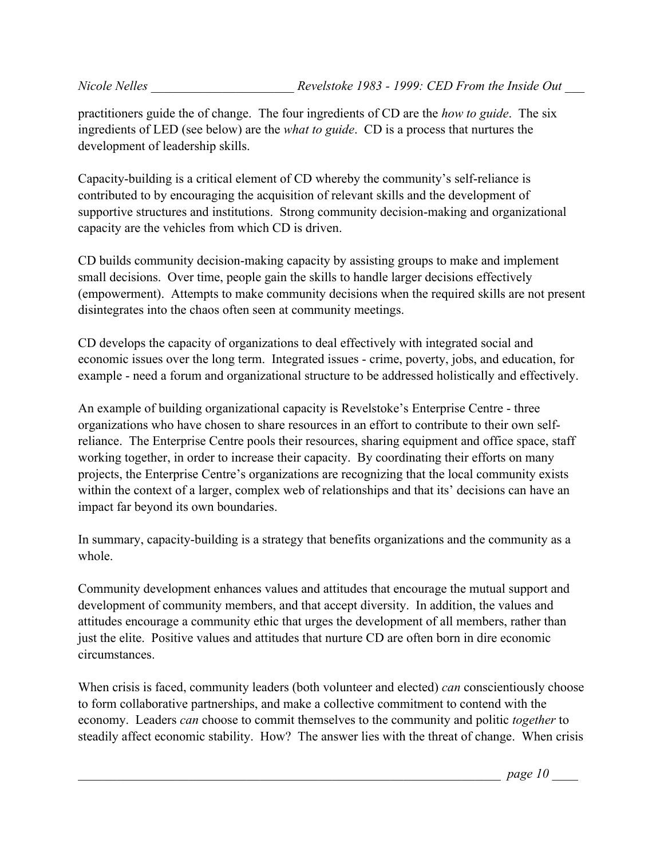practitioners guide the of change. The four ingredients of CD are the *how to guide*. The six ingredients of LED (see below) are the *what to guide*. CD is a process that nurtures the development of leadership skills.

Capacity-building is a critical element of CD whereby the community's self-reliance is contributed to by encouraging the acquisition of relevant skills and the development of supportive structures and institutions. Strong community decision-making and organizational capacity are the vehicles from which CD is driven.

CD builds community decision-making capacity by assisting groups to make and implement small decisions. Over time, people gain the skills to handle larger decisions effectively (empowerment). Attempts to make community decisions when the required skills are not present disintegrates into the chaos often seen at community meetings.

CD develops the capacity of organizations to deal effectively with integrated social and economic issues over the long term. Integrated issues - crime, poverty, jobs, and education, for example - need a forum and organizational structure to be addressed holistically and effectively.

An example of building organizational capacity is Revelstoke's Enterprise Centre - three organizations who have chosen to share resources in an effort to contribute to their own selfreliance. The Enterprise Centre pools their resources, sharing equipment and office space, staff working together, in order to increase their capacity. By coordinating their efforts on many projects, the Enterprise Centre's organizations are recognizing that the local community exists within the context of a larger, complex web of relationships and that its' decisions can have an impact far beyond its own boundaries.

In summary, capacity-building is a strategy that benefits organizations and the community as a whole.

Community development enhances values and attitudes that encourage the mutual support and development of community members, and that accept diversity. In addition, the values and attitudes encourage a community ethic that urges the development of all members, rather than just the elite. Positive values and attitudes that nurture CD are often born in dire economic circumstances.

When crisis is faced, community leaders (both volunteer and elected) *can* conscientiously choose to form collaborative partnerships, and make a collective commitment to contend with the economy. Leaders *can* choose to commit themselves to the community and politic *together* to steadily affect economic stability. How? The answer lies with the threat of change. When crisis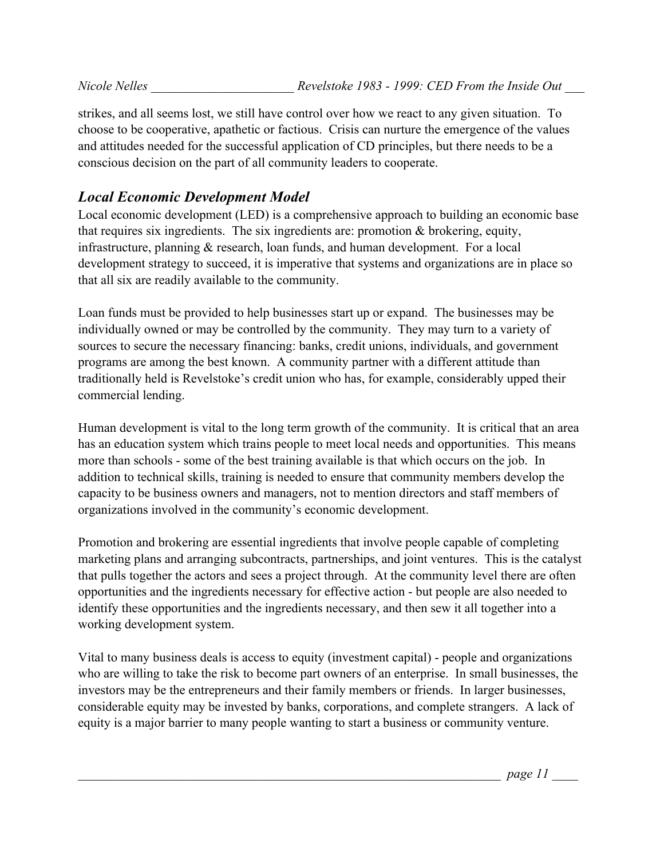strikes, and all seems lost, we still have control over how we react to any given situation. To choose to be cooperative, apathetic or factious. Crisis can nurture the emergence of the values and attitudes needed for the successful application of CD principles, but there needs to be a conscious decision on the part of all community leaders to cooperate.

## *Local Economic Development Model*

Local economic development (LED) is a comprehensive approach to building an economic base that requires six ingredients. The six ingredients are: promotion & brokering, equity, infrastructure, planning & research, loan funds, and human development. For a local development strategy to succeed, it is imperative that systems and organizations are in place so that all six are readily available to the community.

Loan funds must be provided to help businesses start up or expand. The businesses may be individually owned or may be controlled by the community. They may turn to a variety of sources to secure the necessary financing: banks, credit unions, individuals, and government programs are among the best known. A community partner with a different attitude than traditionally held is Revelstoke's credit union who has, for example, considerably upped their commercial lending.

Human development is vital to the long term growth of the community. It is critical that an area has an education system which trains people to meet local needs and opportunities. This means more than schools - some of the best training available is that which occurs on the job. In addition to technical skills, training is needed to ensure that community members develop the capacity to be business owners and managers, not to mention directors and staff members of organizations involved in the community's economic development.

Promotion and brokering are essential ingredients that involve people capable of completing marketing plans and arranging subcontracts, partnerships, and joint ventures. This is the catalyst that pulls together the actors and sees a project through. At the community level there are often opportunities and the ingredients necessary for effective action - but people are also needed to identify these opportunities and the ingredients necessary, and then sew it all together into a working development system.

Vital to many business deals is access to equity (investment capital) - people and organizations who are willing to take the risk to become part owners of an enterprise. In small businesses, the investors may be the entrepreneurs and their family members or friends. In larger businesses, considerable equity may be invested by banks, corporations, and complete strangers. A lack of equity is a major barrier to many people wanting to start a business or community venture.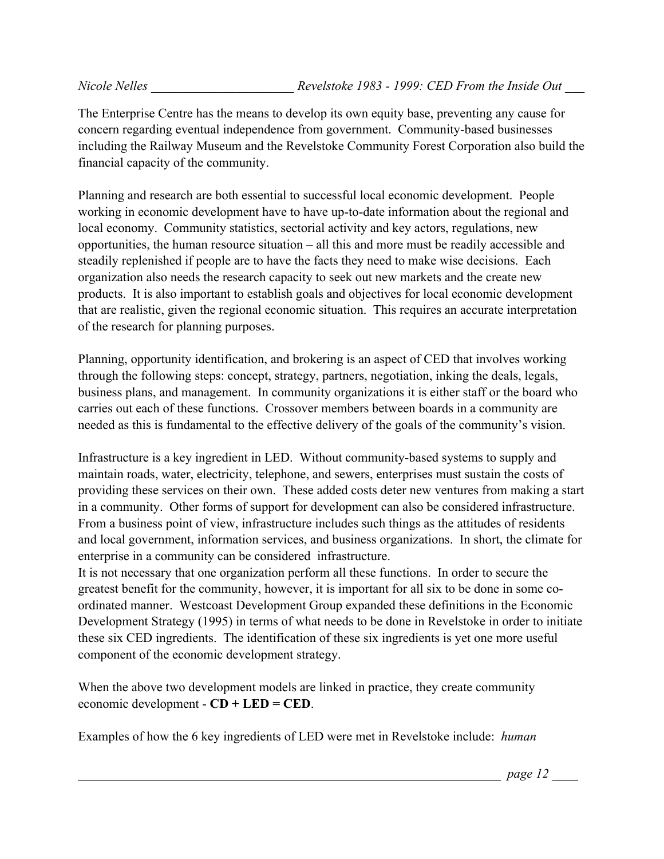The Enterprise Centre has the means to develop its own equity base, preventing any cause for concern regarding eventual independence from government. Community-based businesses including the Railway Museum and the Revelstoke Community Forest Corporation also build the financial capacity of the community.

Planning and research are both essential to successful local economic development. People working in economic development have to have up-to-date information about the regional and local economy. Community statistics, sectorial activity and key actors, regulations, new opportunities, the human resource situation – all this and more must be readily accessible and steadily replenished if people are to have the facts they need to make wise decisions. Each organization also needs the research capacity to seek out new markets and the create new products. It is also important to establish goals and objectives for local economic development that are realistic, given the regional economic situation. This requires an accurate interpretation of the research for planning purposes.

Planning, opportunity identification, and brokering is an aspect of CED that involves working through the following steps: concept, strategy, partners, negotiation, inking the deals, legals, business plans, and management. In community organizations it is either staff or the board who carries out each of these functions. Crossover members between boards in a community are needed as this is fundamental to the effective delivery of the goals of the community's vision.

Infrastructure is a key ingredient in LED. Without community-based systems to supply and maintain roads, water, electricity, telephone, and sewers, enterprises must sustain the costs of providing these services on their own. These added costs deter new ventures from making a start in a community. Other forms of support for development can also be considered infrastructure. From a business point of view, infrastructure includes such things as the attitudes of residents and local government, information services, and business organizations. In short, the climate for enterprise in a community can be considered infrastructure.

It is not necessary that one organization perform all these functions. In order to secure the greatest benefit for the community, however, it is important for all six to be done in some coordinated manner. Westcoast Development Group expanded these definitions in the Economic Development Strategy (1995) in terms of what needs to be done in Revelstoke in order to initiate these six CED ingredients. The identification of these six ingredients is yet one more useful component of the economic development strategy.

When the above two development models are linked in practice, they create community economic development - **CD + LED = CED**.

Examples of how the 6 key ingredients of LED were met in Revelstoke include: *human* 

\_\_\_\_\_\_\_\_\_\_\_\_\_\_\_\_\_\_\_\_\_\_\_\_\_\_\_\_\_\_\_\_\_\_\_\_\_\_\_\_\_\_\_\_\_\_\_\_\_\_\_\_\_\_\_\_\_\_\_\_\_\_\_\_\_ *page 12* \_\_\_\_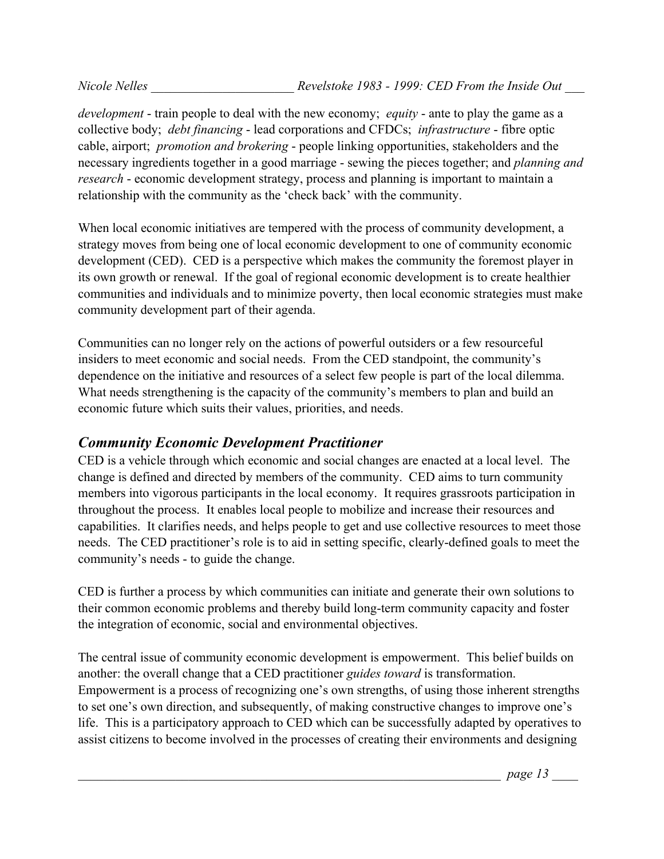*development* - train people to deal with the new economy; *equity* - ante to play the game as a collective body; *debt financing* - lead corporations and CFDCs; *infrastructure* - fibre optic cable, airport; *promotion and brokering* - people linking opportunities, stakeholders and the necessary ingredients together in a good marriage - sewing the pieces together; and *planning and research* - economic development strategy, process and planning is important to maintain a relationship with the community as the 'check back' with the community.

When local economic initiatives are tempered with the process of community development, a strategy moves from being one of local economic development to one of community economic development (CED). CED is a perspective which makes the community the foremost player in its own growth or renewal. If the goal of regional economic development is to create healthier communities and individuals and to minimize poverty, then local economic strategies must make community development part of their agenda.

Communities can no longer rely on the actions of powerful outsiders or a few resourceful insiders to meet economic and social needs. From the CED standpoint, the community's dependence on the initiative and resources of a select few people is part of the local dilemma. What needs strengthening is the capacity of the community's members to plan and build an economic future which suits their values, priorities, and needs.

## *Community Economic Development Practitioner*

CED is a vehicle through which economic and social changes are enacted at a local level. The change is defined and directed by members of the community. CED aims to turn community members into vigorous participants in the local economy. It requires grassroots participation in throughout the process. It enables local people to mobilize and increase their resources and capabilities. It clarifies needs, and helps people to get and use collective resources to meet those needs. The CED practitioner's role is to aid in setting specific, clearly-defined goals to meet the community's needs - to guide the change.

CED is further a process by which communities can initiate and generate their own solutions to their common economic problems and thereby build long-term community capacity and foster the integration of economic, social and environmental objectives.

The central issue of community economic development is empowerment. This belief builds on another: the overall change that a CED practitioner *guides toward* is transformation. Empowerment is a process of recognizing one's own strengths, of using those inherent strengths to set one's own direction, and subsequently, of making constructive changes to improve one's life. This is a participatory approach to CED which can be successfully adapted by operatives to assist citizens to become involved in the processes of creating their environments and designing

\_\_\_\_\_\_\_\_\_\_\_\_\_\_\_\_\_\_\_\_\_\_\_\_\_\_\_\_\_\_\_\_\_\_\_\_\_\_\_\_\_\_\_\_\_\_\_\_\_\_\_\_\_\_\_\_\_\_\_\_\_\_\_\_\_ *page 13* \_\_\_\_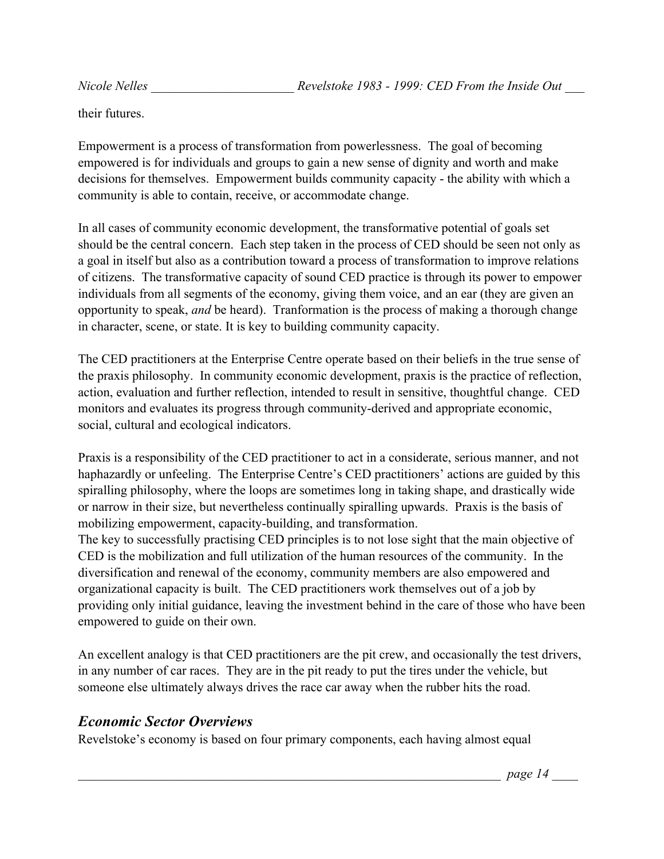their futures.

Empowerment is a process of transformation from powerlessness. The goal of becoming empowered is for individuals and groups to gain a new sense of dignity and worth and make decisions for themselves. Empowerment builds community capacity - the ability with which a community is able to contain, receive, or accommodate change.

In all cases of community economic development, the transformative potential of goals set should be the central concern. Each step taken in the process of CED should be seen not only as a goal in itself but also as a contribution toward a process of transformation to improve relations of citizens. The transformative capacity of sound CED practice is through its power to empower individuals from all segments of the economy, giving them voice, and an ear (they are given an opportunity to speak, *and* be heard). Tranformation is the process of making a thorough change in character, scene, or state. It is key to building community capacity.

The CED practitioners at the Enterprise Centre operate based on their beliefs in the true sense of the praxis philosophy. In community economic development, praxis is the practice of reflection, action, evaluation and further reflection, intended to result in sensitive, thoughtful change. CED monitors and evaluates its progress through community-derived and appropriate economic, social, cultural and ecological indicators.

Praxis is a responsibility of the CED practitioner to act in a considerate, serious manner, and not haphazardly or unfeeling. The Enterprise Centre's CED practitioners' actions are guided by this spiralling philosophy, where the loops are sometimes long in taking shape, and drastically wide or narrow in their size, but nevertheless continually spiralling upwards. Praxis is the basis of mobilizing empowerment, capacity-building, and transformation.

The key to successfully practising CED principles is to not lose sight that the main objective of CED is the mobilization and full utilization of the human resources of the community. In the diversification and renewal of the economy, community members are also empowered and organizational capacity is built. The CED practitioners work themselves out of a job by providing only initial guidance, leaving the investment behind in the care of those who have been empowered to guide on their own.

An excellent analogy is that CED practitioners are the pit crew, and occasionally the test drivers, in any number of car races. They are in the pit ready to put the tires under the vehicle, but someone else ultimately always drives the race car away when the rubber hits the road.

## *Economic Sector Overviews*

Revelstoke's economy is based on four primary components, each having almost equal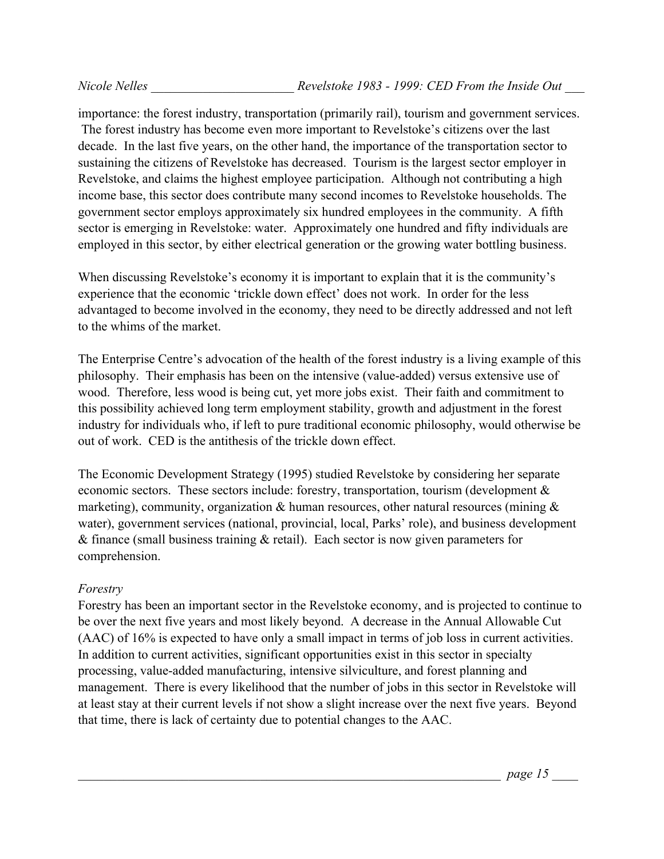importance: the forest industry, transportation (primarily rail), tourism and government services. The forest industry has become even more important to Revelstoke's citizens over the last decade. In the last five years, on the other hand, the importance of the transportation sector to sustaining the citizens of Revelstoke has decreased. Tourism is the largest sector employer in Revelstoke, and claims the highest employee participation. Although not contributing a high income base, this sector does contribute many second incomes to Revelstoke households. The government sector employs approximately six hundred employees in the community. A fifth sector is emerging in Revelstoke: water. Approximately one hundred and fifty individuals are employed in this sector, by either electrical generation or the growing water bottling business.

When discussing Revelstoke's economy it is important to explain that it is the community's experience that the economic 'trickle down effect' does not work. In order for the less advantaged to become involved in the economy, they need to be directly addressed and not left to the whims of the market.

The Enterprise Centre's advocation of the health of the forest industry is a living example of this philosophy. Their emphasis has been on the intensive (value-added) versus extensive use of wood. Therefore, less wood is being cut, yet more jobs exist. Their faith and commitment to this possibility achieved long term employment stability, growth and adjustment in the forest industry for individuals who, if left to pure traditional economic philosophy, would otherwise be out of work. CED is the antithesis of the trickle down effect.

The Economic Development Strategy (1995) studied Revelstoke by considering her separate economic sectors. These sectors include: forestry, transportation, tourism (development & marketing), community, organization  $\&$  human resources, other natural resources (mining  $\&$ water), government services (national, provincial, local, Parks' role), and business development & finance (small business training & retail). Each sector is now given parameters for comprehension.

#### *Forestry*

Forestry has been an important sector in the Revelstoke economy, and is projected to continue to be over the next five years and most likely beyond. A decrease in the Annual Allowable Cut (AAC) of 16% is expected to have only a small impact in terms of job loss in current activities. In addition to current activities, significant opportunities exist in this sector in specialty processing, value-added manufacturing, intensive silviculture, and forest planning and management. There is every likelihood that the number of jobs in this sector in Revelstoke will at least stay at their current levels if not show a slight increase over the next five years. Beyond that time, there is lack of certainty due to potential changes to the AAC.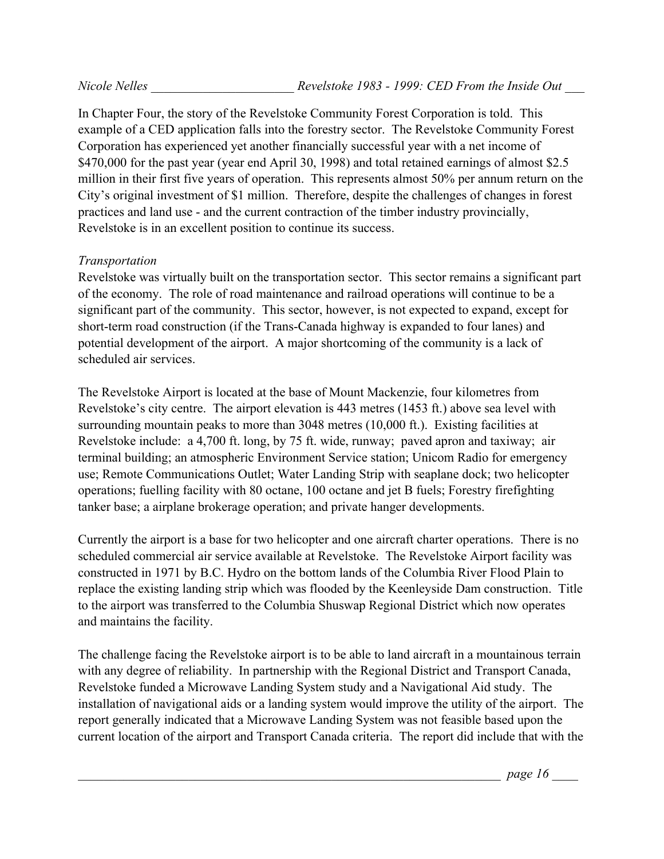In Chapter Four, the story of the Revelstoke Community Forest Corporation is told. This example of a CED application falls into the forestry sector. The Revelstoke Community Forest Corporation has experienced yet another financially successful year with a net income of \$470,000 for the past year (year end April 30, 1998) and total retained earnings of almost \$2.5 million in their first five years of operation. This represents almost 50% per annum return on the City's original investment of \$1 million. Therefore, despite the challenges of changes in forest practices and land use - and the current contraction of the timber industry provincially, Revelstoke is in an excellent position to continue its success.

#### *Transportation*

Revelstoke was virtually built on the transportation sector. This sector remains a significant part of the economy. The role of road maintenance and railroad operations will continue to be a significant part of the community. This sector, however, is not expected to expand, except for short-term road construction (if the Trans-Canada highway is expanded to four lanes) and potential development of the airport. A major shortcoming of the community is a lack of scheduled air services.

The Revelstoke Airport is located at the base of Mount Mackenzie, four kilometres from Revelstoke's city centre. The airport elevation is 443 metres (1453 ft.) above sea level with surrounding mountain peaks to more than 3048 metres (10,000 ft.). Existing facilities at Revelstoke include: a 4,700 ft. long, by 75 ft. wide, runway; paved apron and taxiway; air terminal building; an atmospheric Environment Service station; Unicom Radio for emergency use; Remote Communications Outlet; Water Landing Strip with seaplane dock; two helicopter operations; fuelling facility with 80 octane, 100 octane and jet B fuels; Forestry firefighting tanker base; a airplane brokerage operation; and private hanger developments.

Currently the airport is a base for two helicopter and one aircraft charter operations. There is no scheduled commercial air service available at Revelstoke. The Revelstoke Airport facility was constructed in 1971 by B.C. Hydro on the bottom lands of the Columbia River Flood Plain to replace the existing landing strip which was flooded by the Keenleyside Dam construction. Title to the airport was transferred to the Columbia Shuswap Regional District which now operates and maintains the facility.

The challenge facing the Revelstoke airport is to be able to land aircraft in a mountainous terrain with any degree of reliability. In partnership with the Regional District and Transport Canada, Revelstoke funded a Microwave Landing System study and a Navigational Aid study. The installation of navigational aids or a landing system would improve the utility of the airport. The report generally indicated that a Microwave Landing System was not feasible based upon the current location of the airport and Transport Canada criteria. The report did include that with the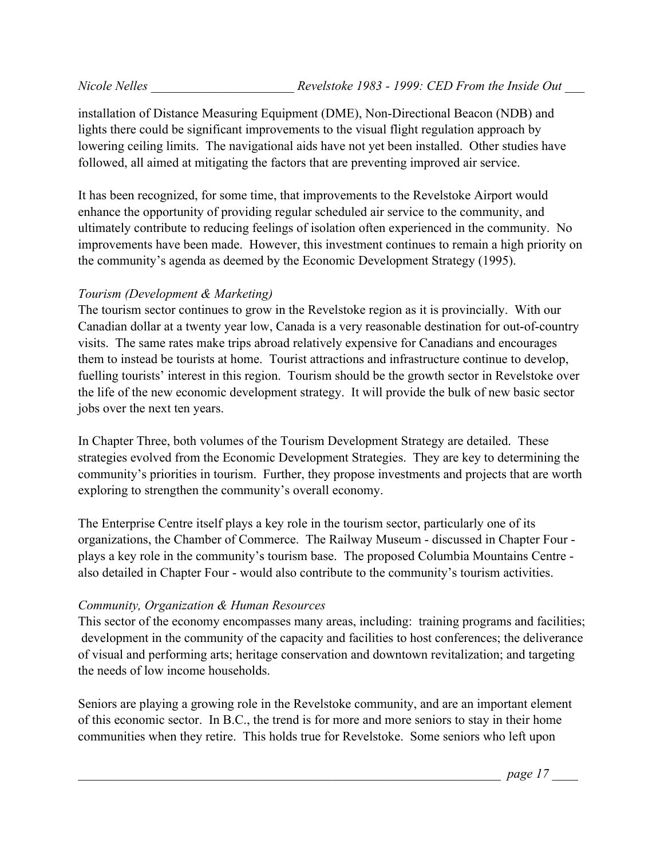installation of Distance Measuring Equipment (DME), Non-Directional Beacon (NDB) and lights there could be significant improvements to the visual flight regulation approach by lowering ceiling limits. The navigational aids have not yet been installed. Other studies have followed, all aimed at mitigating the factors that are preventing improved air service.

It has been recognized, for some time, that improvements to the Revelstoke Airport would enhance the opportunity of providing regular scheduled air service to the community, and ultimately contribute to reducing feelings of isolation often experienced in the community. No improvements have been made. However, this investment continues to remain a high priority on the community's agenda as deemed by the Economic Development Strategy (1995).

#### *Tourism (Development & Marketing)*

The tourism sector continues to grow in the Revelstoke region as it is provincially. With our Canadian dollar at a twenty year low, Canada is a very reasonable destination for out-of-country visits. The same rates make trips abroad relatively expensive for Canadians and encourages them to instead be tourists at home. Tourist attractions and infrastructure continue to develop, fuelling tourists' interest in this region. Tourism should be the growth sector in Revelstoke over the life of the new economic development strategy. It will provide the bulk of new basic sector jobs over the next ten years.

In Chapter Three, both volumes of the Tourism Development Strategy are detailed. These strategies evolved from the Economic Development Strategies. They are key to determining the community's priorities in tourism. Further, they propose investments and projects that are worth exploring to strengthen the community's overall economy.

The Enterprise Centre itself plays a key role in the tourism sector, particularly one of its organizations, the Chamber of Commerce. The Railway Museum - discussed in Chapter Four plays a key role in the community's tourism base. The proposed Columbia Mountains Centre also detailed in Chapter Four - would also contribute to the community's tourism activities.

#### *Community, Organization & Human Resources*

This sector of the economy encompasses many areas, including: training programs and facilities; development in the community of the capacity and facilities to host conferences; the deliverance of visual and performing arts; heritage conservation and downtown revitalization; and targeting the needs of low income households.

Seniors are playing a growing role in the Revelstoke community, and are an important element of this economic sector. In B.C., the trend is for more and more seniors to stay in their home communities when they retire. This holds true for Revelstoke. Some seniors who left upon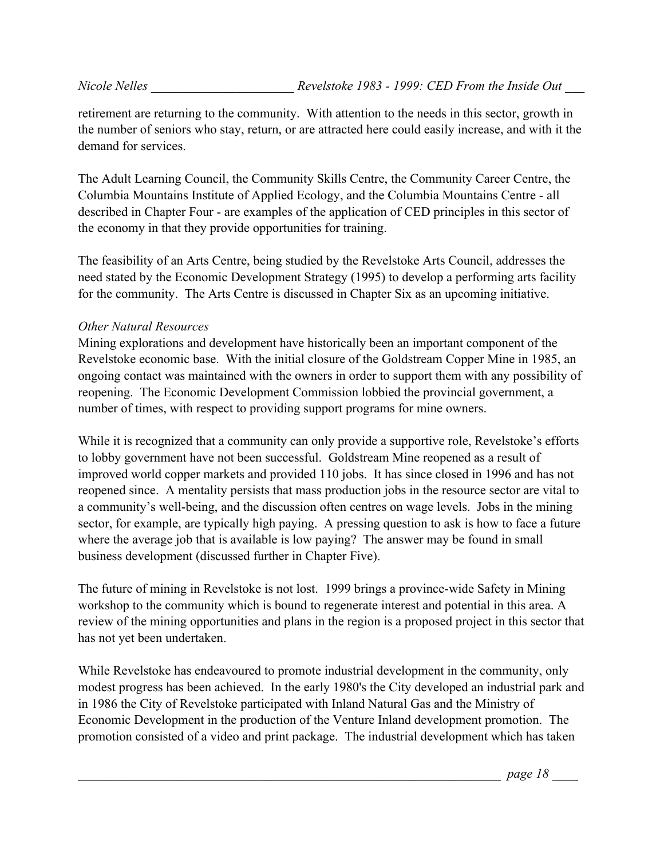retirement are returning to the community. With attention to the needs in this sector, growth in the number of seniors who stay, return, or are attracted here could easily increase, and with it the demand for services.

The Adult Learning Council, the Community Skills Centre, the Community Career Centre, the Columbia Mountains Institute of Applied Ecology, and the Columbia Mountains Centre - all described in Chapter Four - are examples of the application of CED principles in this sector of the economy in that they provide opportunities for training.

The feasibility of an Arts Centre, being studied by the Revelstoke Arts Council, addresses the need stated by the Economic Development Strategy (1995) to develop a performing arts facility for the community. The Arts Centre is discussed in Chapter Six as an upcoming initiative.

#### *Other Natural Resources*

Mining explorations and development have historically been an important component of the Revelstoke economic base. With the initial closure of the Goldstream Copper Mine in 1985, an ongoing contact was maintained with the owners in order to support them with any possibility of reopening. The Economic Development Commission lobbied the provincial government, a number of times, with respect to providing support programs for mine owners.

While it is recognized that a community can only provide a supportive role, Revelstoke's efforts to lobby government have not been successful. Goldstream Mine reopened as a result of improved world copper markets and provided 110 jobs. It has since closed in 1996 and has not reopened since. A mentality persists that mass production jobs in the resource sector are vital to a community's well-being, and the discussion often centres on wage levels. Jobs in the mining sector, for example, are typically high paying. A pressing question to ask is how to face a future where the average job that is available is low paying? The answer may be found in small business development (discussed further in Chapter Five).

The future of mining in Revelstoke is not lost. 1999 brings a province-wide Safety in Mining workshop to the community which is bound to regenerate interest and potential in this area. A review of the mining opportunities and plans in the region is a proposed project in this sector that has not yet been undertaken.

While Revelstoke has endeavoured to promote industrial development in the community, only modest progress has been achieved. In the early 1980's the City developed an industrial park and in 1986 the City of Revelstoke participated with Inland Natural Gas and the Ministry of Economic Development in the production of the Venture Inland development promotion. The promotion consisted of a video and print package. The industrial development which has taken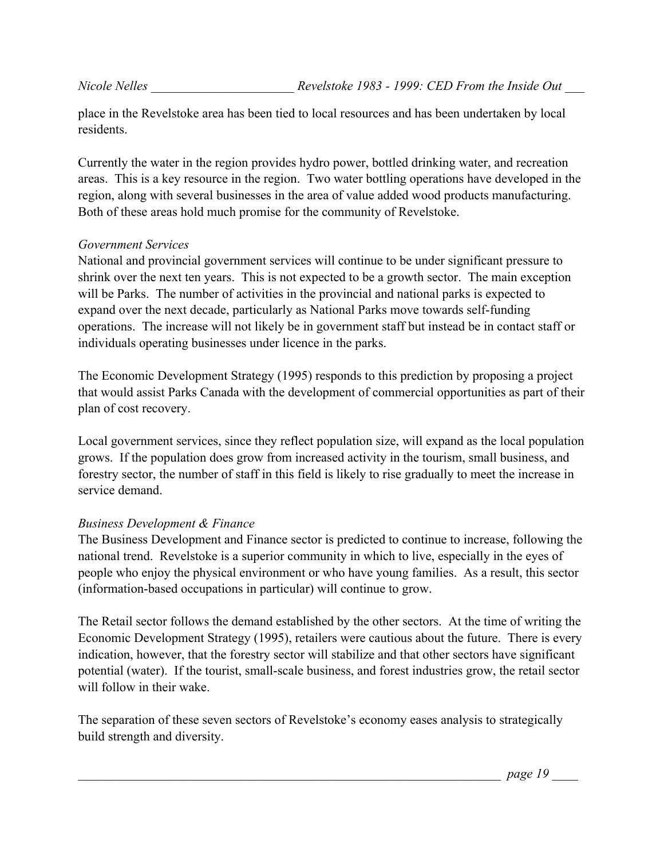place in the Revelstoke area has been tied to local resources and has been undertaken by local residents.

Currently the water in the region provides hydro power, bottled drinking water, and recreation areas. This is a key resource in the region. Two water bottling operations have developed in the region, along with several businesses in the area of value added wood products manufacturing. Both of these areas hold much promise for the community of Revelstoke.

#### *Government Services*

National and provincial government services will continue to be under significant pressure to shrink over the next ten years. This is not expected to be a growth sector. The main exception will be Parks. The number of activities in the provincial and national parks is expected to expand over the next decade, particularly as National Parks move towards self-funding operations. The increase will not likely be in government staff but instead be in contact staff or individuals operating businesses under licence in the parks.

The Economic Development Strategy (1995) responds to this prediction by proposing a project that would assist Parks Canada with the development of commercial opportunities as part of their plan of cost recovery.

Local government services, since they reflect population size, will expand as the local population grows. If the population does grow from increased activity in the tourism, small business, and forestry sector, the number of staff in this field is likely to rise gradually to meet the increase in service demand.

#### *Business Development & Finance*

The Business Development and Finance sector is predicted to continue to increase, following the national trend. Revelstoke is a superior community in which to live, especially in the eyes of people who enjoy the physical environment or who have young families. As a result, this sector (information-based occupations in particular) will continue to grow.

The Retail sector follows the demand established by the other sectors. At the time of writing the Economic Development Strategy (1995), retailers were cautious about the future. There is every indication, however, that the forestry sector will stabilize and that other sectors have significant potential (water). If the tourist, small-scale business, and forest industries grow, the retail sector will follow in their wake.

The separation of these seven sectors of Revelstoke's economy eases analysis to strategically build strength and diversity.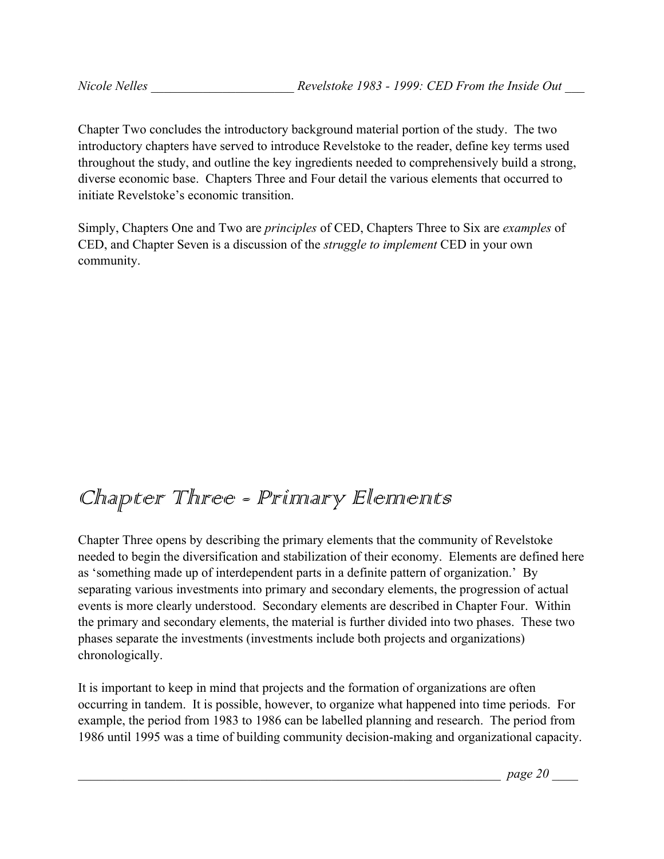Chapter Two concludes the introductory background material portion of the study. The two introductory chapters have served to introduce Revelstoke to the reader, define key terms used throughout the study, and outline the key ingredients needed to comprehensively build a strong, diverse economic base. Chapters Three and Four detail the various elements that occurred to initiate Revelstoke's economic transition.

Simply, Chapters One and Two are *principles* of CED, Chapters Three to Six are *examples* of CED, and Chapter Seven is a discussion of the *struggle to implement* CED in your own community.

# Chapter Three - Prinnary Elennents

Chapter Three opens by describing the primary elements that the community of Revelstoke needed to begin the diversification and stabilization of their economy. Elements are defined here as 'something made up of interdependent parts in a definite pattern of organization.' By separating various investments into primary and secondary elements, the progression of actual events is more clearly understood. Secondary elements are described in Chapter Four. Within the primary and secondary elements, the material is further divided into two phases. These two phases separate the investments (investments include both projects and organizations) chronologically.

It is important to keep in mind that projects and the formation of organizations are often occurring in tandem. It is possible, however, to organize what happened into time periods. For example, the period from 1983 to 1986 can be labelled planning and research. The period from 1986 until 1995 was a time of building community decision-making and organizational capacity.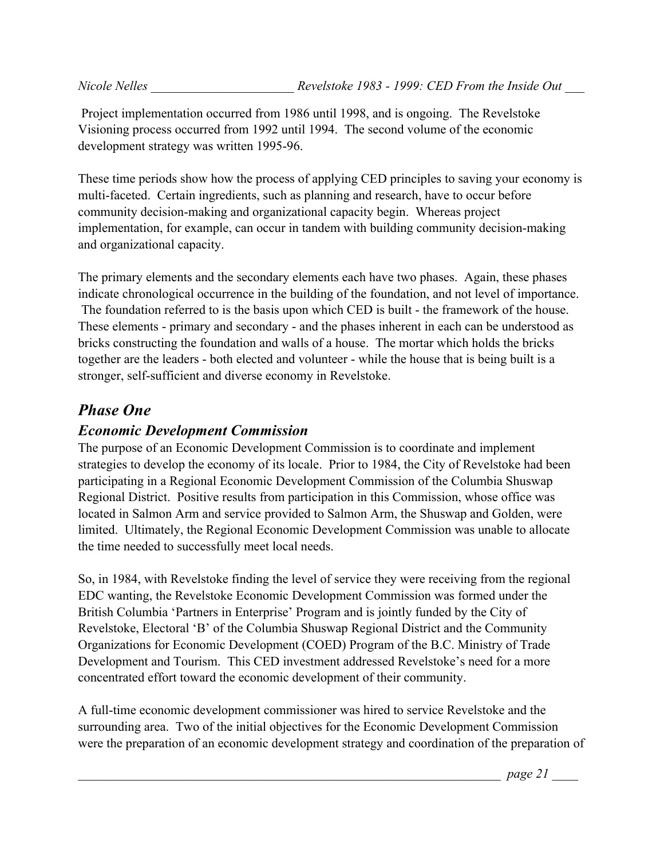Project implementation occurred from 1986 until 1998, and is ongoing. The Revelstoke Visioning process occurred from 1992 until 1994. The second volume of the economic development strategy was written 1995-96.

These time periods show how the process of applying CED principles to saving your economy is multi-faceted. Certain ingredients, such as planning and research, have to occur before community decision-making and organizational capacity begin. Whereas project implementation, for example, can occur in tandem with building community decision-making and organizational capacity.

The primary elements and the secondary elements each have two phases. Again, these phases indicate chronological occurrence in the building of the foundation, and not level of importance. The foundation referred to is the basis upon which CED is built - the framework of the house. These elements - primary and secondary - and the phases inherent in each can be understood as bricks constructing the foundation and walls of a house. The mortar which holds the bricks together are the leaders - both elected and volunteer - while the house that is being built is a stronger, self-sufficient and diverse economy in Revelstoke.

## *Phase One*

## *Economic Development Commission*

The purpose of an Economic Development Commission is to coordinate and implement strategies to develop the economy of its locale. Prior to 1984, the City of Revelstoke had been participating in a Regional Economic Development Commission of the Columbia Shuswap Regional District. Positive results from participation in this Commission, whose office was located in Salmon Arm and service provided to Salmon Arm, the Shuswap and Golden, were limited. Ultimately, the Regional Economic Development Commission was unable to allocate the time needed to successfully meet local needs.

So, in 1984, with Revelstoke finding the level of service they were receiving from the regional EDC wanting, the Revelstoke Economic Development Commission was formed under the British Columbia 'Partners in Enterprise' Program and is jointly funded by the City of Revelstoke, Electoral 'B' of the Columbia Shuswap Regional District and the Community Organizations for Economic Development (COED) Program of the B.C. Ministry of Trade Development and Tourism. This CED investment addressed Revelstoke's need for a more concentrated effort toward the economic development of their community.

A full-time economic development commissioner was hired to service Revelstoke and the surrounding area. Two of the initial objectives for the Economic Development Commission were the preparation of an economic development strategy and coordination of the preparation of

\_\_\_\_\_\_\_\_\_\_\_\_\_\_\_\_\_\_\_\_\_\_\_\_\_\_\_\_\_\_\_\_\_\_\_\_\_\_\_\_\_\_\_\_\_\_\_\_\_\_\_\_\_\_\_\_\_\_\_\_\_\_\_\_\_ *page 21* \_\_\_\_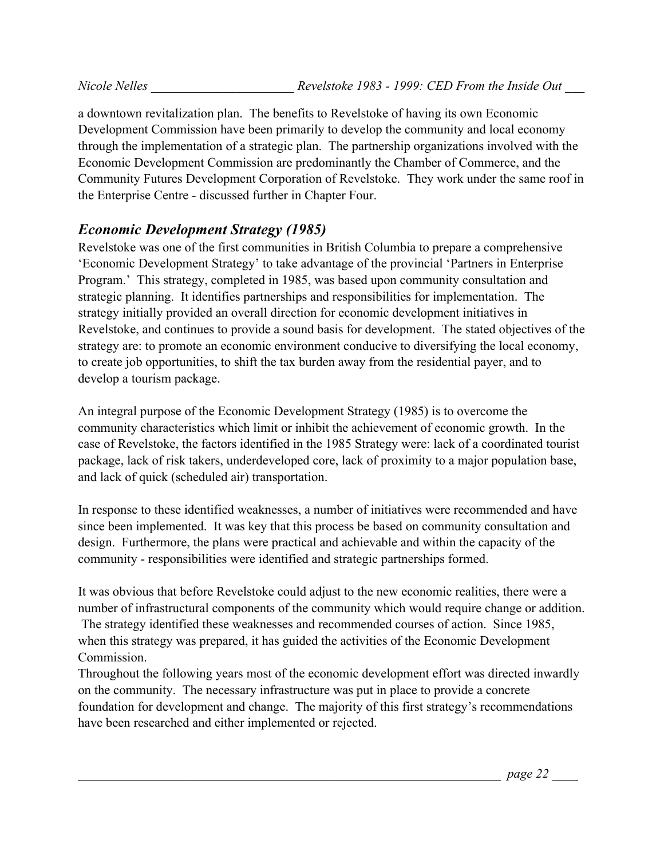a downtown revitalization plan. The benefits to Revelstoke of having its own Economic Development Commission have been primarily to develop the community and local economy through the implementation of a strategic plan. The partnership organizations involved with the Economic Development Commission are predominantly the Chamber of Commerce, and the Community Futures Development Corporation of Revelstoke. They work under the same roof in the Enterprise Centre - discussed further in Chapter Four.

## *Economic Development Strategy (1985)*

Revelstoke was one of the first communities in British Columbia to prepare a comprehensive 'Economic Development Strategy' to take advantage of the provincial 'Partners in Enterprise Program.' This strategy, completed in 1985, was based upon community consultation and strategic planning. It identifies partnerships and responsibilities for implementation. The strategy initially provided an overall direction for economic development initiatives in Revelstoke, and continues to provide a sound basis for development. The stated objectives of the strategy are: to promote an economic environment conducive to diversifying the local economy, to create job opportunities, to shift the tax burden away from the residential payer, and to develop a tourism package.

An integral purpose of the Economic Development Strategy (1985) is to overcome the community characteristics which limit or inhibit the achievement of economic growth. In the case of Revelstoke, the factors identified in the 1985 Strategy were: lack of a coordinated tourist package, lack of risk takers, underdeveloped core, lack of proximity to a major population base, and lack of quick (scheduled air) transportation.

In response to these identified weaknesses, a number of initiatives were recommended and have since been implemented. It was key that this process be based on community consultation and design. Furthermore, the plans were practical and achievable and within the capacity of the community - responsibilities were identified and strategic partnerships formed.

It was obvious that before Revelstoke could adjust to the new economic realities, there were a number of infrastructural components of the community which would require change or addition. The strategy identified these weaknesses and recommended courses of action. Since 1985, when this strategy was prepared, it has guided the activities of the Economic Development Commission.

Throughout the following years most of the economic development effort was directed inwardly on the community. The necessary infrastructure was put in place to provide a concrete foundation for development and change. The majority of this first strategy's recommendations have been researched and either implemented or rejected.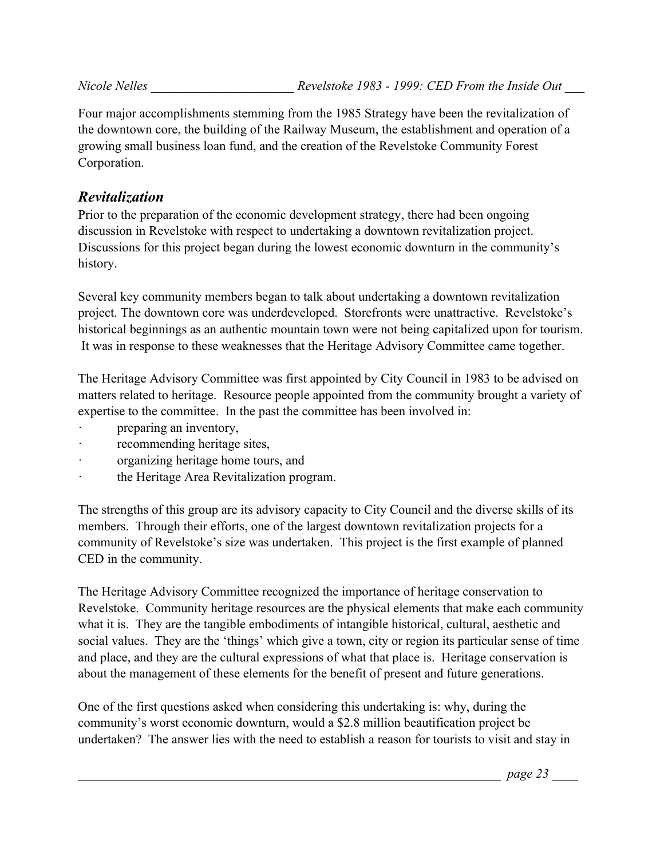Four major accomplishments stemming from the 1985 Strategy have been the revitalization of the downtown core, the building of the Railway Museum, the establishment and operation of a growing small business loan fund, and the creation of the Revelstoke Community Forest Corporation.

## *Revitalization*

Prior to the preparation of the economic development strategy, there had been ongoing discussion in Revelstoke with respect to undertaking a downtown revitalization project. Discussions for this project began during the lowest economic downturn in the community's history.

Several key community members began to talk about undertaking a downtown revitalization project. The downtown core was underdeveloped. Storefronts were unattractive. Revelstoke's historical beginnings as an authentic mountain town were not being capitalized upon for tourism. It was in response to these weaknesses that the Heritage Advisory Committee came together.

The Heritage Advisory Committee was first appointed by City Council in 1983 to be advised on matters related to heritage. Resource people appointed from the community brought a variety of expertise to the committee. In the past the committee has been involved in:

- preparing an inventory,
- recommending heritage sites,
- · organizing heritage home tours, and
- · the Heritage Area Revitalization program.

The strengths of this group are its advisory capacity to City Council and the diverse skills of its members. Through their efforts, one of the largest downtown revitalization projects for a community of Revelstoke's size was undertaken. This project is the first example of planned CED in the community.

The Heritage Advisory Committee recognized the importance of heritage conservation to Revelstoke. Community heritage resources are the physical elements that make each community what it is. They are the tangible embodiments of intangible historical, cultural, aesthetic and social values. They are the 'things' which give a town, city or region its particular sense of time and place, and they are the cultural expressions of what that place is. Heritage conservation is about the management of these elements for the benefit of present and future generations.

One of the first questions asked when considering this undertaking is: why, during the community's worst economic downturn, would a \$2.8 million beautification project be undertaken? The answer lies with the need to establish a reason for tourists to visit and stay in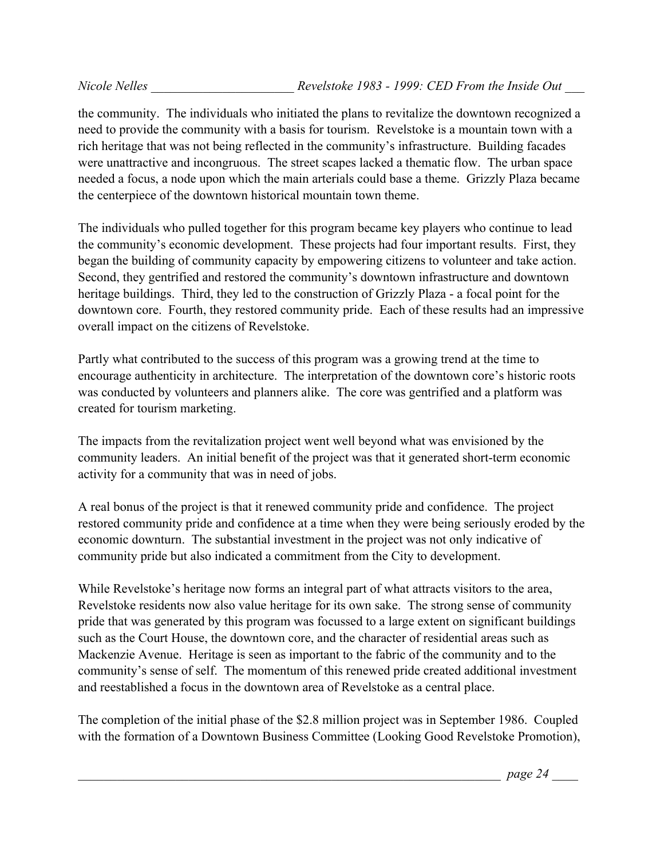the community. The individuals who initiated the plans to revitalize the downtown recognized a need to provide the community with a basis for tourism. Revelstoke is a mountain town with a rich heritage that was not being reflected in the community's infrastructure. Building facades were unattractive and incongruous. The street scapes lacked a thematic flow. The urban space needed a focus, a node upon which the main arterials could base a theme. Grizzly Plaza became the centerpiece of the downtown historical mountain town theme.

The individuals who pulled together for this program became key players who continue to lead the community's economic development. These projects had four important results. First, they began the building of community capacity by empowering citizens to volunteer and take action. Second, they gentrified and restored the community's downtown infrastructure and downtown heritage buildings. Third, they led to the construction of Grizzly Plaza - a focal point for the downtown core. Fourth, they restored community pride. Each of these results had an impressive overall impact on the citizens of Revelstoke.

Partly what contributed to the success of this program was a growing trend at the time to encourage authenticity in architecture. The interpretation of the downtown core's historic roots was conducted by volunteers and planners alike. The core was gentrified and a platform was created for tourism marketing.

The impacts from the revitalization project went well beyond what was envisioned by the community leaders. An initial benefit of the project was that it generated short-term economic activity for a community that was in need of jobs.

A real bonus of the project is that it renewed community pride and confidence. The project restored community pride and confidence at a time when they were being seriously eroded by the economic downturn. The substantial investment in the project was not only indicative of community pride but also indicated a commitment from the City to development.

While Revelstoke's heritage now forms an integral part of what attracts visitors to the area, Revelstoke residents now also value heritage for its own sake. The strong sense of community pride that was generated by this program was focussed to a large extent on significant buildings such as the Court House, the downtown core, and the character of residential areas such as Mackenzie Avenue. Heritage is seen as important to the fabric of the community and to the community's sense of self. The momentum of this renewed pride created additional investment and reestablished a focus in the downtown area of Revelstoke as a central place.

The completion of the initial phase of the \$2.8 million project was in September 1986. Coupled with the formation of a Downtown Business Committee (Looking Good Revelstoke Promotion),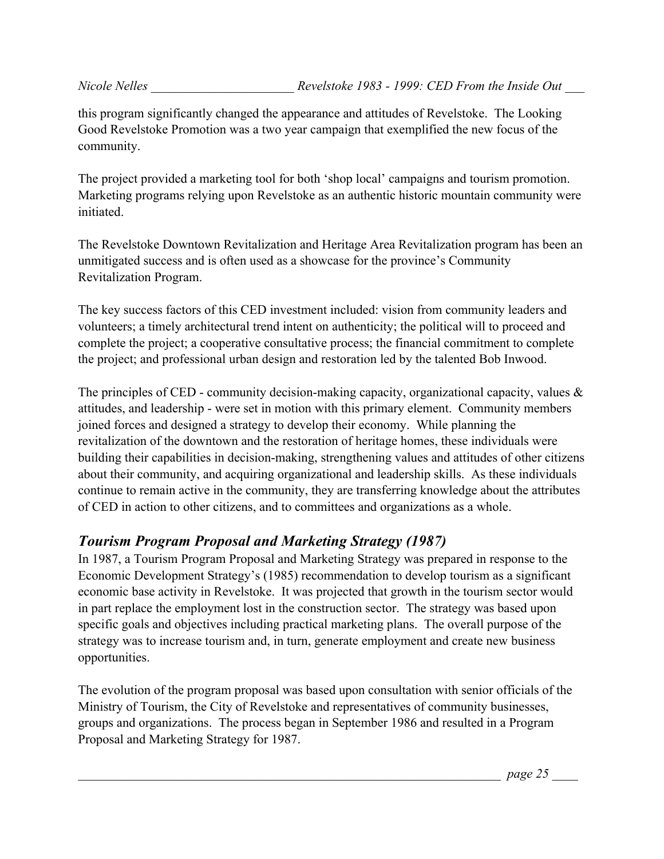this program significantly changed the appearance and attitudes of Revelstoke. The Looking Good Revelstoke Promotion was a two year campaign that exemplified the new focus of the community.

The project provided a marketing tool for both 'shop local' campaigns and tourism promotion. Marketing programs relying upon Revelstoke as an authentic historic mountain community were initiated.

The Revelstoke Downtown Revitalization and Heritage Area Revitalization program has been an unmitigated success and is often used as a showcase for the province's Community Revitalization Program.

The key success factors of this CED investment included: vision from community leaders and volunteers; a timely architectural trend intent on authenticity; the political will to proceed and complete the project; a cooperative consultative process; the financial commitment to complete the project; and professional urban design and restoration led by the talented Bob Inwood.

The principles of CED - community decision-making capacity, organizational capacity, values  $\&$ attitudes, and leadership - were set in motion with this primary element. Community members joined forces and designed a strategy to develop their economy. While planning the revitalization of the downtown and the restoration of heritage homes, these individuals were building their capabilities in decision-making, strengthening values and attitudes of other citizens about their community, and acquiring organizational and leadership skills. As these individuals continue to remain active in the community, they are transferring knowledge about the attributes of CED in action to other citizens, and to committees and organizations as a whole.

## *Tourism Program Proposal and Marketing Strategy (1987)*

In 1987, a Tourism Program Proposal and Marketing Strategy was prepared in response to the Economic Development Strategy's (1985) recommendation to develop tourism as a significant economic base activity in Revelstoke. It was projected that growth in the tourism sector would in part replace the employment lost in the construction sector. The strategy was based upon specific goals and objectives including practical marketing plans. The overall purpose of the strategy was to increase tourism and, in turn, generate employment and create new business opportunities.

The evolution of the program proposal was based upon consultation with senior officials of the Ministry of Tourism, the City of Revelstoke and representatives of community businesses, groups and organizations. The process began in September 1986 and resulted in a Program Proposal and Marketing Strategy for 1987.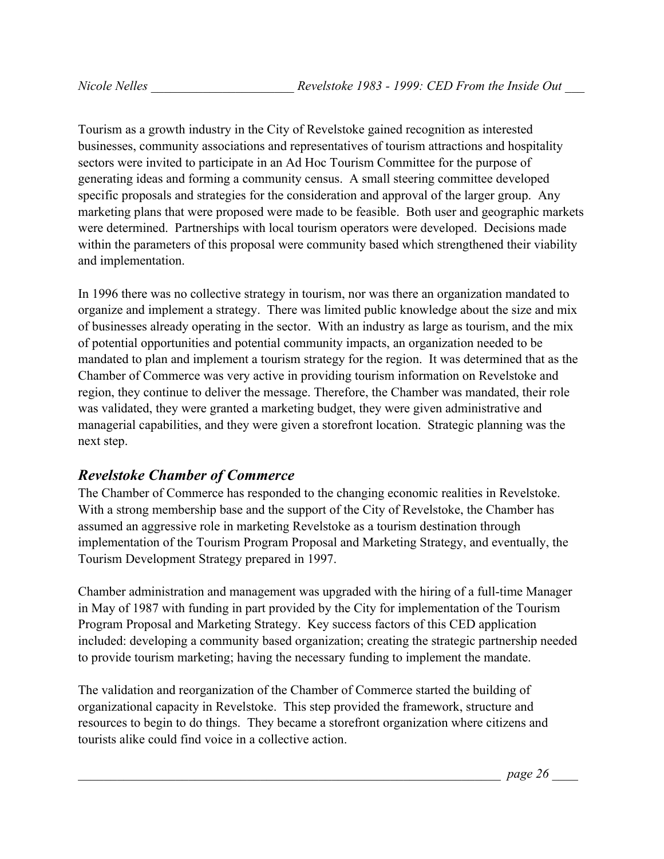Tourism as a growth industry in the City of Revelstoke gained recognition as interested businesses, community associations and representatives of tourism attractions and hospitality sectors were invited to participate in an Ad Hoc Tourism Committee for the purpose of generating ideas and forming a community census. A small steering committee developed specific proposals and strategies for the consideration and approval of the larger group. Any marketing plans that were proposed were made to be feasible. Both user and geographic markets were determined. Partnerships with local tourism operators were developed. Decisions made within the parameters of this proposal were community based which strengthened their viability and implementation.

In 1996 there was no collective strategy in tourism, nor was there an organization mandated to organize and implement a strategy. There was limited public knowledge about the size and mix of businesses already operating in the sector. With an industry as large as tourism, and the mix of potential opportunities and potential community impacts, an organization needed to be mandated to plan and implement a tourism strategy for the region. It was determined that as the Chamber of Commerce was very active in providing tourism information on Revelstoke and region, they continue to deliver the message. Therefore, the Chamber was mandated, their role was validated, they were granted a marketing budget, they were given administrative and managerial capabilities, and they were given a storefront location. Strategic planning was the next step.

## *Revelstoke Chamber of Commerce*

The Chamber of Commerce has responded to the changing economic realities in Revelstoke. With a strong membership base and the support of the City of Revelstoke, the Chamber has assumed an aggressive role in marketing Revelstoke as a tourism destination through implementation of the Tourism Program Proposal and Marketing Strategy, and eventually, the Tourism Development Strategy prepared in 1997.

Chamber administration and management was upgraded with the hiring of a full-time Manager in May of 1987 with funding in part provided by the City for implementation of the Tourism Program Proposal and Marketing Strategy. Key success factors of this CED application included: developing a community based organization; creating the strategic partnership needed to provide tourism marketing; having the necessary funding to implement the mandate.

The validation and reorganization of the Chamber of Commerce started the building of organizational capacity in Revelstoke. This step provided the framework, structure and resources to begin to do things. They became a storefront organization where citizens and tourists alike could find voice in a collective action.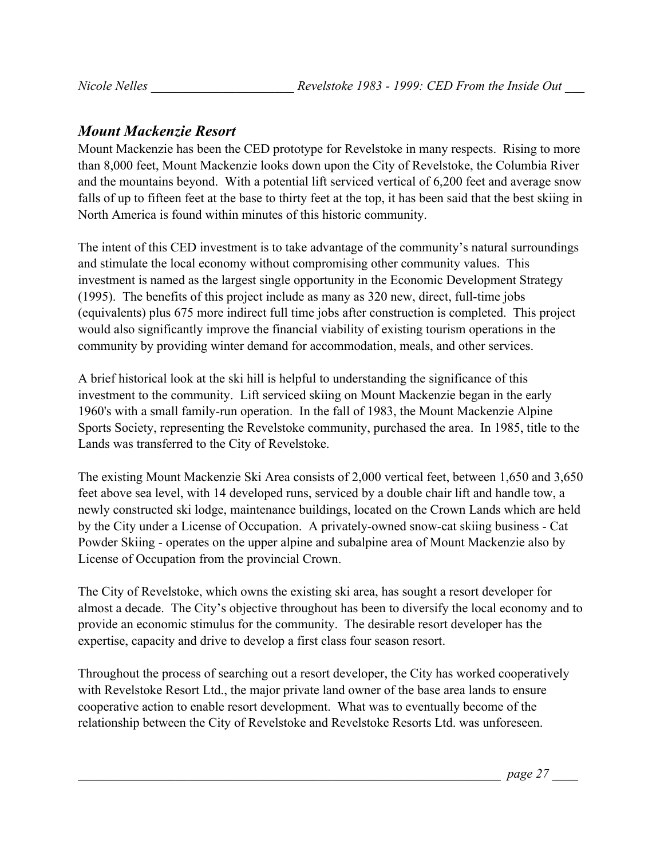## *Mount Mackenzie Resort*

Mount Mackenzie has been the CED prototype for Revelstoke in many respects. Rising to more than 8,000 feet, Mount Mackenzie looks down upon the City of Revelstoke, the Columbia River and the mountains beyond. With a potential lift serviced vertical of 6,200 feet and average snow falls of up to fifteen feet at the base to thirty feet at the top, it has been said that the best skiing in North America is found within minutes of this historic community.

The intent of this CED investment is to take advantage of the community's natural surroundings and stimulate the local economy without compromising other community values. This investment is named as the largest single opportunity in the Economic Development Strategy (1995). The benefits of this project include as many as 320 new, direct, full-time jobs (equivalents) plus 675 more indirect full time jobs after construction is completed. This project would also significantly improve the financial viability of existing tourism operations in the community by providing winter demand for accommodation, meals, and other services.

A brief historical look at the ski hill is helpful to understanding the significance of this investment to the community. Lift serviced skiing on Mount Mackenzie began in the early 1960's with a small family-run operation. In the fall of 1983, the Mount Mackenzie Alpine Sports Society, representing the Revelstoke community, purchased the area. In 1985, title to the Lands was transferred to the City of Revelstoke.

The existing Mount Mackenzie Ski Area consists of 2,000 vertical feet, between 1,650 and 3,650 feet above sea level, with 14 developed runs, serviced by a double chair lift and handle tow, a newly constructed ski lodge, maintenance buildings, located on the Crown Lands which are held by the City under a License of Occupation. A privately-owned snow-cat skiing business - Cat Powder Skiing - operates on the upper alpine and subalpine area of Mount Mackenzie also by License of Occupation from the provincial Crown.

The City of Revelstoke, which owns the existing ski area, has sought a resort developer for almost a decade. The City's objective throughout has been to diversify the local economy and to provide an economic stimulus for the community. The desirable resort developer has the expertise, capacity and drive to develop a first class four season resort.

Throughout the process of searching out a resort developer, the City has worked cooperatively with Revelstoke Resort Ltd., the major private land owner of the base area lands to ensure cooperative action to enable resort development. What was to eventually become of the relationship between the City of Revelstoke and Revelstoke Resorts Ltd. was unforeseen.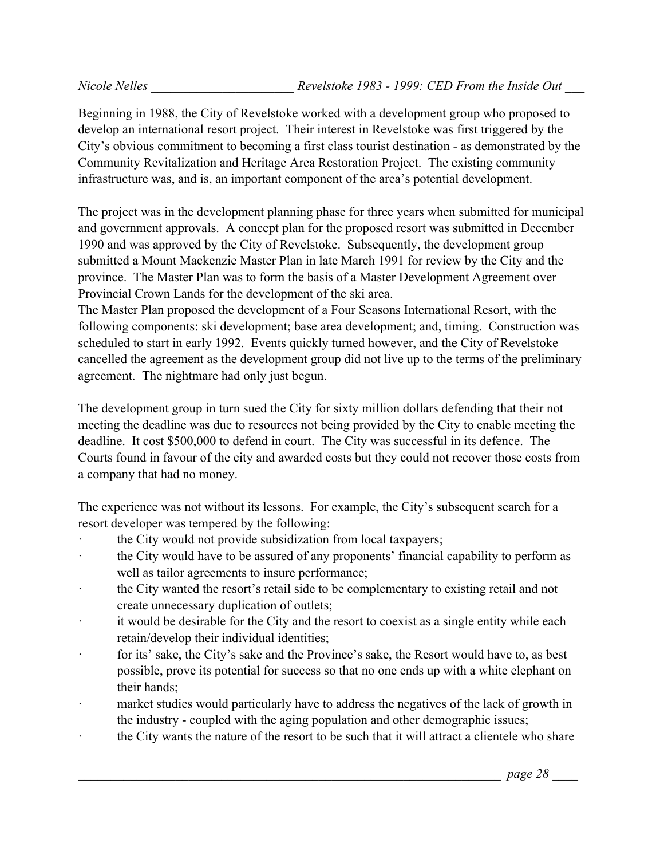Beginning in 1988, the City of Revelstoke worked with a development group who proposed to develop an international resort project. Their interest in Revelstoke was first triggered by the City's obvious commitment to becoming a first class tourist destination - as demonstrated by the Community Revitalization and Heritage Area Restoration Project. The existing community infrastructure was, and is, an important component of the area's potential development.

The project was in the development planning phase for three years when submitted for municipal and government approvals. A concept plan for the proposed resort was submitted in December 1990 and was approved by the City of Revelstoke. Subsequently, the development group submitted a Mount Mackenzie Master Plan in late March 1991 for review by the City and the province. The Master Plan was to form the basis of a Master Development Agreement over Provincial Crown Lands for the development of the ski area.

The Master Plan proposed the development of a Four Seasons International Resort, with the following components: ski development; base area development; and, timing. Construction was scheduled to start in early 1992. Events quickly turned however, and the City of Revelstoke cancelled the agreement as the development group did not live up to the terms of the preliminary agreement. The nightmare had only just begun.

The development group in turn sued the City for sixty million dollars defending that their not meeting the deadline was due to resources not being provided by the City to enable meeting the deadline. It cost \$500,000 to defend in court. The City was successful in its defence. The Courts found in favour of the city and awarded costs but they could not recover those costs from a company that had no money.

The experience was not without its lessons. For example, the City's subsequent search for a resort developer was tempered by the following:

- the City would not provide subsidization from local taxpayers;
- the City would have to be assured of any proponents' financial capability to perform as well as tailor agreements to insure performance;
- · the City wanted the resort's retail side to be complementary to existing retail and not create unnecessary duplication of outlets;
- it would be desirable for the City and the resort to coexist as a single entity while each retain/develop their individual identities;
- · for its' sake, the City's sake and the Province's sake, the Resort would have to, as best possible, prove its potential for success so that no one ends up with a white elephant on their hands;
- market studies would particularly have to address the negatives of the lack of growth in the industry - coupled with the aging population and other demographic issues;
- the City wants the nature of the resort to be such that it will attract a clientele who share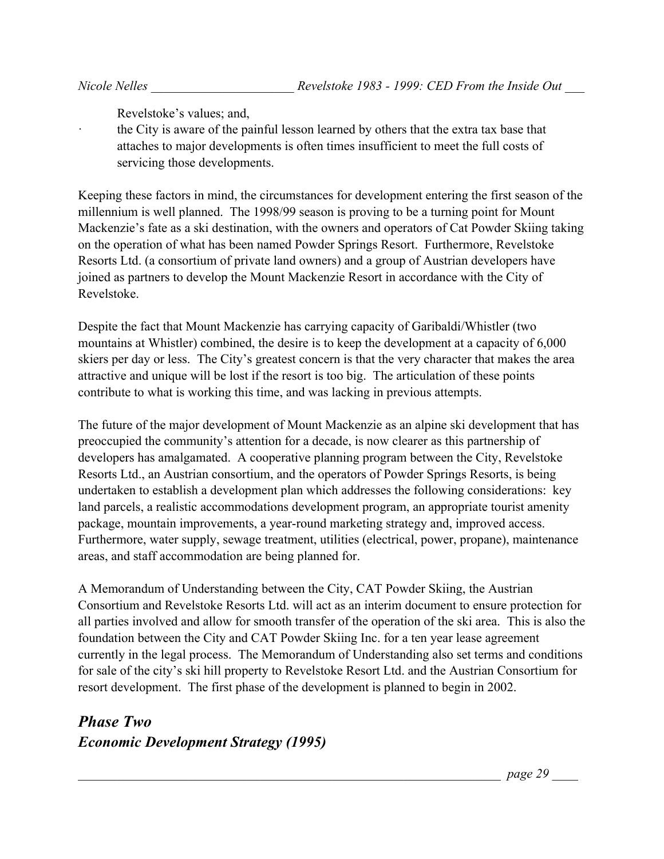Revelstoke's values; and,

the City is aware of the painful lesson learned by others that the extra tax base that attaches to major developments is often times insufficient to meet the full costs of servicing those developments.

Keeping these factors in mind, the circumstances for development entering the first season of the millennium is well planned. The 1998/99 season is proving to be a turning point for Mount Mackenzie's fate as a ski destination, with the owners and operators of Cat Powder Skiing taking on the operation of what has been named Powder Springs Resort. Furthermore, Revelstoke Resorts Ltd. (a consortium of private land owners) and a group of Austrian developers have joined as partners to develop the Mount Mackenzie Resort in accordance with the City of Revelstoke.

Despite the fact that Mount Mackenzie has carrying capacity of Garibaldi/Whistler (two mountains at Whistler) combined, the desire is to keep the development at a capacity of 6,000 skiers per day or less. The City's greatest concern is that the very character that makes the area attractive and unique will be lost if the resort is too big. The articulation of these points contribute to what is working this time, and was lacking in previous attempts.

The future of the major development of Mount Mackenzie as an alpine ski development that has preoccupied the community's attention for a decade, is now clearer as this partnership of developers has amalgamated. A cooperative planning program between the City, Revelstoke Resorts Ltd., an Austrian consortium, and the operators of Powder Springs Resorts, is being undertaken to establish a development plan which addresses the following considerations: key land parcels, a realistic accommodations development program, an appropriate tourist amenity package, mountain improvements, a year-round marketing strategy and, improved access. Furthermore, water supply, sewage treatment, utilities (electrical, power, propane), maintenance areas, and staff accommodation are being planned for.

A Memorandum of Understanding between the City, CAT Powder Skiing, the Austrian Consortium and Revelstoke Resorts Ltd. will act as an interim document to ensure protection for all parties involved and allow for smooth transfer of the operation of the ski area. This is also the foundation between the City and CAT Powder Skiing Inc. for a ten year lease agreement currently in the legal process. The Memorandum of Understanding also set terms and conditions for sale of the city's ski hill property to Revelstoke Resort Ltd. and the Austrian Consortium for resort development. The first phase of the development is planned to begin in 2002.

# *Phase Two Economic Development Strategy (1995)*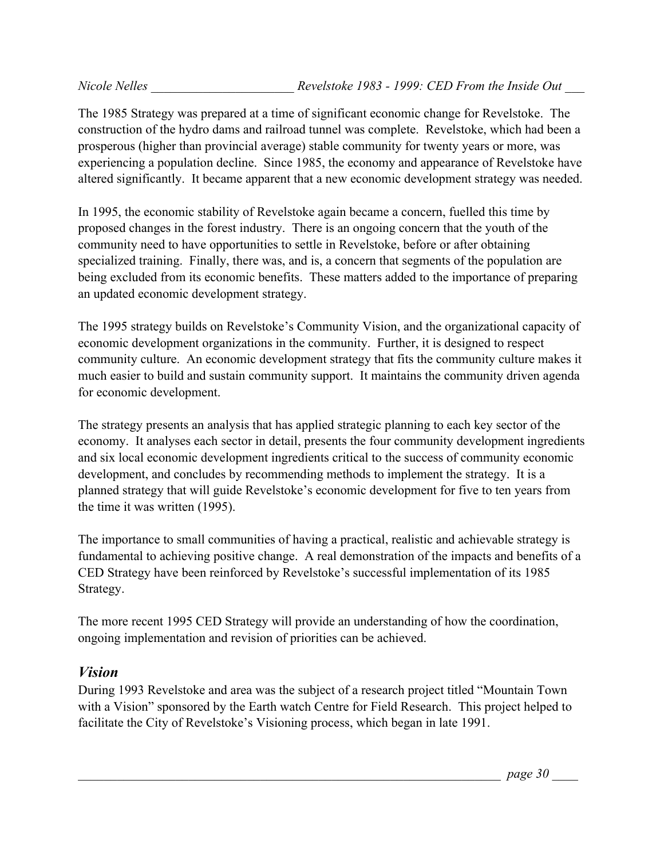The 1985 Strategy was prepared at a time of significant economic change for Revelstoke. The construction of the hydro dams and railroad tunnel was complete. Revelstoke, which had been a prosperous (higher than provincial average) stable community for twenty years or more, was experiencing a population decline. Since 1985, the economy and appearance of Revelstoke have altered significantly. It became apparent that a new economic development strategy was needed.

In 1995, the economic stability of Revelstoke again became a concern, fuelled this time by proposed changes in the forest industry. There is an ongoing concern that the youth of the community need to have opportunities to settle in Revelstoke, before or after obtaining specialized training. Finally, there was, and is, a concern that segments of the population are being excluded from its economic benefits. These matters added to the importance of preparing an updated economic development strategy.

The 1995 strategy builds on Revelstoke's Community Vision, and the organizational capacity of economic development organizations in the community. Further, it is designed to respect community culture. An economic development strategy that fits the community culture makes it much easier to build and sustain community support. It maintains the community driven agenda for economic development.

The strategy presents an analysis that has applied strategic planning to each key sector of the economy. It analyses each sector in detail, presents the four community development ingredients and six local economic development ingredients critical to the success of community economic development, and concludes by recommending methods to implement the strategy. It is a planned strategy that will guide Revelstoke's economic development for five to ten years from the time it was written (1995).

The importance to small communities of having a practical, realistic and achievable strategy is fundamental to achieving positive change. A real demonstration of the impacts and benefits of a CED Strategy have been reinforced by Revelstoke's successful implementation of its 1985 Strategy.

The more recent 1995 CED Strategy will provide an understanding of how the coordination, ongoing implementation and revision of priorities can be achieved.

## *Vision*

During 1993 Revelstoke and area was the subject of a research project titled "Mountain Town with a Vision" sponsored by the Earth watch Centre for Field Research. This project helped to facilitate the City of Revelstoke's Visioning process, which began in late 1991.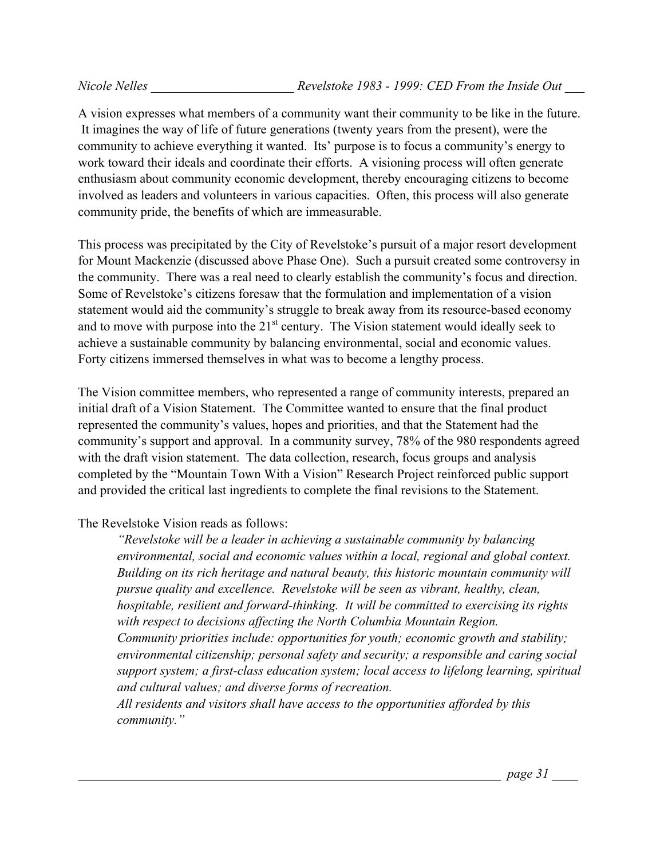A vision expresses what members of a community want their community to be like in the future. It imagines the way of life of future generations (twenty years from the present), were the community to achieve everything it wanted. Its' purpose is to focus a community's energy to work toward their ideals and coordinate their efforts. A visioning process will often generate enthusiasm about community economic development, thereby encouraging citizens to become involved as leaders and volunteers in various capacities. Often, this process will also generate community pride, the benefits of which are immeasurable.

This process was precipitated by the City of Revelstoke's pursuit of a major resort development for Mount Mackenzie (discussed above Phase One). Such a pursuit created some controversy in the community. There was a real need to clearly establish the community's focus and direction. Some of Revelstoke's citizens foresaw that the formulation and implementation of a vision statement would aid the community's struggle to break away from its resource-based economy and to move with purpose into the  $21<sup>st</sup>$  century. The Vision statement would ideally seek to achieve a sustainable community by balancing environmental, social and economic values. Forty citizens immersed themselves in what was to become a lengthy process.

The Vision committee members, who represented a range of community interests, prepared an initial draft of a Vision Statement. The Committee wanted to ensure that the final product represented the community's values, hopes and priorities, and that the Statement had the community's support and approval. In a community survey, 78% of the 980 respondents agreed with the draft vision statement. The data collection, research, focus groups and analysis completed by the "Mountain Town With a Vision" Research Project reinforced public support and provided the critical last ingredients to complete the final revisions to the Statement.

The Revelstoke Vision reads as follows:

*"Revelstoke will be a leader in achieving a sustainable community by balancing environmental, social and economic values within a local, regional and global context. Building on its rich heritage and natural beauty, this historic mountain community will pursue quality and excellence. Revelstoke will be seen as vibrant, healthy, clean, hospitable, resilient and forward-thinking. It will be committed to exercising its rights with respect to decisions affecting the North Columbia Mountain Region. Community priorities include: opportunities for youth; economic growth and stability; environmental citizenship; personal safety and security; a responsible and caring social support system; a first-class education system; local access to lifelong learning, spiritual and cultural values; and diverse forms of recreation.*

*All residents and visitors shall have access to the opportunities afforded by this community."*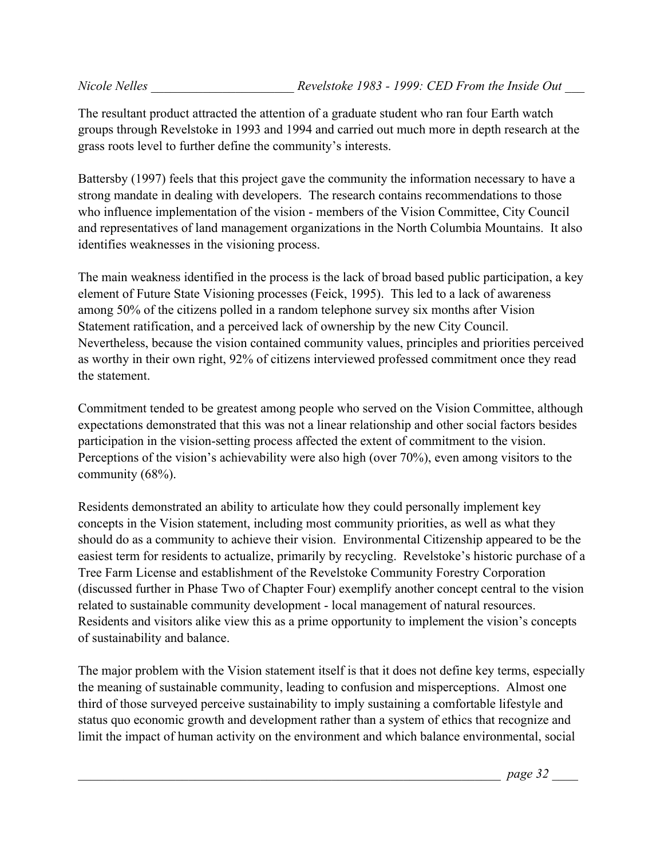The resultant product attracted the attention of a graduate student who ran four Earth watch groups through Revelstoke in 1993 and 1994 and carried out much more in depth research at the grass roots level to further define the community's interests.

Battersby (1997) feels that this project gave the community the information necessary to have a strong mandate in dealing with developers. The research contains recommendations to those who influence implementation of the vision - members of the Vision Committee, City Council and representatives of land management organizations in the North Columbia Mountains. It also identifies weaknesses in the visioning process.

The main weakness identified in the process is the lack of broad based public participation, a key element of Future State Visioning processes (Feick, 1995). This led to a lack of awareness among 50% of the citizens polled in a random telephone survey six months after Vision Statement ratification, and a perceived lack of ownership by the new City Council. Nevertheless, because the vision contained community values, principles and priorities perceived as worthy in their own right, 92% of citizens interviewed professed commitment once they read the statement.

Commitment tended to be greatest among people who served on the Vision Committee, although expectations demonstrated that this was not a linear relationship and other social factors besides participation in the vision-setting process affected the extent of commitment to the vision. Perceptions of the vision's achievability were also high (over 70%), even among visitors to the community (68%).

Residents demonstrated an ability to articulate how they could personally implement key concepts in the Vision statement, including most community priorities, as well as what they should do as a community to achieve their vision. Environmental Citizenship appeared to be the easiest term for residents to actualize, primarily by recycling. Revelstoke's historic purchase of a Tree Farm License and establishment of the Revelstoke Community Forestry Corporation (discussed further in Phase Two of Chapter Four) exemplify another concept central to the vision related to sustainable community development - local management of natural resources. Residents and visitors alike view this as a prime opportunity to implement the vision's concepts of sustainability and balance.

The major problem with the Vision statement itself is that it does not define key terms, especially the meaning of sustainable community, leading to confusion and misperceptions. Almost one third of those surveyed perceive sustainability to imply sustaining a comfortable lifestyle and status quo economic growth and development rather than a system of ethics that recognize and limit the impact of human activity on the environment and which balance environmental, social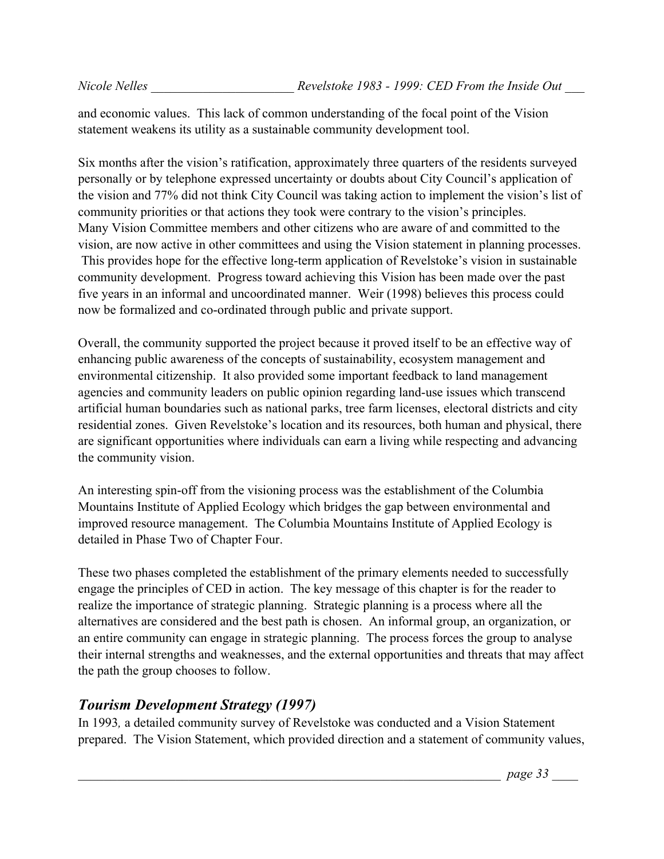and economic values. This lack of common understanding of the focal point of the Vision statement weakens its utility as a sustainable community development tool.

Six months after the vision's ratification, approximately three quarters of the residents surveyed personally or by telephone expressed uncertainty or doubts about City Council's application of the vision and 77% did not think City Council was taking action to implement the vision's list of community priorities or that actions they took were contrary to the vision's principles. Many Vision Committee members and other citizens who are aware of and committed to the vision, are now active in other committees and using the Vision statement in planning processes. This provides hope for the effective long-term application of Revelstoke's vision in sustainable community development. Progress toward achieving this Vision has been made over the past five years in an informal and uncoordinated manner. Weir (1998) believes this process could now be formalized and co-ordinated through public and private support.

Overall, the community supported the project because it proved itself to be an effective way of enhancing public awareness of the concepts of sustainability, ecosystem management and environmental citizenship. It also provided some important feedback to land management agencies and community leaders on public opinion regarding land-use issues which transcend artificial human boundaries such as national parks, tree farm licenses, electoral districts and city residential zones. Given Revelstoke's location and its resources, both human and physical, there are significant opportunities where individuals can earn a living while respecting and advancing the community vision.

An interesting spin-off from the visioning process was the establishment of the Columbia Mountains Institute of Applied Ecology which bridges the gap between environmental and improved resource management. The Columbia Mountains Institute of Applied Ecology is detailed in Phase Two of Chapter Four.

These two phases completed the establishment of the primary elements needed to successfully engage the principles of CED in action. The key message of this chapter is for the reader to realize the importance of strategic planning. Strategic planning is a process where all the alternatives are considered and the best path is chosen. An informal group, an organization, or an entire community can engage in strategic planning. The process forces the group to analyse their internal strengths and weaknesses, and the external opportunities and threats that may affect the path the group chooses to follow.

## *Tourism Development Strategy (1997)*

In 1993*,* a detailed community survey of Revelstoke was conducted and a Vision Statement prepared. The Vision Statement, which provided direction and a statement of community values,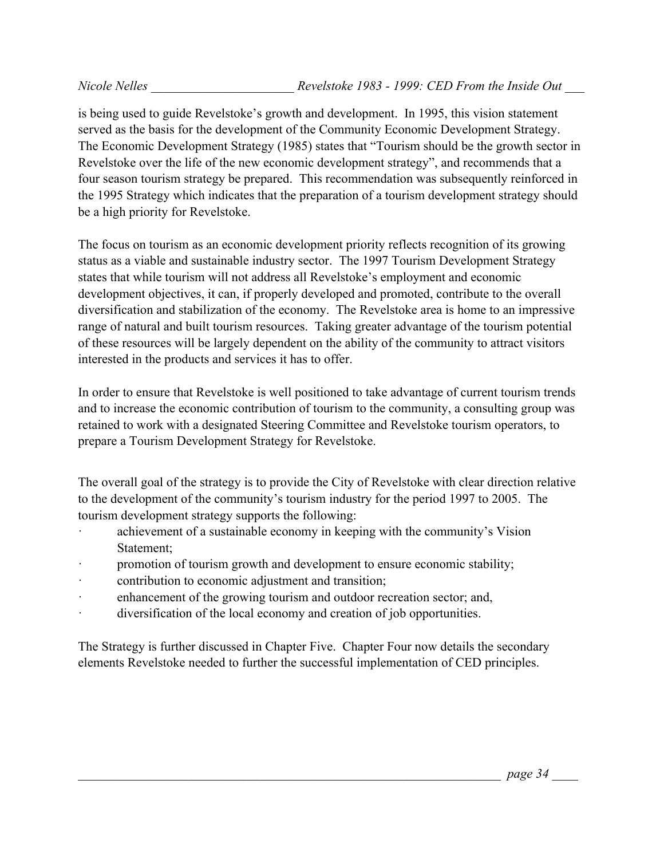is being used to guide Revelstoke's growth and development. In 1995, this vision statement served as the basis for the development of the Community Economic Development Strategy. The Economic Development Strategy (1985) states that "Tourism should be the growth sector in Revelstoke over the life of the new economic development strategy", and recommends that a four season tourism strategy be prepared. This recommendation was subsequently reinforced in the 1995 Strategy which indicates that the preparation of a tourism development strategy should be a high priority for Revelstoke.

The focus on tourism as an economic development priority reflects recognition of its growing status as a viable and sustainable industry sector. The 1997 Tourism Development Strategy states that while tourism will not address all Revelstoke's employment and economic development objectives, it can, if properly developed and promoted, contribute to the overall diversification and stabilization of the economy. The Revelstoke area is home to an impressive range of natural and built tourism resources. Taking greater advantage of the tourism potential of these resources will be largely dependent on the ability of the community to attract visitors interested in the products and services it has to offer.

In order to ensure that Revelstoke is well positioned to take advantage of current tourism trends and to increase the economic contribution of tourism to the community, a consulting group was retained to work with a designated Steering Committee and Revelstoke tourism operators, to prepare a Tourism Development Strategy for Revelstoke.

The overall goal of the strategy is to provide the City of Revelstoke with clear direction relative to the development of the community's tourism industry for the period 1997 to 2005. The tourism development strategy supports the following:

- achievement of a sustainable economy in keeping with the community's Vision Statement;
- promotion of tourism growth and development to ensure economic stability;
- contribution to economic adjustment and transition;
- · enhancement of the growing tourism and outdoor recreation sector; and,
- · diversification of the local economy and creation of job opportunities.

The Strategy is further discussed in Chapter Five.Chapter Four now details the secondary elements Revelstoke needed to further the successful implementation of CED principles.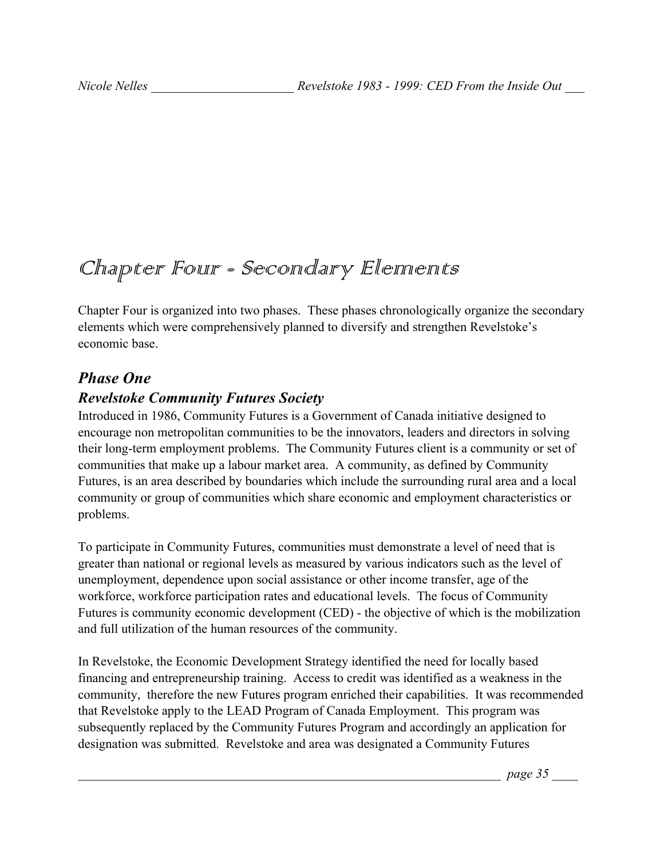# Chapter Four - Secondary Elennents

Chapter Four is organized into two phases. These phases chronologically organize the secondary elements which were comprehensively planned to diversify and strengthen Revelstoke's economic base.

## *Phase One*

## *Revelstoke Community Futures Society*

Introduced in 1986, Community Futures is a Government of Canada initiative designed to encourage non metropolitan communities to be the innovators, leaders and directors in solving their long-term employment problems. The Community Futures client is a community or set of communities that make up a labour market area. A community, as defined by Community Futures, is an area described by boundaries which include the surrounding rural area and a local community or group of communities which share economic and employment characteristics or problems.

To participate in Community Futures, communities must demonstrate a level of need that is greater than national or regional levels as measured by various indicators such as the level of unemployment, dependence upon social assistance or other income transfer, age of the workforce, workforce participation rates and educational levels. The focus of Community Futures is community economic development (CED) - the objective of which is the mobilization and full utilization of the human resources of the community.

In Revelstoke, the Economic Development Strategy identified the need for locally based financing and entrepreneurship training. Access to credit was identified as a weakness in the community, therefore the new Futures program enriched their capabilities. It was recommended that Revelstoke apply to the LEAD Program of Canada Employment. This program was subsequently replaced by the Community Futures Program and accordingly an application for designation was submitted. Revelstoke and area was designated a Community Futures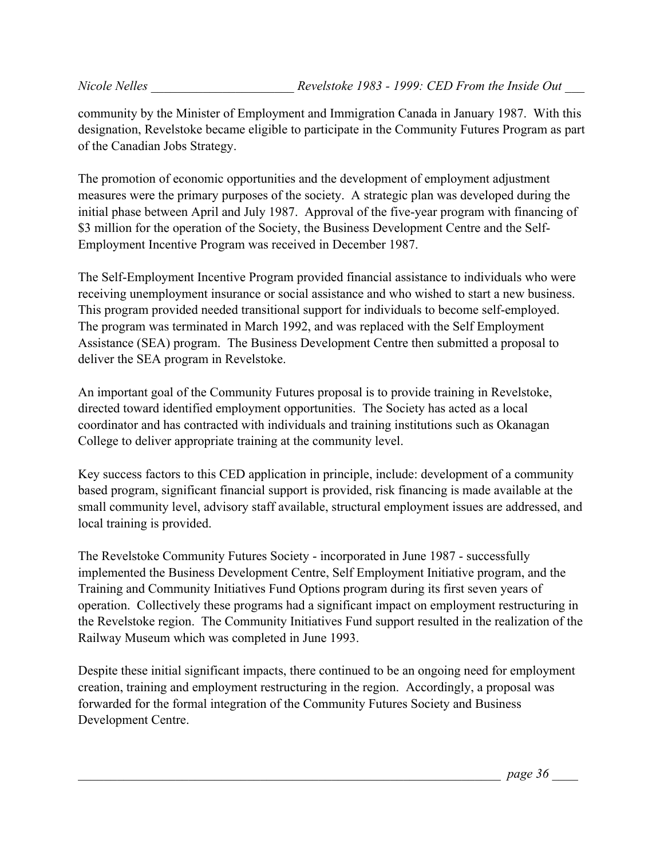community by the Minister of Employment and Immigration Canada in January 1987. With this designation, Revelstoke became eligible to participate in the Community Futures Program as part of the Canadian Jobs Strategy.

The promotion of economic opportunities and the development of employment adjustment measures were the primary purposes of the society. A strategic plan was developed during the initial phase between April and July 1987. Approval of the five-year program with financing of \$3 million for the operation of the Society, the Business Development Centre and the Self-Employment Incentive Program was received in December 1987.

The Self-Employment Incentive Program provided financial assistance to individuals who were receiving unemployment insurance or social assistance and who wished to start a new business. This program provided needed transitional support for individuals to become self-employed. The program was terminated in March 1992, and was replaced with the Self Employment Assistance (SEA) program. The Business Development Centre then submitted a proposal to deliver the SEA program in Revelstoke.

An important goal of the Community Futures proposal is to provide training in Revelstoke, directed toward identified employment opportunities. The Society has acted as a local coordinator and has contracted with individuals and training institutions such as Okanagan College to deliver appropriate training at the community level.

Key success factors to this CED application in principle, include: development of a community based program, significant financial support is provided, risk financing is made available at the small community level, advisory staff available, structural employment issues are addressed, and local training is provided.

The Revelstoke Community Futures Society - incorporated in June 1987 - successfully implemented the Business Development Centre, Self Employment Initiative program, and the Training and Community Initiatives Fund Options program during its first seven years of operation. Collectively these programs had a significant impact on employment restructuring in the Revelstoke region. The Community Initiatives Fund support resulted in the realization of the Railway Museum which was completed in June 1993.

Despite these initial significant impacts, there continued to be an ongoing need for employment creation, training and employment restructuring in the region. Accordingly, a proposal was forwarded for the formal integration of the Community Futures Society and Business Development Centre.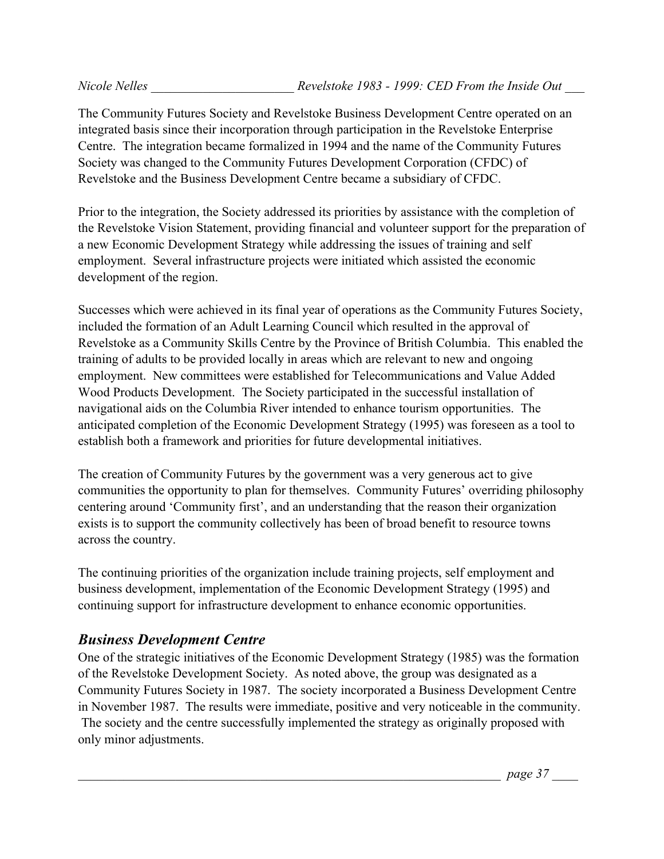The Community Futures Society and Revelstoke Business Development Centre operated on an integrated basis since their incorporation through participation in the Revelstoke Enterprise Centre. The integration became formalized in 1994 and the name of the Community Futures Society was changed to the Community Futures Development Corporation (CFDC) of Revelstoke and the Business Development Centre became a subsidiary of CFDC.

Prior to the integration, the Society addressed its priorities by assistance with the completion of the Revelstoke Vision Statement, providing financial and volunteer support for the preparation of a new Economic Development Strategy while addressing the issues of training and self employment. Several infrastructure projects were initiated which assisted the economic development of the region.

Successes which were achieved in its final year of operations as the Community Futures Society, included the formation of an Adult Learning Council which resulted in the approval of Revelstoke as a Community Skills Centre by the Province of British Columbia. This enabled the training of adults to be provided locally in areas which are relevant to new and ongoing employment. New committees were established for Telecommunications and Value Added Wood Products Development. The Society participated in the successful installation of navigational aids on the Columbia River intended to enhance tourism opportunities. The anticipated completion of the Economic Development Strategy (1995) was foreseen as a tool to establish both a framework and priorities for future developmental initiatives.

The creation of Community Futures by the government was a very generous act to give communities the opportunity to plan for themselves. Community Futures' overriding philosophy centering around 'Community first', and an understanding that the reason their organization exists is to support the community collectively has been of broad benefit to resource towns across the country.

The continuing priorities of the organization include training projects, self employment and business development, implementation of the Economic Development Strategy (1995) and continuing support for infrastructure development to enhance economic opportunities.

# *Business Development Centre*

One of the strategic initiatives of the Economic Development Strategy (1985) was the formation of the Revelstoke Development Society. As noted above, the group was designated as a Community Futures Society in 1987. The society incorporated a Business Development Centre in November 1987. The results were immediate, positive and very noticeable in the community. The society and the centre successfully implemented the strategy as originally proposed with only minor adjustments.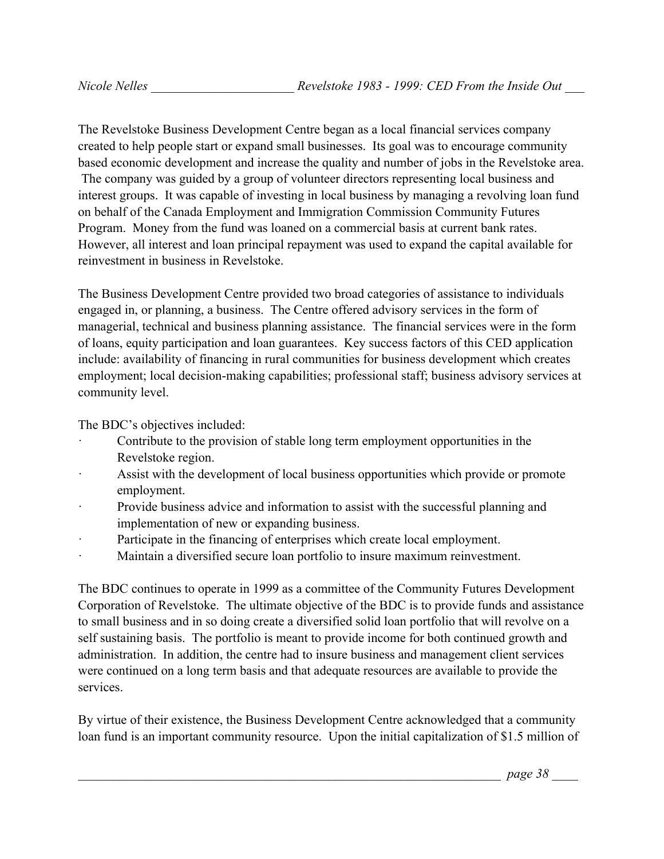The Revelstoke Business Development Centre began as a local financial services company created to help people start or expand small businesses. Its goal was to encourage community based economic development and increase the quality and number of jobs in the Revelstoke area. The company was guided by a group of volunteer directors representing local business and interest groups. It was capable of investing in local business by managing a revolving loan fund on behalf of the Canada Employment and Immigration Commission Community Futures Program. Money from the fund was loaned on a commercial basis at current bank rates. However, all interest and loan principal repayment was used to expand the capital available for reinvestment in business in Revelstoke.

The Business Development Centre provided two broad categories of assistance to individuals engaged in, or planning, a business. The Centre offered advisory services in the form of managerial, technical and business planning assistance. The financial services were in the form of loans, equity participation and loan guarantees. Key success factors of this CED application include: availability of financing in rural communities for business development which creates employment; local decision-making capabilities; professional staff; business advisory services at community level.

The BDC's objectives included:

- Contribute to the provision of stable long term employment opportunities in the Revelstoke region.
- Assist with the development of local business opportunities which provide or promote employment.
- Provide business advice and information to assist with the successful planning and implementation of new or expanding business.
- Participate in the financing of enterprises which create local employment.
- Maintain a diversified secure loan portfolio to insure maximum reinvestment.

The BDC continues to operate in 1999 as a committee of the Community Futures Development Corporation of Revelstoke. The ultimate objective of the BDC is to provide funds and assistance to small business and in so doing create a diversified solid loan portfolio that will revolve on a self sustaining basis. The portfolio is meant to provide income for both continued growth and administration. In addition, the centre had to insure business and management client services were continued on a long term basis and that adequate resources are available to provide the services.

By virtue of their existence, the Business Development Centre acknowledged that a community loan fund is an important community resource. Upon the initial capitalization of \$1.5 million of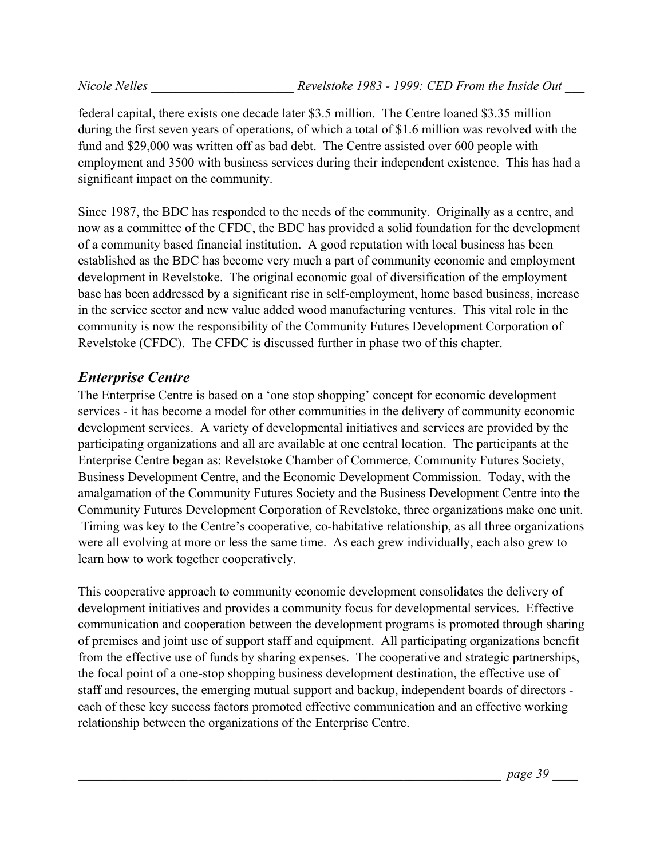federal capital, there exists one decade later \$3.5 million. The Centre loaned \$3.35 million during the first seven years of operations, of which a total of \$1.6 million was revolved with the fund and \$29,000 was written off as bad debt. The Centre assisted over 600 people with employment and 3500 with business services during their independent existence. This has had a significant impact on the community.

Since 1987, the BDC has responded to the needs of the community. Originally as a centre, and now as a committee of the CFDC, the BDC has provided a solid foundation for the development of a community based financial institution. A good reputation with local business has been established as the BDC has become very much a part of community economic and employment development in Revelstoke. The original economic goal of diversification of the employment base has been addressed by a significant rise in self-employment, home based business, increase in the service sector and new value added wood manufacturing ventures. This vital role in the community is now the responsibility of the Community Futures Development Corporation of Revelstoke (CFDC). The CFDC is discussed further in phase two of this chapter.

## *Enterprise Centre*

The Enterprise Centre is based on a 'one stop shopping' concept for economic development services - it has become a model for other communities in the delivery of community economic development services. A variety of developmental initiatives and services are provided by the participating organizations and all are available at one central location. The participants at the Enterprise Centre began as: Revelstoke Chamber of Commerce, Community Futures Society, Business Development Centre, and the Economic Development Commission. Today, with the amalgamation of the Community Futures Society and the Business Development Centre into the Community Futures Development Corporation of Revelstoke, three organizations make one unit. Timing was key to the Centre's cooperative, co-habitative relationship, as all three organizations were all evolving at more or less the same time. As each grew individually, each also grew to learn how to work together cooperatively.

This cooperative approach to community economic development consolidates the delivery of development initiatives and provides a community focus for developmental services. Effective communication and cooperation between the development programs is promoted through sharing of premises and joint use of support staff and equipment. All participating organizations benefit from the effective use of funds by sharing expenses. The cooperative and strategic partnerships, the focal point of a one-stop shopping business development destination, the effective use of staff and resources, the emerging mutual support and backup, independent boards of directors each of these key success factors promoted effective communication and an effective working relationship between the organizations of the Enterprise Centre.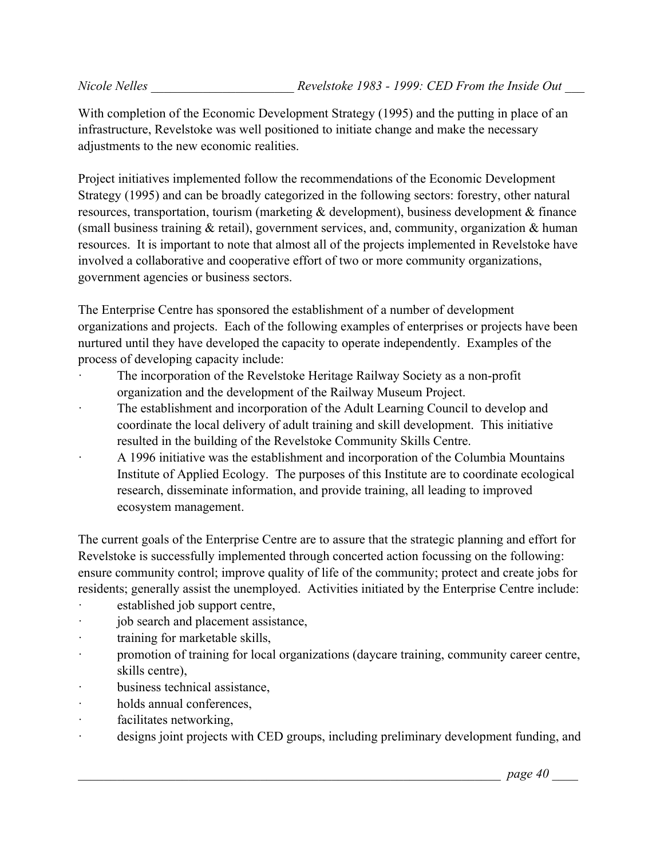With completion of the Economic Development Strategy (1995) and the putting in place of an infrastructure, Revelstoke was well positioned to initiate change and make the necessary adjustments to the new economic realities.

Project initiatives implemented follow the recommendations of the Economic Development Strategy (1995) and can be broadly categorized in the following sectors: forestry, other natural resources, transportation, tourism (marketing & development), business development & finance (small business training  $&$  retail), government services, and, community, organization  $&$  human resources. It is important to note that almost all of the projects implemented in Revelstoke have involved a collaborative and cooperative effort of two or more community organizations, government agencies or business sectors.

The Enterprise Centre has sponsored the establishment of a number of development organizations and projects. Each of the following examples of enterprises or projects have been nurtured until they have developed the capacity to operate independently. Examples of the process of developing capacity include:

- The incorporation of the Revelstoke Heritage Railway Society as a non-profit organization and the development of the Railway Museum Project.
- The establishment and incorporation of the Adult Learning Council to develop and coordinate the local delivery of adult training and skill development. This initiative resulted in the building of the Revelstoke Community Skills Centre.
- · A 1996 initiative was the establishment and incorporation of the Columbia Mountains Institute of Applied Ecology. The purposes of this Institute are to coordinate ecological research, disseminate information, and provide training, all leading to improved ecosystem management.

The current goals of the Enterprise Centre are to assure that the strategic planning and effort for Revelstoke is successfully implemented through concerted action focussing on the following: ensure community control; improve quality of life of the community; protect and create jobs for residents; generally assist the unemployed. Activities initiated by the Enterprise Centre include:

- established job support centre,
- job search and placement assistance,
- · training for marketable skills,
- · promotion of training for local organizations (daycare training, community career centre, skills centre),
- business technical assistance.
- · holds annual conferences,
- · facilitates networking,
- · designs joint projects with CED groups, including preliminary development funding, and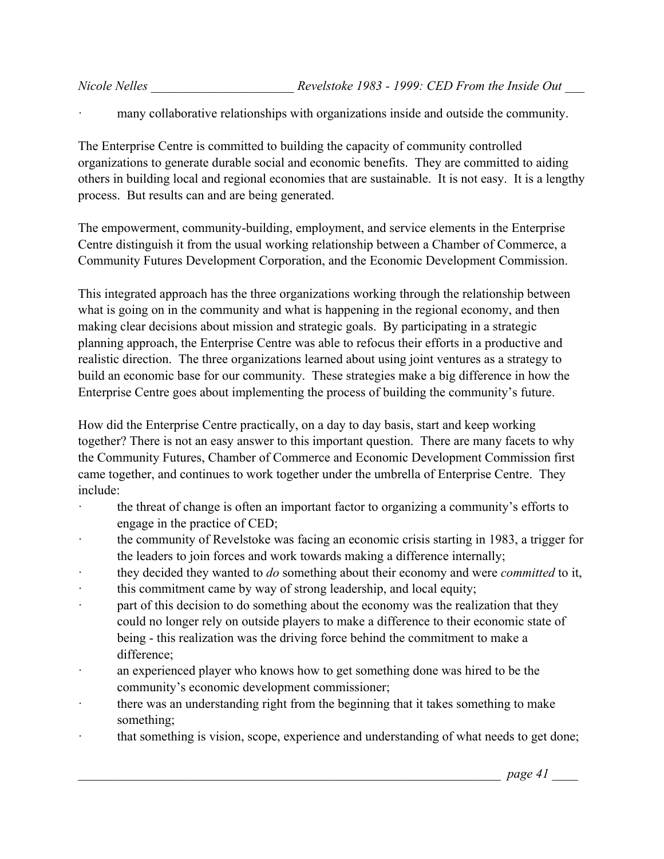many collaborative relationships with organizations inside and outside the community.

The Enterprise Centre is committed to building the capacity of community controlled organizations to generate durable social and economic benefits. They are committed to aiding others in building local and regional economies that are sustainable. It is not easy. It is a lengthy process. But results can and are being generated.

The empowerment, community-building, employment, and service elements in the Enterprise Centre distinguish it from the usual working relationship between a Chamber of Commerce, a Community Futures Development Corporation, and the Economic Development Commission.

This integrated approach has the three organizations working through the relationship between what is going on in the community and what is happening in the regional economy, and then making clear decisions about mission and strategic goals. By participating in a strategic planning approach, the Enterprise Centre was able to refocus their efforts in a productive and realistic direction. The three organizations learned about using joint ventures as a strategy to build an economic base for our community. These strategies make a big difference in how the Enterprise Centre goes about implementing the process of building the community's future.

How did the Enterprise Centre practically, on a day to day basis, start and keep working together? There is not an easy answer to this important question. There are many facets to why the Community Futures, Chamber of Commerce and Economic Development Commission first came together, and continues to work together under the umbrella of Enterprise Centre. They include:

- · the threat of change is often an important factor to organizing a community's efforts to engage in the practice of CED;
- the community of Revelstoke was facing an economic crisis starting in 1983, a trigger for the leaders to join forces and work towards making a difference internally;
- · they decided they wanted to *do* something about their economy and were *committed* to it,
- this commitment came by way of strong leadership, and local equity;
- · part of this decision to do something about the economy was the realization that they could no longer rely on outside players to make a difference to their economic state of being - this realization was the driving force behind the commitment to make a difference;
- an experienced player who knows how to get something done was hired to be the community's economic development commissioner;
- there was an understanding right from the beginning that it takes something to make something;
- that something is vision, scope, experience and understanding of what needs to get done;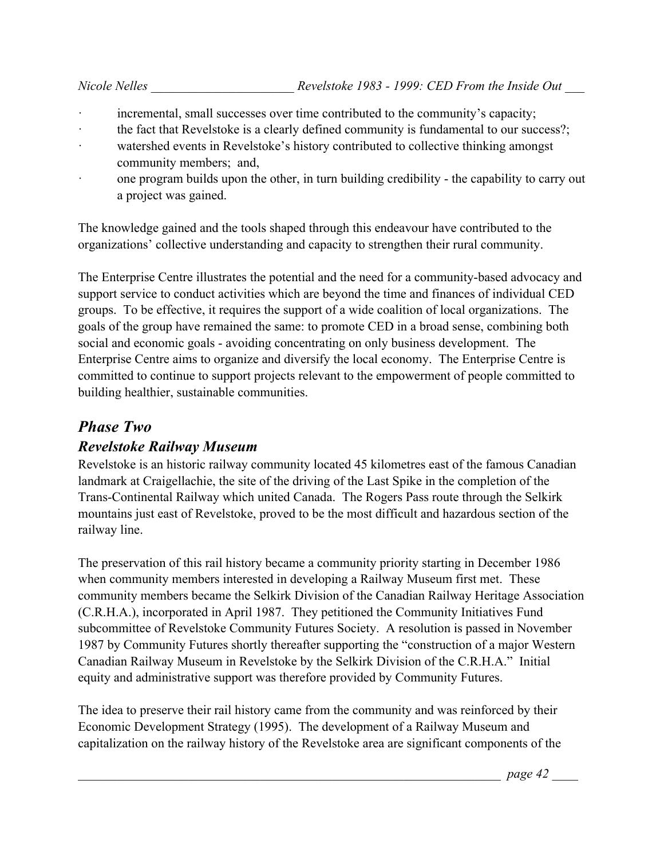- incremental, small successes over time contributed to the community's capacity;
- the fact that Revelstoke is a clearly defined community is fundamental to our success?;
- · watershed events in Revelstoke's history contributed to collective thinking amongst community members; and,
- · one program builds upon the other, in turn building credibility the capability to carry out a project was gained.

The knowledge gained and the tools shaped through this endeavour have contributed to the organizations' collective understanding and capacity to strengthen their rural community.

The Enterprise Centre illustrates the potential and the need for a community-based advocacy and support service to conduct activities which are beyond the time and finances of individual CED groups. To be effective, it requires the support of a wide coalition of local organizations. The goals of the group have remained the same: to promote CED in a broad sense, combining both social and economic goals - avoiding concentrating on only business development. The Enterprise Centre aims to organize and diversify the local economy. The Enterprise Centre is committed to continue to support projects relevant to the empowerment of people committed to building healthier, sustainable communities.

## *Phase Two*

#### *Revelstoke Railway Museum*

Revelstoke is an historic railway community located 45 kilometres east of the famous Canadian landmark at Craigellachie, the site of the driving of the Last Spike in the completion of the Trans-Continental Railway which united Canada. The Rogers Pass route through the Selkirk mountains just east of Revelstoke, proved to be the most difficult and hazardous section of the railway line.

The preservation of this rail history became a community priority starting in December 1986 when community members interested in developing a Railway Museum first met. These community members became the Selkirk Division of the Canadian Railway Heritage Association (C.R.H.A.), incorporated in April 1987. They petitioned the Community Initiatives Fund subcommittee of Revelstoke Community Futures Society. A resolution is passed in November 1987 by Community Futures shortly thereafter supporting the "construction of a major Western Canadian Railway Museum in Revelstoke by the Selkirk Division of the C.R.H.A." Initial equity and administrative support was therefore provided by Community Futures.

The idea to preserve their rail history came from the community and was reinforced by their Economic Development Strategy (1995). The development of a Railway Museum and capitalization on the railway history of the Revelstoke area are significant components of the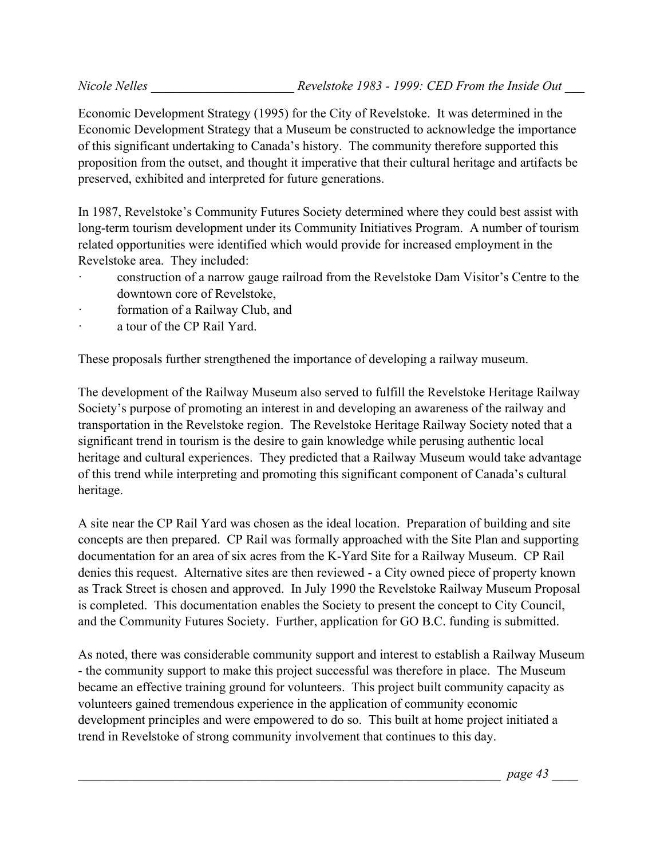Economic Development Strategy (1995) for the City of Revelstoke. It was determined in the Economic Development Strategy that a Museum be constructed to acknowledge the importance of this significant undertaking to Canada's history. The community therefore supported this proposition from the outset, and thought it imperative that their cultural heritage and artifacts be preserved, exhibited and interpreted for future generations.

In 1987, Revelstoke's Community Futures Society determined where they could best assist with long-term tourism development under its Community Initiatives Program. A number of tourism related opportunities were identified which would provide for increased employment in the Revelstoke area. They included:

- · construction of a narrow gauge railroad from the Revelstoke Dam Visitor's Centre to the downtown core of Revelstoke,
- formation of a Railway Club, and
- a tour of the CP Rail Yard.

These proposals further strengthened the importance of developing a railway museum.

The development of the Railway Museum also served to fulfill the Revelstoke Heritage Railway Society's purpose of promoting an interest in and developing an awareness of the railway and transportation in the Revelstoke region. The Revelstoke Heritage Railway Society noted that a significant trend in tourism is the desire to gain knowledge while perusing authentic local heritage and cultural experiences. They predicted that a Railway Museum would take advantage of this trend while interpreting and promoting this significant component of Canada's cultural heritage.

A site near the CP Rail Yard was chosen as the ideal location. Preparation of building and site concepts are then prepared. CP Rail was formally approached with the Site Plan and supporting documentation for an area of six acres from the K-Yard Site for a Railway Museum. CP Rail denies this request. Alternative sites are then reviewed - a City owned piece of property known as Track Street is chosen and approved. In July 1990 the Revelstoke Railway Museum Proposal is completed. This documentation enables the Society to present the concept to City Council, and the Community Futures Society. Further, application for GO B.C. funding is submitted.

As noted, there was considerable community support and interest to establish a Railway Museum - the community support to make this project successful was therefore in place. The Museum became an effective training ground for volunteers. This project built community capacity as volunteers gained tremendous experience in the application of community economic development principles and were empowered to do so. This built at home project initiated a trend in Revelstoke of strong community involvement that continues to this day.

\_\_\_\_\_\_\_\_\_\_\_\_\_\_\_\_\_\_\_\_\_\_\_\_\_\_\_\_\_\_\_\_\_\_\_\_\_\_\_\_\_\_\_\_\_\_\_\_\_\_\_\_\_\_\_\_\_\_\_\_\_\_\_\_\_ *page 43* \_\_\_\_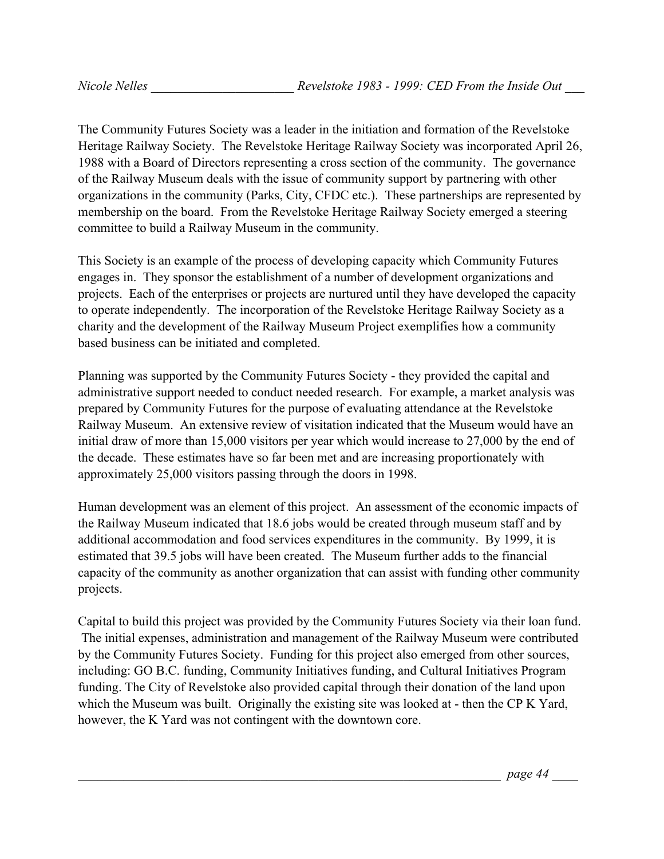The Community Futures Society was a leader in the initiation and formation of the Revelstoke Heritage Railway Society. The Revelstoke Heritage Railway Society was incorporated April 26, 1988 with a Board of Directors representing a cross section of the community. The governance of the Railway Museum deals with the issue of community support by partnering with other organizations in the community (Parks, City, CFDC etc.). These partnerships are represented by membership on the board. From the Revelstoke Heritage Railway Society emerged a steering committee to build a Railway Museum in the community.

This Society is an example of the process of developing capacity which Community Futures engages in. They sponsor the establishment of a number of development organizations and projects. Each of the enterprises or projects are nurtured until they have developed the capacity to operate independently. The incorporation of the Revelstoke Heritage Railway Society as a charity and the development of the Railway Museum Project exemplifies how a community based business can be initiated and completed.

Planning was supported by the Community Futures Society - they provided the capital and administrative support needed to conduct needed research. For example, a market analysis was prepared by Community Futures for the purpose of evaluating attendance at the Revelstoke Railway Museum. An extensive review of visitation indicated that the Museum would have an initial draw of more than 15,000 visitors per year which would increase to 27,000 by the end of the decade. These estimates have so far been met and are increasing proportionately with approximately 25,000 visitors passing through the doors in 1998.

Human development was an element of this project. An assessment of the economic impacts of the Railway Museum indicated that 18.6 jobs would be created through museum staff and by additional accommodation and food services expenditures in the community. By 1999, it is estimated that 39.5 jobs will have been created. The Museum further adds to the financial capacity of the community as another organization that can assist with funding other community projects.

Capital to build this project was provided by the Community Futures Society via their loan fund. The initial expenses, administration and management of the Railway Museum were contributed by the Community Futures Society. Funding for this project also emerged from other sources, including: GO B.C. funding, Community Initiatives funding, and Cultural Initiatives Program funding. The City of Revelstoke also provided capital through their donation of the land upon which the Museum was built. Originally the existing site was looked at - then the CP K Yard, however, the K Yard was not contingent with the downtown core.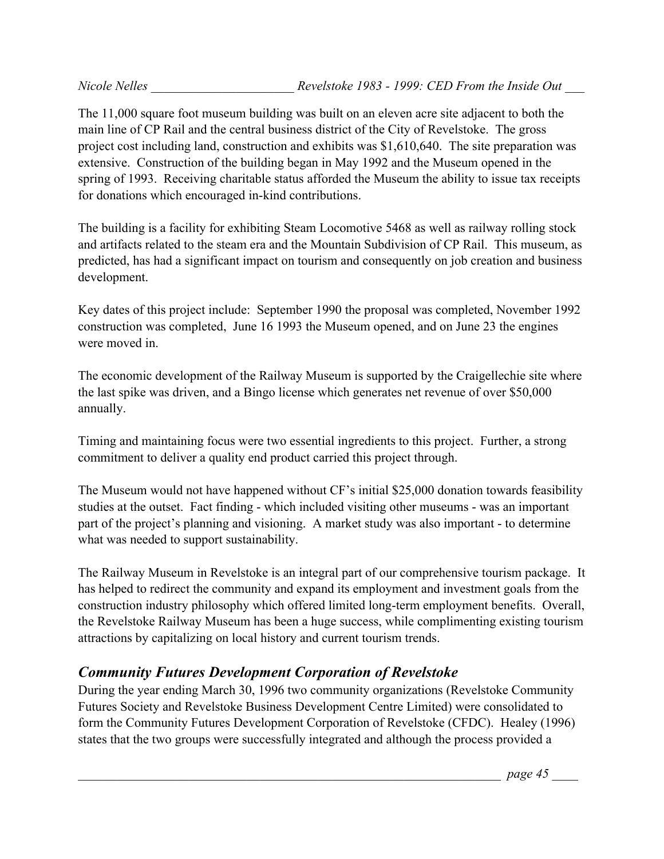The 11,000 square foot museum building was built on an eleven acre site adjacent to both the main line of CP Rail and the central business district of the City of Revelstoke. The gross project cost including land, construction and exhibits was \$1,610,640. The site preparation was extensive. Construction of the building began in May 1992 and the Museum opened in the spring of 1993. Receiving charitable status afforded the Museum the ability to issue tax receipts for donations which encouraged in-kind contributions.

The building is a facility for exhibiting Steam Locomotive 5468 as well as railway rolling stock and artifacts related to the steam era and the Mountain Subdivision of CP Rail. This museum, as predicted, has had a significant impact on tourism and consequently on job creation and business development.

Key dates of this project include: September 1990 the proposal was completed, November 1992 construction was completed, June 16 1993 the Museum opened, and on June 23 the engines were moved in.

The economic development of the Railway Museum is supported by the Craigellechie site where the last spike was driven, and a Bingo license which generates net revenue of over \$50,000 annually.

Timing and maintaining focus were two essential ingredients to this project. Further, a strong commitment to deliver a quality end product carried this project through.

The Museum would not have happened without CF's initial \$25,000 donation towards feasibility studies at the outset. Fact finding - which included visiting other museums - was an important part of the project's planning and visioning. A market study was also important - to determine what was needed to support sustainability.

The Railway Museum in Revelstoke is an integral part of our comprehensive tourism package. It has helped to redirect the community and expand its employment and investment goals from the construction industry philosophy which offered limited long-term employment benefits. Overall, the Revelstoke Railway Museum has been a huge success, while complimenting existing tourism attractions by capitalizing on local history and current tourism trends.

# *Community Futures Development Corporation of Revelstoke*

During the year ending March 30, 1996 two community organizations (Revelstoke Community Futures Society and Revelstoke Business Development Centre Limited) were consolidated to form the Community Futures Development Corporation of Revelstoke (CFDC). Healey (1996) states that the two groups were successfully integrated and although the process provided a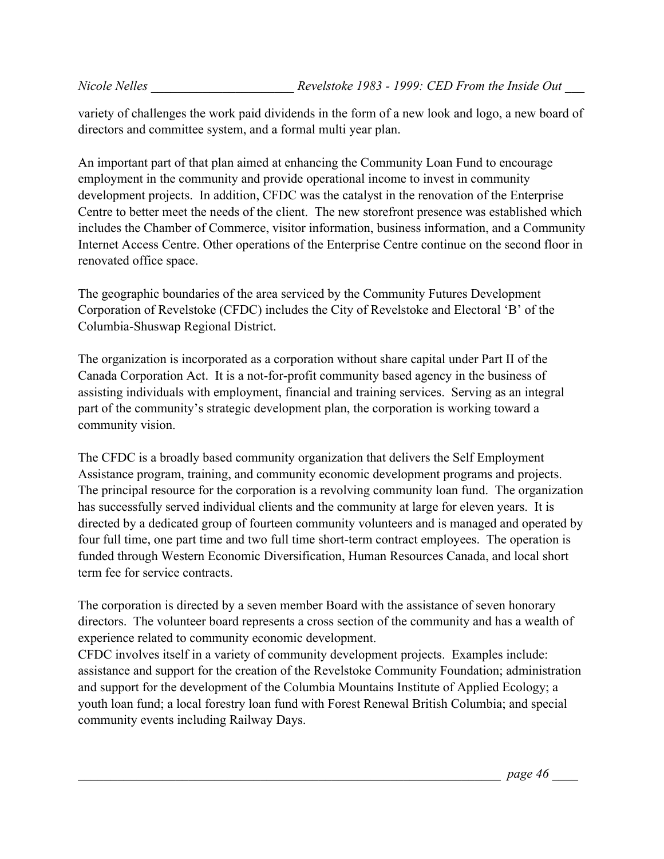variety of challenges the work paid dividends in the form of a new look and logo, a new board of directors and committee system, and a formal multi year plan.

An important part of that plan aimed at enhancing the Community Loan Fund to encourage employment in the community and provide operational income to invest in community development projects. In addition, CFDC was the catalyst in the renovation of the Enterprise Centre to better meet the needs of the client. The new storefront presence was established which includes the Chamber of Commerce, visitor information, business information, and a Community Internet Access Centre. Other operations of the Enterprise Centre continue on the second floor in renovated office space.

The geographic boundaries of the area serviced by the Community Futures Development Corporation of Revelstoke (CFDC) includes the City of Revelstoke and Electoral 'B' of the Columbia-Shuswap Regional District.

The organization is incorporated as a corporation without share capital under Part II of the Canada Corporation Act. It is a not-for-profit community based agency in the business of assisting individuals with employment, financial and training services. Serving as an integral part of the community's strategic development plan, the corporation is working toward a community vision.

The CFDC is a broadly based community organization that delivers the Self Employment Assistance program, training, and community economic development programs and projects. The principal resource for the corporation is a revolving community loan fund. The organization has successfully served individual clients and the community at large for eleven years. It is directed by a dedicated group of fourteen community volunteers and is managed and operated by four full time, one part time and two full time short-term contract employees. The operation is funded through Western Economic Diversification, Human Resources Canada, and local short term fee for service contracts.

The corporation is directed by a seven member Board with the assistance of seven honorary directors. The volunteer board represents a cross section of the community and has a wealth of experience related to community economic development.

CFDC involves itself in a variety of community development projects. Examples include: assistance and support for the creation of the Revelstoke Community Foundation; administration and support for the development of the Columbia Mountains Institute of Applied Ecology; a youth loan fund; a local forestry loan fund with Forest Renewal British Columbia; and special community events including Railway Days.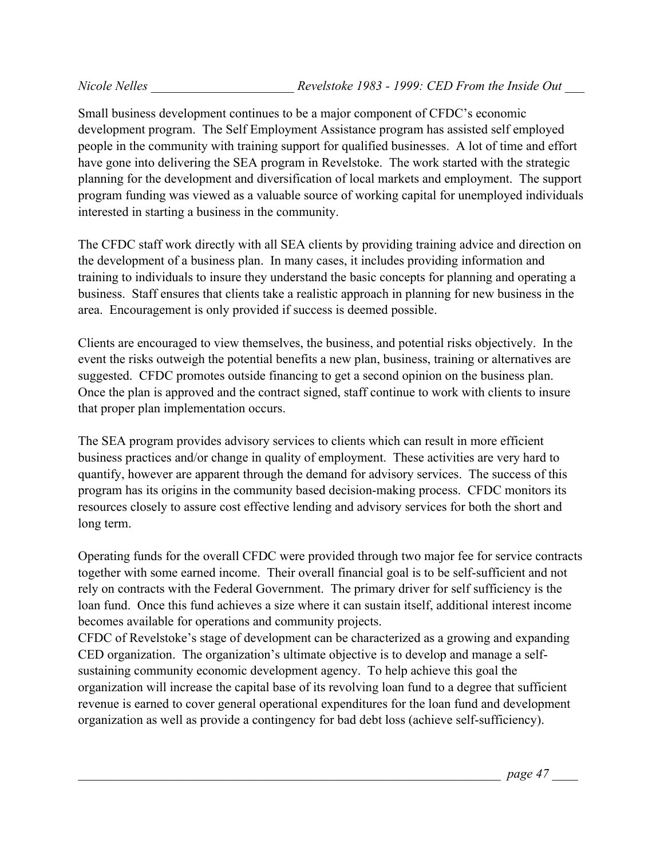Small business development continues to be a major component of CFDC's economic development program. The Self Employment Assistance program has assisted self employed people in the community with training support for qualified businesses. A lot of time and effort have gone into delivering the SEA program in Revelstoke. The work started with the strategic planning for the development and diversification of local markets and employment. The support program funding was viewed as a valuable source of working capital for unemployed individuals interested in starting a business in the community.

The CFDC staff work directly with all SEA clients by providing training advice and direction on the development of a business plan. In many cases, it includes providing information and training to individuals to insure they understand the basic concepts for planning and operating a business. Staff ensures that clients take a realistic approach in planning for new business in the area. Encouragement is only provided if success is deemed possible.

Clients are encouraged to view themselves, the business, and potential risks objectively. In the event the risks outweigh the potential benefits a new plan, business, training or alternatives are suggested. CFDC promotes outside financing to get a second opinion on the business plan. Once the plan is approved and the contract signed, staff continue to work with clients to insure that proper plan implementation occurs.

The SEA program provides advisory services to clients which can result in more efficient business practices and/or change in quality of employment. These activities are very hard to quantify, however are apparent through the demand for advisory services. The success of this program has its origins in the community based decision-making process. CFDC monitors its resources closely to assure cost effective lending and advisory services for both the short and long term.

Operating funds for the overall CFDC were provided through two major fee for service contracts together with some earned income. Their overall financial goal is to be self-sufficient and not rely on contracts with the Federal Government. The primary driver for self sufficiency is the loan fund. Once this fund achieves a size where it can sustain itself, additional interest income becomes available for operations and community projects.

CFDC of Revelstoke's stage of development can be characterized as a growing and expanding CED organization. The organization's ultimate objective is to develop and manage a selfsustaining community economic development agency. To help achieve this goal the organization will increase the capital base of its revolving loan fund to a degree that sufficient revenue is earned to cover general operational expenditures for the loan fund and development organization as well as provide a contingency for bad debt loss (achieve self-sufficiency).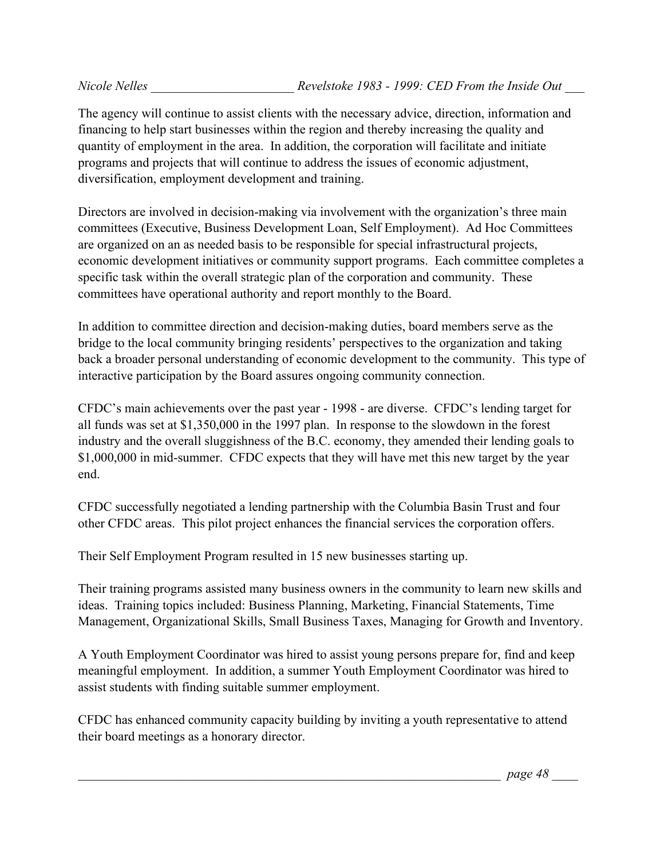The agency will continue to assist clients with the necessary advice, direction, information and financing to help start businesses within the region and thereby increasing the quality and quantity of employment in the area. In addition, the corporation will facilitate and initiate programs and projects that will continue to address the issues of economic adjustment, diversification, employment development and training.

Directors are involved in decision-making via involvement with the organization's three main committees (Executive, Business Development Loan, Self Employment). Ad Hoc Committees are organized on an as needed basis to be responsible for special infrastructural projects, economic development initiatives or community support programs. Each committee completes a specific task within the overall strategic plan of the corporation and community. These committees have operational authority and report monthly to the Board.

In addition to committee direction and decision-making duties, board members serve as the bridge to the local community bringing residents' perspectives to the organization and taking back a broader personal understanding of economic development to the community. This type of interactive participation by the Board assures ongoing community connection.

CFDC's main achievements over the past year - 1998 - are diverse. CFDC's lending target for all funds was set at \$1,350,000 in the 1997 plan. In response to the slowdown in the forest industry and the overall sluggishness of the B.C. economy, they amended their lending goals to \$1,000,000 in mid-summer. CFDC expects that they will have met this new target by the year end.

CFDC successfully negotiated a lending partnership with the Columbia Basin Trust and four other CFDC areas. This pilot project enhances the financial services the corporation offers.

Their Self Employment Program resulted in 15 new businesses starting up.

Their training programs assisted many business owners in the community to learn new skills and ideas. Training topics included: Business Planning, Marketing, Financial Statements, Time Management, Organizational Skills, Small Business Taxes, Managing for Growth and Inventory.

A Youth Employment Coordinator was hired to assist young persons prepare for, find and keep meaningful employment. In addition, a summer Youth Employment Coordinator was hired to assist students with finding suitable summer employment.

CFDC has enhanced community capacity building by inviting a youth representative to attend their board meetings as a honorary director.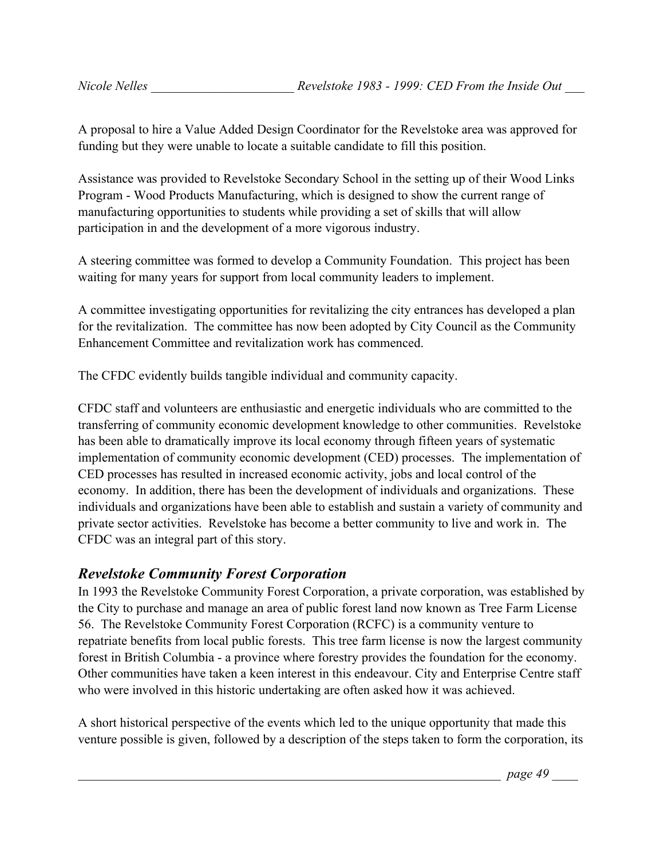A proposal to hire a Value Added Design Coordinator for the Revelstoke area was approved for funding but they were unable to locate a suitable candidate to fill this position.

Assistance was provided to Revelstoke Secondary School in the setting up of their Wood Links Program - Wood Products Manufacturing, which is designed to show the current range of manufacturing opportunities to students while providing a set of skills that will allow participation in and the development of a more vigorous industry.

A steering committee was formed to develop a Community Foundation. This project has been waiting for many years for support from local community leaders to implement.

A committee investigating opportunities for revitalizing the city entrances has developed a plan for the revitalization. The committee has now been adopted by City Council as the Community Enhancement Committee and revitalization work has commenced.

The CFDC evidently builds tangible individual and community capacity.

CFDC staff and volunteers are enthusiastic and energetic individuals who are committed to the transferring of community economic development knowledge to other communities. Revelstoke has been able to dramatically improve its local economy through fifteen years of systematic implementation of community economic development (CED) processes. The implementation of CED processes has resulted in increased economic activity, jobs and local control of the economy. In addition, there has been the development of individuals and organizations. These individuals and organizations have been able to establish and sustain a variety of community and private sector activities. Revelstoke has become a better community to live and work in. The CFDC was an integral part of this story.

#### *Revelstoke Community Forest Corporation*

In 1993 the Revelstoke Community Forest Corporation, a private corporation, was established by the City to purchase and manage an area of public forest land now known as Tree Farm License 56. The Revelstoke Community Forest Corporation (RCFC) is a community venture to repatriate benefits from local public forests. This tree farm license is now the largest community forest in British Columbia - a province where forestry provides the foundation for the economy. Other communities have taken a keen interest in this endeavour. City and Enterprise Centre staff who were involved in this historic undertaking are often asked how it was achieved.

A short historical perspective of the events which led to the unique opportunity that made this venture possible is given, followed by a description of the steps taken to form the corporation, its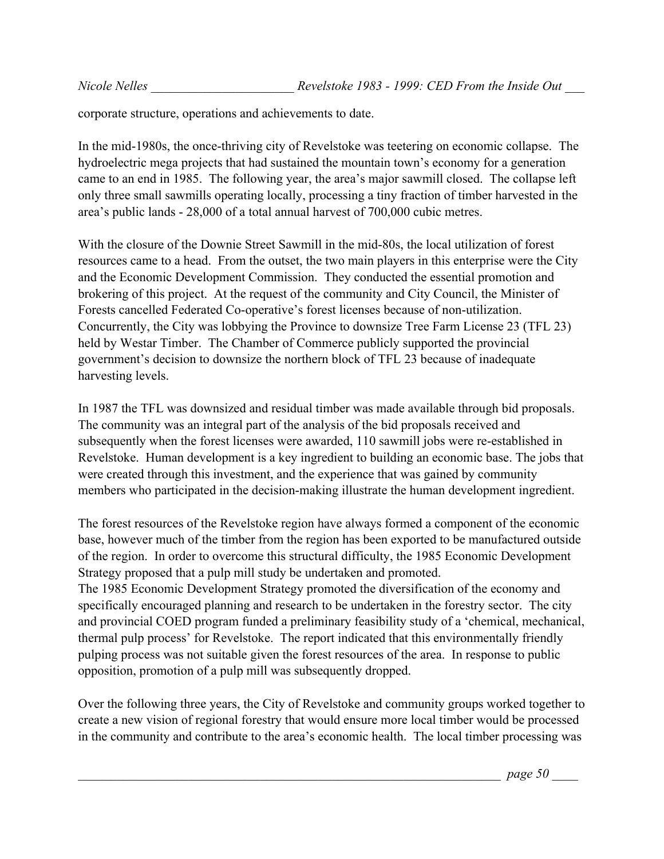corporate structure, operations and achievements to date.

In the mid-1980s, the once-thriving city of Revelstoke was teetering on economic collapse. The hydroelectric mega projects that had sustained the mountain town's economy for a generation came to an end in 1985. The following year, the area's major sawmill closed. The collapse left only three small sawmills operating locally, processing a tiny fraction of timber harvested in the area's public lands - 28,000 of a total annual harvest of 700,000 cubic metres.

With the closure of the Downie Street Sawmill in the mid-80s, the local utilization of forest resources came to a head. From the outset, the two main players in this enterprise were the City and the Economic Development Commission. They conducted the essential promotion and brokering of this project. At the request of the community and City Council, the Minister of Forests cancelled Federated Co-operative's forest licenses because of non-utilization. Concurrently, the City was lobbying the Province to downsize Tree Farm License 23 (TFL 23) held by Westar Timber. The Chamber of Commerce publicly supported the provincial government's decision to downsize the northern block of TFL 23 because of inadequate harvesting levels.

In 1987 the TFL was downsized and residual timber was made available through bid proposals. The community was an integral part of the analysis of the bid proposals received and subsequently when the forest licenses were awarded, 110 sawmill jobs were re-established in Revelstoke. Human development is a key ingredient to building an economic base. The jobs that were created through this investment, and the experience that was gained by community members who participated in the decision-making illustrate the human development ingredient.

The forest resources of the Revelstoke region have always formed a component of the economic base, however much of the timber from the region has been exported to be manufactured outside of the region. In order to overcome this structural difficulty, the 1985 Economic Development Strategy proposed that a pulp mill study be undertaken and promoted. The 1985 Economic Development Strategy promoted the diversification of the economy and specifically encouraged planning and research to be undertaken in the forestry sector. The city and provincial COED program funded a preliminary feasibility study of a 'chemical, mechanical, thermal pulp process' for Revelstoke. The report indicated that this environmentally friendly pulping process was not suitable given the forest resources of the area. In response to public

Over the following three years, the City of Revelstoke and community groups worked together to create a new vision of regional forestry that would ensure more local timber would be processed in the community and contribute to the area's economic health. The local timber processing was

opposition, promotion of a pulp mill was subsequently dropped.

\_\_\_\_\_\_\_\_\_\_\_\_\_\_\_\_\_\_\_\_\_\_\_\_\_\_\_\_\_\_\_\_\_\_\_\_\_\_\_\_\_\_\_\_\_\_\_\_\_\_\_\_\_\_\_\_\_\_\_\_\_\_\_\_\_ *page 50* \_\_\_\_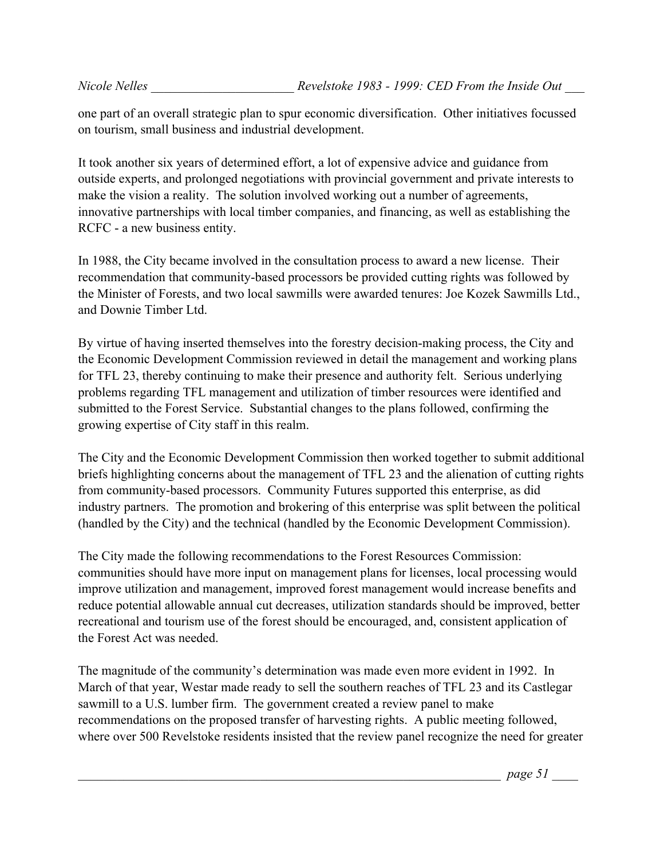one part of an overall strategic plan to spur economic diversification. Other initiatives focussed on tourism, small business and industrial development.

It took another six years of determined effort, a lot of expensive advice and guidance from outside experts, and prolonged negotiations with provincial government and private interests to make the vision a reality. The solution involved working out a number of agreements, innovative partnerships with local timber companies, and financing, as well as establishing the RCFC - a new business entity.

In 1988, the City became involved in the consultation process to award a new license. Their recommendation that community-based processors be provided cutting rights was followed by the Minister of Forests, and two local sawmills were awarded tenures: Joe Kozek Sawmills Ltd., and Downie Timber Ltd.

By virtue of having inserted themselves into the forestry decision-making process, the City and the Economic Development Commission reviewed in detail the management and working plans for TFL 23, thereby continuing to make their presence and authority felt. Serious underlying problems regarding TFL management and utilization of timber resources were identified and submitted to the Forest Service. Substantial changes to the plans followed, confirming the growing expertise of City staff in this realm.

The City and the Economic Development Commission then worked together to submit additional briefs highlighting concerns about the management of TFL 23 and the alienation of cutting rights from community-based processors. Community Futures supported this enterprise, as did industry partners. The promotion and brokering of this enterprise was split between the political (handled by the City) and the technical (handled by the Economic Development Commission).

The City made the following recommendations to the Forest Resources Commission: communities should have more input on management plans for licenses, local processing would improve utilization and management, improved forest management would increase benefits and reduce potential allowable annual cut decreases, utilization standards should be improved, better recreational and tourism use of the forest should be encouraged, and, consistent application of the Forest Act was needed.

The magnitude of the community's determination was made even more evident in 1992. In March of that year, Westar made ready to sell the southern reaches of TFL 23 and its Castlegar sawmill to a U.S. lumber firm. The government created a review panel to make recommendations on the proposed transfer of harvesting rights. A public meeting followed, where over 500 Revelstoke residents insisted that the review panel recognize the need for greater

\_\_\_\_\_\_\_\_\_\_\_\_\_\_\_\_\_\_\_\_\_\_\_\_\_\_\_\_\_\_\_\_\_\_\_\_\_\_\_\_\_\_\_\_\_\_\_\_\_\_\_\_\_\_\_\_\_\_\_\_\_\_\_\_\_ *page 51* \_\_\_\_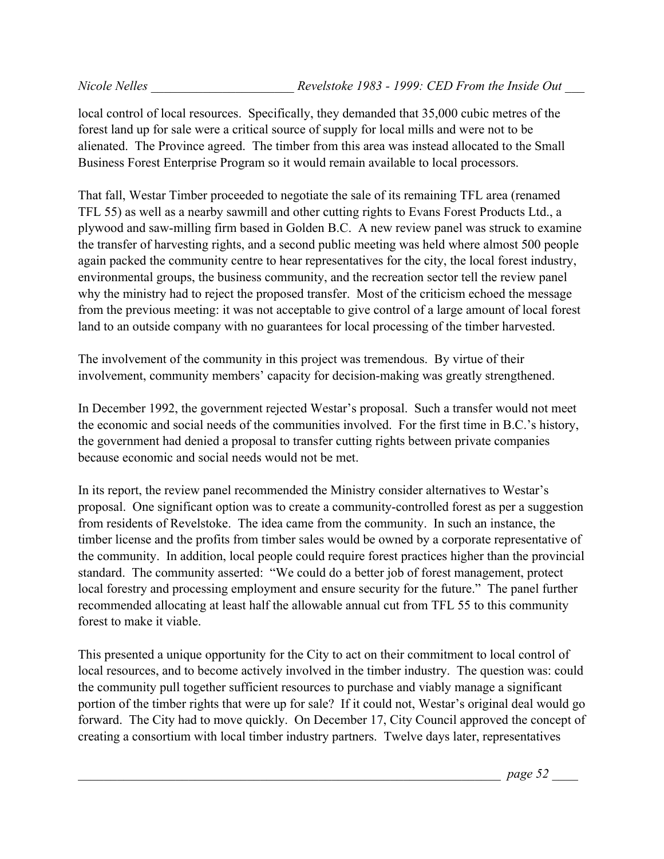local control of local resources. Specifically, they demanded that 35,000 cubic metres of the forest land up for sale were a critical source of supply for local mills and were not to be alienated. The Province agreed. The timber from this area was instead allocated to the Small Business Forest Enterprise Program so it would remain available to local processors.

That fall, Westar Timber proceeded to negotiate the sale of its remaining TFL area (renamed TFL 55) as well as a nearby sawmill and other cutting rights to Evans Forest Products Ltd., a plywood and saw-milling firm based in Golden B.C. A new review panel was struck to examine the transfer of harvesting rights, and a second public meeting was held where almost 500 people again packed the community centre to hear representatives for the city, the local forest industry, environmental groups, the business community, and the recreation sector tell the review panel why the ministry had to reject the proposed transfer. Most of the criticism echoed the message from the previous meeting: it was not acceptable to give control of a large amount of local forest land to an outside company with no guarantees for local processing of the timber harvested.

The involvement of the community in this project was tremendous. By virtue of their involvement, community members' capacity for decision-making was greatly strengthened.

In December 1992, the government rejected Westar's proposal. Such a transfer would not meet the economic and social needs of the communities involved. For the first time in B.C.'s history, the government had denied a proposal to transfer cutting rights between private companies because economic and social needs would not be met.

In its report, the review panel recommended the Ministry consider alternatives to Westar's proposal. One significant option was to create a community-controlled forest as per a suggestion from residents of Revelstoke. The idea came from the community. In such an instance, the timber license and the profits from timber sales would be owned by a corporate representative of the community. In addition, local people could require forest practices higher than the provincial standard. The community asserted: "We could do a better job of forest management, protect local forestry and processing employment and ensure security for the future." The panel further recommended allocating at least half the allowable annual cut from TFL 55 to this community forest to make it viable.

This presented a unique opportunity for the City to act on their commitment to local control of local resources, and to become actively involved in the timber industry. The question was: could the community pull together sufficient resources to purchase and viably manage a significant portion of the timber rights that were up for sale? If it could not, Westar's original deal would go forward. The City had to move quickly. On December 17, City Council approved the concept of creating a consortium with local timber industry partners. Twelve days later, representatives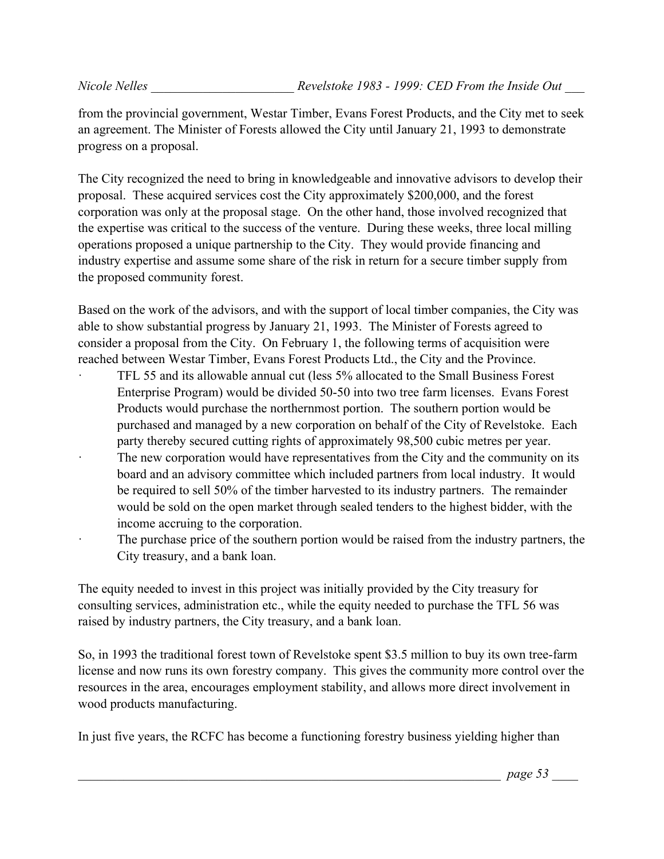from the provincial government, Westar Timber, Evans Forest Products, and the City met to seek an agreement. The Minister of Forests allowed the City until January 21, 1993 to demonstrate progress on a proposal.

The City recognized the need to bring in knowledgeable and innovative advisors to develop their proposal. These acquired services cost the City approximately \$200,000, and the forest corporation was only at the proposal stage. On the other hand, those involved recognized that the expertise was critical to the success of the venture. During these weeks, three local milling operations proposed a unique partnership to the City. They would provide financing and industry expertise and assume some share of the risk in return for a secure timber supply from the proposed community forest.

Based on the work of the advisors, and with the support of local timber companies, the City was able to show substantial progress by January 21, 1993. The Minister of Forests agreed to consider a proposal from the City. On February 1, the following terms of acquisition were reached between Westar Timber, Evans Forest Products Ltd., the City and the Province.

- TFL 55 and its allowable annual cut (less 5% allocated to the Small Business Forest Enterprise Program) would be divided 50-50 into two tree farm licenses. Evans Forest Products would purchase the northernmost portion. The southern portion would be purchased and managed by a new corporation on behalf of the City of Revelstoke. Each party thereby secured cutting rights of approximately 98,500 cubic metres per year.
- The new corporation would have representatives from the City and the community on its board and an advisory committee which included partners from local industry. It would be required to sell 50% of the timber harvested to its industry partners. The remainder would be sold on the open market through sealed tenders to the highest bidder, with the income accruing to the corporation.
- The purchase price of the southern portion would be raised from the industry partners, the City treasury, and a bank loan.

The equity needed to invest in this project was initially provided by the City treasury for consulting services, administration etc., while the equity needed to purchase the TFL 56 was raised by industry partners, the City treasury, and a bank loan.

So, in 1993 the traditional forest town of Revelstoke spent \$3.5 million to buy its own tree-farm license and now runs its own forestry company. This gives the community more control over the resources in the area, encourages employment stability, and allows more direct involvement in wood products manufacturing.

In just five years, the RCFC has become a functioning forestry business yielding higher than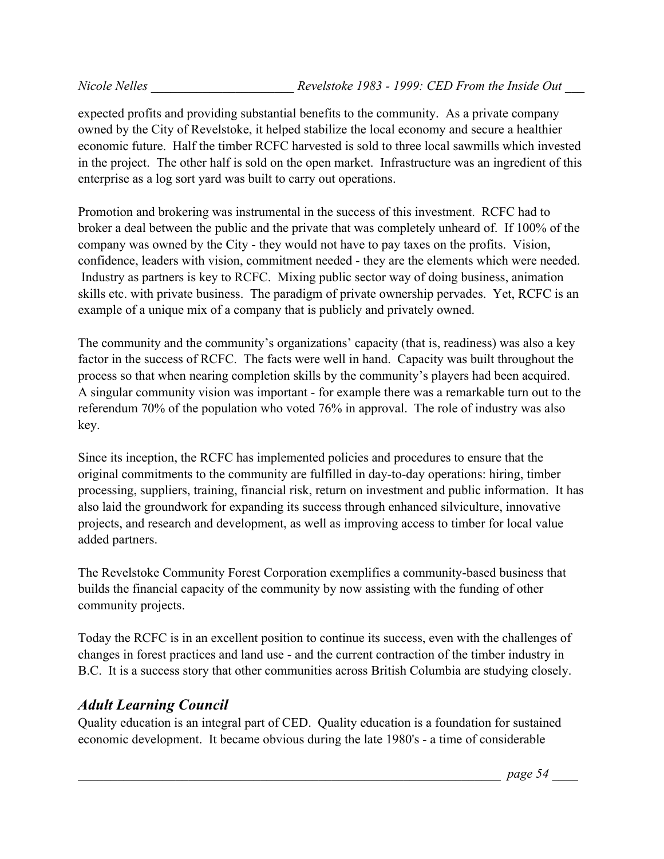expected profits and providing substantial benefits to the community. As a private company owned by the City of Revelstoke, it helped stabilize the local economy and secure a healthier economic future. Half the timber RCFC harvested is sold to three local sawmills which invested in the project. The other half is sold on the open market. Infrastructure was an ingredient of this enterprise as a log sort yard was built to carry out operations.

Promotion and brokering was instrumental in the success of this investment. RCFC had to broker a deal between the public and the private that was completely unheard of. If 100% of the company was owned by the City - they would not have to pay taxes on the profits. Vision, confidence, leaders with vision, commitment needed - they are the elements which were needed. Industry as partners is key to RCFC. Mixing public sector way of doing business, animation skills etc. with private business. The paradigm of private ownership pervades. Yet, RCFC is an example of a unique mix of a company that is publicly and privately owned.

The community and the community's organizations' capacity (that is, readiness) was also a key factor in the success of RCFC. The facts were well in hand. Capacity was built throughout the process so that when nearing completion skills by the community's players had been acquired. A singular community vision was important - for example there was a remarkable turn out to the referendum 70% of the population who voted 76% in approval. The role of industry was also key.

Since its inception, the RCFC has implemented policies and procedures to ensure that the original commitments to the community are fulfilled in day-to-day operations: hiring, timber processing, suppliers, training, financial risk, return on investment and public information. It has also laid the groundwork for expanding its success through enhanced silviculture, innovative projects, and research and development, as well as improving access to timber for local value added partners.

The Revelstoke Community Forest Corporation exemplifies a community-based business that builds the financial capacity of the community by now assisting with the funding of other community projects.

Today the RCFC is in an excellent position to continue its success, even with the challenges of changes in forest practices and land use - and the current contraction of the timber industry in B.C. It is a success story that other communities across British Columbia are studying closely.

## *Adult Learning Council*

Quality education is an integral part of CED. Quality education is a foundation for sustained economic development. It became obvious during the late 1980's - a time of considerable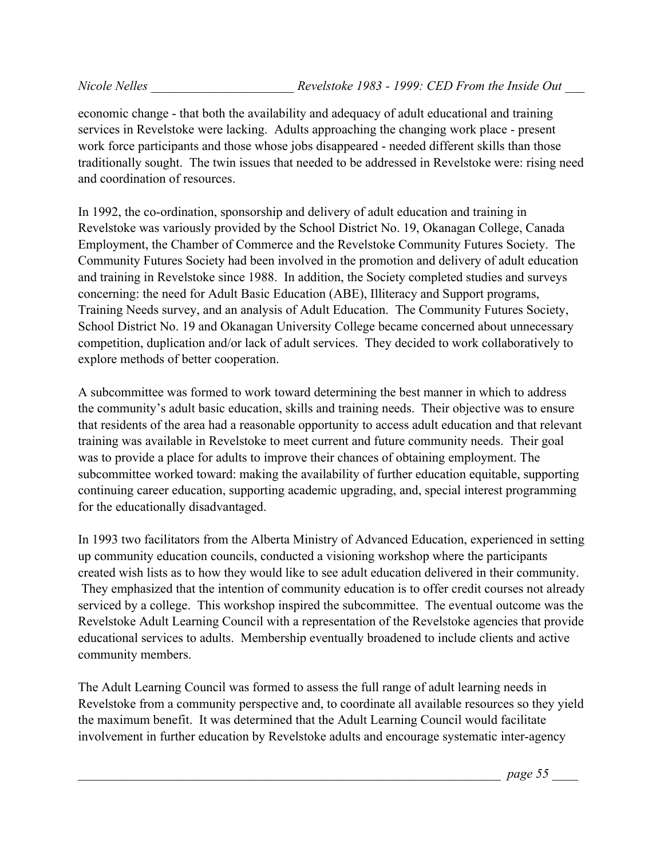economic change - that both the availability and adequacy of adult educational and training services in Revelstoke were lacking. Adults approaching the changing work place - present work force participants and those whose jobs disappeared - needed different skills than those traditionally sought. The twin issues that needed to be addressed in Revelstoke were: rising need and coordination of resources.

In 1992, the co-ordination, sponsorship and delivery of adult education and training in Revelstoke was variously provided by the School District No. 19, Okanagan College, Canada Employment, the Chamber of Commerce and the Revelstoke Community Futures Society. The Community Futures Society had been involved in the promotion and delivery of adult education and training in Revelstoke since 1988. In addition, the Society completed studies and surveys concerning: the need for Adult Basic Education (ABE), Illiteracy and Support programs, Training Needs survey, and an analysis of Adult Education. The Community Futures Society, School District No. 19 and Okanagan University College became concerned about unnecessary competition, duplication and/or lack of adult services. They decided to work collaboratively to explore methods of better cooperation.

A subcommittee was formed to work toward determining the best manner in which to address the community's adult basic education, skills and training needs. Their objective was to ensure that residents of the area had a reasonable opportunity to access adult education and that relevant training was available in Revelstoke to meet current and future community needs. Their goal was to provide a place for adults to improve their chances of obtaining employment. The subcommittee worked toward: making the availability of further education equitable, supporting continuing career education, supporting academic upgrading, and, special interest programming for the educationally disadvantaged.

In 1993 two facilitators from the Alberta Ministry of Advanced Education, experienced in setting up community education councils, conducted a visioning workshop where the participants created wish lists as to how they would like to see adult education delivered in their community. They emphasized that the intention of community education is to offer credit courses not already serviced by a college. This workshop inspired the subcommittee. The eventual outcome was the Revelstoke Adult Learning Council with a representation of the Revelstoke agencies that provide educational services to adults. Membership eventually broadened to include clients and active community members.

The Adult Learning Council was formed to assess the full range of adult learning needs in Revelstoke from a community perspective and, to coordinate all available resources so they yield the maximum benefit. It was determined that the Adult Learning Council would facilitate involvement in further education by Revelstoke adults and encourage systematic inter-agency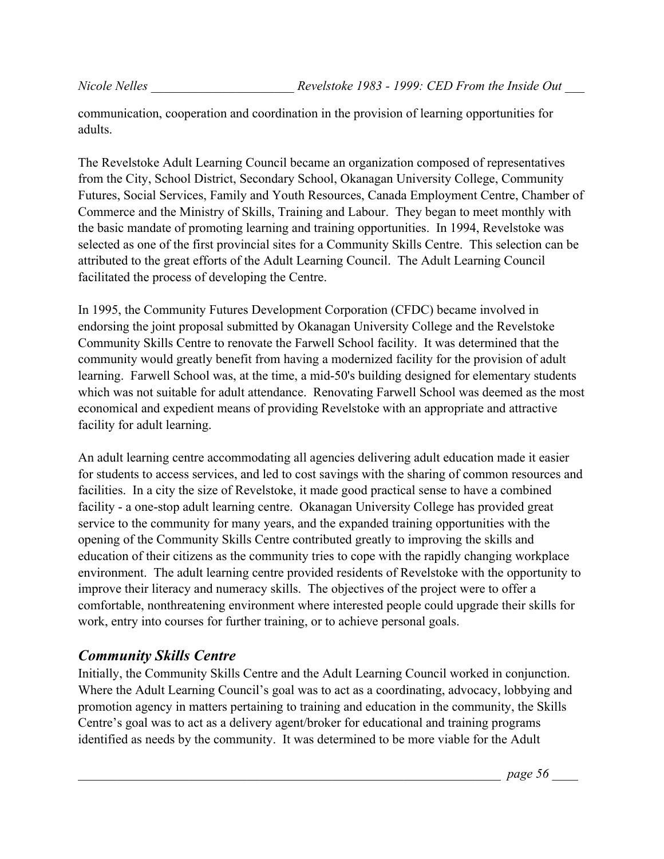communication, cooperation and coordination in the provision of learning opportunities for adults.

The Revelstoke Adult Learning Council became an organization composed of representatives from the City, School District, Secondary School, Okanagan University College, Community Futures, Social Services, Family and Youth Resources, Canada Employment Centre, Chamber of Commerce and the Ministry of Skills, Training and Labour. They began to meet monthly with the basic mandate of promoting learning and training opportunities. In 1994, Revelstoke was selected as one of the first provincial sites for a Community Skills Centre. This selection can be attributed to the great efforts of the Adult Learning Council. The Adult Learning Council facilitated the process of developing the Centre.

In 1995, the Community Futures Development Corporation (CFDC) became involved in endorsing the joint proposal submitted by Okanagan University College and the Revelstoke Community Skills Centre to renovate the Farwell School facility. It was determined that the community would greatly benefit from having a modernized facility for the provision of adult learning. Farwell School was, at the time, a mid-50's building designed for elementary students which was not suitable for adult attendance. Renovating Farwell School was deemed as the most economical and expedient means of providing Revelstoke with an appropriate and attractive facility for adult learning.

An adult learning centre accommodating all agencies delivering adult education made it easier for students to access services, and led to cost savings with the sharing of common resources and facilities. In a city the size of Revelstoke, it made good practical sense to have a combined facility - a one-stop adult learning centre. Okanagan University College has provided great service to the community for many years, and the expanded training opportunities with the opening of the Community Skills Centre contributed greatly to improving the skills and education of their citizens as the community tries to cope with the rapidly changing workplace environment. The adult learning centre provided residents of Revelstoke with the opportunity to improve their literacy and numeracy skills. The objectives of the project were to offer a comfortable, nonthreatening environment where interested people could upgrade their skills for work, entry into courses for further training, or to achieve personal goals.

## *Community Skills Centre*

Initially, the Community Skills Centre and the Adult Learning Council worked in conjunction. Where the Adult Learning Council's goal was to act as a coordinating, advocacy, lobbying and promotion agency in matters pertaining to training and education in the community, the Skills Centre's goal was to act as a delivery agent/broker for educational and training programs identified as needs by the community. It was determined to be more viable for the Adult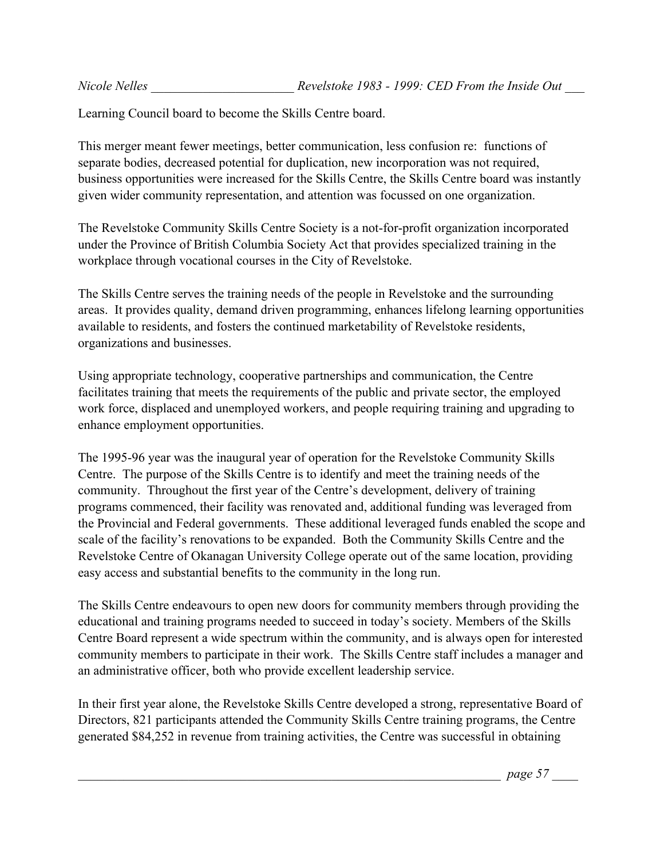Learning Council board to become the Skills Centre board.

This merger meant fewer meetings, better communication, less confusion re: functions of separate bodies, decreased potential for duplication, new incorporation was not required, business opportunities were increased for the Skills Centre, the Skills Centre board was instantly given wider community representation, and attention was focussed on one organization.

The Revelstoke Community Skills Centre Society is a not-for-profit organization incorporated under the Province of British Columbia Society Act that provides specialized training in the workplace through vocational courses in the City of Revelstoke.

The Skills Centre serves the training needs of the people in Revelstoke and the surrounding areas. It provides quality, demand driven programming, enhances lifelong learning opportunities available to residents, and fosters the continued marketability of Revelstoke residents, organizations and businesses.

Using appropriate technology, cooperative partnerships and communication, the Centre facilitates training that meets the requirements of the public and private sector, the employed work force, displaced and unemployed workers, and people requiring training and upgrading to enhance employment opportunities.

The 1995-96 year was the inaugural year of operation for the Revelstoke Community Skills Centre. The purpose of the Skills Centre is to identify and meet the training needs of the community. Throughout the first year of the Centre's development, delivery of training programs commenced, their facility was renovated and, additional funding was leveraged from the Provincial and Federal governments. These additional leveraged funds enabled the scope and scale of the facility's renovations to be expanded. Both the Community Skills Centre and the Revelstoke Centre of Okanagan University College operate out of the same location, providing easy access and substantial benefits to the community in the long run.

The Skills Centre endeavours to open new doors for community members through providing the educational and training programs needed to succeed in today's society. Members of the Skills Centre Board represent a wide spectrum within the community, and is always open for interested community members to participate in their work. The Skills Centre staff includes a manager and an administrative officer, both who provide excellent leadership service.

In their first year alone, the Revelstoke Skills Centre developed a strong, representative Board of Directors, 821 participants attended the Community Skills Centre training programs, the Centre generated \$84,252 in revenue from training activities, the Centre was successful in obtaining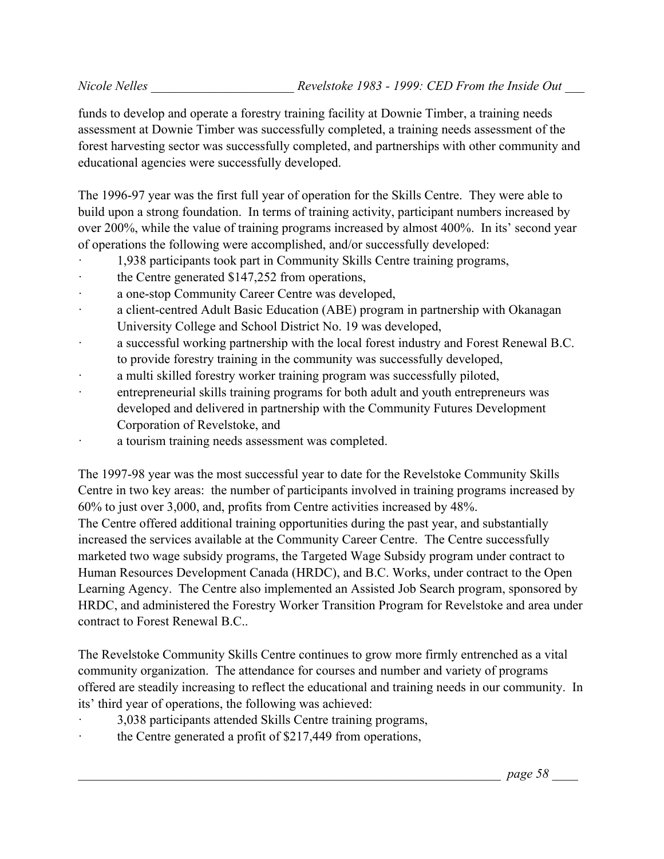funds to develop and operate a forestry training facility at Downie Timber, a training needs assessment at Downie Timber was successfully completed, a training needs assessment of the forest harvesting sector was successfully completed, and partnerships with other community and educational agencies were successfully developed.

The 1996-97 year was the first full year of operation for the Skills Centre. They were able to build upon a strong foundation. In terms of training activity, participant numbers increased by over 200%, while the value of training programs increased by almost 400%. In its' second year of operations the following were accomplished, and/or successfully developed:

- · 1,938 participants took part in Community Skills Centre training programs,
- the Centre generated \$147,252 from operations,
- a one-stop Community Career Centre was developed,
- a client-centred Adult Basic Education (ABE) program in partnership with Okanagan University College and School District No. 19 was developed,
- · a successful working partnership with the local forest industry and Forest Renewal B.C. to provide forestry training in the community was successfully developed,
- · a multi skilled forestry worker training program was successfully piloted,
- · entrepreneurial skills training programs for both adult and youth entrepreneurs was developed and delivered in partnership with the Community Futures Development Corporation of Revelstoke, and
- a tourism training needs assessment was completed.

The 1997-98 year was the most successful year to date for the Revelstoke Community Skills Centre in two key areas: the number of participants involved in training programs increased by 60% to just over 3,000, and, profits from Centre activities increased by 48%. The Centre offered additional training opportunities during the past year, and substantially increased the services available at the Community Career Centre. The Centre successfully marketed two wage subsidy programs, the Targeted Wage Subsidy program under contract to Human Resources Development Canada (HRDC), and B.C. Works, under contract to the Open Learning Agency. The Centre also implemented an Assisted Job Search program, sponsored by HRDC, and administered the Forestry Worker Transition Program for Revelstoke and area under contract to Forest Renewal B.C..

The Revelstoke Community Skills Centre continues to grow more firmly entrenched as a vital community organization. The attendance for courses and number and variety of programs offered are steadily increasing to reflect the educational and training needs in our community. In its' third year of operations, the following was achieved:

- · 3,038 participants attended Skills Centre training programs,
- the Centre generated a profit of \$217,449 from operations,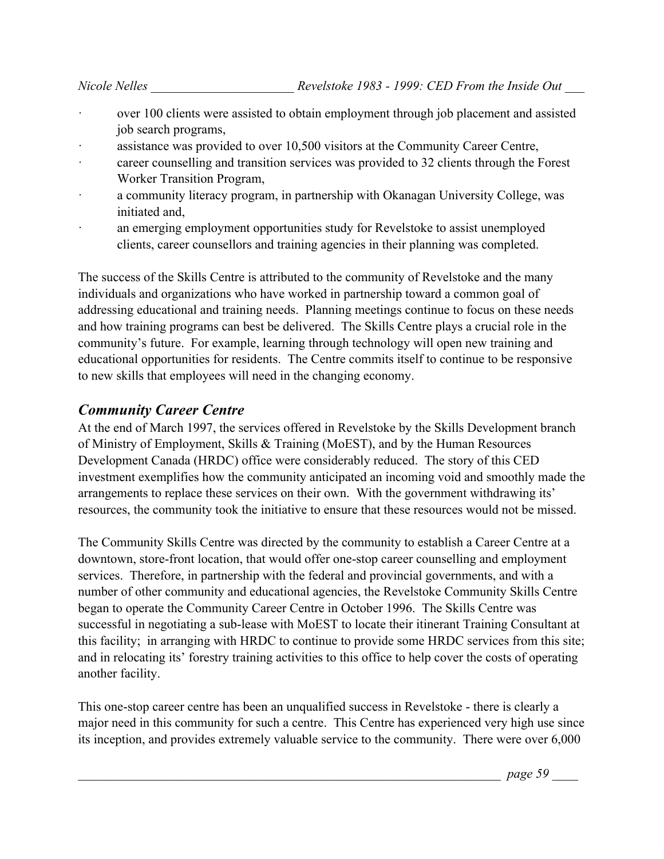- over 100 clients were assisted to obtain employment through job placement and assisted job search programs,
- · assistance was provided to over 10,500 visitors at the Community Career Centre,
- · career counselling and transition services was provided to 32 clients through the Forest Worker Transition Program,
- · a community literacy program, in partnership with Okanagan University College, was initiated and,
- an emerging employment opportunities study for Revelstoke to assist unemployed clients, career counsellors and training agencies in their planning was completed.

The success of the Skills Centre is attributed to the community of Revelstoke and the many individuals and organizations who have worked in partnership toward a common goal of addressing educational and training needs. Planning meetings continue to focus on these needs and how training programs can best be delivered. The Skills Centre plays a crucial role in the community's future. For example, learning through technology will open new training and educational opportunities for residents. The Centre commits itself to continue to be responsive to new skills that employees will need in the changing economy.

#### *Community Career Centre*

At the end of March 1997, the services offered in Revelstoke by the Skills Development branch of Ministry of Employment, Skills & Training (MoEST), and by the Human Resources Development Canada (HRDC) office were considerably reduced. The story of this CED investment exemplifies how the community anticipated an incoming void and smoothly made the arrangements to replace these services on their own. With the government withdrawing its' resources, the community took the initiative to ensure that these resources would not be missed.

The Community Skills Centre was directed by the community to establish a Career Centre at a downtown, store-front location, that would offer one-stop career counselling and employment services. Therefore, in partnership with the federal and provincial governments, and with a number of other community and educational agencies, the Revelstoke Community Skills Centre began to operate the Community Career Centre in October 1996. The Skills Centre was successful in negotiating a sub-lease with MoEST to locate their itinerant Training Consultant at this facility; in arranging with HRDC to continue to provide some HRDC services from this site; and in relocating its' forestry training activities to this office to help cover the costs of operating another facility.

This one-stop career centre has been an unqualified success in Revelstoke - there is clearly a major need in this community for such a centre. This Centre has experienced very high use since its inception, and provides extremely valuable service to the community. There were over 6,000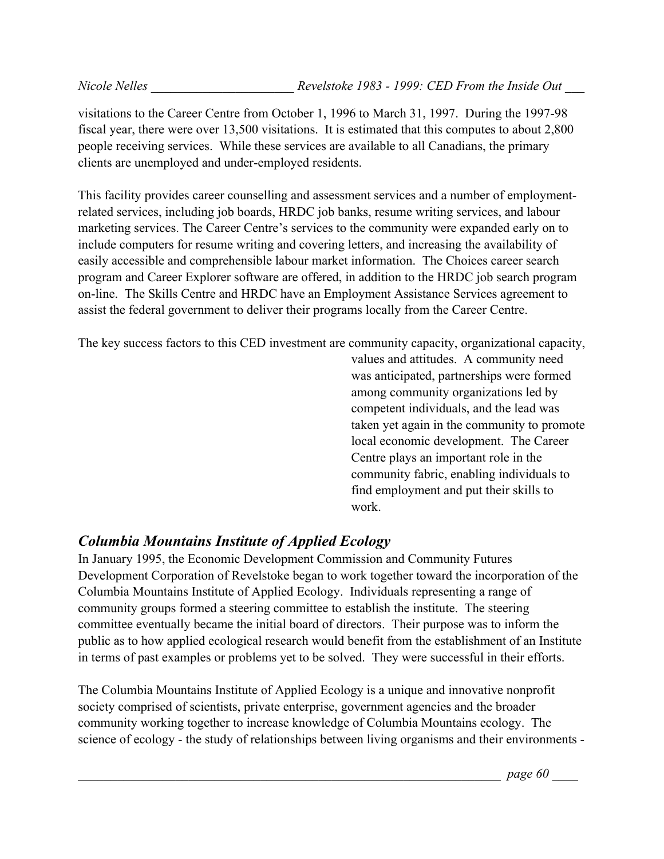visitations to the Career Centre from October 1, 1996 to March 31, 1997. During the 1997-98 fiscal year, there were over 13,500 visitations. It is estimated that this computes to about 2,800 people receiving services. While these services are available to all Canadians, the primary clients are unemployed and under-employed residents.

This facility provides career counselling and assessment services and a number of employmentrelated services, including job boards, HRDC job banks, resume writing services, and labour marketing services. The Career Centre's services to the community were expanded early on to include computers for resume writing and covering letters, and increasing the availability of easily accessible and comprehensible labour market information. The Choices career search program and Career Explorer software are offered, in addition to the HRDC job search program on-line. The Skills Centre and HRDC have an Employment Assistance Services agreement to assist the federal government to deliver their programs locally from the Career Centre.

The key success factors to this CED investment are community capacity, organizational capacity,

values and attitudes. A community need was anticipated, partnerships were formed among community organizations led by competent individuals, and the lead was taken yet again in the community to promote local economic development. The Career Centre plays an important role in the community fabric, enabling individuals to find employment and put their skills to work.

# *Columbia Mountains Institute of Applied Ecology*

In January 1995, the Economic Development Commission and Community Futures Development Corporation of Revelstoke began to work together toward the incorporation of the Columbia Mountains Institute of Applied Ecology. Individuals representing a range of community groups formed a steering committee to establish the institute. The steering committee eventually became the initial board of directors. Their purpose was to inform the public as to how applied ecological research would benefit from the establishment of an Institute in terms of past examples or problems yet to be solved. They were successful in their efforts.

The Columbia Mountains Institute of Applied Ecology is a unique and innovative nonprofit society comprised of scientists, private enterprise, government agencies and the broader community working together to increase knowledge of Columbia Mountains ecology. The science of ecology - the study of relationships between living organisms and their environments -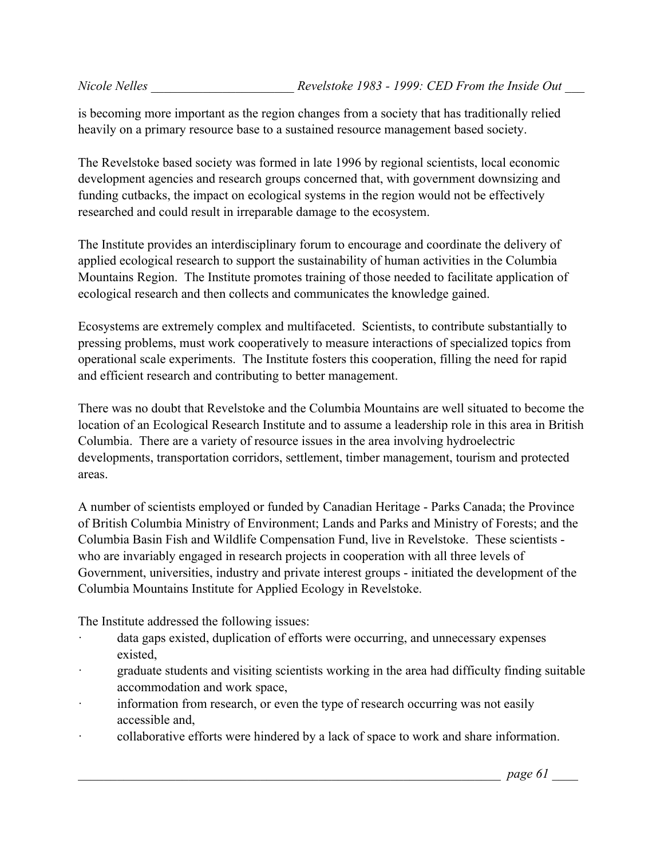is becoming more important as the region changes from a society that has traditionally relied heavily on a primary resource base to a sustained resource management based society.

The Revelstoke based society was formed in late 1996 by regional scientists, local economic development agencies and research groups concerned that, with government downsizing and funding cutbacks, the impact on ecological systems in the region would not be effectively researched and could result in irreparable damage to the ecosystem.

The Institute provides an interdisciplinary forum to encourage and coordinate the delivery of applied ecological research to support the sustainability of human activities in the Columbia Mountains Region. The Institute promotes training of those needed to facilitate application of ecological research and then collects and communicates the knowledge gained.

Ecosystems are extremely complex and multifaceted. Scientists, to contribute substantially to pressing problems, must work cooperatively to measure interactions of specialized topics from operational scale experiments. The Institute fosters this cooperation, filling the need for rapid and efficient research and contributing to better management.

There was no doubt that Revelstoke and the Columbia Mountains are well situated to become the location of an Ecological Research Institute and to assume a leadership role in this area in British Columbia. There are a variety of resource issues in the area involving hydroelectric developments, transportation corridors, settlement, timber management, tourism and protected areas.

A number of scientists employed or funded by Canadian Heritage - Parks Canada; the Province of British Columbia Ministry of Environment; Lands and Parks and Ministry of Forests; and the Columbia Basin Fish and Wildlife Compensation Fund, live in Revelstoke. These scientists who are invariably engaged in research projects in cooperation with all three levels of Government, universities, industry and private interest groups - initiated the development of the Columbia Mountains Institute for Applied Ecology in Revelstoke.

The Institute addressed the following issues:

- · data gaps existed, duplication of efforts were occurring, and unnecessary expenses existed,
- graduate students and visiting scientists working in the area had difficulty finding suitable accommodation and work space,
- information from research, or even the type of research occurring was not easily accessible and,
- collaborative efforts were hindered by a lack of space to work and share information.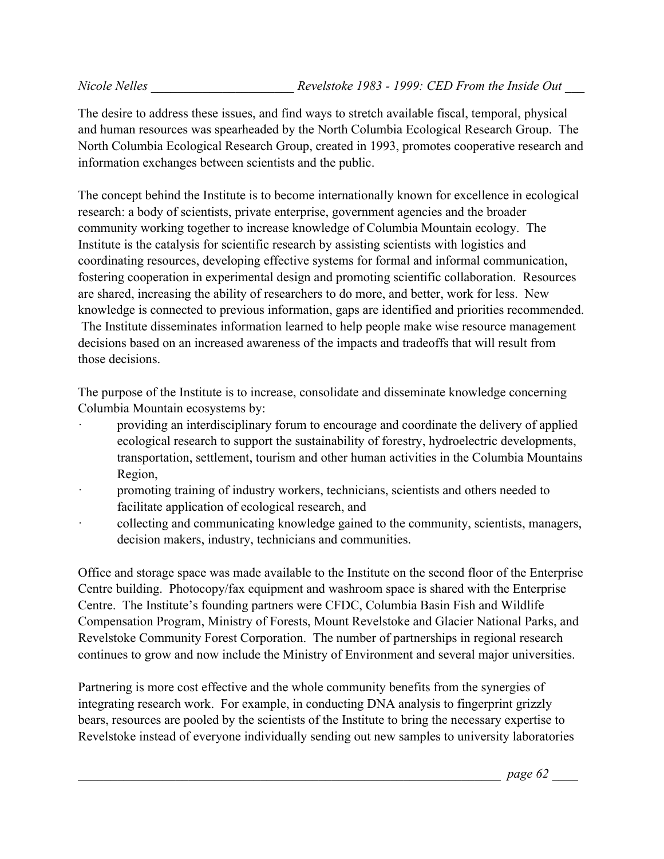The desire to address these issues, and find ways to stretch available fiscal, temporal, physical and human resources was spearheaded by the North Columbia Ecological Research Group. The North Columbia Ecological Research Group, created in 1993, promotes cooperative research and information exchanges between scientists and the public.

The concept behind the Institute is to become internationally known for excellence in ecological research: a body of scientists, private enterprise, government agencies and the broader community working together to increase knowledge of Columbia Mountain ecology. The Institute is the catalysis for scientific research by assisting scientists with logistics and coordinating resources, developing effective systems for formal and informal communication, fostering cooperation in experimental design and promoting scientific collaboration. Resources are shared, increasing the ability of researchers to do more, and better, work for less. New knowledge is connected to previous information, gaps are identified and priorities recommended. The Institute disseminates information learned to help people make wise resource management decisions based on an increased awareness of the impacts and tradeoffs that will result from those decisions.

The purpose of the Institute is to increase, consolidate and disseminate knowledge concerning Columbia Mountain ecosystems by:

- providing an interdisciplinary forum to encourage and coordinate the delivery of applied ecological research to support the sustainability of forestry, hydroelectric developments, transportation, settlement, tourism and other human activities in the Columbia Mountains Region,
- · promoting training of industry workers, technicians, scientists and others needed to facilitate application of ecological research, and
- · collecting and communicating knowledge gained to the community, scientists, managers, decision makers, industry, technicians and communities.

Office and storage space was made available to the Institute on the second floor of the Enterprise Centre building. Photocopy/fax equipment and washroom space is shared with the Enterprise Centre. The Institute's founding partners were CFDC, Columbia Basin Fish and Wildlife Compensation Program, Ministry of Forests, Mount Revelstoke and Glacier National Parks, and Revelstoke Community Forest Corporation. The number of partnerships in regional research continues to grow and now include the Ministry of Environment and several major universities.

Partnering is more cost effective and the whole community benefits from the synergies of integrating research work. For example, in conducting DNA analysis to fingerprint grizzly bears, resources are pooled by the scientists of the Institute to bring the necessary expertise to Revelstoke instead of everyone individually sending out new samples to university laboratories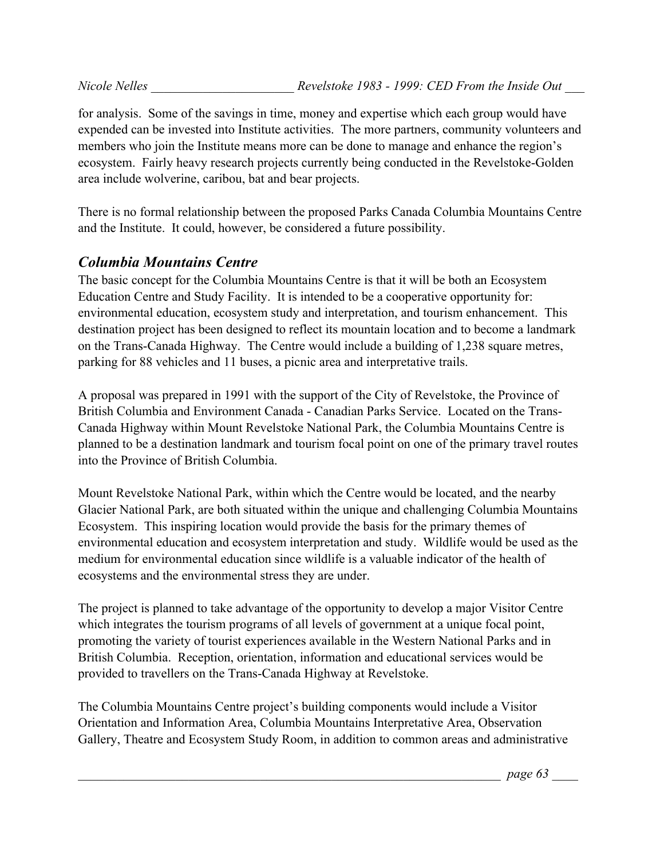for analysis. Some of the savings in time, money and expertise which each group would have expended can be invested into Institute activities. The more partners, community volunteers and members who join the Institute means more can be done to manage and enhance the region's ecosystem. Fairly heavy research projects currently being conducted in the Revelstoke-Golden area include wolverine, caribou, bat and bear projects.

There is no formal relationship between the proposed Parks Canada Columbia Mountains Centre and the Institute. It could, however, be considered a future possibility.

## *Columbia Mountains Centre*

The basic concept for the Columbia Mountains Centre is that it will be both an Ecosystem Education Centre and Study Facility. It is intended to be a cooperative opportunity for: environmental education, ecosystem study and interpretation, and tourism enhancement. This destination project has been designed to reflect its mountain location and to become a landmark on the Trans-Canada Highway. The Centre would include a building of 1,238 square metres, parking for 88 vehicles and 11 buses, a picnic area and interpretative trails.

A proposal was prepared in 1991 with the support of the City of Revelstoke, the Province of British Columbia and Environment Canada - Canadian Parks Service. Located on the Trans-Canada Highway within Mount Revelstoke National Park, the Columbia Mountains Centre is planned to be a destination landmark and tourism focal point on one of the primary travel routes into the Province of British Columbia.

Mount Revelstoke National Park, within which the Centre would be located, and the nearby Glacier National Park, are both situated within the unique and challenging Columbia Mountains Ecosystem. This inspiring location would provide the basis for the primary themes of environmental education and ecosystem interpretation and study. Wildlife would be used as the medium for environmental education since wildlife is a valuable indicator of the health of ecosystems and the environmental stress they are under.

The project is planned to take advantage of the opportunity to develop a major Visitor Centre which integrates the tourism programs of all levels of government at a unique focal point, promoting the variety of tourist experiences available in the Western National Parks and in British Columbia. Reception, orientation, information and educational services would be provided to travellers on the Trans-Canada Highway at Revelstoke.

The Columbia Mountains Centre project's building components would include a Visitor Orientation and Information Area, Columbia Mountains Interpretative Area, Observation Gallery, Theatre and Ecosystem Study Room, in addition to common areas and administrative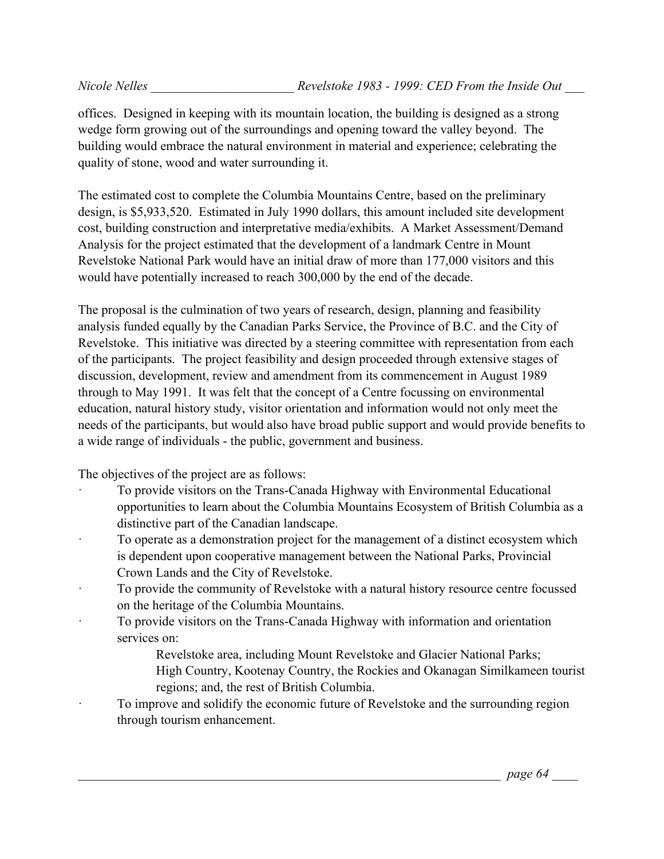offices. Designed in keeping with its mountain location, the building is designed as a strong wedge form growing out of the surroundings and opening toward the valley beyond. The building would embrace the natural environment in material and experience; celebrating the quality of stone, wood and water surrounding it.

The estimated cost to complete the Columbia Mountains Centre, based on the preliminary design, is \$5,933,520. Estimated in July 1990 dollars, this amount included site development cost, building construction and interpretative media/exhibits. A Market Assessment/Demand Analysis for the project estimated that the development of a landmark Centre in Mount Revelstoke National Park would have an initial draw of more than 177,000 visitors and this would have potentially increased to reach 300,000 by the end of the decade.

The proposal is the culmination of two years of research, design, planning and feasibility analysis funded equally by the Canadian Parks Service, the Province of B.C. and the City of Revelstoke. This initiative was directed by a steering committee with representation from each of the participants. The project feasibility and design proceeded through extensive stages of discussion, development, review and amendment from its commencement in August 1989 through to May 1991. It was felt that the concept of a Centre focussing on environmental education, natural history study, visitor orientation and information would not only meet the needs of the participants, but would also have broad public support and would provide benefits to a wide range of individuals - the public, government and business.

The objectives of the project are as follows:

- · To provide visitors on the Trans-Canada Highway with Environmental Educational opportunities to learn about the Columbia Mountains Ecosystem of British Columbia as a distinctive part of the Canadian landscape.
- To operate as a demonstration project for the management of a distinct ecosystem which is dependent upon cooperative management between the National Parks, Provincial Crown Lands and the City of Revelstoke.
- To provide the community of Revelstoke with a natural history resource centre focussed on the heritage of the Columbia Mountains.
- · To provide visitors on the Trans-Canada Highway with information and orientation services on:
	- Revelstoke area, including Mount Revelstoke and Glacier National Parks;
	- High Country, Kootenay Country, the Rockies and Okanagan Similkameen tourist regions; and, the rest of British Columbia.
- To improve and solidify the economic future of Revelstoke and the surrounding region through tourism enhancement.

\_\_\_\_\_\_\_\_\_\_\_\_\_\_\_\_\_\_\_\_\_\_\_\_\_\_\_\_\_\_\_\_\_\_\_\_\_\_\_\_\_\_\_\_\_\_\_\_\_\_\_\_\_\_\_\_\_\_\_\_\_\_\_\_\_ *page 64* \_\_\_\_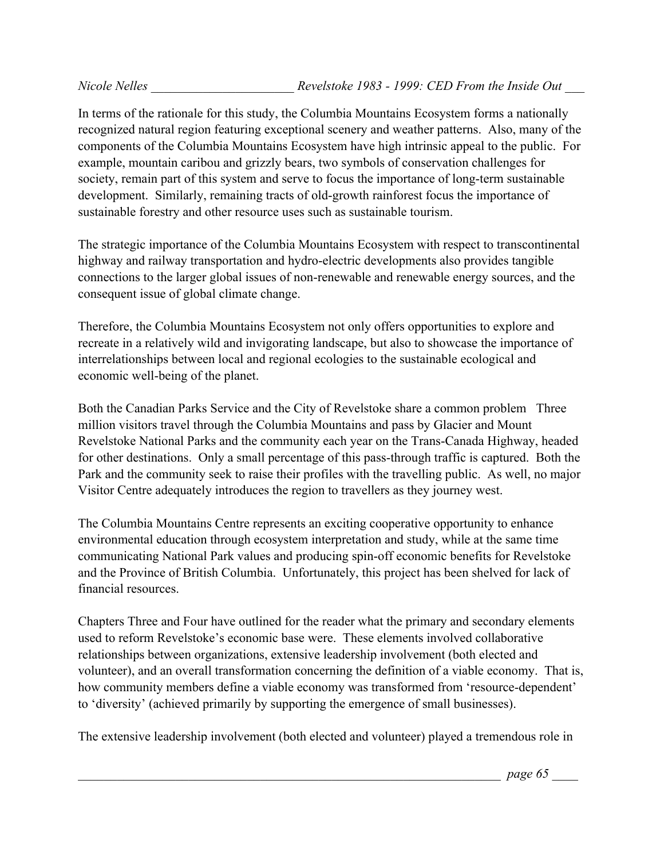In terms of the rationale for this study, the Columbia Mountains Ecosystem forms a nationally recognized natural region featuring exceptional scenery and weather patterns. Also, many of the components of the Columbia Mountains Ecosystem have high intrinsic appeal to the public. For example, mountain caribou and grizzly bears, two symbols of conservation challenges for society, remain part of this system and serve to focus the importance of long-term sustainable development. Similarly, remaining tracts of old-growth rainforest focus the importance of sustainable forestry and other resource uses such as sustainable tourism.

The strategic importance of the Columbia Mountains Ecosystem with respect to transcontinental highway and railway transportation and hydro-electric developments also provides tangible connections to the larger global issues of non-renewable and renewable energy sources, and the consequent issue of global climate change.

Therefore, the Columbia Mountains Ecosystem not only offers opportunities to explore and recreate in a relatively wild and invigorating landscape, but also to showcase the importance of interrelationships between local and regional ecologies to the sustainable ecological and economic well-being of the planet.

Both the Canadian Parks Service and the City of Revelstoke share a common problem Three million visitors travel through the Columbia Mountains and pass by Glacier and Mount Revelstoke National Parks and the community each year on the Trans-Canada Highway, headed for other destinations. Only a small percentage of this pass-through traffic is captured. Both the Park and the community seek to raise their profiles with the travelling public. As well, no major Visitor Centre adequately introduces the region to travellers as they journey west.

The Columbia Mountains Centre represents an exciting cooperative opportunity to enhance environmental education through ecosystem interpretation and study, while at the same time communicating National Park values and producing spin-off economic benefits for Revelstoke and the Province of British Columbia. Unfortunately, this project has been shelved for lack of financial resources.

Chapters Three and Four have outlined for the reader what the primary and secondary elements used to reform Revelstoke's economic base were. These elements involved collaborative relationships between organizations, extensive leadership involvement (both elected and volunteer), and an overall transformation concerning the definition of a viable economy. That is, how community members define a viable economy was transformed from 'resource-dependent' to 'diversity' (achieved primarily by supporting the emergence of small businesses).

The extensive leadership involvement (both elected and volunteer) played a tremendous role in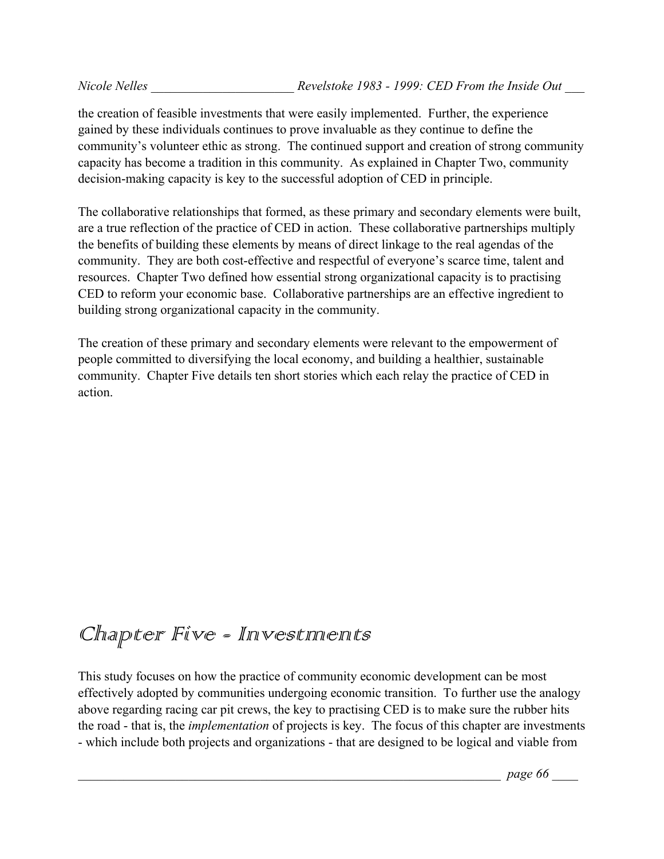the creation of feasible investments that were easily implemented. Further, the experience gained by these individuals continues to prove invaluable as they continue to define the community's volunteer ethic as strong. The continued support and creation of strong community capacity has become a tradition in this community. As explained in Chapter Two, community decision-making capacity is key to the successful adoption of CED in principle.

The collaborative relationships that formed, as these primary and secondary elements were built, are a true reflection of the practice of CED in action. These collaborative partnerships multiply the benefits of building these elements by means of direct linkage to the real agendas of the community. They are both cost-effective and respectful of everyone's scarce time, talent and resources. Chapter Two defined how essential strong organizational capacity is to practising CED to reform your economic base. Collaborative partnerships are an effective ingredient to building strong organizational capacity in the community.

The creation of these primary and secondary elements were relevant to the empowerment of people committed to diversifying the local economy, and building a healthier, sustainable community. Chapter Five details ten short stories which each relay the practice of CED in action.

# Chapter Five - Investinents

This study focuses on how the practice of community economic development can be most effectively adopted by communities undergoing economic transition. To further use the analogy above regarding racing car pit crews, the key to practising CED is to make sure the rubber hits the road - that is, the *implementation* of projects is key. The focus of this chapter are investments - which include both projects and organizations - that are designed to be logical and viable from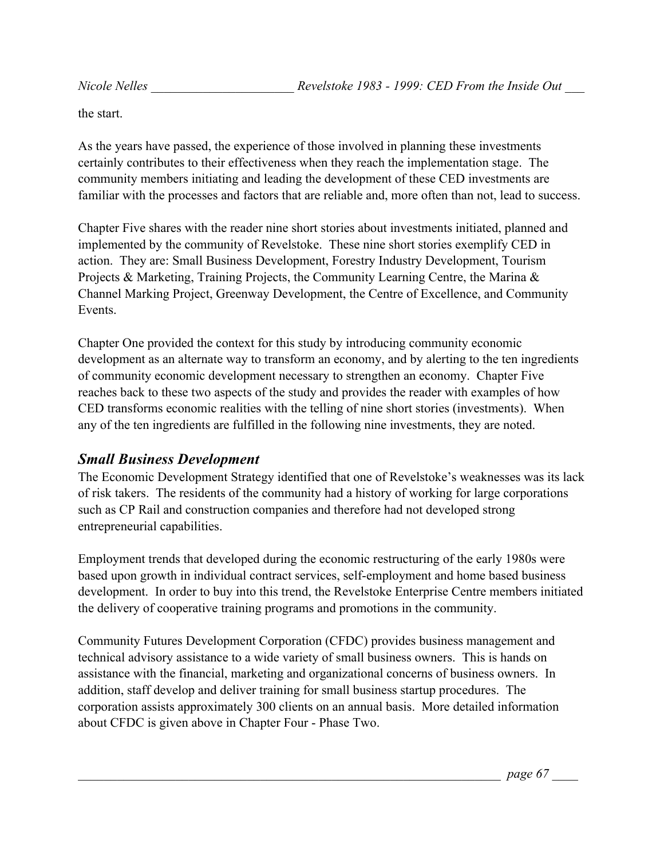the start.

As the years have passed, the experience of those involved in planning these investments certainly contributes to their effectiveness when they reach the implementation stage. The community members initiating and leading the development of these CED investments are familiar with the processes and factors that are reliable and, more often than not, lead to success.

Chapter Five shares with the reader nine short stories about investments initiated, planned and implemented by the community of Revelstoke. These nine short stories exemplify CED in action. They are: Small Business Development, Forestry Industry Development, Tourism Projects & Marketing, Training Projects, the Community Learning Centre, the Marina & Channel Marking Project, Greenway Development, the Centre of Excellence, and Community Events.

Chapter One provided the context for this study by introducing community economic development as an alternate way to transform an economy, and by alerting to the ten ingredients of community economic development necessary to strengthen an economy. Chapter Five reaches back to these two aspects of the study and provides the reader with examples of how CED transforms economic realities with the telling of nine short stories (investments). When any of the ten ingredients are fulfilled in the following nine investments, they are noted.

#### *Small Business Development*

The Economic Development Strategy identified that one of Revelstoke's weaknesses was its lack of risk takers. The residents of the community had a history of working for large corporations such as CP Rail and construction companies and therefore had not developed strong entrepreneurial capabilities.

Employment trends that developed during the economic restructuring of the early 1980s were based upon growth in individual contract services, self-employment and home based business development. In order to buy into this trend, the Revelstoke Enterprise Centre members initiated the delivery of cooperative training programs and promotions in the community.

Community Futures Development Corporation (CFDC) provides business management and technical advisory assistance to a wide variety of small business owners. This is hands on assistance with the financial, marketing and organizational concerns of business owners. In addition, staff develop and deliver training for small business startup procedures. The corporation assists approximately 300 clients on an annual basis. More detailed information about CFDC is given above in Chapter Four - Phase Two.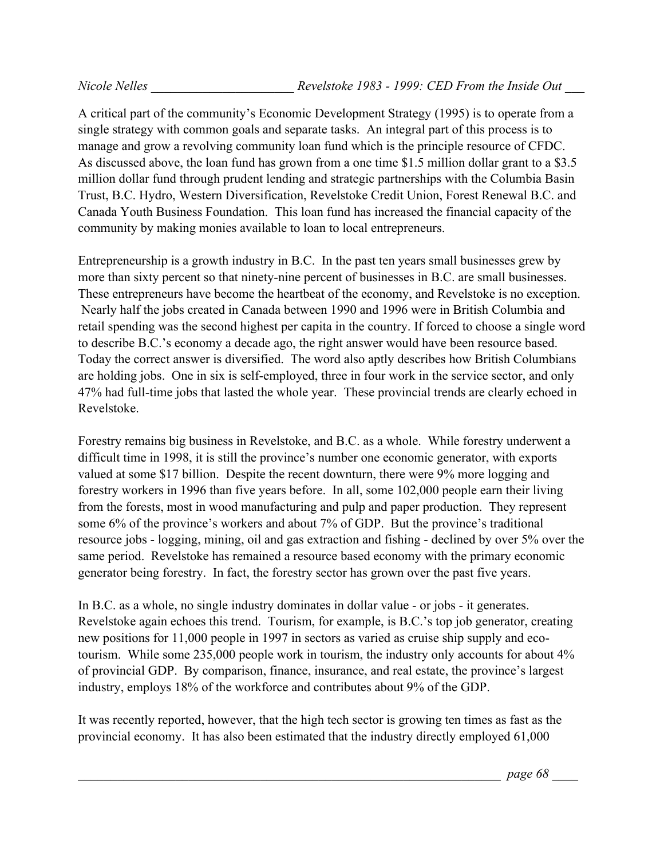A critical part of the community's Economic Development Strategy (1995) is to operate from a single strategy with common goals and separate tasks. An integral part of this process is to manage and grow a revolving community loan fund which is the principle resource of CFDC. As discussed above, the loan fund has grown from a one time \$1.5 million dollar grant to a \$3.5 million dollar fund through prudent lending and strategic partnerships with the Columbia Basin Trust, B.C. Hydro, Western Diversification, Revelstoke Credit Union, Forest Renewal B.C. and Canada Youth Business Foundation. This loan fund has increased the financial capacity of the community by making monies available to loan to local entrepreneurs.

Entrepreneurship is a growth industry in B.C. In the past ten years small businesses grew by more than sixty percent so that ninety-nine percent of businesses in B.C. are small businesses. These entrepreneurs have become the heartbeat of the economy, and Revelstoke is no exception. Nearly half the jobs created in Canada between 1990 and 1996 were in British Columbia and retail spending was the second highest per capita in the country. If forced to choose a single word to describe B.C.'s economy a decade ago, the right answer would have been resource based. Today the correct answer is diversified. The word also aptly describes how British Columbians are holding jobs. One in six is self-employed, three in four work in the service sector, and only 47% had full-time jobs that lasted the whole year. These provincial trends are clearly echoed in Revelstoke.

Forestry remains big business in Revelstoke, and B.C. as a whole. While forestry underwent a difficult time in 1998, it is still the province's number one economic generator, with exports valued at some \$17 billion. Despite the recent downturn, there were 9% more logging and forestry workers in 1996 than five years before. In all, some 102,000 people earn their living from the forests, most in wood manufacturing and pulp and paper production. They represent some 6% of the province's workers and about 7% of GDP. But the province's traditional resource jobs - logging, mining, oil and gas extraction and fishing - declined by over 5% over the same period. Revelstoke has remained a resource based economy with the primary economic generator being forestry. In fact, the forestry sector has grown over the past five years.

In B.C. as a whole, no single industry dominates in dollar value - or jobs - it generates. Revelstoke again echoes this trend. Tourism, for example, is B.C.'s top job generator, creating new positions for 11,000 people in 1997 in sectors as varied as cruise ship supply and ecotourism. While some 235,000 people work in tourism, the industry only accounts for about 4% of provincial GDP. By comparison, finance, insurance, and real estate, the province's largest industry, employs 18% of the workforce and contributes about 9% of the GDP.

It was recently reported, however, that the high tech sector is growing ten times as fast as the provincial economy. It has also been estimated that the industry directly employed 61,000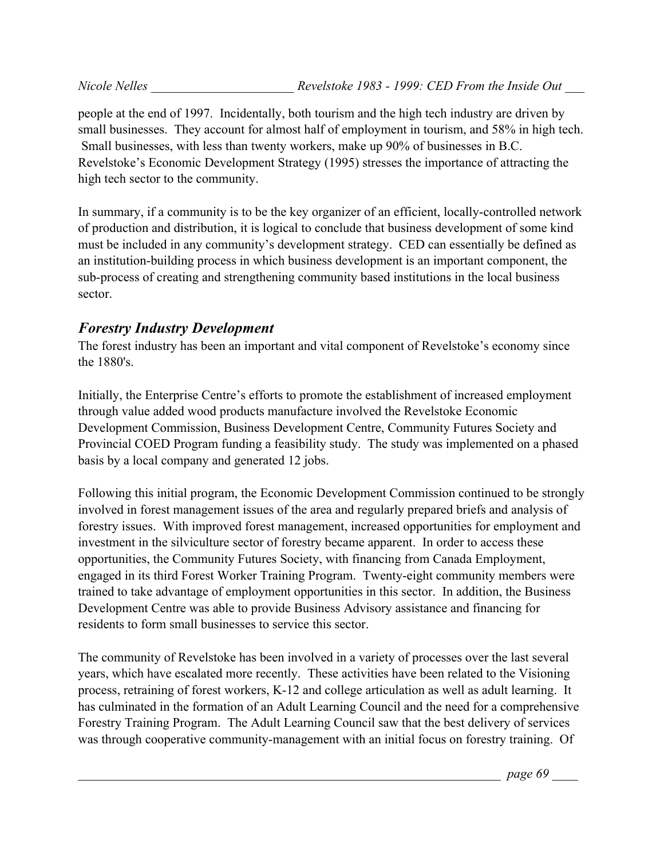people at the end of 1997. Incidentally, both tourism and the high tech industry are driven by small businesses. They account for almost half of employment in tourism, and 58% in high tech. Small businesses, with less than twenty workers, make up 90% of businesses in B.C. Revelstoke's Economic Development Strategy (1995) stresses the importance of attracting the high tech sector to the community.

In summary, if a community is to be the key organizer of an efficient, locally-controlled network of production and distribution, it is logical to conclude that business development of some kind must be included in any community's development strategy. CED can essentially be defined as an institution-building process in which business development is an important component, the sub-process of creating and strengthening community based institutions in the local business sector.

#### *Forestry Industry Development*

The forest industry has been an important and vital component of Revelstoke's economy since the 1880's.

Initially, the Enterprise Centre's efforts to promote the establishment of increased employment through value added wood products manufacture involved the Revelstoke Economic Development Commission, Business Development Centre, Community Futures Society and Provincial COED Program funding a feasibility study. The study was implemented on a phased basis by a local company and generated 12 jobs.

Following this initial program, the Economic Development Commission continued to be strongly involved in forest management issues of the area and regularly prepared briefs and analysis of forestry issues. With improved forest management, increased opportunities for employment and investment in the silviculture sector of forestry became apparent. In order to access these opportunities, the Community Futures Society, with financing from Canada Employment, engaged in its third Forest Worker Training Program. Twenty-eight community members were trained to take advantage of employment opportunities in this sector. In addition, the Business Development Centre was able to provide Business Advisory assistance and financing for residents to form small businesses to service this sector.

The community of Revelstoke has been involved in a variety of processes over the last several years, which have escalated more recently. These activities have been related to the Visioning process, retraining of forest workers, K-12 and college articulation as well as adult learning. It has culminated in the formation of an Adult Learning Council and the need for a comprehensive Forestry Training Program. The Adult Learning Council saw that the best delivery of services was through cooperative community-management with an initial focus on forestry training. Of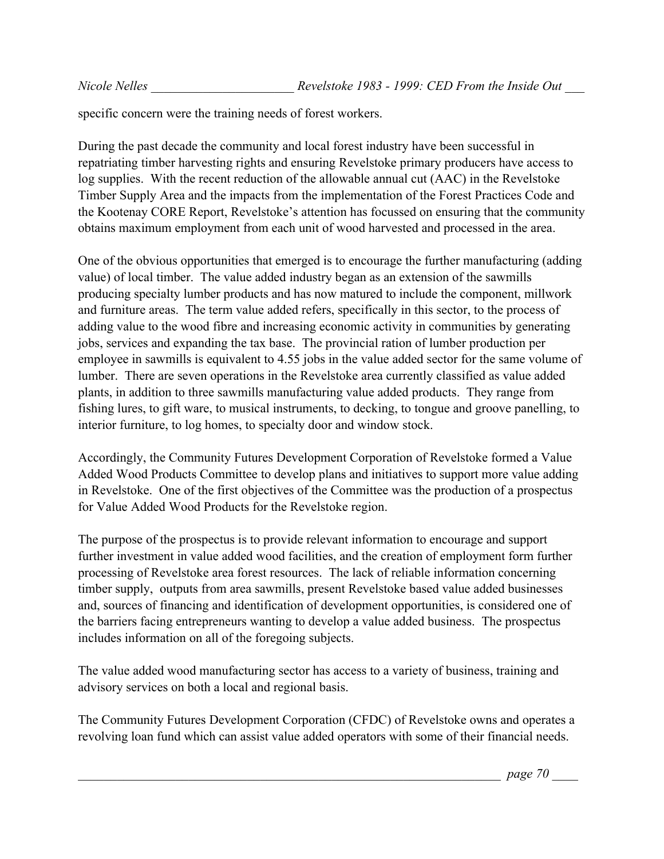specific concern were the training needs of forest workers.

During the past decade the community and local forest industry have been successful in repatriating timber harvesting rights and ensuring Revelstoke primary producers have access to log supplies. With the recent reduction of the allowable annual cut (AAC) in the Revelstoke Timber Supply Area and the impacts from the implementation of the Forest Practices Code and the Kootenay CORE Report, Revelstoke's attention has focussed on ensuring that the community obtains maximum employment from each unit of wood harvested and processed in the area.

One of the obvious opportunities that emerged is to encourage the further manufacturing (adding value) of local timber. The value added industry began as an extension of the sawmills producing specialty lumber products and has now matured to include the component, millwork and furniture areas. The term value added refers, specifically in this sector, to the process of adding value to the wood fibre and increasing economic activity in communities by generating jobs, services and expanding the tax base. The provincial ration of lumber production per employee in sawmills is equivalent to 4.55 jobs in the value added sector for the same volume of lumber. There are seven operations in the Revelstoke area currently classified as value added plants, in addition to three sawmills manufacturing value added products. They range from fishing lures, to gift ware, to musical instruments, to decking, to tongue and groove panelling, to interior furniture, to log homes, to specialty door and window stock.

Accordingly, the Community Futures Development Corporation of Revelstoke formed a Value Added Wood Products Committee to develop plans and initiatives to support more value adding in Revelstoke. One of the first objectives of the Committee was the production of a prospectus for Value Added Wood Products for the Revelstoke region.

The purpose of the prospectus is to provide relevant information to encourage and support further investment in value added wood facilities, and the creation of employment form further processing of Revelstoke area forest resources. The lack of reliable information concerning timber supply, outputs from area sawmills, present Revelstoke based value added businesses and, sources of financing and identification of development opportunities, is considered one of the barriers facing entrepreneurs wanting to develop a value added business. The prospectus includes information on all of the foregoing subjects.

The value added wood manufacturing sector has access to a variety of business, training and advisory services on both a local and regional basis.

The Community Futures Development Corporation (CFDC) of Revelstoke owns and operates a revolving loan fund which can assist value added operators with some of their financial needs.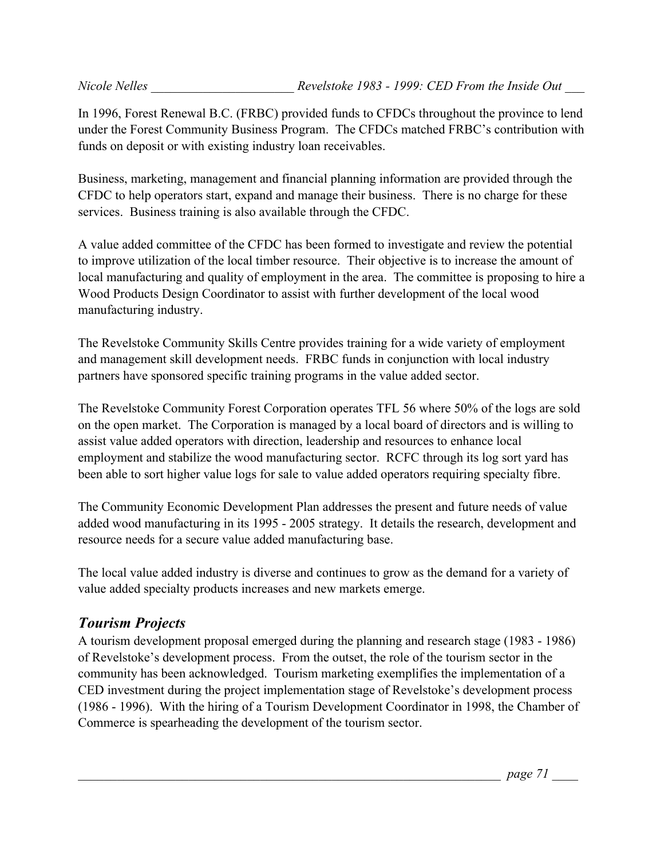In 1996, Forest Renewal B.C. (FRBC) provided funds to CFDCs throughout the province to lend under the Forest Community Business Program. The CFDCs matched FRBC's contribution with funds on deposit or with existing industry loan receivables.

Business, marketing, management and financial planning information are provided through the CFDC to help operators start, expand and manage their business. There is no charge for these services. Business training is also available through the CFDC.

A value added committee of the CFDC has been formed to investigate and review the potential to improve utilization of the local timber resource. Their objective is to increase the amount of local manufacturing and quality of employment in the area. The committee is proposing to hire a Wood Products Design Coordinator to assist with further development of the local wood manufacturing industry.

The Revelstoke Community Skills Centre provides training for a wide variety of employment and management skill development needs. FRBC funds in conjunction with local industry partners have sponsored specific training programs in the value added sector.

The Revelstoke Community Forest Corporation operates TFL 56 where 50% of the logs are sold on the open market. The Corporation is managed by a local board of directors and is willing to assist value added operators with direction, leadership and resources to enhance local employment and stabilize the wood manufacturing sector. RCFC through its log sort yard has been able to sort higher value logs for sale to value added operators requiring specialty fibre.

The Community Economic Development Plan addresses the present and future needs of value added wood manufacturing in its 1995 - 2005 strategy. It details the research, development and resource needs for a secure value added manufacturing base.

The local value added industry is diverse and continues to grow as the demand for a variety of value added specialty products increases and new markets emerge.

## *Tourism Projects*

A tourism development proposal emerged during the planning and research stage (1983 - 1986) of Revelstoke's development process. From the outset, the role of the tourism sector in the community has been acknowledged. Tourism marketing exemplifies the implementation of a CED investment during the project implementation stage of Revelstoke's development process (1986 - 1996). With the hiring of a Tourism Development Coordinator in 1998, the Chamber of Commerce is spearheading the development of the tourism sector.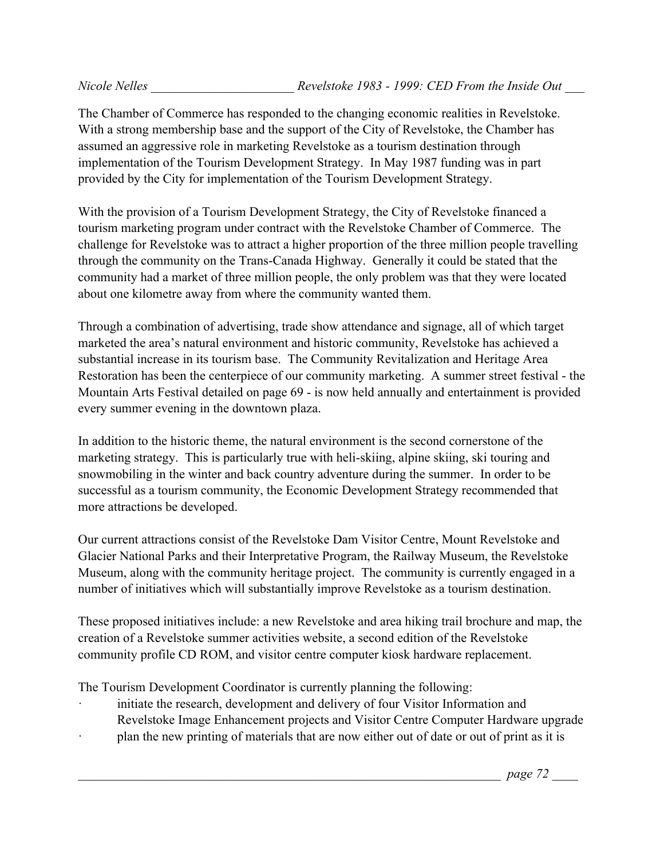The Chamber of Commerce has responded to the changing economic realities in Revelstoke. With a strong membership base and the support of the City of Revelstoke, the Chamber has assumed an aggressive role in marketing Revelstoke as a tourism destination through implementation of the Tourism Development Strategy. In May 1987 funding was in part provided by the City for implementation of the Tourism Development Strategy.

With the provision of a Tourism Development Strategy, the City of Revelstoke financed a tourism marketing program under contract with the Revelstoke Chamber of Commerce. The challenge for Revelstoke was to attract a higher proportion of the three million people travelling through the community on the Trans-Canada Highway. Generally it could be stated that the community had a market of three million people, the only problem was that they were located about one kilometre away from where the community wanted them.

Through a combination of advertising, trade show attendance and signage, all of which target marketed the area's natural environment and historic community, Revelstoke has achieved a substantial increase in its tourism base. The Community Revitalization and Heritage Area Restoration has been the centerpiece of our community marketing. A summer street festival - the Mountain Arts Festival detailed on page 69 - is now held annually and entertainment is provided every summer evening in the downtown plaza.

In addition to the historic theme, the natural environment is the second cornerstone of the marketing strategy. This is particularly true with heli-skiing, alpine skiing, ski touring and snowmobiling in the winter and back country adventure during the summer. In order to be successful as a tourism community, the Economic Development Strategy recommended that more attractions be developed.

Our current attractions consist of the Revelstoke Dam Visitor Centre, Mount Revelstoke and Glacier National Parks and their Interpretative Program, the Railway Museum, the Revelstoke Museum, along with the community heritage project. The community is currently engaged in a number of initiatives which will substantially improve Revelstoke as a tourism destination.

These proposed initiatives include: a new Revelstoke and area hiking trail brochure and map, the creation of a Revelstoke summer activities website, a second edition of the Revelstoke community profile CD ROM, and visitor centre computer kiosk hardware replacement.

The Tourism Development Coordinator is currently planning the following:

- initiate the research, development and delivery of four Visitor Information and Revelstoke Image Enhancement projects and Visitor Centre Computer Hardware upgrade
- plan the new printing of materials that are now either out of date or out of print as it is

\_\_\_\_\_\_\_\_\_\_\_\_\_\_\_\_\_\_\_\_\_\_\_\_\_\_\_\_\_\_\_\_\_\_\_\_\_\_\_\_\_\_\_\_\_\_\_\_\_\_\_\_\_\_\_\_\_\_\_\_\_\_\_\_\_ *page 72* \_\_\_\_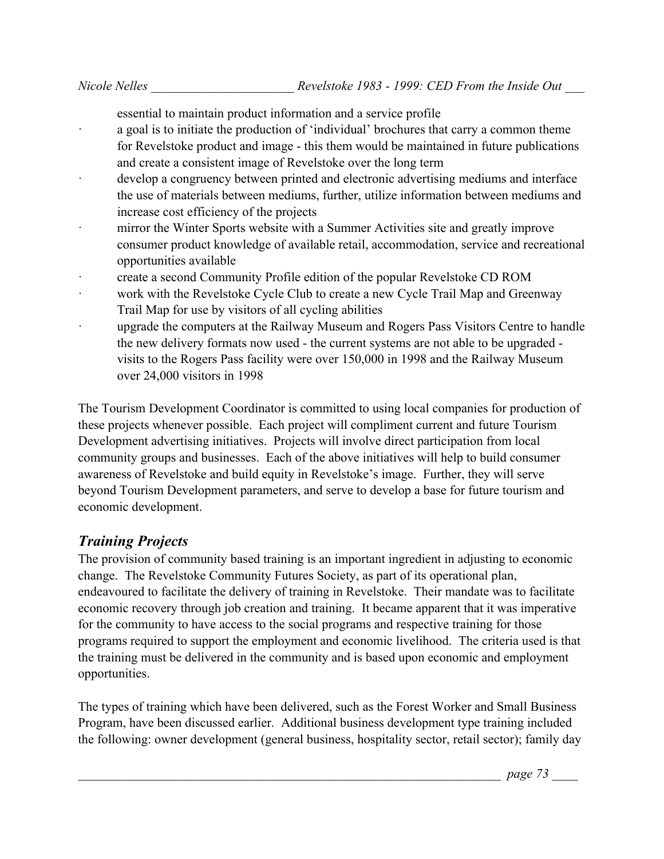essential to maintain product information and a service profile

- a goal is to initiate the production of 'individual' brochures that carry a common theme for Revelstoke product and image - this them would be maintained in future publications and create a consistent image of Revelstoke over the long term
- develop a congruency between printed and electronic advertising mediums and interface the use of materials between mediums, further, utilize information between mediums and increase cost efficiency of the projects
- mirror the Winter Sports website with a Summer Activities site and greatly improve consumer product knowledge of available retail, accommodation, service and recreational opportunities available
- · create a second Community Profile edition of the popular Revelstoke CD ROM
- work with the Revelstoke Cycle Club to create a new Cycle Trail Map and Greenway Trail Map for use by visitors of all cycling abilities
- upgrade the computers at the Railway Museum and Rogers Pass Visitors Centre to handle the new delivery formats now used - the current systems are not able to be upgraded visits to the Rogers Pass facility were over 150,000 in 1998 and the Railway Museum over 24,000 visitors in 1998

The Tourism Development Coordinator is committed to using local companies for production of these projects whenever possible. Each project will compliment current and future Tourism Development advertising initiatives. Projects will involve direct participation from local community groups and businesses. Each of the above initiatives will help to build consumer awareness of Revelstoke and build equity in Revelstoke's image. Further, they will serve beyond Tourism Development parameters, and serve to develop a base for future tourism and economic development.

## *Training Projects*

The provision of community based training is an important ingredient in adjusting to economic change. The Revelstoke Community Futures Society, as part of its operational plan, endeavoured to facilitate the delivery of training in Revelstoke. Their mandate was to facilitate economic recovery through job creation and training. It became apparent that it was imperative for the community to have access to the social programs and respective training for those programs required to support the employment and economic livelihood. The criteria used is that the training must be delivered in the community and is based upon economic and employment opportunities.

The types of training which have been delivered, such as the Forest Worker and Small Business Program, have been discussed earlier. Additional business development type training included the following: owner development (general business, hospitality sector, retail sector); family day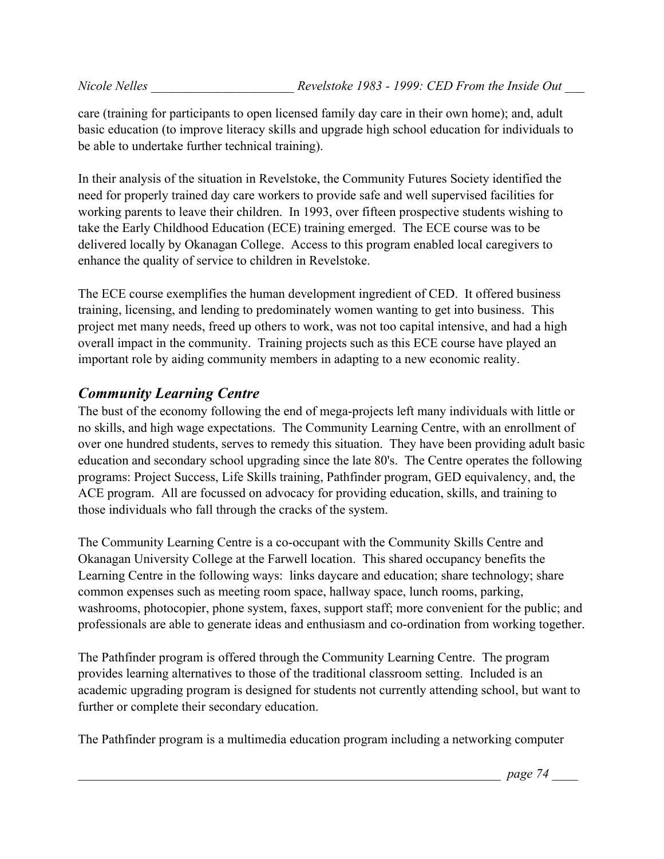care (training for participants to open licensed family day care in their own home); and, adult basic education (to improve literacy skills and upgrade high school education for individuals to be able to undertake further technical training).

In their analysis of the situation in Revelstoke, the Community Futures Society identified the need for properly trained day care workers to provide safe and well supervised facilities for working parents to leave their children. In 1993, over fifteen prospective students wishing to take the Early Childhood Education (ECE) training emerged. The ECE course was to be delivered locally by Okanagan College. Access to this program enabled local caregivers to enhance the quality of service to children in Revelstoke.

The ECE course exemplifies the human development ingredient of CED. It offered business training, licensing, and lending to predominately women wanting to get into business. This project met many needs, freed up others to work, was not too capital intensive, and had a high overall impact in the community. Training projects such as this ECE course have played an important role by aiding community members in adapting to a new economic reality.

# *Community Learning Centre*

The bust of the economy following the end of mega-projects left many individuals with little or no skills, and high wage expectations. The Community Learning Centre, with an enrollment of over one hundred students, serves to remedy this situation. They have been providing adult basic education and secondary school upgrading since the late 80's. The Centre operates the following programs: Project Success, Life Skills training, Pathfinder program, GED equivalency, and, the ACE program. All are focussed on advocacy for providing education, skills, and training to those individuals who fall through the cracks of the system.

The Community Learning Centre is a co-occupant with the Community Skills Centre and Okanagan University College at the Farwell location. This shared occupancy benefits the Learning Centre in the following ways: links daycare and education; share technology; share common expenses such as meeting room space, hallway space, lunch rooms, parking, washrooms, photocopier, phone system, faxes, support staff; more convenient for the public; and professionals are able to generate ideas and enthusiasm and co-ordination from working together.

The Pathfinder program is offered through the Community Learning Centre. The program provides learning alternatives to those of the traditional classroom setting. Included is an academic upgrading program is designed for students not currently attending school, but want to further or complete their secondary education.

The Pathfinder program is a multimedia education program including a networking computer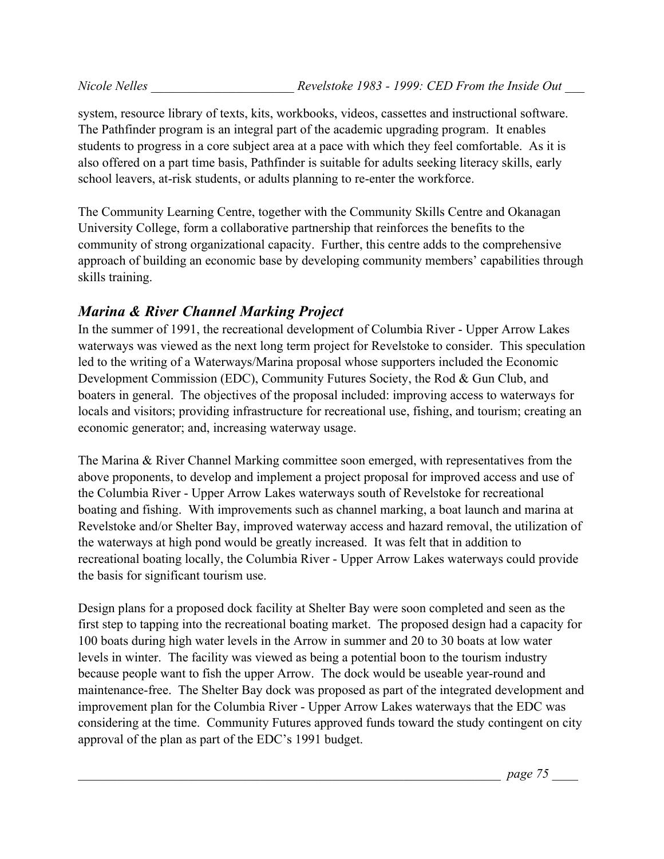system, resource library of texts, kits, workbooks, videos, cassettes and instructional software. The Pathfinder program is an integral part of the academic upgrading program. It enables students to progress in a core subject area at a pace with which they feel comfortable. As it is also offered on a part time basis, Pathfinder is suitable for adults seeking literacy skills, early school leavers, at-risk students, or adults planning to re-enter the workforce.

The Community Learning Centre, together with the Community Skills Centre and Okanagan University College, form a collaborative partnership that reinforces the benefits to the community of strong organizational capacity. Further, this centre adds to the comprehensive approach of building an economic base by developing community members' capabilities through skills training.

#### *Marina & River Channel Marking Project*

In the summer of 1991, the recreational development of Columbia River - Upper Arrow Lakes waterways was viewed as the next long term project for Revelstoke to consider. This speculation led to the writing of a Waterways/Marina proposal whose supporters included the Economic Development Commission (EDC), Community Futures Society, the Rod & Gun Club, and boaters in general. The objectives of the proposal included: improving access to waterways for locals and visitors; providing infrastructure for recreational use, fishing, and tourism; creating an economic generator; and, increasing waterway usage.

The Marina & River Channel Marking committee soon emerged, with representatives from the above proponents, to develop and implement a project proposal for improved access and use of the Columbia River - Upper Arrow Lakes waterways south of Revelstoke for recreational boating and fishing. With improvements such as channel marking, a boat launch and marina at Revelstoke and/or Shelter Bay, improved waterway access and hazard removal, the utilization of the waterways at high pond would be greatly increased. It was felt that in addition to recreational boating locally, the Columbia River - Upper Arrow Lakes waterways could provide the basis for significant tourism use.

Design plans for a proposed dock facility at Shelter Bay were soon completed and seen as the first step to tapping into the recreational boating market. The proposed design had a capacity for 100 boats during high water levels in the Arrow in summer and 20 to 30 boats at low water levels in winter. The facility was viewed as being a potential boon to the tourism industry because people want to fish the upper Arrow. The dock would be useable year-round and maintenance-free. The Shelter Bay dock was proposed as part of the integrated development and improvement plan for the Columbia River - Upper Arrow Lakes waterways that the EDC was considering at the time. Community Futures approved funds toward the study contingent on city approval of the plan as part of the EDC's 1991 budget.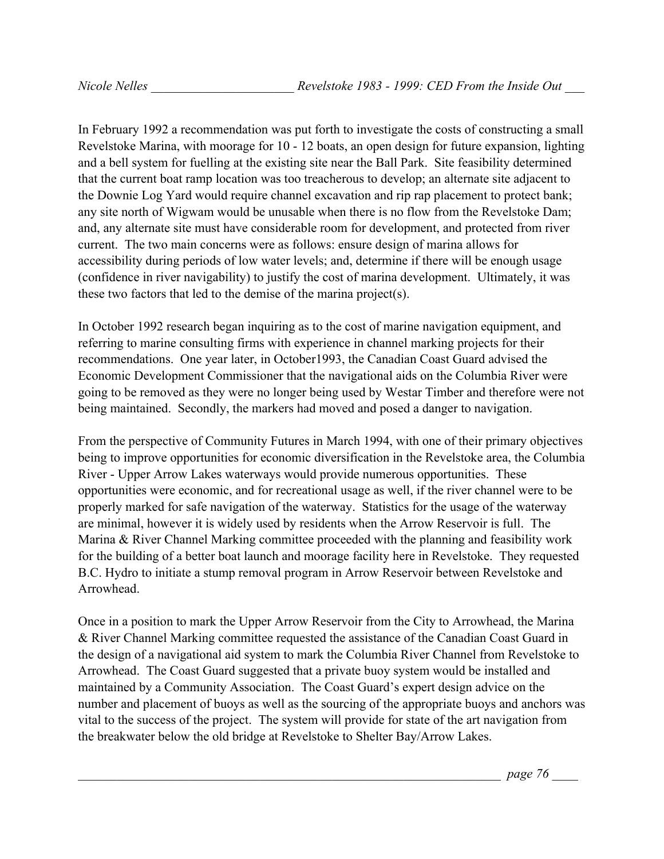In February 1992 a recommendation was put forth to investigate the costs of constructing a small Revelstoke Marina, with moorage for 10 - 12 boats, an open design for future expansion, lighting and a bell system for fuelling at the existing site near the Ball Park. Site feasibility determined that the current boat ramp location was too treacherous to develop; an alternate site adjacent to the Downie Log Yard would require channel excavation and rip rap placement to protect bank; any site north of Wigwam would be unusable when there is no flow from the Revelstoke Dam; and, any alternate site must have considerable room for development, and protected from river current. The two main concerns were as follows: ensure design of marina allows for accessibility during periods of low water levels; and, determine if there will be enough usage (confidence in river navigability) to justify the cost of marina development. Ultimately, it was these two factors that led to the demise of the marina project(s).

In October 1992 research began inquiring as to the cost of marine navigation equipment, and referring to marine consulting firms with experience in channel marking projects for their recommendations. One year later, in October1993, the Canadian Coast Guard advised the Economic Development Commissioner that the navigational aids on the Columbia River were going to be removed as they were no longer being used by Westar Timber and therefore were not being maintained. Secondly, the markers had moved and posed a danger to navigation.

From the perspective of Community Futures in March 1994, with one of their primary objectives being to improve opportunities for economic diversification in the Revelstoke area, the Columbia River - Upper Arrow Lakes waterways would provide numerous opportunities. These opportunities were economic, and for recreational usage as well, if the river channel were to be properly marked for safe navigation of the waterway. Statistics for the usage of the waterway are minimal, however it is widely used by residents when the Arrow Reservoir is full. The Marina & River Channel Marking committee proceeded with the planning and feasibility work for the building of a better boat launch and moorage facility here in Revelstoke. They requested B.C. Hydro to initiate a stump removal program in Arrow Reservoir between Revelstoke and Arrowhead.

Once in a position to mark the Upper Arrow Reservoir from the City to Arrowhead, the Marina & River Channel Marking committee requested the assistance of the Canadian Coast Guard in the design of a navigational aid system to mark the Columbia River Channel from Revelstoke to Arrowhead. The Coast Guard suggested that a private buoy system would be installed and maintained by a Community Association. The Coast Guard's expert design advice on the number and placement of buoys as well as the sourcing of the appropriate buoys and anchors was vital to the success of the project. The system will provide for state of the art navigation from the breakwater below the old bridge at Revelstoke to Shelter Bay/Arrow Lakes.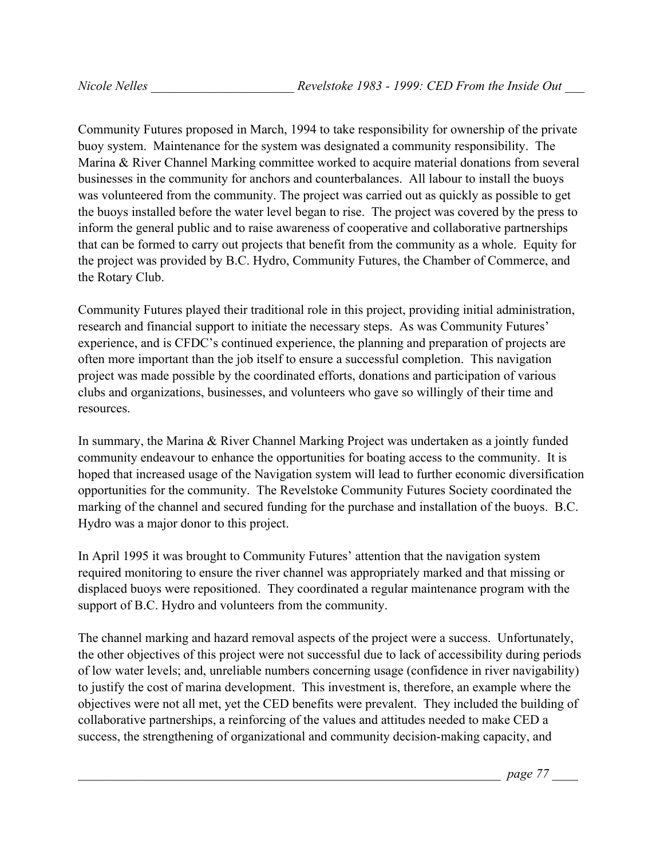Community Futures proposed in March, 1994 to take responsibility for ownership of the private buoy system. Maintenance for the system was designated a community responsibility. The Marina & River Channel Marking committee worked to acquire material donations from several businesses in the community for anchors and counterbalances. All labour to install the buoys was volunteered from the community. The project was carried out as quickly as possible to get the buoys installed before the water level began to rise. The project was covered by the press to inform the general public and to raise awareness of cooperative and collaborative partnerships that can be formed to carry out projects that benefit from the community as a whole. Equity for the project was provided by B.C. Hydro, Community Futures, the Chamber of Commerce, and the Rotary Club.

Community Futures played their traditional role in this project, providing initial administration, research and financial support to initiate the necessary steps. As was Community Futures' experience, and is CFDC's continued experience, the planning and preparation of projects are often more important than the job itself to ensure a successful completion. This navigation project was made possible by the coordinated efforts, donations and participation of various clubs and organizations, businesses, and volunteers who gave so willingly of their time and resources.

In summary, the Marina & River Channel Marking Project was undertaken as a jointly funded community endeavour to enhance the opportunities for boating access to the community. It is hoped that increased usage of the Navigation system will lead to further economic diversification opportunities for the community. The Revelstoke Community Futures Society coordinated the marking of the channel and secured funding for the purchase and installation of the buoys. B.C. Hydro was a major donor to this project.

In April 1995 it was brought to Community Futures' attention that the navigation system required monitoring to ensure the river channel was appropriately marked and that missing or displaced buoys were repositioned. They coordinated a regular maintenance program with the support of B.C. Hydro and volunteers from the community.

The channel marking and hazard removal aspects of the project were a success. Unfortunately, the other objectives of this project were not successful due to lack of accessibility during periods of low water levels; and, unreliable numbers concerning usage (confidence in river navigability) to justify the cost of marina development. This investment is, therefore, an example where the objectives were not all met, yet the CED benefits were prevalent. They included the building of collaborative partnerships, a reinforcing of the values and attitudes needed to make CED a success, the strengthening of organizational and community decision-making capacity, and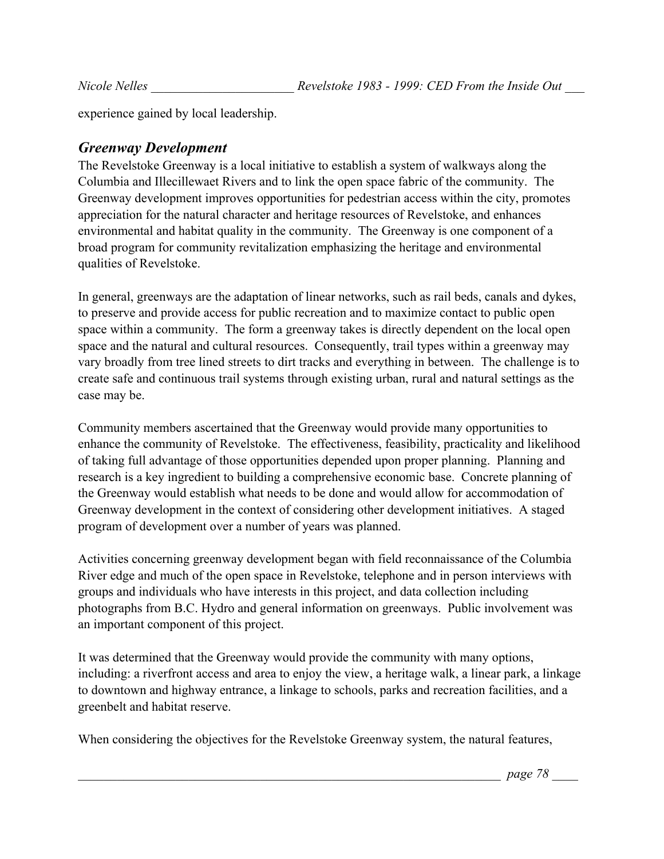experience gained by local leadership.

## *Greenway Development*

The Revelstoke Greenway is a local initiative to establish a system of walkways along the Columbia and Illecillewaet Rivers and to link the open space fabric of the community. The Greenway development improves opportunities for pedestrian access within the city, promotes appreciation for the natural character and heritage resources of Revelstoke, and enhances environmental and habitat quality in the community. The Greenway is one component of a broad program for community revitalization emphasizing the heritage and environmental qualities of Revelstoke.

In general, greenways are the adaptation of linear networks, such as rail beds, canals and dykes, to preserve and provide access for public recreation and to maximize contact to public open space within a community. The form a greenway takes is directly dependent on the local open space and the natural and cultural resources. Consequently, trail types within a greenway may vary broadly from tree lined streets to dirt tracks and everything in between. The challenge is to create safe and continuous trail systems through existing urban, rural and natural settings as the case may be.

Community members ascertained that the Greenway would provide many opportunities to enhance the community of Revelstoke. The effectiveness, feasibility, practicality and likelihood of taking full advantage of those opportunities depended upon proper planning. Planning and research is a key ingredient to building a comprehensive economic base. Concrete planning of the Greenway would establish what needs to be done and would allow for accommodation of Greenway development in the context of considering other development initiatives. A staged program of development over a number of years was planned.

Activities concerning greenway development began with field reconnaissance of the Columbia River edge and much of the open space in Revelstoke, telephone and in person interviews with groups and individuals who have interests in this project, and data collection including photographs from B.C. Hydro and general information on greenways. Public involvement was an important component of this project.

It was determined that the Greenway would provide the community with many options, including: a riverfront access and area to enjoy the view, a heritage walk, a linear park, a linkage to downtown and highway entrance, a linkage to schools, parks and recreation facilities, and a greenbelt and habitat reserve.

When considering the objectives for the Revelstoke Greenway system, the natural features,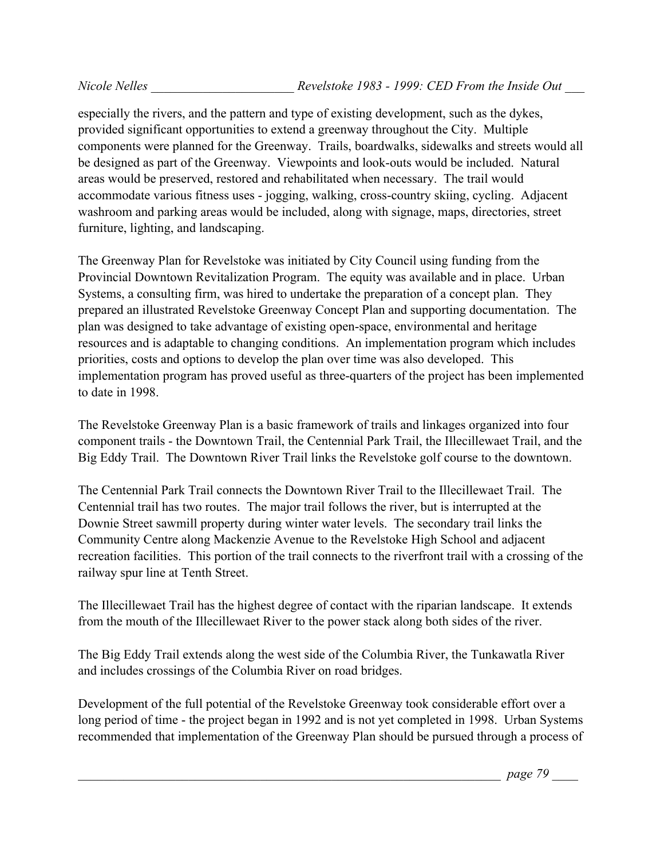especially the rivers, and the pattern and type of existing development, such as the dykes, provided significant opportunities to extend a greenway throughout the City. Multiple components were planned for the Greenway. Trails, boardwalks, sidewalks and streets would all be designed as part of the Greenway. Viewpoints and look-outs would be included. Natural areas would be preserved, restored and rehabilitated when necessary. The trail would accommodate various fitness uses - jogging, walking, cross-country skiing, cycling. Adjacent washroom and parking areas would be included, along with signage, maps, directories, street furniture, lighting, and landscaping.

The Greenway Plan for Revelstoke was initiated by City Council using funding from the Provincial Downtown Revitalization Program. The equity was available and in place. Urban Systems, a consulting firm, was hired to undertake the preparation of a concept plan. They prepared an illustrated Revelstoke Greenway Concept Plan and supporting documentation. The plan was designed to take advantage of existing open-space, environmental and heritage resources and is adaptable to changing conditions. An implementation program which includes priorities, costs and options to develop the plan over time was also developed. This implementation program has proved useful as three-quarters of the project has been implemented to date in 1998.

The Revelstoke Greenway Plan is a basic framework of trails and linkages organized into four component trails - the Downtown Trail, the Centennial Park Trail, the Illecillewaet Trail, and the Big Eddy Trail. The Downtown River Trail links the Revelstoke golf course to the downtown.

The Centennial Park Trail connects the Downtown River Trail to the Illecillewaet Trail. The Centennial trail has two routes. The major trail follows the river, but is interrupted at the Downie Street sawmill property during winter water levels. The secondary trail links the Community Centre along Mackenzie Avenue to the Revelstoke High School and adjacent recreation facilities. This portion of the trail connects to the riverfront trail with a crossing of the railway spur line at Tenth Street.

The Illecillewaet Trail has the highest degree of contact with the riparian landscape. It extends from the mouth of the Illecillewaet River to the power stack along both sides of the river.

The Big Eddy Trail extends along the west side of the Columbia River, the Tunkawatla River and includes crossings of the Columbia River on road bridges.

Development of the full potential of the Revelstoke Greenway took considerable effort over a long period of time - the project began in 1992 and is not yet completed in 1998. Urban Systems recommended that implementation of the Greenway Plan should be pursued through a process of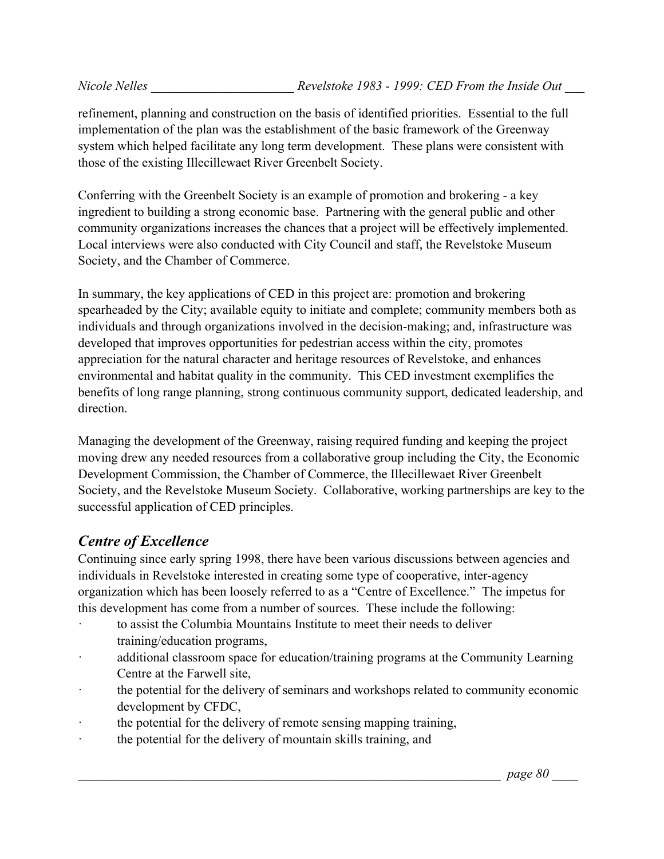refinement, planning and construction on the basis of identified priorities. Essential to the full implementation of the plan was the establishment of the basic framework of the Greenway system which helped facilitate any long term development. These plans were consistent with those of the existing Illecillewaet River Greenbelt Society.

Conferring with the Greenbelt Society is an example of promotion and brokering - a key ingredient to building a strong economic base. Partnering with the general public and other community organizations increases the chances that a project will be effectively implemented. Local interviews were also conducted with City Council and staff, the Revelstoke Museum Society, and the Chamber of Commerce.

In summary, the key applications of CED in this project are: promotion and brokering spearheaded by the City; available equity to initiate and complete; community members both as individuals and through organizations involved in the decision-making; and, infrastructure was developed that improves opportunities for pedestrian access within the city, promotes appreciation for the natural character and heritage resources of Revelstoke, and enhances environmental and habitat quality in the community. This CED investment exemplifies the benefits of long range planning, strong continuous community support, dedicated leadership, and direction.

Managing the development of the Greenway, raising required funding and keeping the project moving drew any needed resources from a collaborative group including the City, the Economic Development Commission, the Chamber of Commerce, the Illecillewaet River Greenbelt Society, and the Revelstoke Museum Society. Collaborative, working partnerships are key to the successful application of CED principles.

# *Centre of Excellence*

Continuing since early spring 1998, there have been various discussions between agencies and individuals in Revelstoke interested in creating some type of cooperative, inter-agency organization which has been loosely referred to as a "Centre of Excellence." The impetus for this development has come from a number of sources. These include the following:

- to assist the Columbia Mountains Institute to meet their needs to deliver training/education programs,
- additional classroom space for education/training programs at the Community Learning Centre at the Farwell site,
- · the potential for the delivery of seminars and workshops related to community economic development by CFDC,
- the potential for the delivery of remote sensing mapping training,
- · the potential for the delivery of mountain skills training, and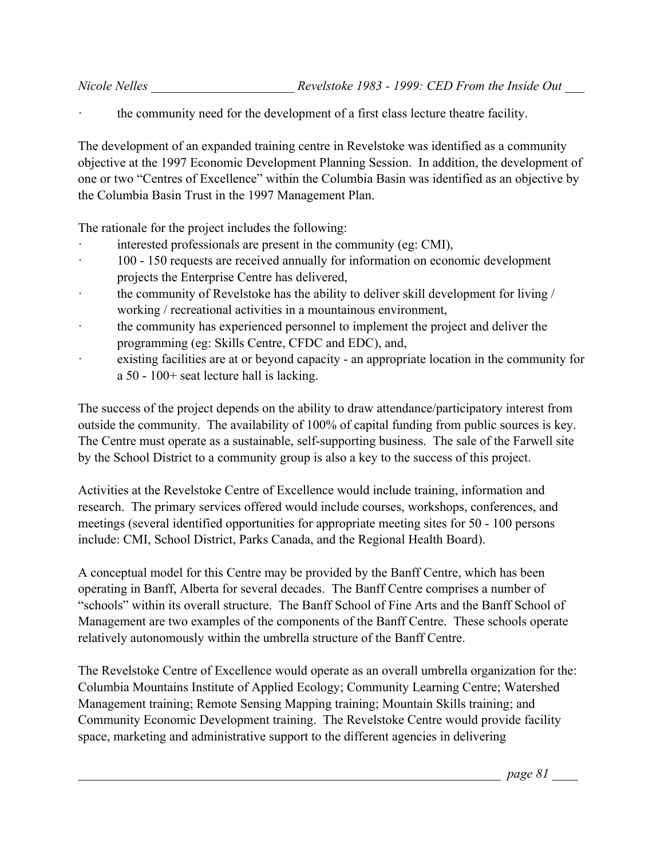the community need for the development of a first class lecture theatre facility.

The development of an expanded training centre in Revelstoke was identified as a community objective at the 1997 Economic Development Planning Session. In addition, the development of one or two "Centres of Excellence" within the Columbia Basin was identified as an objective by the Columbia Basin Trust in the 1997 Management Plan.

The rationale for the project includes the following:

- interested professionals are present in the community (eg: CMI),
- · 100 150 requests are received annually for information on economic development projects the Enterprise Centre has delivered,
- the community of Revelstoke has the ability to deliver skill development for living / working / recreational activities in a mountainous environment,
- the community has experienced personnel to implement the project and deliver the programming (eg: Skills Centre, CFDC and EDC), and,
- existing facilities are at or beyond capacity an appropriate location in the community for a 50 - 100+ seat lecture hall is lacking.

The success of the project depends on the ability to draw attendance/participatory interest from outside the community. The availability of 100% of capital funding from public sources is key. The Centre must operate as a sustainable, self-supporting business. The sale of the Farwell site by the School District to a community group is also a key to the success of this project.

Activities at the Revelstoke Centre of Excellence would include training, information and research. The primary services offered would include courses, workshops, conferences, and meetings (several identified opportunities for appropriate meeting sites for 50 - 100 persons include: CMI, School District, Parks Canada, and the Regional Health Board).

A conceptual model for this Centre may be provided by the Banff Centre, which has been operating in Banff, Alberta for several decades. The Banff Centre comprises a number of "schools" within its overall structure. The Banff School of Fine Arts and the Banff School of Management are two examples of the components of the Banff Centre. These schools operate relatively autonomously within the umbrella structure of the Banff Centre.

The Revelstoke Centre of Excellence would operate as an overall umbrella organization for the: Columbia Mountains Institute of Applied Ecology; Community Learning Centre; Watershed Management training; Remote Sensing Mapping training; Mountain Skills training; and Community Economic Development training. The Revelstoke Centre would provide facility space, marketing and administrative support to the different agencies in delivering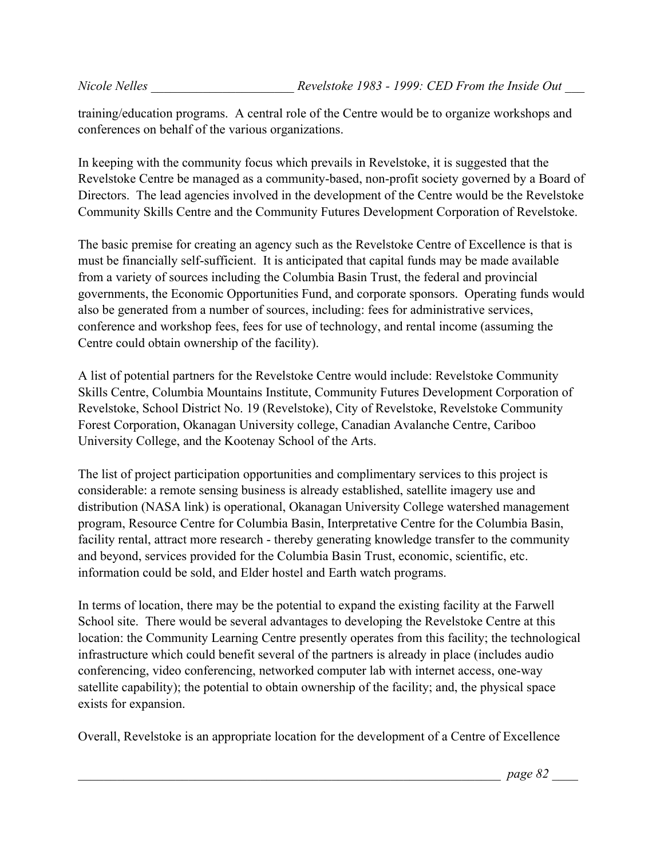training/education programs. A central role of the Centre would be to organize workshops and conferences on behalf of the various organizations.

In keeping with the community focus which prevails in Revelstoke, it is suggested that the Revelstoke Centre be managed as a community-based, non-profit society governed by a Board of Directors. The lead agencies involved in the development of the Centre would be the Revelstoke Community Skills Centre and the Community Futures Development Corporation of Revelstoke.

The basic premise for creating an agency such as the Revelstoke Centre of Excellence is that is must be financially self-sufficient. It is anticipated that capital funds may be made available from a variety of sources including the Columbia Basin Trust, the federal and provincial governments, the Economic Opportunities Fund, and corporate sponsors. Operating funds would also be generated from a number of sources, including: fees for administrative services, conference and workshop fees, fees for use of technology, and rental income (assuming the Centre could obtain ownership of the facility).

A list of potential partners for the Revelstoke Centre would include: Revelstoke Community Skills Centre, Columbia Mountains Institute, Community Futures Development Corporation of Revelstoke, School District No. 19 (Revelstoke), City of Revelstoke, Revelstoke Community Forest Corporation, Okanagan University college, Canadian Avalanche Centre, Cariboo University College, and the Kootenay School of the Arts.

The list of project participation opportunities and complimentary services to this project is considerable: a remote sensing business is already established, satellite imagery use and distribution (NASA link) is operational, Okanagan University College watershed management program, Resource Centre for Columbia Basin, Interpretative Centre for the Columbia Basin, facility rental, attract more research - thereby generating knowledge transfer to the community and beyond, services provided for the Columbia Basin Trust, economic, scientific, etc. information could be sold, and Elder hostel and Earth watch programs.

In terms of location, there may be the potential to expand the existing facility at the Farwell School site. There would be several advantages to developing the Revelstoke Centre at this location: the Community Learning Centre presently operates from this facility; the technological infrastructure which could benefit several of the partners is already in place (includes audio conferencing, video conferencing, networked computer lab with internet access, one-way satellite capability); the potential to obtain ownership of the facility; and, the physical space exists for expansion.

Overall, Revelstoke is an appropriate location for the development of a Centre of Excellence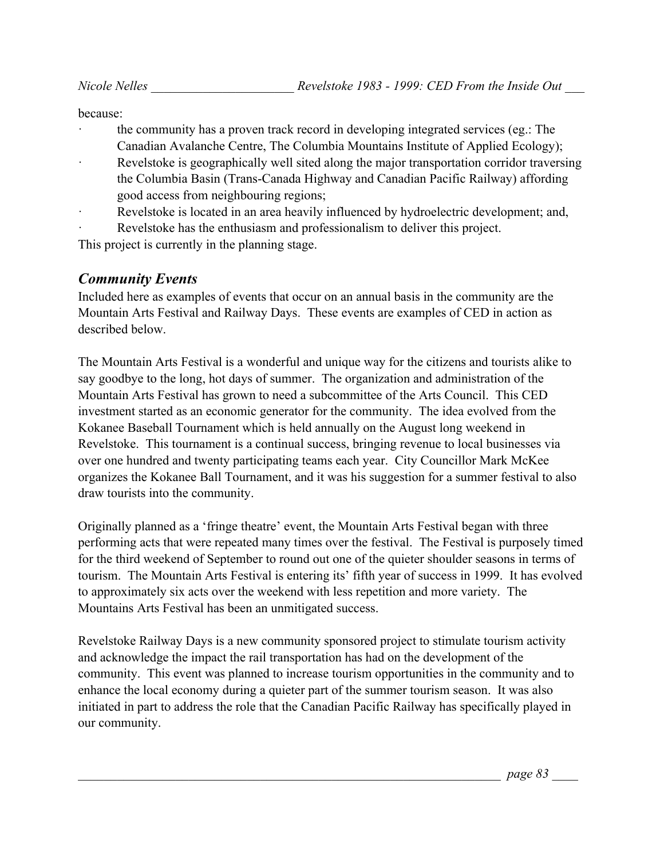because:

- the community has a proven track record in developing integrated services (eg.: The Canadian Avalanche Centre, The Columbia Mountains Institute of Applied Ecology);
- Revelstoke is geographically well sited along the major transportation corridor traversing the Columbia Basin (Trans-Canada Highway and Canadian Pacific Railway) affording good access from neighbouring regions;
- Revelstoke is located in an area heavily influenced by hydroelectric development; and,

Revelstoke has the enthusiasm and professionalism to deliver this project.

This project is currently in the planning stage.

# *Community Events*

Included here as examples of events that occur on an annual basis in the community are the Mountain Arts Festival and Railway Days. These events are examples of CED in action as described below.

The Mountain Arts Festival is a wonderful and unique way for the citizens and tourists alike to say goodbye to the long, hot days of summer. The organization and administration of the Mountain Arts Festival has grown to need a subcommittee of the Arts Council. This CED investment started as an economic generator for the community. The idea evolved from the Kokanee Baseball Tournament which is held annually on the August long weekend in Revelstoke. This tournament is a continual success, bringing revenue to local businesses via over one hundred and twenty participating teams each year. City Councillor Mark McKee organizes the Kokanee Ball Tournament, and it was his suggestion for a summer festival to also draw tourists into the community.

Originally planned as a 'fringe theatre' event, the Mountain Arts Festival began with three performing acts that were repeated many times over the festival. The Festival is purposely timed for the third weekend of September to round out one of the quieter shoulder seasons in terms of tourism. The Mountain Arts Festival is entering its' fifth year of success in 1999. It has evolved to approximately six acts over the weekend with less repetition and more variety. The Mountains Arts Festival has been an unmitigated success.

Revelstoke Railway Days is a new community sponsored project to stimulate tourism activity and acknowledge the impact the rail transportation has had on the development of the community. This event was planned to increase tourism opportunities in the community and to enhance the local economy during a quieter part of the summer tourism season. It was also initiated in part to address the role that the Canadian Pacific Railway has specifically played in our community.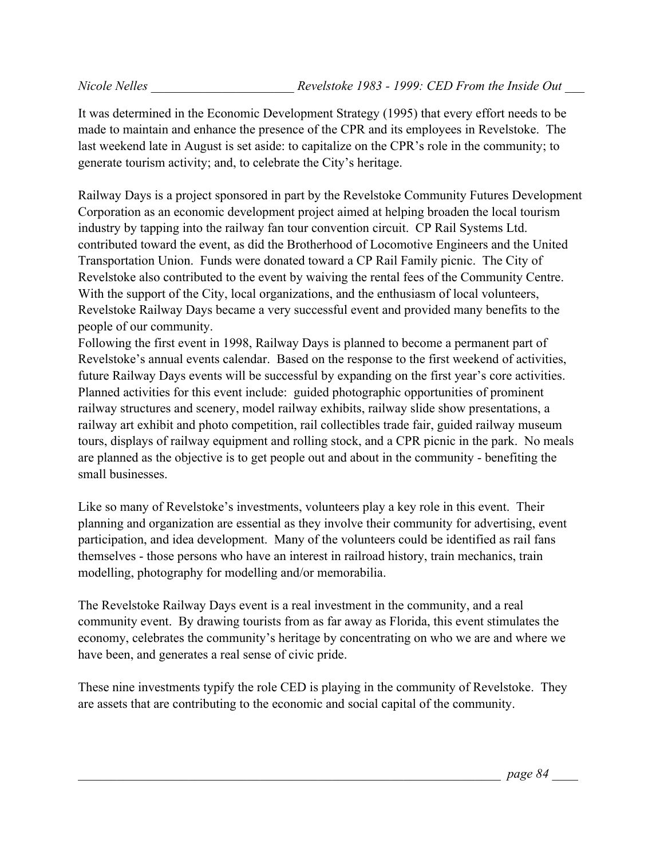It was determined in the Economic Development Strategy (1995) that every effort needs to be made to maintain and enhance the presence of the CPR and its employees in Revelstoke. The last weekend late in August is set aside: to capitalize on the CPR's role in the community; to generate tourism activity; and, to celebrate the City's heritage.

Railway Days is a project sponsored in part by the Revelstoke Community Futures Development Corporation as an economic development project aimed at helping broaden the local tourism industry by tapping into the railway fan tour convention circuit. CP Rail Systems Ltd. contributed toward the event, as did the Brotherhood of Locomotive Engineers and the United Transportation Union. Funds were donated toward a CP Rail Family picnic. The City of Revelstoke also contributed to the event by waiving the rental fees of the Community Centre. With the support of the City, local organizations, and the enthusiasm of local volunteers, Revelstoke Railway Days became a very successful event and provided many benefits to the people of our community.

Following the first event in 1998, Railway Days is planned to become a permanent part of Revelstoke's annual events calendar. Based on the response to the first weekend of activities, future Railway Days events will be successful by expanding on the first year's core activities. Planned activities for this event include: guided photographic opportunities of prominent railway structures and scenery, model railway exhibits, railway slide show presentations, a railway art exhibit and photo competition, rail collectibles trade fair, guided railway museum tours, displays of railway equipment and rolling stock, and a CPR picnic in the park. No meals are planned as the objective is to get people out and about in the community - benefiting the small businesses.

Like so many of Revelstoke's investments, volunteers play a key role in this event. Their planning and organization are essential as they involve their community for advertising, event participation, and idea development. Many of the volunteers could be identified as rail fans themselves - those persons who have an interest in railroad history, train mechanics, train modelling, photography for modelling and/or memorabilia.

The Revelstoke Railway Days event is a real investment in the community, and a real community event. By drawing tourists from as far away as Florida, this event stimulates the economy, celebrates the community's heritage by concentrating on who we are and where we have been, and generates a real sense of civic pride.

These nine investments typify the role CED is playing in the community of Revelstoke. They are assets that are contributing to the economic and social capital of the community.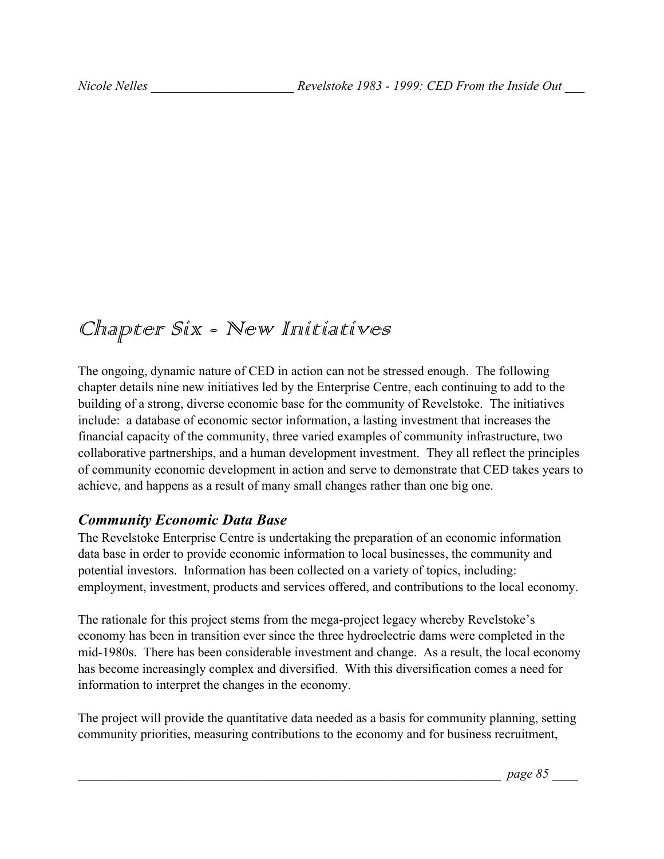# Chapter Six - New Initiatives

The ongoing, dynamic nature of CED in action can not be stressed enough. The following chapter details nine new initiatives led by the Enterprise Centre, each continuing to add to the building of a strong, diverse economic base for the community of Revelstoke. The initiatives include: a database of economic sector information, a lasting investment that increases the financial capacity of the community, three varied examples of community infrastructure, two collaborative partnerships, and a human development investment. They all reflect the principles of community economic development in action and serve to demonstrate that CED takes years to achieve, and happens as a result of many small changes rather than one big one.

#### *Community Economic Data Base*

The Revelstoke Enterprise Centre is undertaking the preparation of an economic information data base in order to provide economic information to local businesses, the community and potential investors. Information has been collected on a variety of topics, including: employment, investment, products and services offered, and contributions to the local economy.

The rationale for this project stems from the mega-project legacy whereby Revelstoke's economy has been in transition ever since the three hydroelectric dams were completed in the mid-1980s. There has been considerable investment and change. As a result, the local economy has become increasingly complex and diversified. With this diversification comes a need for information to interpret the changes in the economy.

The project will provide the quantitative data needed as a basis for community planning, setting community priorities, measuring contributions to the economy and for business recruitment,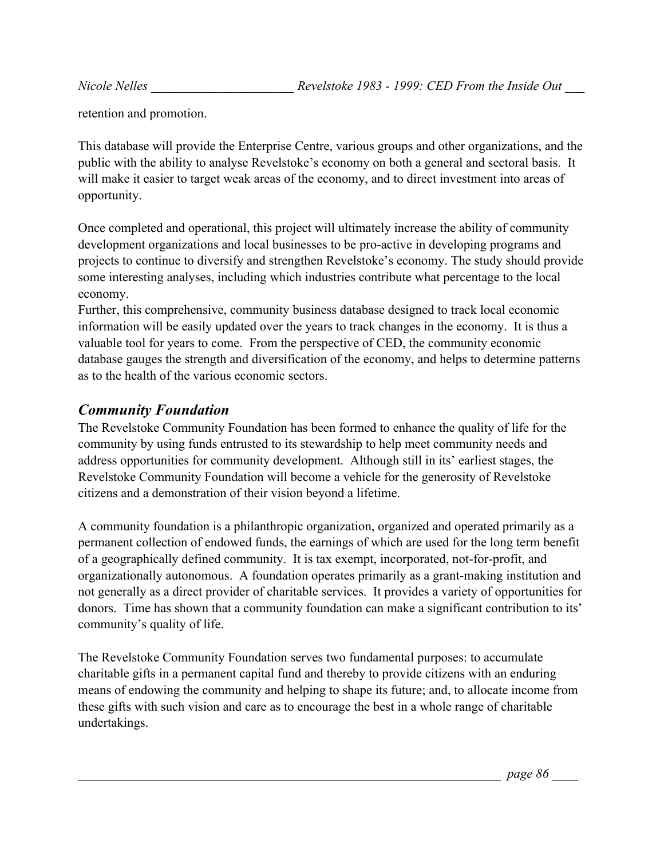retention and promotion.

This database will provide the Enterprise Centre, various groups and other organizations, and the public with the ability to analyse Revelstoke's economy on both a general and sectoral basis. It will make it easier to target weak areas of the economy, and to direct investment into areas of opportunity.

Once completed and operational, this project will ultimately increase the ability of community development organizations and local businesses to be pro-active in developing programs and projects to continue to diversify and strengthen Revelstoke's economy. The study should provide some interesting analyses, including which industries contribute what percentage to the local economy.

Further, this comprehensive, community business database designed to track local economic information will be easily updated over the years to track changes in the economy. It is thus a valuable tool for years to come. From the perspective of CED, the community economic database gauges the strength and diversification of the economy, and helps to determine patterns as to the health of the various economic sectors.

#### *Community Foundation*

The Revelstoke Community Foundation has been formed to enhance the quality of life for the community by using funds entrusted to its stewardship to help meet community needs and address opportunities for community development. Although still in its' earliest stages, the Revelstoke Community Foundation will become a vehicle for the generosity of Revelstoke citizens and a demonstration of their vision beyond a lifetime.

A community foundation is a philanthropic organization, organized and operated primarily as a permanent collection of endowed funds, the earnings of which are used for the long term benefit of a geographically defined community. It is tax exempt, incorporated, not-for-profit, and organizationally autonomous. A foundation operates primarily as a grant-making institution and not generally as a direct provider of charitable services. It provides a variety of opportunities for donors. Time has shown that a community foundation can make a significant contribution to its' community's quality of life.

The Revelstoke Community Foundation serves two fundamental purposes: to accumulate charitable gifts in a permanent capital fund and thereby to provide citizens with an enduring means of endowing the community and helping to shape its future; and, to allocate income from these gifts with such vision and care as to encourage the best in a whole range of charitable undertakings.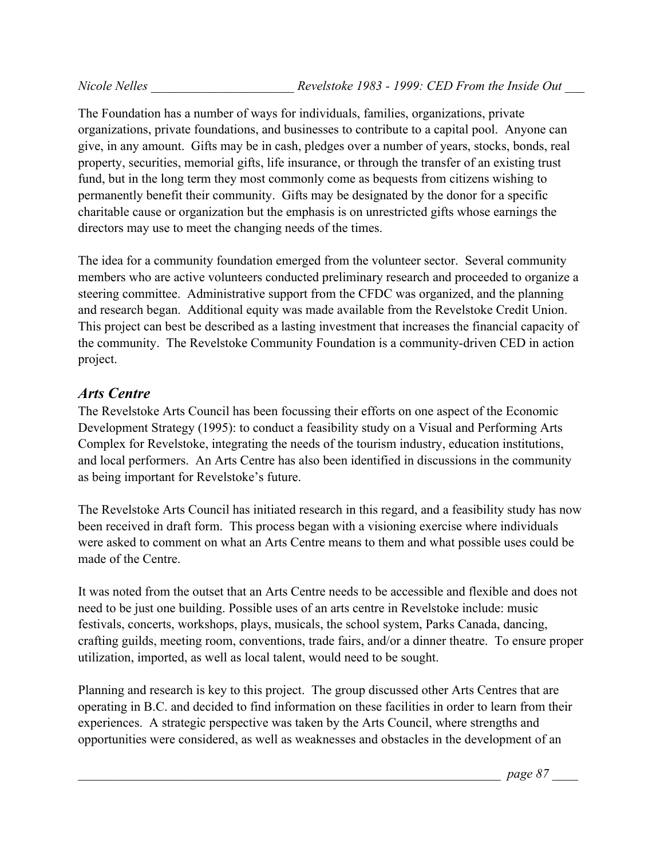The Foundation has a number of ways for individuals, families, organizations, private organizations, private foundations, and businesses to contribute to a capital pool. Anyone can give, in any amount. Gifts may be in cash, pledges over a number of years, stocks, bonds, real property, securities, memorial gifts, life insurance, or through the transfer of an existing trust fund, but in the long term they most commonly come as bequests from citizens wishing to permanently benefit their community. Gifts may be designated by the donor for a specific charitable cause or organization but the emphasis is on unrestricted gifts whose earnings the directors may use to meet the changing needs of the times.

The idea for a community foundation emerged from the volunteer sector. Several community members who are active volunteers conducted preliminary research and proceeded to organize a steering committee. Administrative support from the CFDC was organized, and the planning and research began. Additional equity was made available from the Revelstoke Credit Union. This project can best be described as a lasting investment that increases the financial capacity of the community. The Revelstoke Community Foundation is a community-driven CED in action project.

#### *Arts Centre*

The Revelstoke Arts Council has been focussing their efforts on one aspect of the Economic Development Strategy (1995): to conduct a feasibility study on a Visual and Performing Arts Complex for Revelstoke, integrating the needs of the tourism industry, education institutions, and local performers. An Arts Centre has also been identified in discussions in the community as being important for Revelstoke's future.

The Revelstoke Arts Council has initiated research in this regard, and a feasibility study has now been received in draft form. This process began with a visioning exercise where individuals were asked to comment on what an Arts Centre means to them and what possible uses could be made of the Centre.

It was noted from the outset that an Arts Centre needs to be accessible and flexible and does not need to be just one building. Possible uses of an arts centre in Revelstoke include: music festivals, concerts, workshops, plays, musicals, the school system, Parks Canada, dancing, crafting guilds, meeting room, conventions, trade fairs, and/or a dinner theatre. To ensure proper utilization, imported, as well as local talent, would need to be sought.

Planning and research is key to this project. The group discussed other Arts Centres that are operating in B.C. and decided to find information on these facilities in order to learn from their experiences. A strategic perspective was taken by the Arts Council, where strengths and opportunities were considered, as well as weaknesses and obstacles in the development of an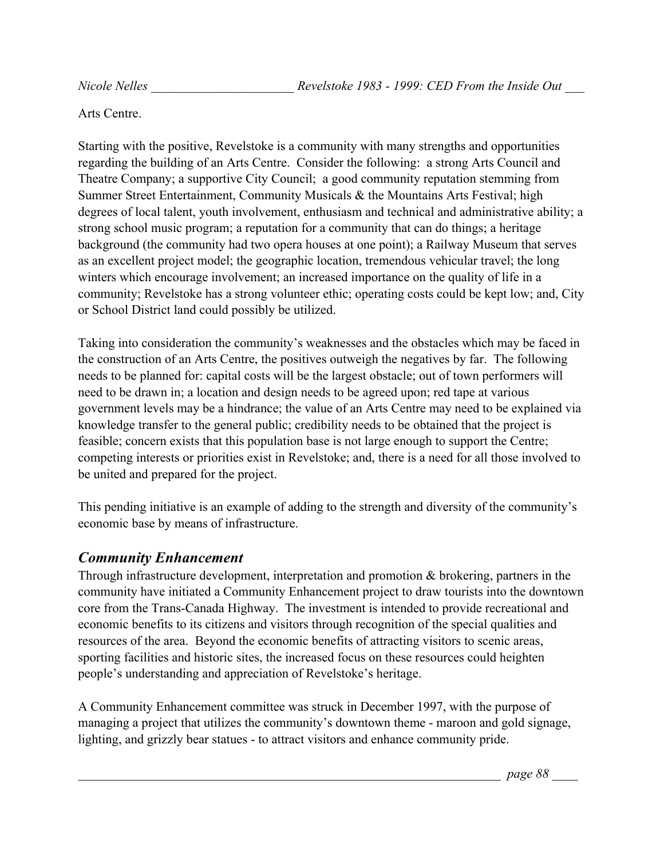Arts Centre.

Starting with the positive, Revelstoke is a community with many strengths and opportunities regarding the building of an Arts Centre. Consider the following: a strong Arts Council and Theatre Company; a supportive City Council; a good community reputation stemming from Summer Street Entertainment, Community Musicals & the Mountains Arts Festival; high degrees of local talent, youth involvement, enthusiasm and technical and administrative ability; a strong school music program; a reputation for a community that can do things; a heritage background (the community had two opera houses at one point); a Railway Museum that serves as an excellent project model; the geographic location, tremendous vehicular travel; the long winters which encourage involvement; an increased importance on the quality of life in a community; Revelstoke has a strong volunteer ethic; operating costs could be kept low; and, City or School District land could possibly be utilized.

Taking into consideration the community's weaknesses and the obstacles which may be faced in the construction of an Arts Centre, the positives outweigh the negatives by far. The following needs to be planned for: capital costs will be the largest obstacle; out of town performers will need to be drawn in; a location and design needs to be agreed upon; red tape at various government levels may be a hindrance; the value of an Arts Centre may need to be explained via knowledge transfer to the general public; credibility needs to be obtained that the project is feasible; concern exists that this population base is not large enough to support the Centre; competing interests or priorities exist in Revelstoke; and, there is a need for all those involved to be united and prepared for the project.

This pending initiative is an example of adding to the strength and diversity of the community's economic base by means of infrastructure.

## *Community Enhancement*

Through infrastructure development, interpretation and promotion & brokering, partners in the community have initiated a Community Enhancement project to draw tourists into the downtown core from the Trans-Canada Highway. The investment is intended to provide recreational and economic benefits to its citizens and visitors through recognition of the special qualities and resources of the area. Beyond the economic benefits of attracting visitors to scenic areas, sporting facilities and historic sites, the increased focus on these resources could heighten people's understanding and appreciation of Revelstoke's heritage.

A Community Enhancement committee was struck in December 1997, with the purpose of managing a project that utilizes the community's downtown theme - maroon and gold signage, lighting, and grizzly bear statues - to attract visitors and enhance community pride.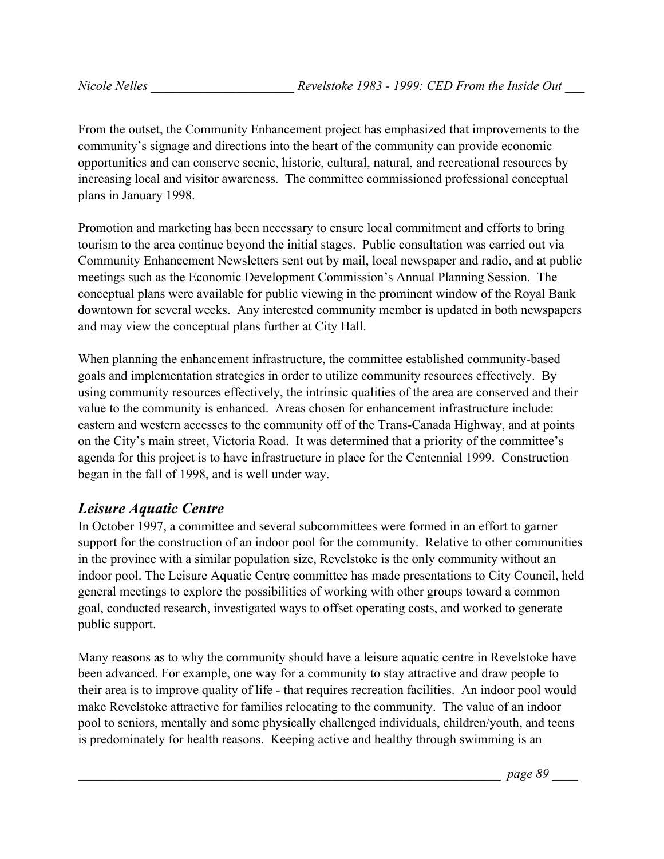From the outset, the Community Enhancement project has emphasized that improvements to the community's signage and directions into the heart of the community can provide economic opportunities and can conserve scenic, historic, cultural, natural, and recreational resources by increasing local and visitor awareness. The committee commissioned professional conceptual plans in January 1998.

Promotion and marketing has been necessary to ensure local commitment and efforts to bring tourism to the area continue beyond the initial stages. Public consultation was carried out via Community Enhancement Newsletters sent out by mail, local newspaper and radio, and at public meetings such as the Economic Development Commission's Annual Planning Session. The conceptual plans were available for public viewing in the prominent window of the Royal Bank downtown for several weeks. Any interested community member is updated in both newspapers and may view the conceptual plans further at City Hall.

When planning the enhancement infrastructure, the committee established community-based goals and implementation strategies in order to utilize community resources effectively. By using community resources effectively, the intrinsic qualities of the area are conserved and their value to the community is enhanced. Areas chosen for enhancement infrastructure include: eastern and western accesses to the community off of the Trans-Canada Highway, and at points on the City's main street, Victoria Road. It was determined that a priority of the committee's agenda for this project is to have infrastructure in place for the Centennial 1999. Construction began in the fall of 1998, and is well under way.

## *Leisure Aquatic Centre*

In October 1997, a committee and several subcommittees were formed in an effort to garner support for the construction of an indoor pool for the community. Relative to other communities in the province with a similar population size, Revelstoke is the only community without an indoor pool. The Leisure Aquatic Centre committee has made presentations to City Council, held general meetings to explore the possibilities of working with other groups toward a common goal, conducted research, investigated ways to offset operating costs, and worked to generate public support.

Many reasons as to why the community should have a leisure aquatic centre in Revelstoke have been advanced. For example, one way for a community to stay attractive and draw people to their area is to improve quality of life - that requires recreation facilities. An indoor pool would make Revelstoke attractive for families relocating to the community. The value of an indoor pool to seniors, mentally and some physically challenged individuals, children/youth, and teens is predominately for health reasons. Keeping active and healthy through swimming is an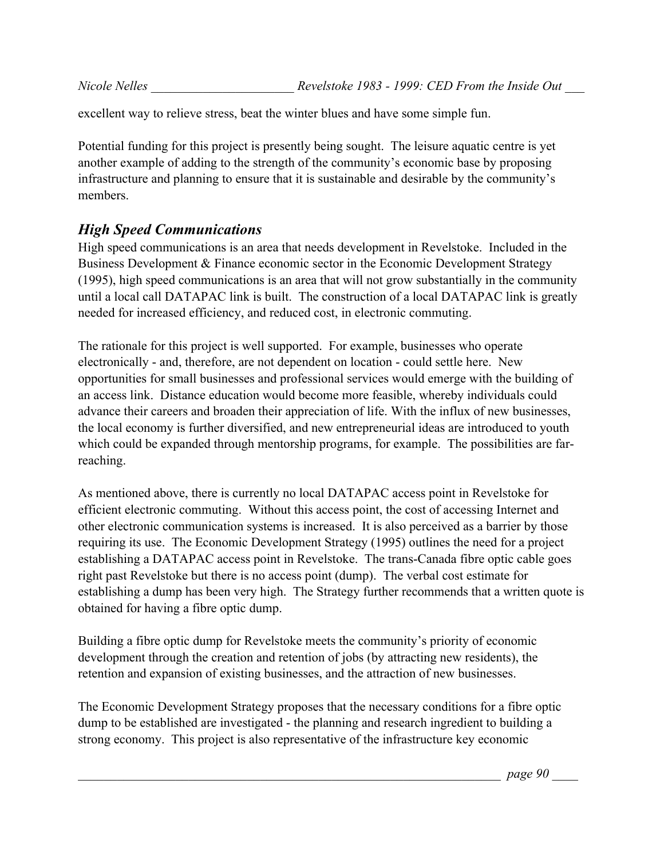excellent way to relieve stress, beat the winter blues and have some simple fun.

Potential funding for this project is presently being sought. The leisure aquatic centre is yet another example of adding to the strength of the community's economic base by proposing infrastructure and planning to ensure that it is sustainable and desirable by the community's members.

# *High Speed Communications*

High speed communications is an area that needs development in Revelstoke. Included in the Business Development & Finance economic sector in the Economic Development Strategy (1995), high speed communications is an area that will not grow substantially in the community until a local call DATAPAC link is built. The construction of a local DATAPAC link is greatly needed for increased efficiency, and reduced cost, in electronic commuting.

The rationale for this project is well supported. For example, businesses who operate electronically - and, therefore, are not dependent on location - could settle here. New opportunities for small businesses and professional services would emerge with the building of an access link. Distance education would become more feasible, whereby individuals could advance their careers and broaden their appreciation of life. With the influx of new businesses, the local economy is further diversified, and new entrepreneurial ideas are introduced to youth which could be expanded through mentorship programs, for example. The possibilities are farreaching.

As mentioned above, there is currently no local DATAPAC access point in Revelstoke for efficient electronic commuting. Without this access point, the cost of accessing Internet and other electronic communication systems is increased. It is also perceived as a barrier by those requiring its use. The Economic Development Strategy (1995) outlines the need for a project establishing a DATAPAC access point in Revelstoke. The trans-Canada fibre optic cable goes right past Revelstoke but there is no access point (dump). The verbal cost estimate for establishing a dump has been very high. The Strategy further recommends that a written quote is obtained for having a fibre optic dump.

Building a fibre optic dump for Revelstoke meets the community's priority of economic development through the creation and retention of jobs (by attracting new residents), the retention and expansion of existing businesses, and the attraction of new businesses.

The Economic Development Strategy proposes that the necessary conditions for a fibre optic dump to be established are investigated - the planning and research ingredient to building a strong economy. This project is also representative of the infrastructure key economic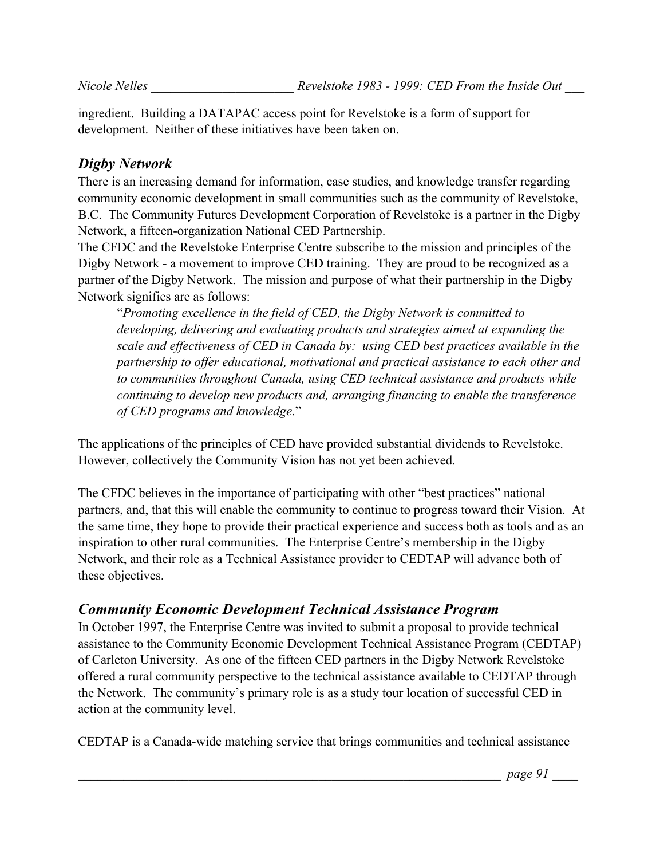ingredient. Building a DATAPAC access point for Revelstoke is a form of support for development. Neither of these initiatives have been taken on.

#### *Digby Network*

There is an increasing demand for information, case studies, and knowledge transfer regarding community economic development in small communities such as the community of Revelstoke, B.C. The Community Futures Development Corporation of Revelstoke is a partner in the Digby Network, a fifteen-organization National CED Partnership.

The CFDC and the Revelstoke Enterprise Centre subscribe to the mission and principles of the Digby Network - a movement to improve CED training. They are proud to be recognized as a partner of the Digby Network. The mission and purpose of what their partnership in the Digby Network signifies are as follows:

"*Promoting excellence in the field of CED, the Digby Network is committed to developing, delivering and evaluating products and strategies aimed at expanding the scale and effectiveness of CED in Canada by: using CED best practices available in the partnership to offer educational, motivational and practical assistance to each other and to communities throughout Canada, using CED technical assistance and products while continuing to develop new products and, arranging financing to enable the transference of CED programs and knowledge*."

The applications of the principles of CED have provided substantial dividends to Revelstoke. However, collectively the Community Vision has not yet been achieved.

The CFDC believes in the importance of participating with other "best practices" national partners, and, that this will enable the community to continue to progress toward their Vision. At the same time, they hope to provide their practical experience and success both as tools and as an inspiration to other rural communities. The Enterprise Centre's membership in the Digby Network, and their role as a Technical Assistance provider to CEDTAP will advance both of these objectives.

#### *Community Economic Development Technical Assistance Program*

In October 1997, the Enterprise Centre was invited to submit a proposal to provide technical assistance to the Community Economic Development Technical Assistance Program (CEDTAP) of Carleton University. As one of the fifteen CED partners in the Digby Network Revelstoke offered a rural community perspective to the technical assistance available to CEDTAP through the Network. The community's primary role is as a study tour location of successful CED in action at the community level.

CEDTAP is a Canada-wide matching service that brings communities and technical assistance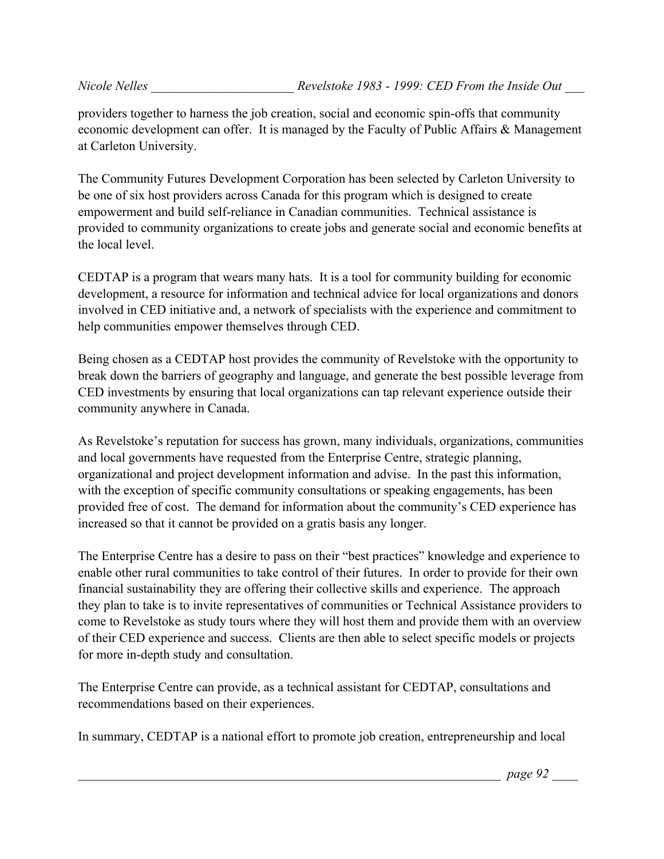providers together to harness the job creation, social and economic spin-offs that community economic development can offer. It is managed by the Faculty of Public Affairs & Management at Carleton University.

The Community Futures Development Corporation has been selected by Carleton University to be one of six host providers across Canada for this program which is designed to create empowerment and build self-reliance in Canadian communities. Technical assistance is provided to community organizations to create jobs and generate social and economic benefits at the local level.

CEDTAP is a program that wears many hats. It is a tool for community building for economic development, a resource for information and technical advice for local organizations and donors involved in CED initiative and, a network of specialists with the experience and commitment to help communities empower themselves through CED.

Being chosen as a CEDTAP host provides the community of Revelstoke with the opportunity to break down the barriers of geography and language, and generate the best possible leverage from CED investments by ensuring that local organizations can tap relevant experience outside their community anywhere in Canada.

As Revelstoke's reputation for success has grown, many individuals, organizations, communities and local governments have requested from the Enterprise Centre, strategic planning, organizational and project development information and advise. In the past this information, with the exception of specific community consultations or speaking engagements, has been provided free of cost. The demand for information about the community's CED experience has increased so that it cannot be provided on a gratis basis any longer.

The Enterprise Centre has a desire to pass on their "best practices" knowledge and experience to enable other rural communities to take control of their futures. In order to provide for their own financial sustainability they are offering their collective skills and experience. The approach they plan to take is to invite representatives of communities or Technical Assistance providers to come to Revelstoke as study tours where they will host them and provide them with an overview of their CED experience and success. Clients are then able to select specific models or projects for more in-depth study and consultation.

The Enterprise Centre can provide, as a technical assistant for CEDTAP, consultations and recommendations based on their experiences.

In summary, CEDTAP is a national effort to promote job creation, entrepreneurship and local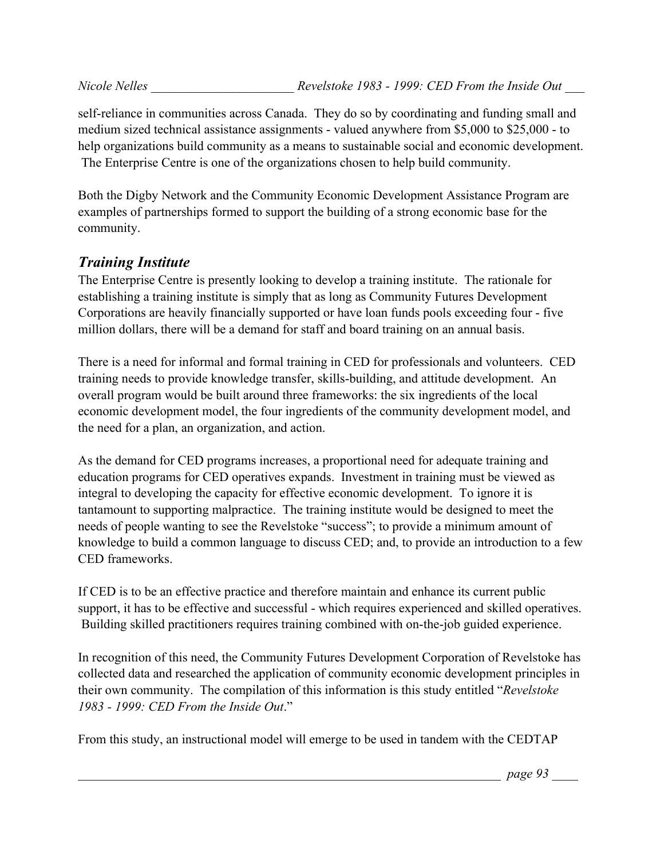self-reliance in communities across Canada. They do so by coordinating and funding small and medium sized technical assistance assignments - valued anywhere from \$5,000 to \$25,000 - to help organizations build community as a means to sustainable social and economic development. The Enterprise Centre is one of the organizations chosen to help build community.

Both the Digby Network and the Community Economic Development Assistance Program are examples of partnerships formed to support the building of a strong economic base for the community.

# *Training Institute*

The Enterprise Centre is presently looking to develop a training institute. The rationale for establishing a training institute is simply that as long as Community Futures Development Corporations are heavily financially supported or have loan funds pools exceeding four - five million dollars, there will be a demand for staff and board training on an annual basis.

There is a need for informal and formal training in CED for professionals and volunteers. CED training needs to provide knowledge transfer, skills-building, and attitude development. An overall program would be built around three frameworks: the six ingredients of the local economic development model, the four ingredients of the community development model, and the need for a plan, an organization, and action.

As the demand for CED programs increases, a proportional need for adequate training and education programs for CED operatives expands. Investment in training must be viewed as integral to developing the capacity for effective economic development. To ignore it is tantamount to supporting malpractice. The training institute would be designed to meet the needs of people wanting to see the Revelstoke "success"; to provide a minimum amount of knowledge to build a common language to discuss CED; and, to provide an introduction to a few CED frameworks.

If CED is to be an effective practice and therefore maintain and enhance its current public support, it has to be effective and successful - which requires experienced and skilled operatives. Building skilled practitioners requires training combined with on-the-job guided experience.

In recognition of this need, the Community Futures Development Corporation of Revelstoke has collected data and researched the application of community economic development principles in their own community. The compilation of this information is this study entitled "*Revelstoke 1983 - 1999: CED From the Inside Out*."

From this study, an instructional model will emerge to be used in tandem with the CEDTAP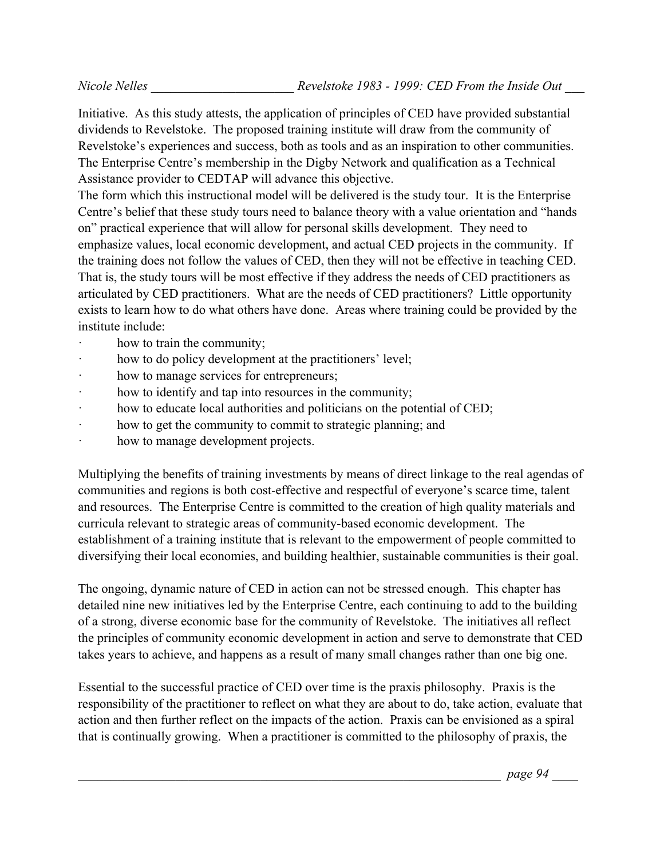Initiative. As this study attests, the application of principles of CED have provided substantial dividends to Revelstoke. The proposed training institute will draw from the community of Revelstoke's experiences and success, both as tools and as an inspiration to other communities. The Enterprise Centre's membership in the Digby Network and qualification as a Technical Assistance provider to CEDTAP will advance this objective.

The form which this instructional model will be delivered is the study tour. It is the Enterprise Centre's belief that these study tours need to balance theory with a value orientation and "hands on" practical experience that will allow for personal skills development. They need to emphasize values, local economic development, and actual CED projects in the community. If the training does not follow the values of CED, then they will not be effective in teaching CED. That is, the study tours will be most effective if they address the needs of CED practitioners as articulated by CED practitioners. What are the needs of CED practitioners? Little opportunity exists to learn how to do what others have done. Areas where training could be provided by the institute include:

- how to train the community;
- how to do policy development at the practitioners' level;
- how to manage services for entrepreneurs;
- how to identify and tap into resources in the community;
- · how to educate local authorities and politicians on the potential of CED;
- · how to get the community to commit to strategic planning; and
- · how to manage development projects.

Multiplying the benefits of training investments by means of direct linkage to the real agendas of communities and regions is both cost-effective and respectful of everyone's scarce time, talent and resources. The Enterprise Centre is committed to the creation of high quality materials and curricula relevant to strategic areas of community-based economic development. The establishment of a training institute that is relevant to the empowerment of people committed to diversifying their local economies, and building healthier, sustainable communities is their goal.

The ongoing, dynamic nature of CED in action can not be stressed enough. This chapter has detailed nine new initiatives led by the Enterprise Centre, each continuing to add to the building of a strong, diverse economic base for the community of Revelstoke. The initiatives all reflect the principles of community economic development in action and serve to demonstrate that CED takes years to achieve, and happens as a result of many small changes rather than one big one.

Essential to the successful practice of CED over time is the praxis philosophy. Praxis is the responsibility of the practitioner to reflect on what they are about to do, take action, evaluate that action and then further reflect on the impacts of the action. Praxis can be envisioned as a spiral that is continually growing. When a practitioner is committed to the philosophy of praxis, the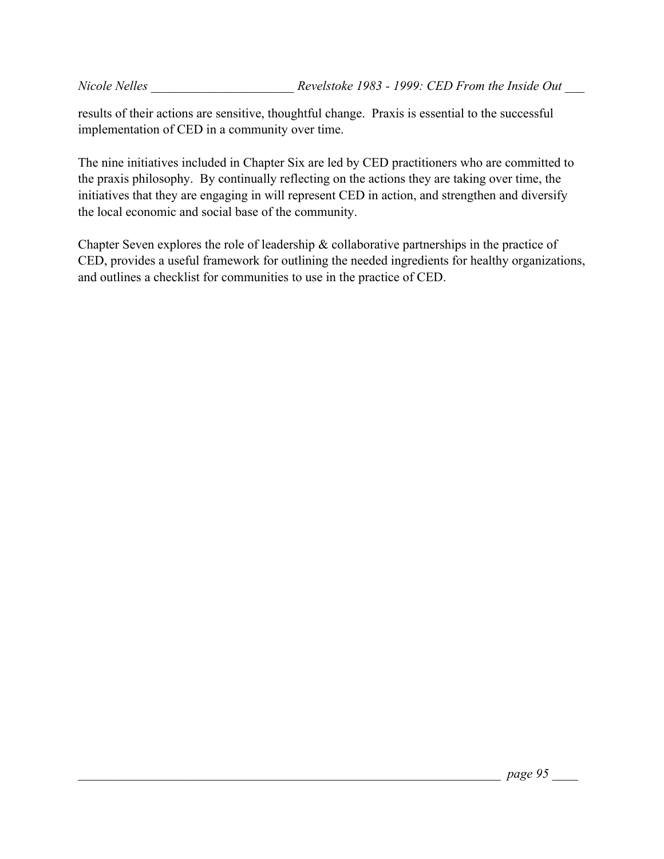results of their actions are sensitive, thoughtful change. Praxis is essential to the successful implementation of CED in a community over time.

The nine initiatives included in Chapter Six are led by CED practitioners who are committed to the praxis philosophy. By continually reflecting on the actions they are taking over time, the initiatives that they are engaging in will represent CED in action, and strengthen and diversify the local economic and social base of the community.

Chapter Seven explores the role of leadership & collaborative partnerships in the practice of CED, provides a useful framework for outlining the needed ingredients for healthy organizations, and outlines a checklist for communities to use in the practice of CED.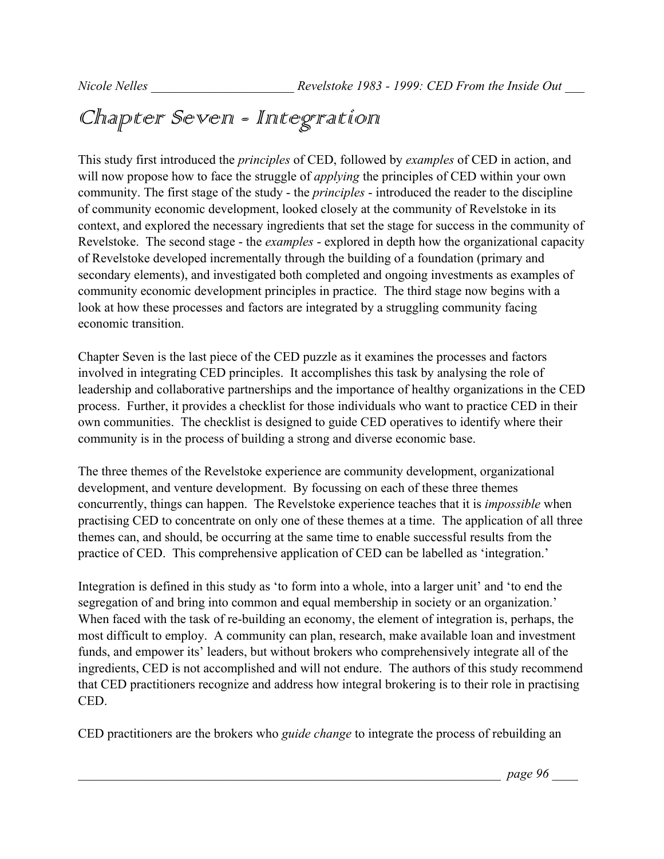# Chapter Seven - Integration

This study first introduced the *principles* of CED, followed by *examples* of CED in action, and will now propose how to face the struggle of *applying* the principles of CED within your own community. The first stage of the study - the *principles* - introduced the reader to the discipline of community economic development, looked closely at the community of Revelstoke in its context, and explored the necessary ingredients that set the stage for success in the community of Revelstoke. The second stage - the *examples* - explored in depth how the organizational capacity of Revelstoke developed incrementally through the building of a foundation (primary and secondary elements), and investigated both completed and ongoing investments as examples of community economic development principles in practice. The third stage now begins with a look at how these processes and factors are integrated by a struggling community facing economic transition.

Chapter Seven is the last piece of the CED puzzle as it examines the processes and factors involved in integrating CED principles. It accomplishes this task by analysing the role of leadership and collaborative partnerships and the importance of healthy organizations in the CED process. Further, it provides a checklist for those individuals who want to practice CED in their own communities. The checklist is designed to guide CED operatives to identify where their community is in the process of building a strong and diverse economic base.

The three themes of the Revelstoke experience are community development, organizational development, and venture development. By focussing on each of these three themes concurrently, things can happen. The Revelstoke experience teaches that it is *impossible* when practising CED to concentrate on only one of these themes at a time. The application of all three themes can, and should, be occurring at the same time to enable successful results from the practice of CED. This comprehensive application of CED can be labelled as 'integration.'

Integration is defined in this study as 'to form into a whole, into a larger unit' and 'to end the segregation of and bring into common and equal membership in society or an organization.' When faced with the task of re-building an economy, the element of integration is, perhaps, the most difficult to employ. A community can plan, research, make available loan and investment funds, and empower its' leaders, but without brokers who comprehensively integrate all of the ingredients, CED is not accomplished and will not endure. The authors of this study recommend that CED practitioners recognize and address how integral brokering is to their role in practising CED.

CED practitioners are the brokers who *guide change* to integrate the process of rebuilding an

\_\_\_\_\_\_\_\_\_\_\_\_\_\_\_\_\_\_\_\_\_\_\_\_\_\_\_\_\_\_\_\_\_\_\_\_\_\_\_\_\_\_\_\_\_\_\_\_\_\_\_\_\_\_\_\_\_\_\_\_\_\_\_\_\_ *page 96* \_\_\_\_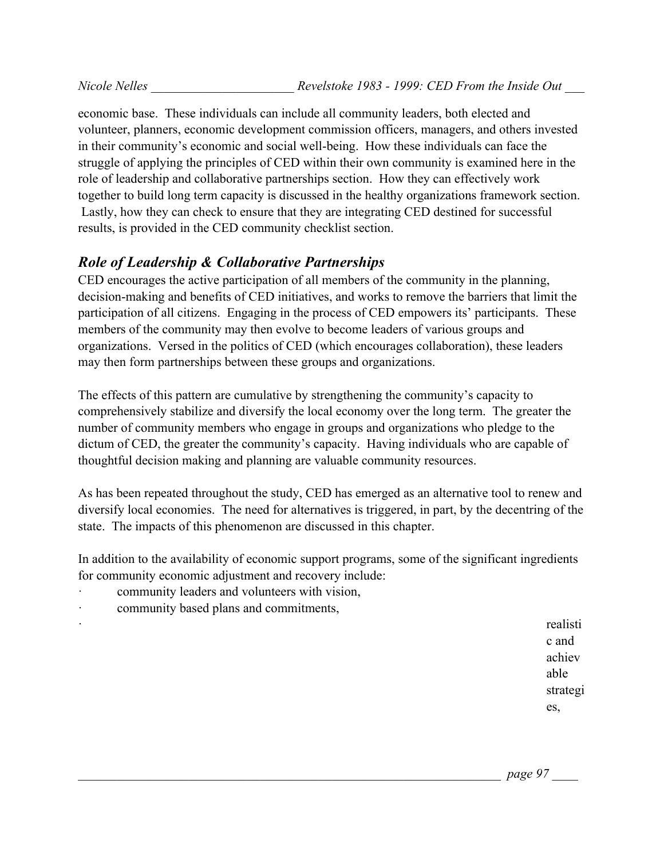economic base. These individuals can include all community leaders, both elected and volunteer, planners, economic development commission officers, managers, and others invested in their community's economic and social well-being. How these individuals can face the struggle of applying the principles of CED within their own community is examined here in the role of leadership and collaborative partnerships section. How they can effectively work together to build long term capacity is discussed in the healthy organizations framework section. Lastly, how they can check to ensure that they are integrating CED destined for successful results, is provided in the CED community checklist section.

# *Role of Leadership & Collaborative Partnerships*

CED encourages the active participation of all members of the community in the planning, decision-making and benefits of CED initiatives, and works to remove the barriers that limit the participation of all citizens. Engaging in the process of CED empowers its' participants. These members of the community may then evolve to become leaders of various groups and organizations. Versed in the politics of CED (which encourages collaboration), these leaders may then form partnerships between these groups and organizations.

The effects of this pattern are cumulative by strengthening the community's capacity to comprehensively stabilize and diversify the local economy over the long term. The greater the number of community members who engage in groups and organizations who pledge to the dictum of CED, the greater the community's capacity. Having individuals who are capable of thoughtful decision making and planning are valuable community resources.

As has been repeated throughout the study, CED has emerged as an alternative tool to renew and diversify local economies. The need for alternatives is triggered, in part, by the decentring of the state. The impacts of this phenomenon are discussed in this chapter.

In addition to the availability of economic support programs, some of the significant ingredients for community economic adjustment and recovery include:

- · community leaders and volunteers with vision,
- community based plans and commitments,

· realisti c and achiev able strategi es,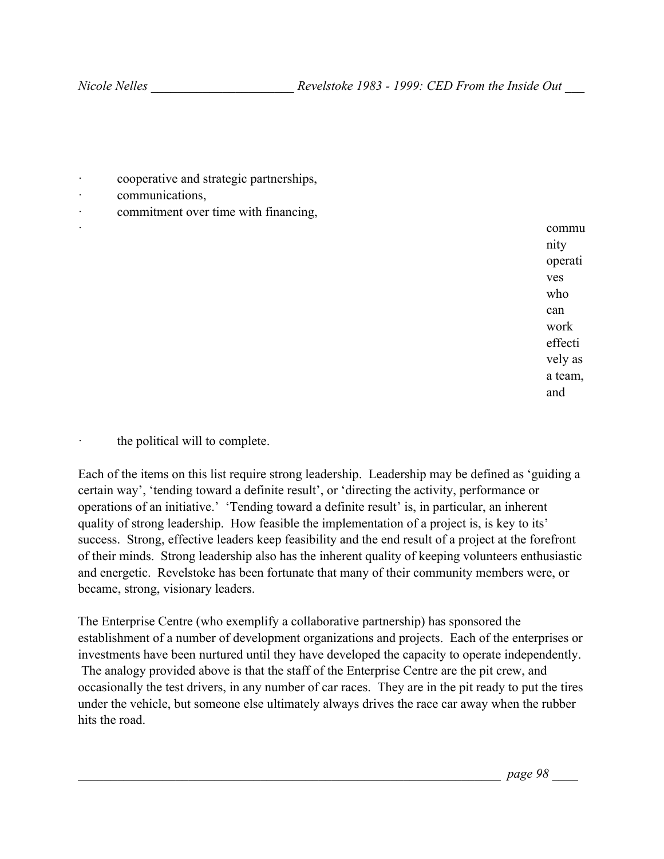- · cooperative and strategic partnerships,
- communications,
- · commitment over time with financing,

· commu nity operati ves who can work effecti vely as a team, and

the political will to complete.

Each of the items on this list require strong leadership. Leadership may be defined as 'guiding a certain way', 'tending toward a definite result', or 'directing the activity, performance or operations of an initiative.' 'Tending toward a definite result' is, in particular, an inherent quality of strong leadership. How feasible the implementation of a project is, is key to its' success. Strong, effective leaders keep feasibility and the end result of a project at the forefront of their minds. Strong leadership also has the inherent quality of keeping volunteers enthusiastic and energetic. Revelstoke has been fortunate that many of their community members were, or became, strong, visionary leaders.

The Enterprise Centre (who exemplify a collaborative partnership) has sponsored the establishment of a number of development organizations and projects. Each of the enterprises or investments have been nurtured until they have developed the capacity to operate independently. The analogy provided above is that the staff of the Enterprise Centre are the pit crew, and occasionally the test drivers, in any number of car races. They are in the pit ready to put the tires under the vehicle, but someone else ultimately always drives the race car away when the rubber hits the road.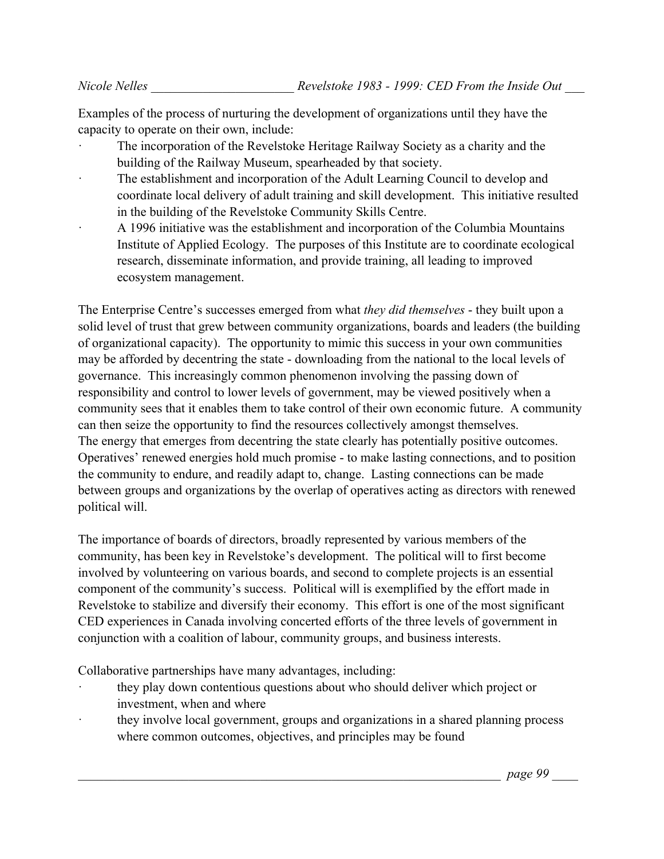Examples of the process of nurturing the development of organizations until they have the capacity to operate on their own, include:

- The incorporation of the Revelstoke Heritage Railway Society as a charity and the building of the Railway Museum, spearheaded by that society.
- The establishment and incorporation of the Adult Learning Council to develop and coordinate local delivery of adult training and skill development. This initiative resulted in the building of the Revelstoke Community Skills Centre.
- · A 1996 initiative was the establishment and incorporation of the Columbia Mountains Institute of Applied Ecology. The purposes of this Institute are to coordinate ecological research, disseminate information, and provide training, all leading to improved ecosystem management.

The Enterprise Centre's successes emerged from what *they did themselves* - they built upon a solid level of trust that grew between community organizations, boards and leaders (the building of organizational capacity). The opportunity to mimic this success in your own communities may be afforded by decentring the state - downloading from the national to the local levels of governance. This increasingly common phenomenon involving the passing down of responsibility and control to lower levels of government, may be viewed positively when a community sees that it enables them to take control of their own economic future. A community can then seize the opportunity to find the resources collectively amongst themselves. The energy that emerges from decentring the state clearly has potentially positive outcomes. Operatives' renewed energies hold much promise - to make lasting connections, and to position the community to endure, and readily adapt to, change. Lasting connections can be made between groups and organizations by the overlap of operatives acting as directors with renewed political will.

The importance of boards of directors, broadly represented by various members of the community, has been key in Revelstoke's development. The political will to first become involved by volunteering on various boards, and second to complete projects is an essential component of the community's success. Political will is exemplified by the effort made in Revelstoke to stabilize and diversify their economy. This effort is one of the most significant CED experiences in Canada involving concerted efforts of the three levels of government in conjunction with a coalition of labour, community groups, and business interests.

Collaborative partnerships have many advantages, including:

- · they play down contentious questions about who should deliver which project or investment, when and where
- they involve local government, groups and organizations in a shared planning process where common outcomes, objectives, and principles may be found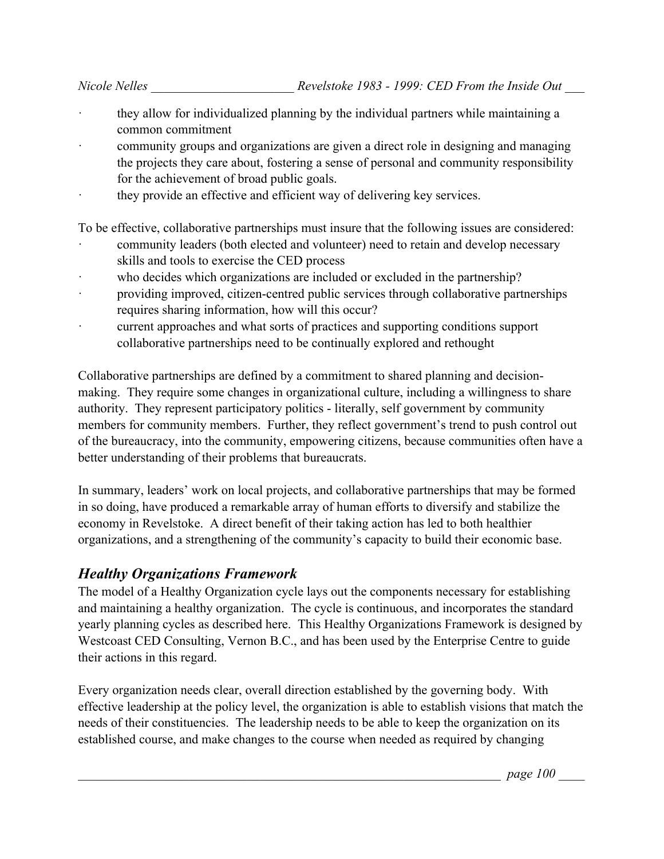- they allow for individualized planning by the individual partners while maintaining a common commitment
- community groups and organizations are given a direct role in designing and managing the projects they care about, fostering a sense of personal and community responsibility for the achievement of broad public goals.
- · they provide an effective and efficient way of delivering key services.

To be effective, collaborative partnerships must insure that the following issues are considered:

- community leaders (both elected and volunteer) need to retain and develop necessary skills and tools to exercise the CED process
- who decides which organizations are included or excluded in the partnership?
- · providing improved, citizen-centred public services through collaborative partnerships requires sharing information, how will this occur?
- current approaches and what sorts of practices and supporting conditions support collaborative partnerships need to be continually explored and rethought

Collaborative partnerships are defined by a commitment to shared planning and decisionmaking. They require some changes in organizational culture, including a willingness to share authority. They represent participatory politics - literally, self government by community members for community members. Further, they reflect government's trend to push control out of the bureaucracy, into the community, empowering citizens, because communities often have a better understanding of their problems that bureaucrats.

In summary, leaders' work on local projects, and collaborative partnerships that may be formed in so doing, have produced a remarkable array of human efforts to diversify and stabilize the economy in Revelstoke. A direct benefit of their taking action has led to both healthier organizations, and a strengthening of the community's capacity to build their economic base.

#### *Healthy Organizations Framework*

The model of a Healthy Organization cycle lays out the components necessary for establishing and maintaining a healthy organization. The cycle is continuous, and incorporates the standard yearly planning cycles as described here. This Healthy Organizations Framework is designed by Westcoast CED Consulting, Vernon B.C., and has been used by the Enterprise Centre to guide their actions in this regard.

Every organization needs clear, overall direction established by the governing body. With effective leadership at the policy level, the organization is able to establish visions that match the needs of their constituencies. The leadership needs to be able to keep the organization on its established course, and make changes to the course when needed as required by changing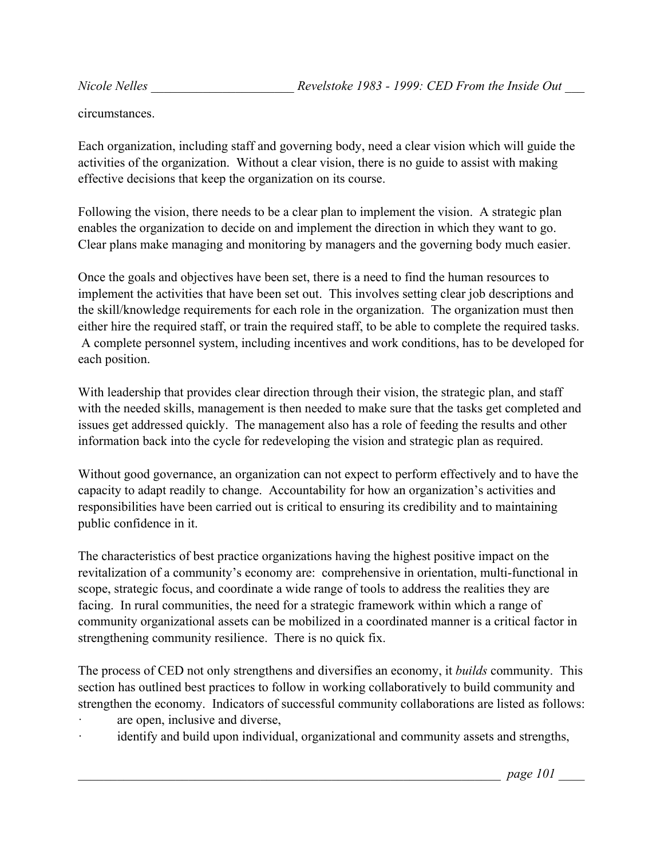circumstances.

Each organization, including staff and governing body, need a clear vision which will guide the activities of the organization. Without a clear vision, there is no guide to assist with making effective decisions that keep the organization on its course.

Following the vision, there needs to be a clear plan to implement the vision. A strategic plan enables the organization to decide on and implement the direction in which they want to go. Clear plans make managing and monitoring by managers and the governing body much easier.

Once the goals and objectives have been set, there is a need to find the human resources to implement the activities that have been set out. This involves setting clear job descriptions and the skill/knowledge requirements for each role in the organization. The organization must then either hire the required staff, or train the required staff, to be able to complete the required tasks. A complete personnel system, including incentives and work conditions, has to be developed for each position.

With leadership that provides clear direction through their vision, the strategic plan, and staff with the needed skills, management is then needed to make sure that the tasks get completed and issues get addressed quickly. The management also has a role of feeding the results and other information back into the cycle for redeveloping the vision and strategic plan as required.

Without good governance, an organization can not expect to perform effectively and to have the capacity to adapt readily to change. Accountability for how an organization's activities and responsibilities have been carried out is critical to ensuring its credibility and to maintaining public confidence in it.

The characteristics of best practice organizations having the highest positive impact on the revitalization of a community's economy are: comprehensive in orientation, multi-functional in scope, strategic focus, and coordinate a wide range of tools to address the realities they are facing. In rural communities, the need for a strategic framework within which a range of community organizational assets can be mobilized in a coordinated manner is a critical factor in strengthening community resilience. There is no quick fix.

The process of CED not only strengthens and diversifies an economy, it *builds* community. This section has outlined best practices to follow in working collaboratively to build community and strengthen the economy. Indicators of successful community collaborations are listed as follows:

- are open, inclusive and diverse,
- identify and build upon individual, organizational and community assets and strengths,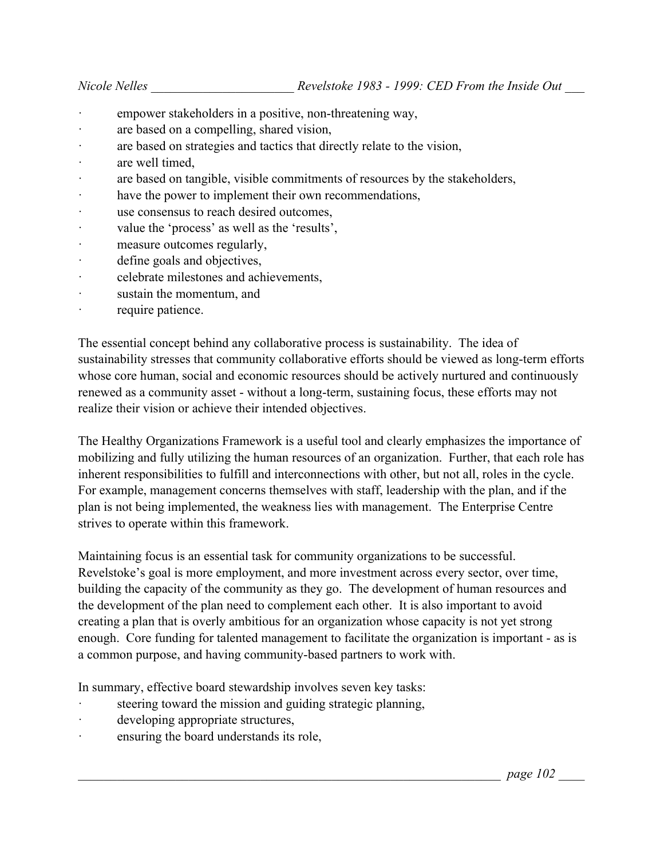- empower stakeholders in a positive, non-threatening way,
- are based on a compelling, shared vision,
- · are based on strategies and tactics that directly relate to the vision,
- · are well timed,
- are based on tangible, visible commitments of resources by the stakeholders,
- · have the power to implement their own recommendations,
- · use consensus to reach desired outcomes,
- · value the 'process' as well as the 'results',
- measure outcomes regularly,
- · define goals and objectives,
- · celebrate milestones and achievements,
- sustain the momentum, and
- · require patience.

The essential concept behind any collaborative process is sustainability. The idea of sustainability stresses that community collaborative efforts should be viewed as long-term efforts whose core human, social and economic resources should be actively nurtured and continuously renewed as a community asset - without a long-term, sustaining focus, these efforts may not realize their vision or achieve their intended objectives.

The Healthy Organizations Framework is a useful tool and clearly emphasizes the importance of mobilizing and fully utilizing the human resources of an organization. Further, that each role has inherent responsibilities to fulfill and interconnections with other, but not all, roles in the cycle. For example, management concerns themselves with staff, leadership with the plan, and if the plan is not being implemented, the weakness lies with management. The Enterprise Centre strives to operate within this framework.

Maintaining focus is an essential task for community organizations to be successful. Revelstoke's goal is more employment, and more investment across every sector, over time, building the capacity of the community as they go. The development of human resources and the development of the plan need to complement each other. It is also important to avoid creating a plan that is overly ambitious for an organization whose capacity is not yet strong enough. Core funding for talented management to facilitate the organization is important - as is a common purpose, and having community-based partners to work with.

In summary, effective board stewardship involves seven key tasks:

- steering toward the mission and guiding strategic planning,
- developing appropriate structures,
- ensuring the board understands its role,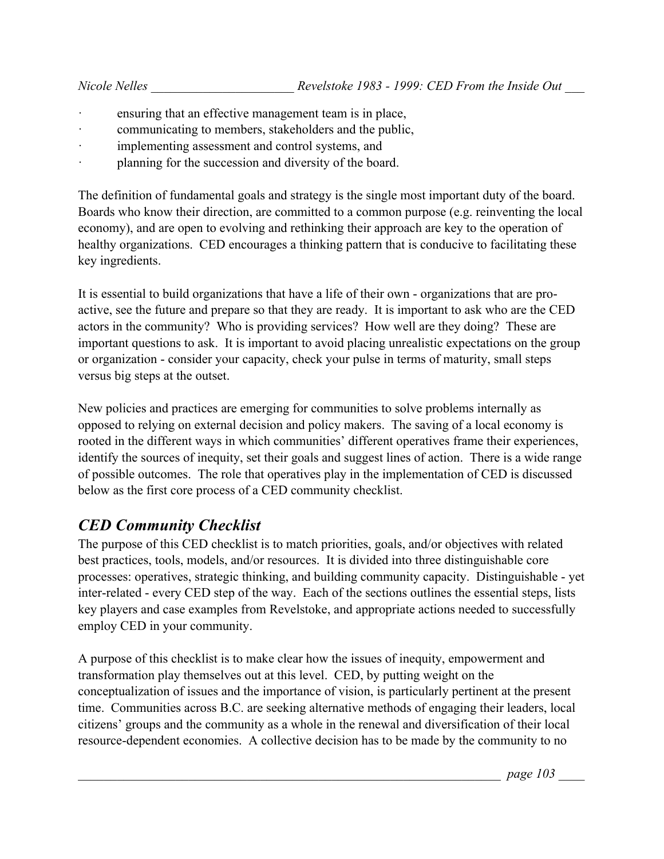- ensuring that an effective management team is in place,
- communicating to members, stakeholders and the public,
- · implementing assessment and control systems, and
- planning for the succession and diversity of the board.

The definition of fundamental goals and strategy is the single most important duty of the board. Boards who know their direction, are committed to a common purpose (e.g. reinventing the local economy), and are open to evolving and rethinking their approach are key to the operation of healthy organizations. CED encourages a thinking pattern that is conducive to facilitating these key ingredients.

It is essential to build organizations that have a life of their own - organizations that are proactive, see the future and prepare so that they are ready. It is important to ask who are the CED actors in the community? Who is providing services? How well are they doing? These are important questions to ask. It is important to avoid placing unrealistic expectations on the group or organization - consider your capacity, check your pulse in terms of maturity, small steps versus big steps at the outset.

New policies and practices are emerging for communities to solve problems internally as opposed to relying on external decision and policy makers. The saving of a local economy is rooted in the different ways in which communities' different operatives frame their experiences, identify the sources of inequity, set their goals and suggest lines of action. There is a wide range of possible outcomes. The role that operatives play in the implementation of CED is discussed below as the first core process of a CED community checklist.

# *CED Community Checklist*

The purpose of this CED checklist is to match priorities, goals, and/or objectives with related best practices, tools, models, and/or resources. It is divided into three distinguishable core processes: operatives, strategic thinking, and building community capacity. Distinguishable - yet inter-related - every CED step of the way. Each of the sections outlines the essential steps, lists key players and case examples from Revelstoke, and appropriate actions needed to successfully employ CED in your community.

A purpose of this checklist is to make clear how the issues of inequity, empowerment and transformation play themselves out at this level. CED, by putting weight on the conceptualization of issues and the importance of vision, is particularly pertinent at the present time. Communities across B.C. are seeking alternative methods of engaging their leaders, local citizens' groups and the community as a whole in the renewal and diversification of their local resource-dependent economies. A collective decision has to be made by the community to no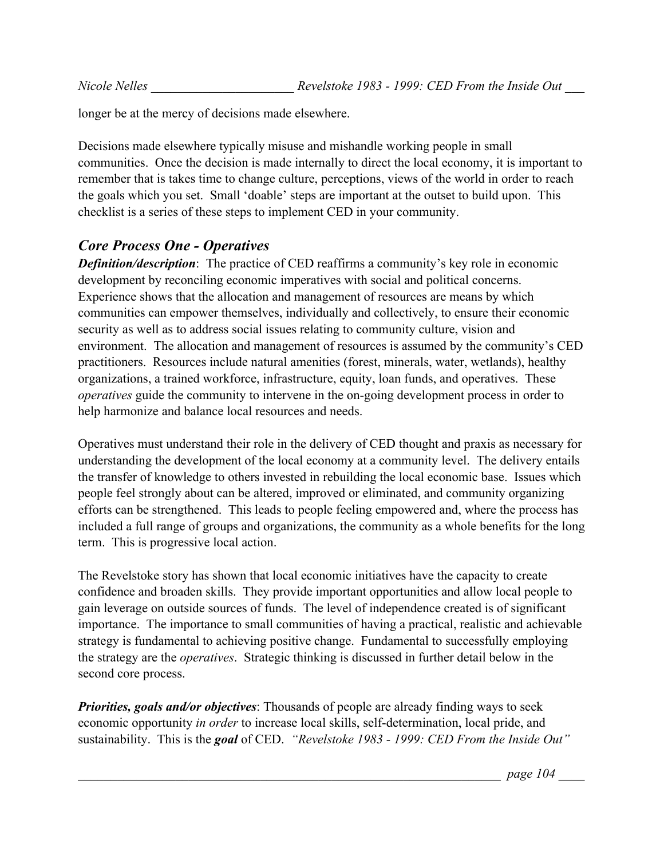longer be at the mercy of decisions made elsewhere.

Decisions made elsewhere typically misuse and mishandle working people in small communities. Once the decision is made internally to direct the local economy, it is important to remember that is takes time to change culture, perceptions, views of the world in order to reach the goals which you set. Small 'doable' steps are important at the outset to build upon. This checklist is a series of these steps to implement CED in your community.

#### *Core Process One - Operatives*

*Definition/description*: The practice of CED reaffirms a community's key role in economic development by reconciling economic imperatives with social and political concerns. Experience shows that the allocation and management of resources are means by which communities can empower themselves, individually and collectively, to ensure their economic security as well as to address social issues relating to community culture, vision and environment. The allocation and management of resources is assumed by the community's CED practitioners. Resources include natural amenities (forest, minerals, water, wetlands), healthy organizations, a trained workforce, infrastructure, equity, loan funds, and operatives. These *operatives* guide the community to intervene in the on-going development process in order to help harmonize and balance local resources and needs.

Operatives must understand their role in the delivery of CED thought and praxis as necessary for understanding the development of the local economy at a community level. The delivery entails the transfer of knowledge to others invested in rebuilding the local economic base. Issues which people feel strongly about can be altered, improved or eliminated, and community organizing efforts can be strengthened. This leads to people feeling empowered and, where the process has included a full range of groups and organizations, the community as a whole benefits for the long term. This is progressive local action.

The Revelstoke story has shown that local economic initiatives have the capacity to create confidence and broaden skills. They provide important opportunities and allow local people to gain leverage on outside sources of funds. The level of independence created is of significant importance. The importance to small communities of having a practical, realistic and achievable strategy is fundamental to achieving positive change. Fundamental to successfully employing the strategy are the *operatives*. Strategic thinking is discussed in further detail below in the second core process.

*Priorities, goals and/or objectives*: Thousands of people are already finding ways to seek economic opportunity *in order* to increase local skills, self-determination, local pride, and sustainability. This is the *goal* of CED. *"Revelstoke 1983 - 1999: CED From the Inside Out"*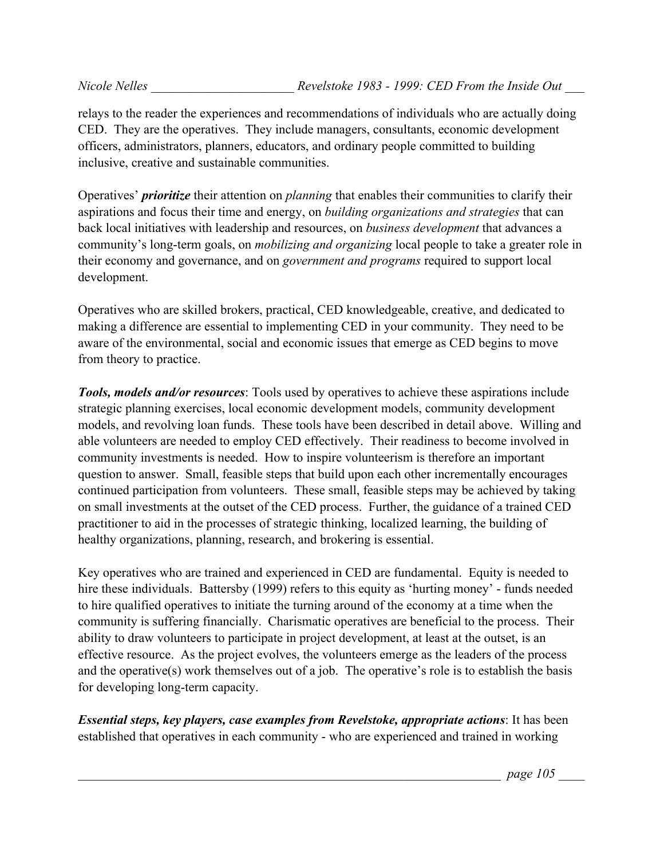relays to the reader the experiences and recommendations of individuals who are actually doing CED. They are the operatives. They include managers, consultants, economic development officers, administrators, planners, educators, and ordinary people committed to building inclusive, creative and sustainable communities.

Operatives' *prioritize* their attention on *planning* that enables their communities to clarify their aspirations and focus their time and energy, on *building organizations and strategies* that can back local initiatives with leadership and resources, on *business development* that advances a community's long-term goals, on *mobilizing and organizing* local people to take a greater role in their economy and governance, and on *government and programs* required to support local development.

Operatives who are skilled brokers, practical, CED knowledgeable, creative, and dedicated to making a difference are essential to implementing CED in your community. They need to be aware of the environmental, social and economic issues that emerge as CED begins to move from theory to practice.

*Tools, models and/or resources*: Tools used by operatives to achieve these aspirations include strategic planning exercises, local economic development models, community development models, and revolving loan funds. These tools have been described in detail above. Willing and able volunteers are needed to employ CED effectively. Their readiness to become involved in community investments is needed. How to inspire volunteerism is therefore an important question to answer. Small, feasible steps that build upon each other incrementally encourages continued participation from volunteers. These small, feasible steps may be achieved by taking on small investments at the outset of the CED process. Further, the guidance of a trained CED practitioner to aid in the processes of strategic thinking, localized learning, the building of healthy organizations, planning, research, and brokering is essential.

Key operatives who are trained and experienced in CED are fundamental. Equity is needed to hire these individuals. Battersby (1999) refers to this equity as 'hurting money' - funds needed to hire qualified operatives to initiate the turning around of the economy at a time when the community is suffering financially. Charismatic operatives are beneficial to the process. Their ability to draw volunteers to participate in project development, at least at the outset, is an effective resource. As the project evolves, the volunteers emerge as the leaders of the process and the operative(s) work themselves out of a job. The operative's role is to establish the basis for developing long-term capacity.

*Essential steps, key players, case examples from Revelstoke, appropriate actions*: It has been established that operatives in each community - who are experienced and trained in working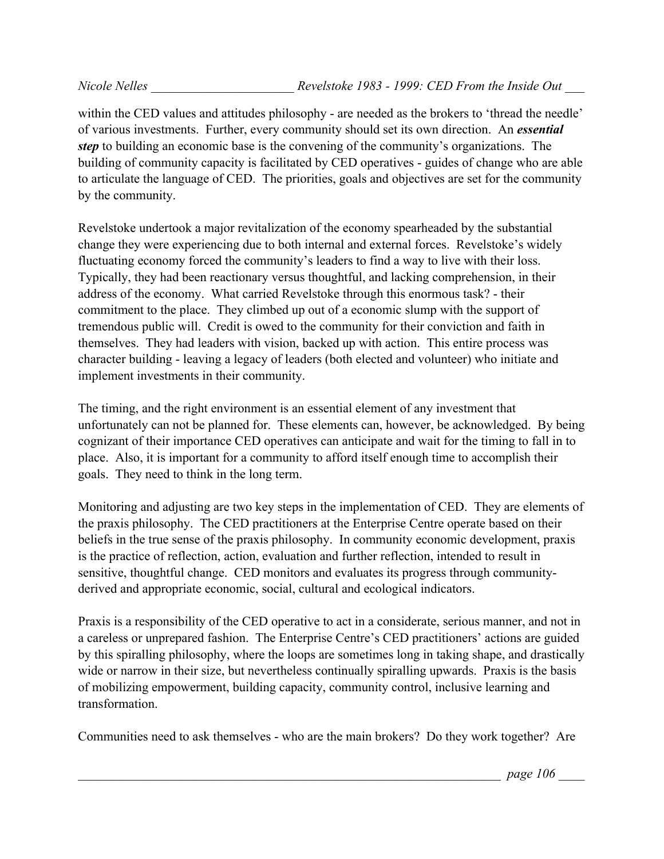within the CED values and attitudes philosophy - are needed as the brokers to 'thread the needle' of various investments. Further, every community should set its own direction. An *essential step* to building an economic base is the convening of the community's organizations. The building of community capacity is facilitated by CED operatives - guides of change who are able to articulate the language of CED. The priorities, goals and objectives are set for the community by the community.

Revelstoke undertook a major revitalization of the economy spearheaded by the substantial change they were experiencing due to both internal and external forces. Revelstoke's widely fluctuating economy forced the community's leaders to find a way to live with their loss. Typically, they had been reactionary versus thoughtful, and lacking comprehension, in their address of the economy. What carried Revelstoke through this enormous task? - their commitment to the place. They climbed up out of a economic slump with the support of tremendous public will. Credit is owed to the community for their conviction and faith in themselves. They had leaders with vision, backed up with action. This entire process was character building - leaving a legacy of leaders (both elected and volunteer) who initiate and implement investments in their community.

The timing, and the right environment is an essential element of any investment that unfortunately can not be planned for. These elements can, however, be acknowledged. By being cognizant of their importance CED operatives can anticipate and wait for the timing to fall in to place. Also, it is important for a community to afford itself enough time to accomplish their goals. They need to think in the long term.

Monitoring and adjusting are two key steps in the implementation of CED. They are elements of the praxis philosophy. The CED practitioners at the Enterprise Centre operate based on their beliefs in the true sense of the praxis philosophy. In community economic development, praxis is the practice of reflection, action, evaluation and further reflection, intended to result in sensitive, thoughtful change. CED monitors and evaluates its progress through communityderived and appropriate economic, social, cultural and ecological indicators.

Praxis is a responsibility of the CED operative to act in a considerate, serious manner, and not in a careless or unprepared fashion. The Enterprise Centre's CED practitioners' actions are guided by this spiralling philosophy, where the loops are sometimes long in taking shape, and drastically wide or narrow in their size, but nevertheless continually spiralling upwards. Praxis is the basis of mobilizing empowerment, building capacity, community control, inclusive learning and transformation.

Communities need to ask themselves - who are the main brokers? Do they work together? Are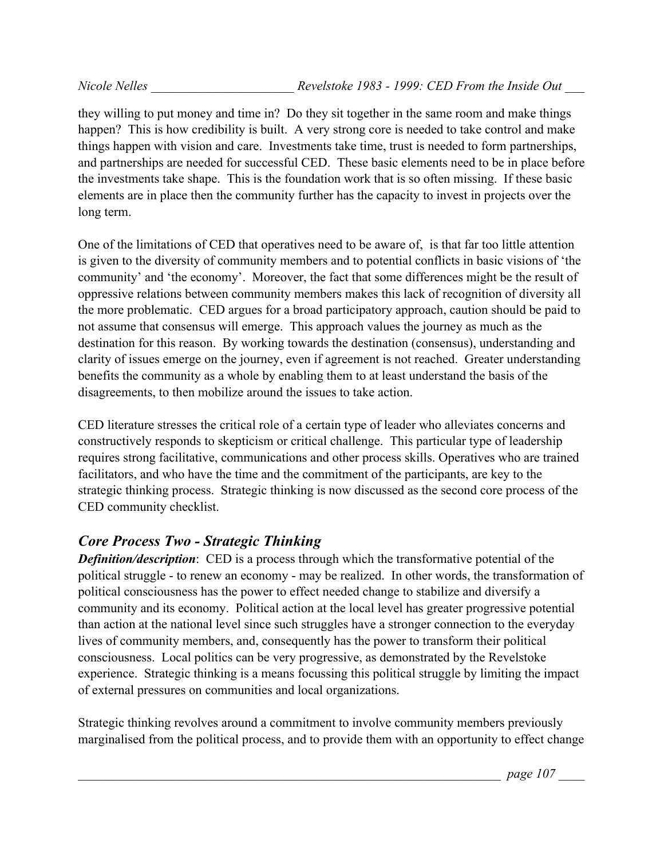they willing to put money and time in? Do they sit together in the same room and make things happen? This is how credibility is built. A very strong core is needed to take control and make things happen with vision and care. Investments take time, trust is needed to form partnerships, and partnerships are needed for successful CED. These basic elements need to be in place before the investments take shape. This is the foundation work that is so often missing. If these basic elements are in place then the community further has the capacity to invest in projects over the long term.

One of the limitations of CED that operatives need to be aware of, is that far too little attention is given to the diversity of community members and to potential conflicts in basic visions of 'the community' and 'the economy'. Moreover, the fact that some differences might be the result of oppressive relations between community members makes this lack of recognition of diversity all the more problematic. CED argues for a broad participatory approach, caution should be paid to not assume that consensus will emerge. This approach values the journey as much as the destination for this reason. By working towards the destination (consensus), understanding and clarity of issues emerge on the journey, even if agreement is not reached. Greater understanding benefits the community as a whole by enabling them to at least understand the basis of the disagreements, to then mobilize around the issues to take action.

CED literature stresses the critical role of a certain type of leader who alleviates concerns and constructively responds to skepticism or critical challenge. This particular type of leadership requires strong facilitative, communications and other process skills. Operatives who are trained facilitators, and who have the time and the commitment of the participants, are key to the strategic thinking process. Strategic thinking is now discussed as the second core process of the CED community checklist.

# *Core Process Two - Strategic Thinking*

*Definition/description*: CED is a process through which the transformative potential of the political struggle - to renew an economy - may be realized. In other words, the transformation of political consciousness has the power to effect needed change to stabilize and diversify a community and its economy. Political action at the local level has greater progressive potential than action at the national level since such struggles have a stronger connection to the everyday lives of community members, and, consequently has the power to transform their political consciousness. Local politics can be very progressive, as demonstrated by the Revelstoke experience. Strategic thinking is a means focussing this political struggle by limiting the impact of external pressures on communities and local organizations.

Strategic thinking revolves around a commitment to involve community members previously marginalised from the political process, and to provide them with an opportunity to effect change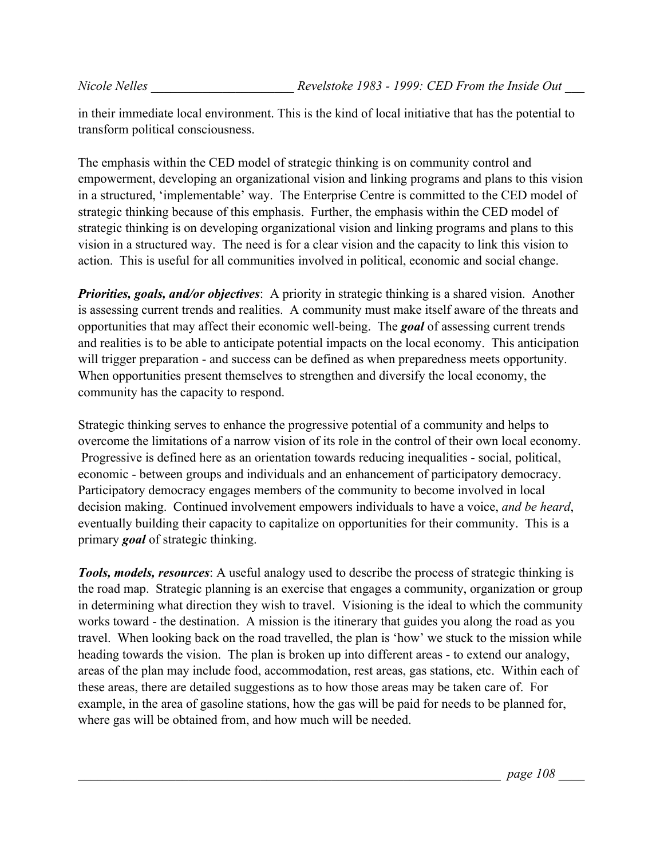in their immediate local environment. This is the kind of local initiative that has the potential to transform political consciousness.

The emphasis within the CED model of strategic thinking is on community control and empowerment, developing an organizational vision and linking programs and plans to this vision in a structured, 'implementable' way. The Enterprise Centre is committed to the CED model of strategic thinking because of this emphasis. Further, the emphasis within the CED model of strategic thinking is on developing organizational vision and linking programs and plans to this vision in a structured way. The need is for a clear vision and the capacity to link this vision to action. This is useful for all communities involved in political, economic and social change.

*Priorities, goals, and/or objectives*: A priority in strategic thinking is a shared vision. Another is assessing current trends and realities. A community must make itself aware of the threats and opportunities that may affect their economic well-being. The *goal* of assessing current trends and realities is to be able to anticipate potential impacts on the local economy. This anticipation will trigger preparation - and success can be defined as when preparedness meets opportunity. When opportunities present themselves to strengthen and diversify the local economy, the community has the capacity to respond.

Strategic thinking serves to enhance the progressive potential of a community and helps to overcome the limitations of a narrow vision of its role in the control of their own local economy. Progressive is defined here as an orientation towards reducing inequalities - social, political, economic - between groups and individuals and an enhancement of participatory democracy. Participatory democracy engages members of the community to become involved in local decision making. Continued involvement empowers individuals to have a voice, *and be heard*, eventually building their capacity to capitalize on opportunities for their community. This is a primary *goal* of strategic thinking.

*Tools, models, resources*: A useful analogy used to describe the process of strategic thinking is the road map. Strategic planning is an exercise that engages a community, organization or group in determining what direction they wish to travel. Visioning is the ideal to which the community works toward - the destination. A mission is the itinerary that guides you along the road as you travel. When looking back on the road travelled, the plan is 'how' we stuck to the mission while heading towards the vision. The plan is broken up into different areas - to extend our analogy, areas of the plan may include food, accommodation, rest areas, gas stations, etc. Within each of these areas, there are detailed suggestions as to how those areas may be taken care of. For example, in the area of gasoline stations, how the gas will be paid for needs to be planned for, where gas will be obtained from, and how much will be needed.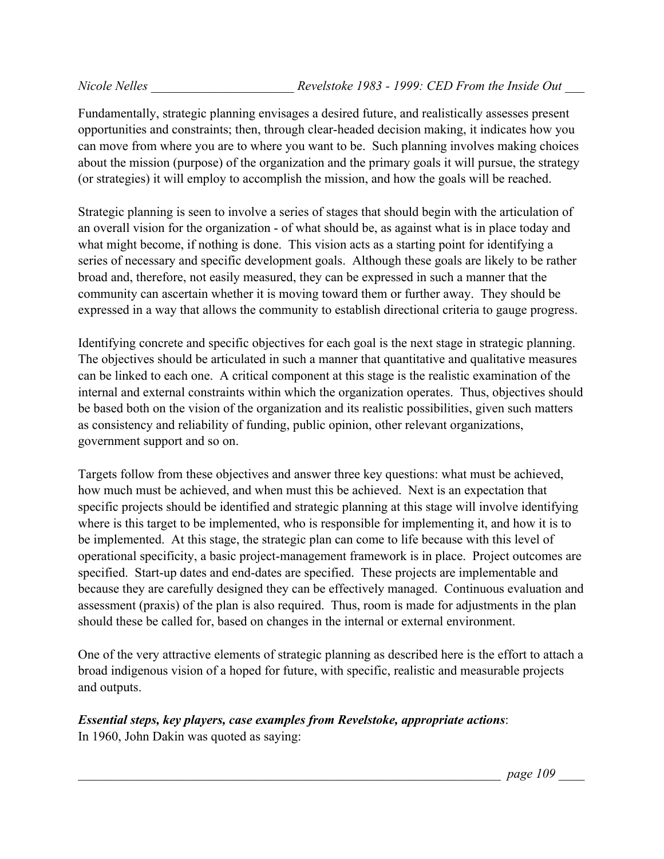Fundamentally, strategic planning envisages a desired future, and realistically assesses present opportunities and constraints; then, through clear-headed decision making, it indicates how you can move from where you are to where you want to be. Such planning involves making choices about the mission (purpose) of the organization and the primary goals it will pursue, the strategy (or strategies) it will employ to accomplish the mission, and how the goals will be reached.

Strategic planning is seen to involve a series of stages that should begin with the articulation of an overall vision for the organization - of what should be, as against what is in place today and what might become, if nothing is done. This vision acts as a starting point for identifying a series of necessary and specific development goals. Although these goals are likely to be rather broad and, therefore, not easily measured, they can be expressed in such a manner that the community can ascertain whether it is moving toward them or further away. They should be expressed in a way that allows the community to establish directional criteria to gauge progress.

Identifying concrete and specific objectives for each goal is the next stage in strategic planning. The objectives should be articulated in such a manner that quantitative and qualitative measures can be linked to each one. A critical component at this stage is the realistic examination of the internal and external constraints within which the organization operates. Thus, objectives should be based both on the vision of the organization and its realistic possibilities, given such matters as consistency and reliability of funding, public opinion, other relevant organizations, government support and so on.

Targets follow from these objectives and answer three key questions: what must be achieved, how much must be achieved, and when must this be achieved. Next is an expectation that specific projects should be identified and strategic planning at this stage will involve identifying where is this target to be implemented, who is responsible for implementing it, and how it is to be implemented. At this stage, the strategic plan can come to life because with this level of operational specificity, a basic project-management framework is in place. Project outcomes are specified. Start-up dates and end-dates are specified. These projects are implementable and because they are carefully designed they can be effectively managed. Continuous evaluation and assessment (praxis) of the plan is also required. Thus, room is made for adjustments in the plan should these be called for, based on changes in the internal or external environment.

One of the very attractive elements of strategic planning as described here is the effort to attach a broad indigenous vision of a hoped for future, with specific, realistic and measurable projects and outputs.

## *Essential steps, key players, case examples from Revelstoke, appropriate actions*:

In 1960, John Dakin was quoted as saying: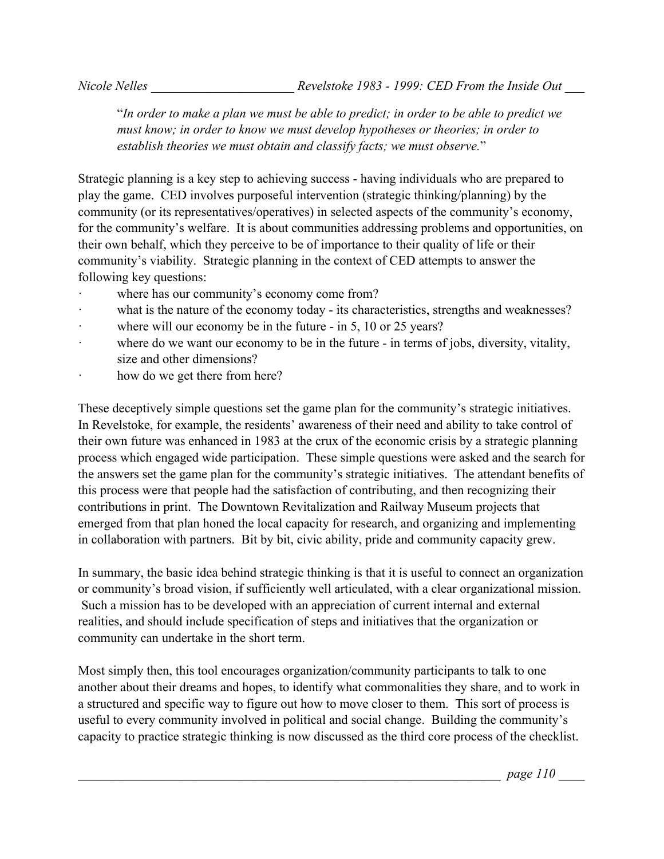"*In order to make a plan we must be able to predict; in order to be able to predict we must know; in order to know we must develop hypotheses or theories; in order to establish theories we must obtain and classify facts; we must observe.*"

Strategic planning is a key step to achieving success - having individuals who are prepared to play the game. CED involves purposeful intervention (strategic thinking/planning) by the community (or its representatives/operatives) in selected aspects of the community's economy, for the community's welfare. It is about communities addressing problems and opportunities, on their own behalf, which they perceive to be of importance to their quality of life or their community's viability. Strategic planning in the context of CED attempts to answer the following key questions:

- where has our community's economy come from?
- what is the nature of the economy today its characteristics, strengths and weaknesses?
- where will our economy be in the future in 5, 10 or 25 years?
- where do we want our economy to be in the future in terms of jobs, diversity, vitality, size and other dimensions?
- how do we get there from here?

These deceptively simple questions set the game plan for the community's strategic initiatives. In Revelstoke, for example, the residents' awareness of their need and ability to take control of their own future was enhanced in 1983 at the crux of the economic crisis by a strategic planning process which engaged wide participation. These simple questions were asked and the search for the answers set the game plan for the community's strategic initiatives. The attendant benefits of this process were that people had the satisfaction of contributing, and then recognizing their contributions in print. The Downtown Revitalization and Railway Museum projects that emerged from that plan honed the local capacity for research, and organizing and implementing in collaboration with partners. Bit by bit, civic ability, pride and community capacity grew.

In summary, the basic idea behind strategic thinking is that it is useful to connect an organization or community's broad vision, if sufficiently well articulated, with a clear organizational mission. Such a mission has to be developed with an appreciation of current internal and external realities, and should include specification of steps and initiatives that the organization or community can undertake in the short term.

Most simply then, this tool encourages organization/community participants to talk to one another about their dreams and hopes, to identify what commonalities they share, and to work in a structured and specific way to figure out how to move closer to them. This sort of process is useful to every community involved in political and social change. Building the community's capacity to practice strategic thinking is now discussed as the third core process of the checklist.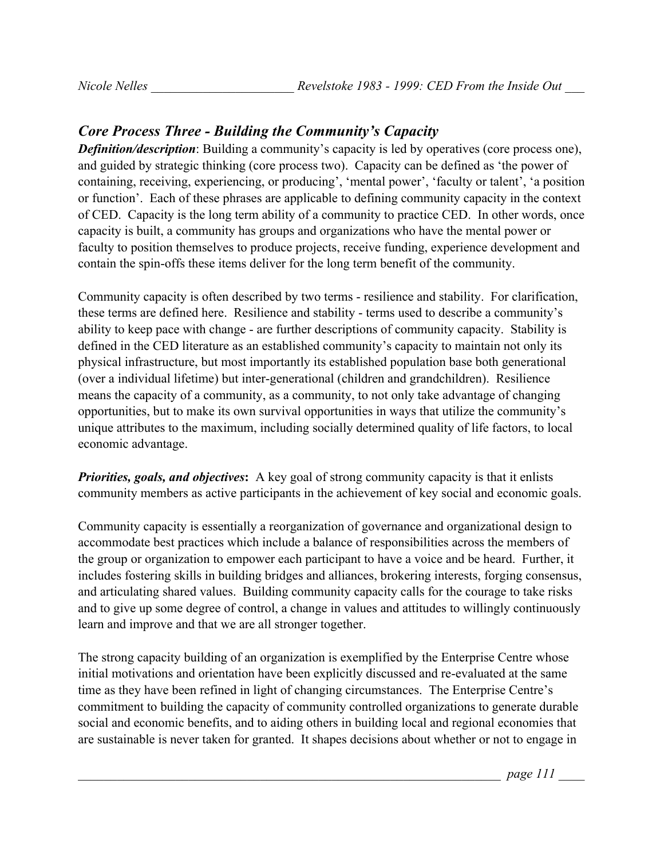## *Core Process Three - Building the Community's Capacity*

*Definition/description*: Building a community's capacity is led by operatives (core process one), and guided by strategic thinking (core process two). Capacity can be defined as 'the power of containing, receiving, experiencing, or producing', 'mental power', 'faculty or talent', 'a position or function'. Each of these phrases are applicable to defining community capacity in the context of CED. Capacity is the long term ability of a community to practice CED. In other words, once capacity is built, a community has groups and organizations who have the mental power or faculty to position themselves to produce projects, receive funding, experience development and contain the spin-offs these items deliver for the long term benefit of the community.

Community capacity is often described by two terms - resilience and stability. For clarification, these terms are defined here. Resilience and stability - terms used to describe a community's ability to keep pace with change - are further descriptions of community capacity. Stability is defined in the CED literature as an established community's capacity to maintain not only its physical infrastructure, but most importantly its established population base both generational (over a individual lifetime) but inter-generational (children and grandchildren). Resilience means the capacity of a community, as a community, to not only take advantage of changing opportunities, but to make its own survival opportunities in ways that utilize the community's unique attributes to the maximum, including socially determined quality of life factors, to local economic advantage.

*Priorities, goals, and objectives***:** A key goal of strong community capacity is that it enlists community members as active participants in the achievement of key social and economic goals.

Community capacity is essentially a reorganization of governance and organizational design to accommodate best practices which include a balance of responsibilities across the members of the group or organization to empower each participant to have a voice and be heard. Further, it includes fostering skills in building bridges and alliances, brokering interests, forging consensus, and articulating shared values. Building community capacity calls for the courage to take risks and to give up some degree of control, a change in values and attitudes to willingly continuously learn and improve and that we are all stronger together.

The strong capacity building of an organization is exemplified by the Enterprise Centre whose initial motivations and orientation have been explicitly discussed and re-evaluated at the same time as they have been refined in light of changing circumstances. The Enterprise Centre's commitment to building the capacity of community controlled organizations to generate durable social and economic benefits, and to aiding others in building local and regional economies that are sustainable is never taken for granted. It shapes decisions about whether or not to engage in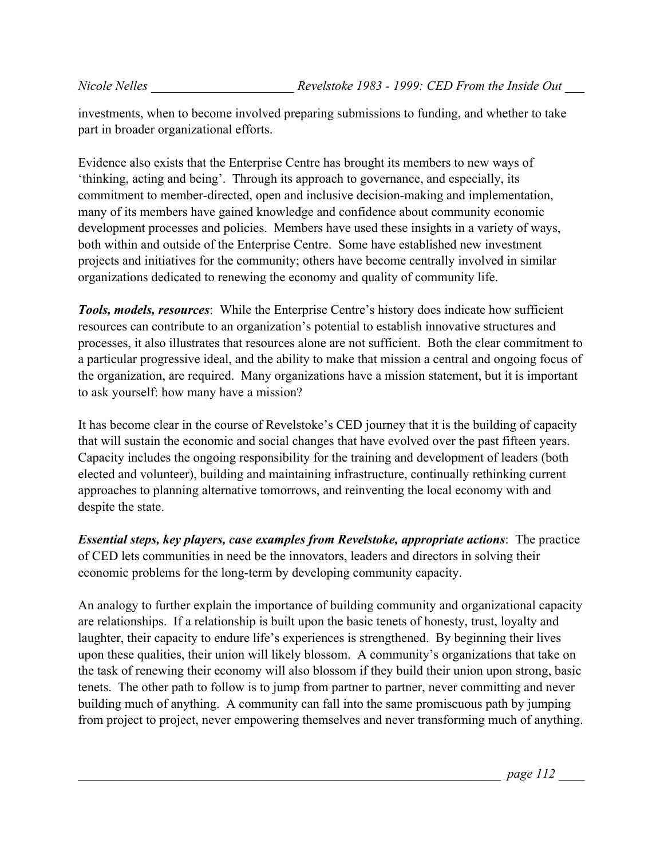investments, when to become involved preparing submissions to funding, and whether to take part in broader organizational efforts.

Evidence also exists that the Enterprise Centre has brought its members to new ways of 'thinking, acting and being'. Through its approach to governance, and especially, its commitment to member-directed, open and inclusive decision-making and implementation, many of its members have gained knowledge and confidence about community economic development processes and policies. Members have used these insights in a variety of ways, both within and outside of the Enterprise Centre. Some have established new investment projects and initiatives for the community; others have become centrally involved in similar organizations dedicated to renewing the economy and quality of community life.

*Tools, models, resources*: While the Enterprise Centre's history does indicate how sufficient resources can contribute to an organization's potential to establish innovative structures and processes, it also illustrates that resources alone are not sufficient. Both the clear commitment to a particular progressive ideal, and the ability to make that mission a central and ongoing focus of the organization, are required. Many organizations have a mission statement, but it is important to ask yourself: how many have a mission?

It has become clear in the course of Revelstoke's CED journey that it is the building of capacity that will sustain the economic and social changes that have evolved over the past fifteen years. Capacity includes the ongoing responsibility for the training and development of leaders (both elected and volunteer), building and maintaining infrastructure, continually rethinking current approaches to planning alternative tomorrows, and reinventing the local economy with and despite the state.

*Essential steps, key players, case examples from Revelstoke, appropriate actions*:The practice of CED lets communities in need be the innovators, leaders and directors in solving their economic problems for the long-term by developing community capacity.

An analogy to further explain the importance of building community and organizational capacity are relationships. If a relationship is built upon the basic tenets of honesty, trust, loyalty and laughter, their capacity to endure life's experiences is strengthened. By beginning their lives upon these qualities, their union will likely blossom. A community's organizations that take on the task of renewing their economy will also blossom if they build their union upon strong, basic tenets. The other path to follow is to jump from partner to partner, never committing and never building much of anything. A community can fall into the same promiscuous path by jumping from project to project, never empowering themselves and never transforming much of anything.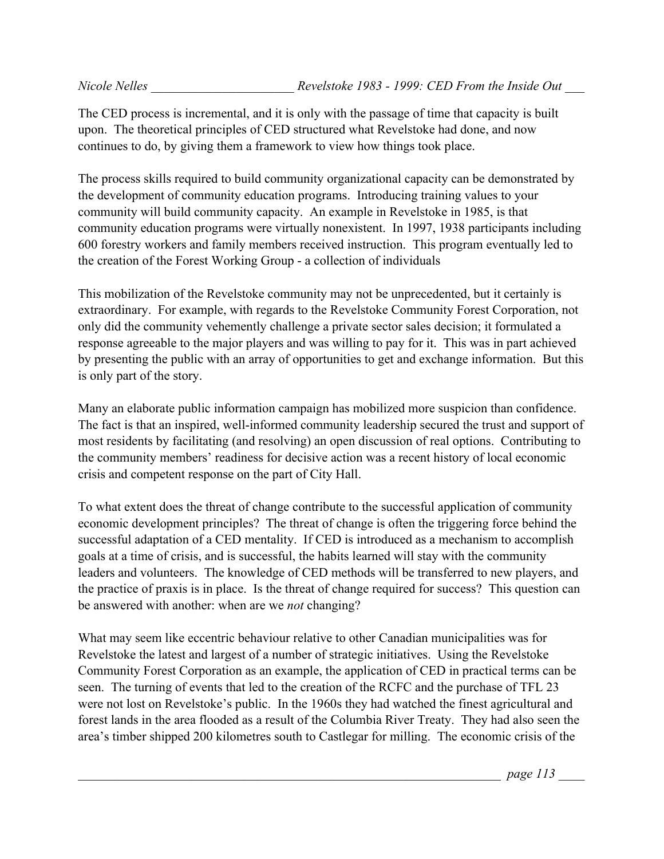The CED process is incremental, and it is only with the passage of time that capacity is built upon. The theoretical principles of CED structured what Revelstoke had done, and now continues to do, by giving them a framework to view how things took place.

The process skills required to build community organizational capacity can be demonstrated by the development of community education programs. Introducing training values to your community will build community capacity. An example in Revelstoke in 1985, is that community education programs were virtually nonexistent. In 1997, 1938 participants including 600 forestry workers and family members received instruction. This program eventually led to the creation of the Forest Working Group - a collection of individuals

This mobilization of the Revelstoke community may not be unprecedented, but it certainly is extraordinary. For example, with regards to the Revelstoke Community Forest Corporation, not only did the community vehemently challenge a private sector sales decision; it formulated a response agreeable to the major players and was willing to pay for it. This was in part achieved by presenting the public with an array of opportunities to get and exchange information. But this is only part of the story.

Many an elaborate public information campaign has mobilized more suspicion than confidence. The fact is that an inspired, well-informed community leadership secured the trust and support of most residents by facilitating (and resolving) an open discussion of real options. Contributing to the community members' readiness for decisive action was a recent history of local economic crisis and competent response on the part of City Hall.

To what extent does the threat of change contribute to the successful application of community economic development principles? The threat of change is often the triggering force behind the successful adaptation of a CED mentality. If CED is introduced as a mechanism to accomplish goals at a time of crisis, and is successful, the habits learned will stay with the community leaders and volunteers. The knowledge of CED methods will be transferred to new players, and the practice of praxis is in place. Is the threat of change required for success? This question can be answered with another: when are we *not* changing?

What may seem like eccentric behaviour relative to other Canadian municipalities was for Revelstoke the latest and largest of a number of strategic initiatives. Using the Revelstoke Community Forest Corporation as an example, the application of CED in practical terms can be seen. The turning of events that led to the creation of the RCFC and the purchase of TFL 23 were not lost on Revelstoke's public. In the 1960s they had watched the finest agricultural and forest lands in the area flooded as a result of the Columbia River Treaty. They had also seen the area's timber shipped 200 kilometres south to Castlegar for milling. The economic crisis of the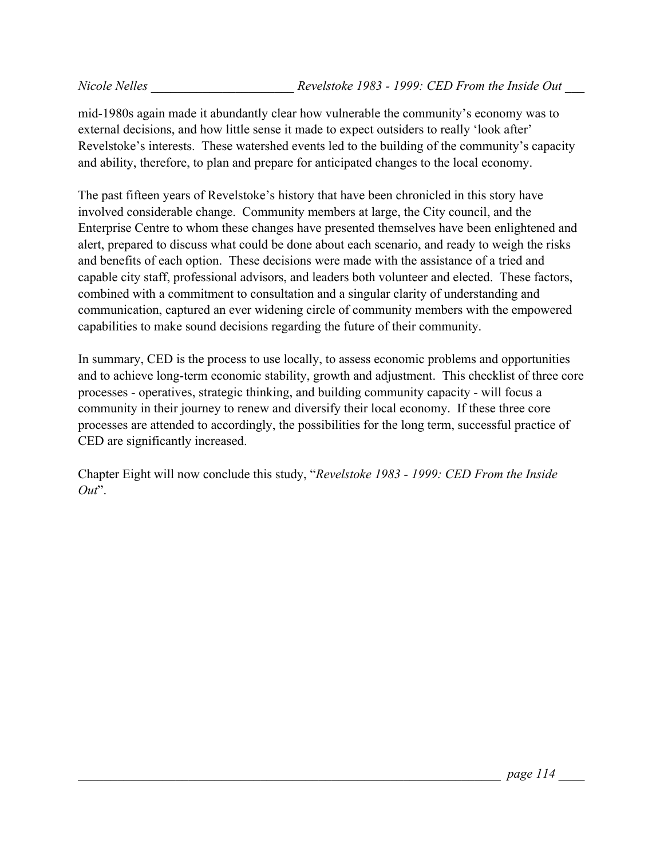mid-1980s again made it abundantly clear how vulnerable the community's economy was to external decisions, and how little sense it made to expect outsiders to really 'look after' Revelstoke's interests. These watershed events led to the building of the community's capacity and ability, therefore, to plan and prepare for anticipated changes to the local economy.

The past fifteen years of Revelstoke's history that have been chronicled in this story have involved considerable change. Community members at large, the City council, and the Enterprise Centre to whom these changes have presented themselves have been enlightened and alert, prepared to discuss what could be done about each scenario, and ready to weigh the risks and benefits of each option. These decisions were made with the assistance of a tried and capable city staff, professional advisors, and leaders both volunteer and elected. These factors, combined with a commitment to consultation and a singular clarity of understanding and communication, captured an ever widening circle of community members with the empowered capabilities to make sound decisions regarding the future of their community.

In summary, CED is the process to use locally, to assess economic problems and opportunities and to achieve long-term economic stability, growth and adjustment. This checklist of three core processes - operatives, strategic thinking, and building community capacity - will focus a community in their journey to renew and diversify their local economy. If these three core processes are attended to accordingly, the possibilities for the long term, successful practice of CED are significantly increased.

Chapter Eight will now conclude this study, "*Revelstoke 1983 - 1999: CED From the Inside Out*".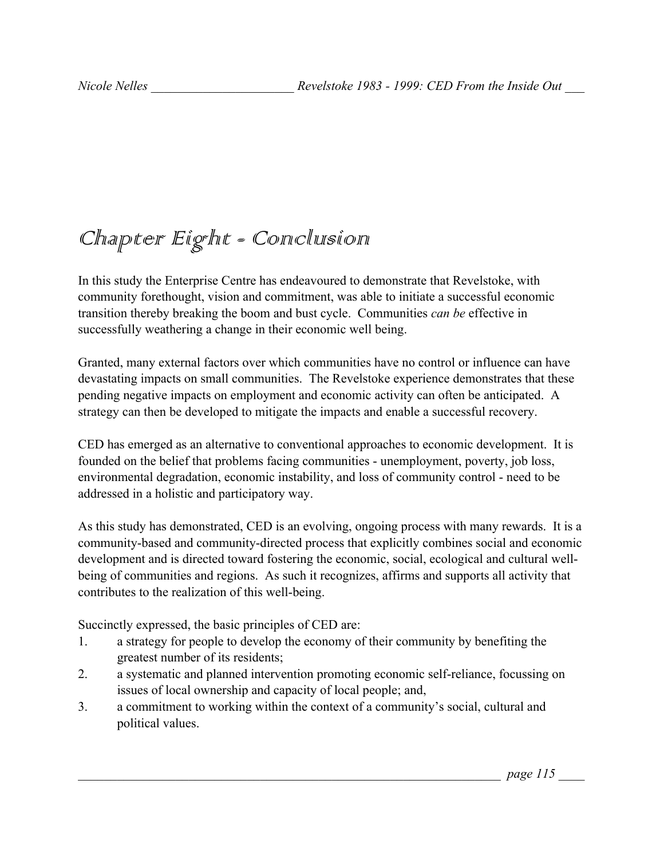## Chapter Eight - Conclusion

In this study the Enterprise Centre has endeavoured to demonstrate that Revelstoke, with community forethought, vision and commitment, was able to initiate a successful economic transition thereby breaking the boom and bust cycle. Communities *can be* effective in successfully weathering a change in their economic well being.

Granted, many external factors over which communities have no control or influence can have devastating impacts on small communities. The Revelstoke experience demonstrates that these pending negative impacts on employment and economic activity can often be anticipated. A strategy can then be developed to mitigate the impacts and enable a successful recovery.

CED has emerged as an alternative to conventional approaches to economic development. It is founded on the belief that problems facing communities - unemployment, poverty, job loss, environmental degradation, economic instability, and loss of community control - need to be addressed in a holistic and participatory way.

As this study has demonstrated, CED is an evolving, ongoing process with many rewards. It is a community-based and community-directed process that explicitly combines social and economic development and is directed toward fostering the economic, social, ecological and cultural wellbeing of communities and regions. As such it recognizes, affirms and supports all activity that contributes to the realization of this well-being.

Succinctly expressed, the basic principles of CED are:

- 1. a strategy for people to develop the economy of their community by benefiting the greatest number of its residents;
- 2. a systematic and planned intervention promoting economic self-reliance, focussing on issues of local ownership and capacity of local people; and,
- 3. a commitment to working within the context of a community's social, cultural and political values.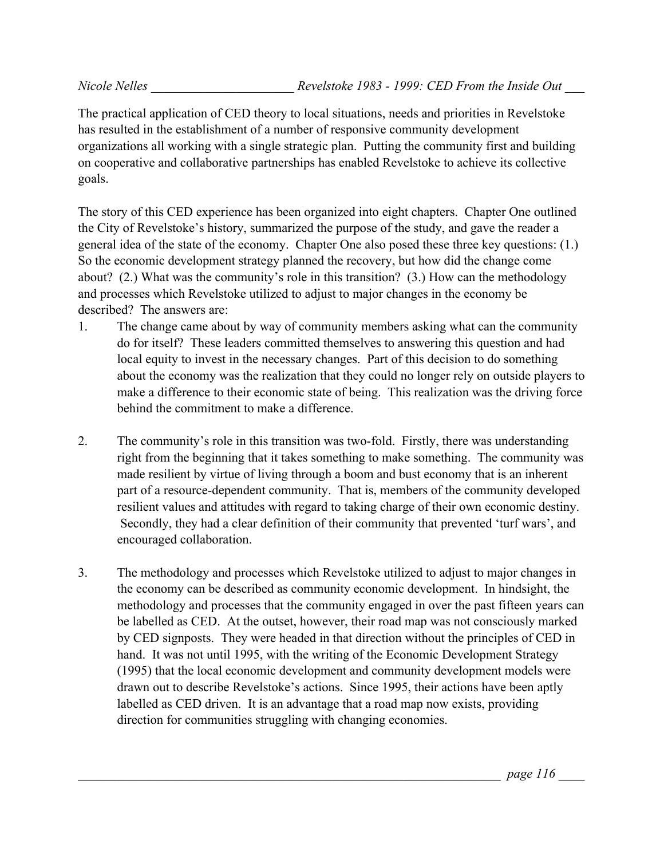The practical application of CED theory to local situations, needs and priorities in Revelstoke has resulted in the establishment of a number of responsive community development organizations all working with a single strategic plan. Putting the community first and building on cooperative and collaborative partnerships has enabled Revelstoke to achieve its collective goals.

The story of this CED experience has been organized into eight chapters. Chapter One outlined the City of Revelstoke's history, summarized the purpose of the study, and gave the reader a general idea of the state of the economy. Chapter One also posed these three key questions: (1.) So the economic development strategy planned the recovery, but how did the change come about? (2.) What was the community's role in this transition? (3.) How can the methodology and processes which Revelstoke utilized to adjust to major changes in the economy be described? The answers are:

- 1. The change came about by way of community members asking what can the community do for itself? These leaders committed themselves to answering this question and had local equity to invest in the necessary changes. Part of this decision to do something about the economy was the realization that they could no longer rely on outside players to make a difference to their economic state of being. This realization was the driving force behind the commitment to make a difference.
- 2. The community's role in this transition was two-fold. Firstly, there was understanding right from the beginning that it takes something to make something. The community was made resilient by virtue of living through a boom and bust economy that is an inherent part of a resource-dependent community. That is, members of the community developed resilient values and attitudes with regard to taking charge of their own economic destiny. Secondly, they had a clear definition of their community that prevented 'turf wars', and encouraged collaboration.
- 3. The methodology and processes which Revelstoke utilized to adjust to major changes in the economy can be described as community economic development. In hindsight, the methodology and processes that the community engaged in over the past fifteen years can be labelled as CED. At the outset, however, their road map was not consciously marked by CED signposts. They were headed in that direction without the principles of CED in hand. It was not until 1995, with the writing of the Economic Development Strategy (1995) that the local economic development and community development models were drawn out to describe Revelstoke's actions. Since 1995, their actions have been aptly labelled as CED driven. It is an advantage that a road map now exists, providing direction for communities struggling with changing economies.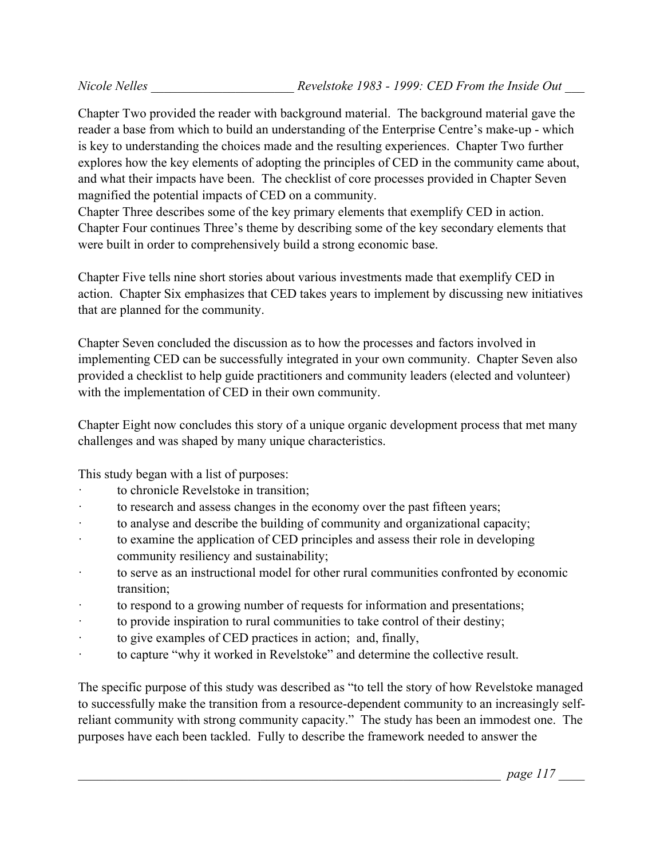Chapter Two provided the reader with background material. The background material gave the reader a base from which to build an understanding of the Enterprise Centre's make-up - which is key to understanding the choices made and the resulting experiences. Chapter Two further explores how the key elements of adopting the principles of CED in the community came about, and what their impacts have been. The checklist of core processes provided in Chapter Seven magnified the potential impacts of CED on a community.

Chapter Three describes some of the key primary elements that exemplify CED in action. Chapter Four continues Three's theme by describing some of the key secondary elements that were built in order to comprehensively build a strong economic base.

Chapter Five tells nine short stories about various investments made that exemplify CED in action. Chapter Six emphasizes that CED takes years to implement by discussing new initiatives that are planned for the community.

Chapter Seven concluded the discussion as to how the processes and factors involved in implementing CED can be successfully integrated in your own community. Chapter Seven also provided a checklist to help guide practitioners and community leaders (elected and volunteer) with the implementation of CED in their own community.

Chapter Eight now concludes this story of a unique organic development process that met many challenges and was shaped by many unique characteristics.

This study began with a list of purposes:

- to chronicle Revelstoke in transition;
- to research and assess changes in the economy over the past fifteen years;
- · to analyse and describe the building of community and organizational capacity;
- · to examine the application of CED principles and assess their role in developing community resiliency and sustainability;
- · to serve as an instructional model for other rural communities confronted by economic transition;
- to respond to a growing number of requests for information and presentations;
- · to provide inspiration to rural communities to take control of their destiny;
- · to give examples of CED practices in action; and, finally,
- · to capture "why it worked in Revelstoke" and determine the collective result.

The specific purpose of this study was described as "to tell the story of how Revelstoke managed to successfully make the transition from a resource-dependent community to an increasingly selfreliant community with strong community capacity." The study has been an immodest one. The purposes have each been tackled. Fully to describe the framework needed to answer the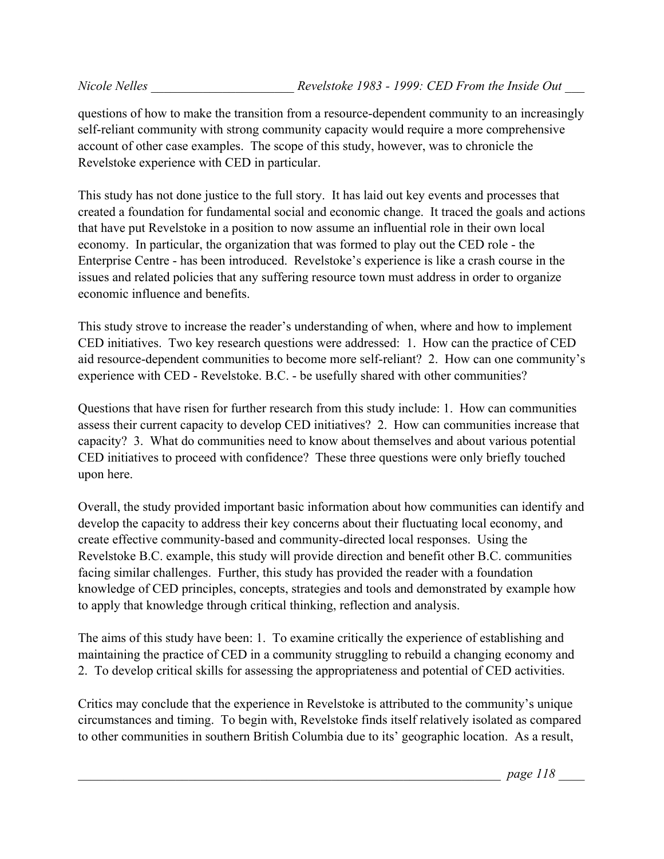questions of how to make the transition from a resource-dependent community to an increasingly self-reliant community with strong community capacity would require a more comprehensive account of other case examples. The scope of this study, however, was to chronicle the Revelstoke experience with CED in particular.

This study has not done justice to the full story. It has laid out key events and processes that created a foundation for fundamental social and economic change. It traced the goals and actions that have put Revelstoke in a position to now assume an influential role in their own local economy. In particular, the organization that was formed to play out the CED role - the Enterprise Centre - has been introduced. Revelstoke's experience is like a crash course in the issues and related policies that any suffering resource town must address in order to organize economic influence and benefits.

This study strove to increase the reader's understanding of when, where and how to implement CED initiatives. Two key research questions were addressed: 1. How can the practice of CED aid resource-dependent communities to become more self-reliant? 2. How can one community's experience with CED - Revelstoke. B.C. - be usefully shared with other communities?

Questions that have risen for further research from this study include: 1. How can communities assess their current capacity to develop CED initiatives? 2. How can communities increase that capacity? 3. What do communities need to know about themselves and about various potential CED initiatives to proceed with confidence? These three questions were only briefly touched upon here.

Overall, the study provided important basic information about how communities can identify and develop the capacity to address their key concerns about their fluctuating local economy, and create effective community-based and community-directed local responses. Using the Revelstoke B.C. example, this study will provide direction and benefit other B.C. communities facing similar challenges. Further, this study has provided the reader with a foundation knowledge of CED principles, concepts, strategies and tools and demonstrated by example how to apply that knowledge through critical thinking, reflection and analysis.

The aims of this study have been: 1. To examine critically the experience of establishing and maintaining the practice of CED in a community struggling to rebuild a changing economy and 2. To develop critical skills for assessing the appropriateness and potential of CED activities.

Critics may conclude that the experience in Revelstoke is attributed to the community's unique circumstances and timing. To begin with, Revelstoke finds itself relatively isolated as compared to other communities in southern British Columbia due to its' geographic location. As a result,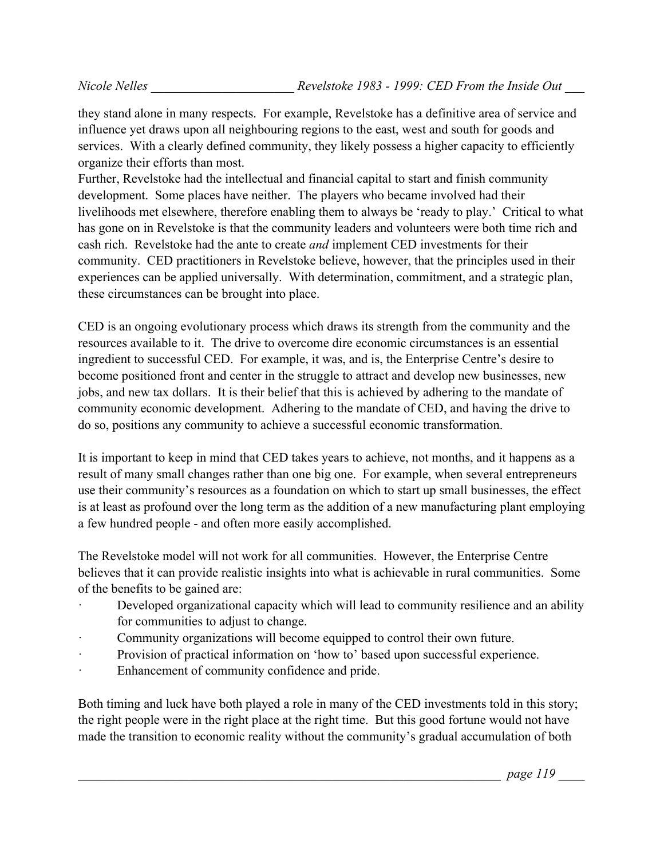they stand alone in many respects. For example, Revelstoke has a definitive area of service and influence yet draws upon all neighbouring regions to the east, west and south for goods and services. With a clearly defined community, they likely possess a higher capacity to efficiently organize their efforts than most.

Further, Revelstoke had the intellectual and financial capital to start and finish community development. Some places have neither. The players who became involved had their livelihoods met elsewhere, therefore enabling them to always be 'ready to play.' Critical to what has gone on in Revelstoke is that the community leaders and volunteers were both time rich and cash rich. Revelstoke had the ante to create *and* implement CED investments for their community. CED practitioners in Revelstoke believe, however, that the principles used in their experiences can be applied universally. With determination, commitment, and a strategic plan, these circumstances can be brought into place.

CED is an ongoing evolutionary process which draws its strength from the community and the resources available to it. The drive to overcome dire economic circumstances is an essential ingredient to successful CED. For example, it was, and is, the Enterprise Centre's desire to become positioned front and center in the struggle to attract and develop new businesses, new jobs, and new tax dollars. It is their belief that this is achieved by adhering to the mandate of community economic development. Adhering to the mandate of CED, and having the drive to do so, positions any community to achieve a successful economic transformation.

It is important to keep in mind that CED takes years to achieve, not months, and it happens as a result of many small changes rather than one big one. For example, when several entrepreneurs use their community's resources as a foundation on which to start up small businesses, the effect is at least as profound over the long term as the addition of a new manufacturing plant employing a few hundred people - and often more easily accomplished.

The Revelstoke model will not work for all communities. However, the Enterprise Centre believes that it can provide realistic insights into what is achievable in rural communities. Some of the benefits to be gained are:

- Developed organizational capacity which will lead to community resilience and an ability for communities to adjust to change.
- Community organizations will become equipped to control their own future.
- Provision of practical information on 'how to' based upon successful experience.
- · Enhancement of community confidence and pride.

Both timing and luck have both played a role in many of the CED investments told in this story; the right people were in the right place at the right time. But this good fortune would not have made the transition to economic reality without the community's gradual accumulation of both

\_\_\_\_\_\_\_\_\_\_\_\_\_\_\_\_\_\_\_\_\_\_\_\_\_\_\_\_\_\_\_\_\_\_\_\_\_\_\_\_\_\_\_\_\_\_\_\_\_\_\_\_\_\_\_\_\_\_\_\_\_\_\_\_\_ *page 119* \_\_\_\_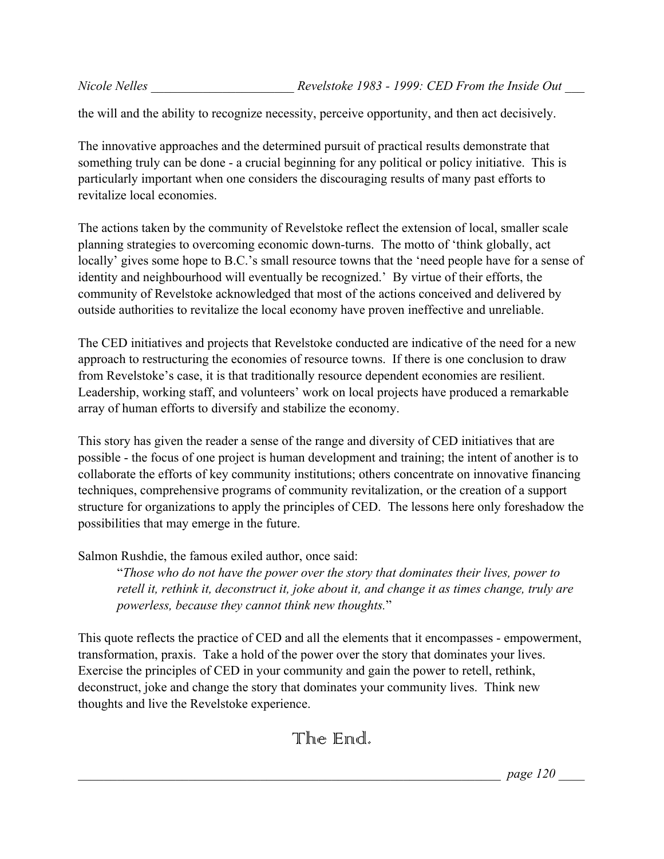the will and the ability to recognize necessity, perceive opportunity, and then act decisively.

The innovative approaches and the determined pursuit of practical results demonstrate that something truly can be done - a crucial beginning for any political or policy initiative. This is particularly important when one considers the discouraging results of many past efforts to revitalize local economies.

The actions taken by the community of Revelstoke reflect the extension of local, smaller scale planning strategies to overcoming economic down-turns. The motto of 'think globally, act locally' gives some hope to B.C.'s small resource towns that the 'need people have for a sense of identity and neighbourhood will eventually be recognized.' By virtue of their efforts, the community of Revelstoke acknowledged that most of the actions conceived and delivered by outside authorities to revitalize the local economy have proven ineffective and unreliable.

The CED initiatives and projects that Revelstoke conducted are indicative of the need for a new approach to restructuring the economies of resource towns. If there is one conclusion to draw from Revelstoke's case, it is that traditionally resource dependent economies are resilient. Leadership, working staff, and volunteers' work on local projects have produced a remarkable array of human efforts to diversify and stabilize the economy.

This story has given the reader a sense of the range and diversity of CED initiatives that are possible - the focus of one project is human development and training; the intent of another is to collaborate the efforts of key community institutions; others concentrate on innovative financing techniques, comprehensive programs of community revitalization, or the creation of a support structure for organizations to apply the principles of CED. The lessons here only foreshadow the possibilities that may emerge in the future.

Salmon Rushdie, the famous exiled author, once said:

"*Those who do not have the power over the story that dominates their lives, power to retell it, rethink it, deconstruct it, joke about it, and change it as times change, truly are powerless, because they cannot think new thoughts.*"

This quote reflects the practice of CED and all the elements that it encompasses - empowerment, transformation, praxis. Take a hold of the power over the story that dominates your lives. Exercise the principles of CED in your community and gain the power to retell, rethink, deconstruct, joke and change the story that dominates your community lives. Think new thoughts and live the Revelstoke experience.

## The End.